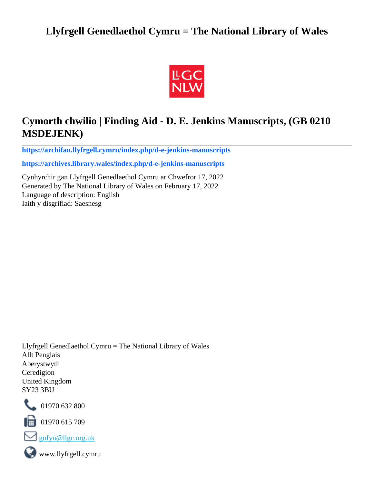# **Llyfrgell Genedlaethol Cymru = The National Library of Wales**



# **Cymorth chwilio | Finding Aid - D. E. Jenkins Manuscripts, (GB 0210 MSDEJENK)**

**[https://archifau.llyfrgell.cymru/index.php/d-e-jenkins-manuscripts](https://archifau.llyfrgell.cymru/index.php/d-e-jenkins-manuscripts;isad?sf_culture=cy)**

**[https://archives.library.wales/index.php/d-e-jenkins-manuscripts](https://archives.library.wales/index.php/d-e-jenkins-manuscripts;isad?sf_culture=en)**

Cynhyrchir gan Llyfrgell Genedlaethol Cymru ar Chwefror 17, 2022 Generated by The National Library of Wales on February 17, 2022 Language of description: English Iaith y disgrifiad: Saesnesg

Llyfrgell Genedlaethol Cymru = The National Library of Wales Allt Penglais Aberystwyth Ceredigion United Kingdom SY23 3BU



101970 632 800

 $\blacksquare$  01970 615 709



www.llyfrgell.cymru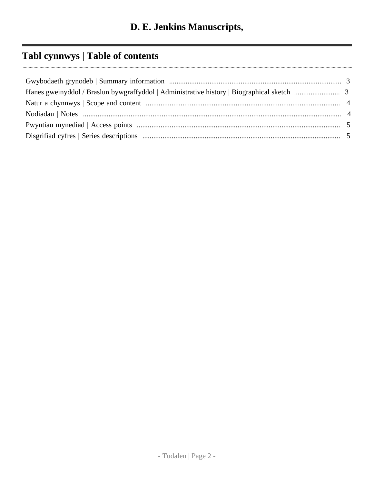# **Tabl cynnwys | Table of contents**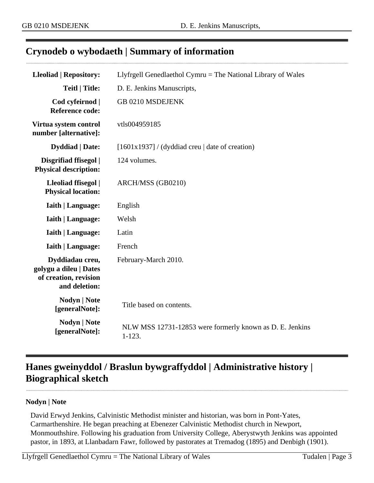# <span id="page-2-0"></span>**Crynodeb o wybodaeth | Summary of information**

| <b>Lleoliad   Repository:</b>                                                       | Llyfrgell Genedlaethol Cymru $=$ The National Library of Wales         |
|-------------------------------------------------------------------------------------|------------------------------------------------------------------------|
| <b>Teitl   Title:</b>                                                               | D. E. Jenkins Manuscripts,                                             |
| Cod cyfeirnod  <br><b>Reference code:</b>                                           | GB 0210 MSDEJENK                                                       |
| Virtua system control<br>number [alternative]:                                      | vtls004959185                                                          |
| <b>Dyddiad</b>   Date:                                                              | $[1601x1937]$ / (dyddiad creu   date of creation)                      |
| Disgrifiad ffisegol  <br><b>Physical description:</b>                               | 124 volumes.                                                           |
| Lleoliad ffisegol  <br><b>Physical location:</b>                                    | ARCH/MSS (GB0210)                                                      |
| <b>Iaith   Language:</b>                                                            | English                                                                |
| <b>Iaith   Language:</b>                                                            | Welsh                                                                  |
| <b>Iaith   Language:</b>                                                            | Latin                                                                  |
| <b>Iaith   Language:</b>                                                            | French                                                                 |
| Dyddiadau creu,<br>golygu a dileu   Dates<br>of creation, revision<br>and deletion: | February-March 2010.                                                   |
| Nodyn   Note<br>[generalNote]:                                                      | Title based on contents.                                               |
| <b>Nodyn   Note</b><br>[generalNote]:                                               | NLW MSS 12731-12853 were formerly known as D. E. Jenkins<br>$1 - 123.$ |

# <span id="page-2-1"></span>**Hanes gweinyddol / Braslun bywgraffyddol | Administrative history | Biographical sketch**

#### **Nodyn | Note**

David Erwyd Jenkins, Calvinistic Methodist minister and historian, was born in Pont-Yates, Carmarthenshire. He began preaching at Ebenezer Calvinistic Methodist church in Newport, Monmouthshire. Following his graduation from University College, Aberystwyth Jenkins was appointed pastor, in 1893, at Llanbadarn Fawr, followed by pastorates at Tremadog (1895) and Denbigh (1901).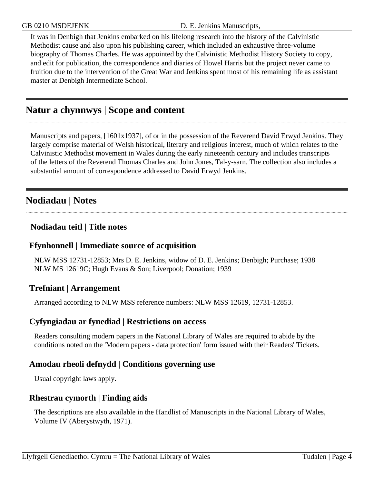It was in Denbigh that Jenkins embarked on his lifelong research into the history of the Calvinistic Methodist cause and also upon his publishing career, which included an exhaustive three-volume biography of Thomas Charles. He was appointed by the Calvinistic Methodist History Society to copy, and edit for publication, the correspondence and diaries of Howel Harris but the project never came to fruition due to the intervention of the Great War and Jenkins spent most of his remaining life as assistant master at Denbigh Intermediate School.

## <span id="page-3-0"></span>**Natur a chynnwys | Scope and content**

Manuscripts and papers, [1601x1937], of or in the possession of the Reverend David Erwyd Jenkins. They largely comprise material of Welsh historical, literary and religious interest, much of which relates to the Calvinistic Methodist movement in Wales during the early nineteenth century and includes transcripts of the letters of the Reverend Thomas Charles and John Jones, Tal-y-sarn. The collection also includes a substantial amount of correspondence addressed to David Erwyd Jenkins.

## <span id="page-3-1"></span>**Nodiadau | Notes**

#### **Nodiadau teitl | Title notes**

#### **Ffynhonnell | Immediate source of acquisition**

NLW MSS 12731-12853; Mrs D. E. Jenkins, widow of D. E. Jenkins; Denbigh; Purchase; 1938 NLW MS 12619C; Hugh Evans & Son; Liverpool; Donation; 1939

#### **Trefniant | Arrangement**

Arranged according to NLW MSS reference numbers: NLW MSS 12619, 12731-12853.

#### **Cyfyngiadau ar fynediad | Restrictions on access**

Readers consulting modern papers in the National Library of Wales are required to abide by the conditions noted on the 'Modern papers - data protection' form issued with their Readers' Tickets.

#### **Amodau rheoli defnydd | Conditions governing use**

Usual copyright laws apply.

#### **Rhestrau cymorth | Finding aids**

The descriptions are also available in the Handlist of Manuscripts in the National Library of Wales, Volume IV (Aberystwyth, 1971).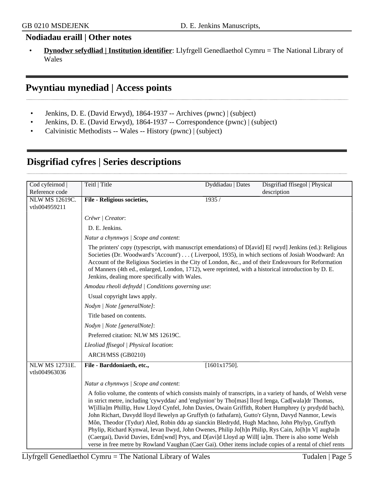#### **Nodiadau eraill | Other notes**

• **Dynodwr sefydliad | Institution identifier**: Llyfrgell Genedlaethol Cymru = The National Library of Wales

## <span id="page-4-0"></span>**Pwyntiau mynediad | Access points**

- Jenkins, D. E. (David Erwyd), 1864-1937 -- Archives (pwnc) | (subject)
- Jenkins, D. E. (David Erwyd), 1864-1937 -- Correspondence (pwnc) | (subject)
- Calvinistic Methodists -- Wales -- History (pwnc) | (subject)

| Cod cyfeirnod         | Teitl   Title                                                                                                                                                                                                                                                                                                                                                                                                                                                                                                                                                                                                                                                                                                                                                                                                                                          | Dyddiadau   Dates | Disgrifiad ffisegol   Physical |
|-----------------------|--------------------------------------------------------------------------------------------------------------------------------------------------------------------------------------------------------------------------------------------------------------------------------------------------------------------------------------------------------------------------------------------------------------------------------------------------------------------------------------------------------------------------------------------------------------------------------------------------------------------------------------------------------------------------------------------------------------------------------------------------------------------------------------------------------------------------------------------------------|-------------------|--------------------------------|
| Reference code        |                                                                                                                                                                                                                                                                                                                                                                                                                                                                                                                                                                                                                                                                                                                                                                                                                                                        |                   | description                    |
| <b>NLW MS 12619C.</b> | <b>File - Religious societies,</b>                                                                                                                                                                                                                                                                                                                                                                                                                                                                                                                                                                                                                                                                                                                                                                                                                     | 1935/             |                                |
| vtls004959211         |                                                                                                                                                                                                                                                                                                                                                                                                                                                                                                                                                                                                                                                                                                                                                                                                                                                        |                   |                                |
|                       | Crëwr   Creator:                                                                                                                                                                                                                                                                                                                                                                                                                                                                                                                                                                                                                                                                                                                                                                                                                                       |                   |                                |
|                       | D. E. Jenkins.                                                                                                                                                                                                                                                                                                                                                                                                                                                                                                                                                                                                                                                                                                                                                                                                                                         |                   |                                |
|                       | Natur a chynnwys / Scope and content:                                                                                                                                                                                                                                                                                                                                                                                                                                                                                                                                                                                                                                                                                                                                                                                                                  |                   |                                |
|                       | The printers' copy (typescript, with manuscript emendations) of $D[avid] E[$ rwyd] Jenkins (ed.): Religious<br>Societies (Dr. Woodward's 'Account') ( Liverpool, 1935), in which sections of Josiah Woodward: An<br>Account of the Religious Societies in the City of London, &c., and of their Endeavours for Reformation<br>of Manners (4th ed., enlarged, London, 1712), were reprinted, with a historical introduction by D. E.<br>Jenkins, dealing more specifically with Wales.                                                                                                                                                                                                                                                                                                                                                                  |                   |                                |
|                       | Amodau rheoli defnydd   Conditions governing use:                                                                                                                                                                                                                                                                                                                                                                                                                                                                                                                                                                                                                                                                                                                                                                                                      |                   |                                |
|                       | Usual copyright laws apply.                                                                                                                                                                                                                                                                                                                                                                                                                                                                                                                                                                                                                                                                                                                                                                                                                            |                   |                                |
|                       | Nodyn   Note [generalNote]:                                                                                                                                                                                                                                                                                                                                                                                                                                                                                                                                                                                                                                                                                                                                                                                                                            |                   |                                |
|                       | Title based on contents.                                                                                                                                                                                                                                                                                                                                                                                                                                                                                                                                                                                                                                                                                                                                                                                                                               |                   |                                |
|                       | Nodyn   Note [generalNote]:                                                                                                                                                                                                                                                                                                                                                                                                                                                                                                                                                                                                                                                                                                                                                                                                                            |                   |                                |
|                       | Preferred citation: NLW MS 12619C.                                                                                                                                                                                                                                                                                                                                                                                                                                                                                                                                                                                                                                                                                                                                                                                                                     |                   |                                |
|                       | Lleoliad ffisegol   Physical location:                                                                                                                                                                                                                                                                                                                                                                                                                                                                                                                                                                                                                                                                                                                                                                                                                 |                   |                                |
|                       | ARCH/MSS (GB0210)                                                                                                                                                                                                                                                                                                                                                                                                                                                                                                                                                                                                                                                                                                                                                                                                                                      |                   |                                |
| <b>NLW MS 12731E.</b> | File - Barddoniaeth, etc.,                                                                                                                                                                                                                                                                                                                                                                                                                                                                                                                                                                                                                                                                                                                                                                                                                             | $[1601x1750]$ .   |                                |
| vtls004963036         |                                                                                                                                                                                                                                                                                                                                                                                                                                                                                                                                                                                                                                                                                                                                                                                                                                                        |                   |                                |
|                       | Natur a chynnwys / Scope and content:                                                                                                                                                                                                                                                                                                                                                                                                                                                                                                                                                                                                                                                                                                                                                                                                                  |                   |                                |
|                       | A folio volume, the contents of which consists mainly of transcripts, in a variety of hands, of Welsh verse<br>in strict metre, including 'cywyddau' and 'englynion' by Tho[mas] lloyd Ienga, Cad[wala]dr Thomas,<br>W[illia]m Phillip, Huw Lloyd Cynfel, John Davies, Owain Griffith, Robert Humphrey (y prydydd bach),<br>John Richart, Davydd lloyd llewelyn ap Gruffyth (o fathafarn), Gutto'r Glynn, Davyd Nanmor, Lewis<br>Môn, Theodor (Tydur) Aled, Robin ddu ap sianckin Bledrydd, Hugh Machno, John Phylyp, Gruffyth<br>Phylip, Richard Kynwal, Ievan llwyd, John Owenes, Philip Jo[h]n Philip, Rys Cain, Jo[h]n V[ augha]n<br>(Caergai), David Davies, Edm[wnd] Prys, and D[avi]d Lloyd ap Will[ ia]m. There is also some Welsh<br>verse in free metre by Rowland Vaughan (Caer Gai). Other items include copies of a rental of chief rents |                   |                                |

# <span id="page-4-1"></span>**Disgrifiad cyfres | Series descriptions**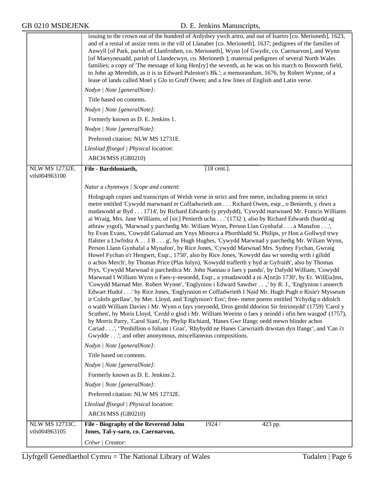|                                 | issuing to the crown out of the hundred of Ardydwy ywch artro, and out of Isartro [co. Merioneth], 1623,<br>and of a rental of assize rents in the vill of Llanaber [co. Merioneth], 1637; pedigrees of the families of<br>Anwyll [of Park, parish of Llanfrothen, co. Merioneth], Wynn [of Gwydir, co. Caernarvon], and Wynn<br>[of Maesyneuadd, parish of Llandecwyn, co. Merioneth ]; maternal pedigrees of several North Wales<br>families; a copy of 'The message of king Hen[ry] the seventh, as he was on his march to Bosworth field,<br>to John ap Meredith, as it is in Edward Puleston's Bk.'; a memorandum, 1676, by Robert Wynne, of a<br>lease of lands called Moel y Glo to Gruff Owen; and a few lines of English and Latin verse.                                                                                                                                                                                                                                                                                                                                                                                                                                                                                                                                                                                                                                                                                                                                                                                                                                                                                                                                                                                                                                                                                                                                                                                                                                                                             |
|---------------------------------|--------------------------------------------------------------------------------------------------------------------------------------------------------------------------------------------------------------------------------------------------------------------------------------------------------------------------------------------------------------------------------------------------------------------------------------------------------------------------------------------------------------------------------------------------------------------------------------------------------------------------------------------------------------------------------------------------------------------------------------------------------------------------------------------------------------------------------------------------------------------------------------------------------------------------------------------------------------------------------------------------------------------------------------------------------------------------------------------------------------------------------------------------------------------------------------------------------------------------------------------------------------------------------------------------------------------------------------------------------------------------------------------------------------------------------------------------------------------------------------------------------------------------------------------------------------------------------------------------------------------------------------------------------------------------------------------------------------------------------------------------------------------------------------------------------------------------------------------------------------------------------------------------------------------------------------------------------------------------------------------------------------------------------|
|                                 | Nodyn   Note [generalNote]:                                                                                                                                                                                                                                                                                                                                                                                                                                                                                                                                                                                                                                                                                                                                                                                                                                                                                                                                                                                                                                                                                                                                                                                                                                                                                                                                                                                                                                                                                                                                                                                                                                                                                                                                                                                                                                                                                                                                                                                                    |
|                                 | Title based on contents.                                                                                                                                                                                                                                                                                                                                                                                                                                                                                                                                                                                                                                                                                                                                                                                                                                                                                                                                                                                                                                                                                                                                                                                                                                                                                                                                                                                                                                                                                                                                                                                                                                                                                                                                                                                                                                                                                                                                                                                                       |
|                                 | Nodyn   Note [generalNote]:                                                                                                                                                                                                                                                                                                                                                                                                                                                                                                                                                                                                                                                                                                                                                                                                                                                                                                                                                                                                                                                                                                                                                                                                                                                                                                                                                                                                                                                                                                                                                                                                                                                                                                                                                                                                                                                                                                                                                                                                    |
|                                 | Formerly known as D. E. Jenkins 1.                                                                                                                                                                                                                                                                                                                                                                                                                                                                                                                                                                                                                                                                                                                                                                                                                                                                                                                                                                                                                                                                                                                                                                                                                                                                                                                                                                                                                                                                                                                                                                                                                                                                                                                                                                                                                                                                                                                                                                                             |
|                                 | Nodyn   Note [generalNote]:                                                                                                                                                                                                                                                                                                                                                                                                                                                                                                                                                                                                                                                                                                                                                                                                                                                                                                                                                                                                                                                                                                                                                                                                                                                                                                                                                                                                                                                                                                                                                                                                                                                                                                                                                                                                                                                                                                                                                                                                    |
|                                 | Preferred citation: NLW MS 12731E.                                                                                                                                                                                                                                                                                                                                                                                                                                                                                                                                                                                                                                                                                                                                                                                                                                                                                                                                                                                                                                                                                                                                                                                                                                                                                                                                                                                                                                                                                                                                                                                                                                                                                                                                                                                                                                                                                                                                                                                             |
|                                 | Lleoliad ffisegol   Physical location:                                                                                                                                                                                                                                                                                                                                                                                                                                                                                                                                                                                                                                                                                                                                                                                                                                                                                                                                                                                                                                                                                                                                                                                                                                                                                                                                                                                                                                                                                                                                                                                                                                                                                                                                                                                                                                                                                                                                                                                         |
|                                 | ARCH/MSS (GB0210)                                                                                                                                                                                                                                                                                                                                                                                                                                                                                                                                                                                                                                                                                                                                                                                                                                                                                                                                                                                                                                                                                                                                                                                                                                                                                                                                                                                                                                                                                                                                                                                                                                                                                                                                                                                                                                                                                                                                                                                                              |
| <b>NLW MS 12732E.</b>           | File - Barddoniaeth,<br>[18 cent.].                                                                                                                                                                                                                                                                                                                                                                                                                                                                                                                                                                                                                                                                                                                                                                                                                                                                                                                                                                                                                                                                                                                                                                                                                                                                                                                                                                                                                                                                                                                                                                                                                                                                                                                                                                                                                                                                                                                                                                                            |
| vtls004963100                   |                                                                                                                                                                                                                                                                                                                                                                                                                                                                                                                                                                                                                                                                                                                                                                                                                                                                                                                                                                                                                                                                                                                                                                                                                                                                                                                                                                                                                                                                                                                                                                                                                                                                                                                                                                                                                                                                                                                                                                                                                                |
|                                 | Natur a chynnwys / Scope and content:                                                                                                                                                                                                                                                                                                                                                                                                                                                                                                                                                                                                                                                                                                                                                                                                                                                                                                                                                                                                                                                                                                                                                                                                                                                                                                                                                                                                                                                                                                                                                                                                                                                                                                                                                                                                                                                                                                                                                                                          |
|                                 | Holograph copies and transcripts of Welsh verse in strict and free metre, including poems in strict<br>metre entitled 'Cywydd marwnaed er Coffadwrieth am Richard Owen, esqr., o Benierth, y rhwn a<br>madawodd ar Byd 1714', by Richard Edwards (y prydydd), 'Cywydd marwnaed Mr. Francis Williams<br>ai Wraig, Mrs. Jane Williams, of [sic] Penierth ucha ' (1732), also by Richard Edwards (bardd ag<br>athraw ysgol), 'Marwnad y parchedig Mr. Wiliam Wynn, Person Llan Gynhafal a Manafon',<br>by Evan Evans, 'Cowydd Galarnad am Ynys Minorca a Phorthladd St. Philips, yr Hon a Gollwyd trwy<br>ffalster a Llwfrdra A 1 B g', by Hugh Hughes, 'Cywydd Marwnad y parchedig Mr. Wiliam Wynn,<br>Person Llann Gynhafal a Mynafon', by Rice Jones, 'Cywydd Marwnad Mrs. Sydney Fychan, Gwraig<br>Howel Fychan o'r Hengwrt, Esqr., 1750', also by Rice Jones, 'Kowydd dau wr soredig wrth i gilidd<br>o achos Merch', by Thomas Price (Plas Iolyn), 'Kowydd trafferth y byd ar Gyfraith', also by Thomas<br>Prys, 'Cywydd Marwnad it parchedica Mr. John Nannau o faes y pandu', by Dafydd William, 'Cowydd<br>Marwnad I William Wynn o Faes-y-neuoedd, Esqr., a ymadawodd a ni A[nn]o 1730', by Er. Will[ia]ms,<br>'Cowydd Marnad Mer. Robert Wynne', 'Englynion i Edward Sawdwr,' by R. J., 'Englynion i annerch<br>Edwart Hudol' by Rice Jones, 'Englynnion er Coffadwrieth I Naid Mr. Hugh Pugh o Risie'r Mysseum<br>ir Colofn gerllaw', by Mer. Lloyd, and 'Englynion'r Eos'; free- metre poems entitled 'Ychydig o ddiolch<br>o waith William Davies i Mr. Wynn o fays yneyoedd, Dros gerdd ddorion Sir feirionydd' (1759) 'Carol y<br>Scuthen', by Moris Lloyd, 'Cerdd o glod i Mr. William Weeinn o faes y neiodd i ofin hen wasgod' (1757),<br>by Morris Parry, 'Carol Siani', by Phylip Richiard, 'Hanes Gwr Ifangc oedd mewn blinder achos<br>Cariad', "Penhillion o foliant i Gras', 'Rhybydd ne Hanes Carwriaith drwstan dyn Ifangc', and 'Can i'r<br>Gwydde'; and other anonymous, miscellaneous compositions. |
|                                 | Nodyn   Note [generalNote]:                                                                                                                                                                                                                                                                                                                                                                                                                                                                                                                                                                                                                                                                                                                                                                                                                                                                                                                                                                                                                                                                                                                                                                                                                                                                                                                                                                                                                                                                                                                                                                                                                                                                                                                                                                                                                                                                                                                                                                                                    |
|                                 | Title based on contents.                                                                                                                                                                                                                                                                                                                                                                                                                                                                                                                                                                                                                                                                                                                                                                                                                                                                                                                                                                                                                                                                                                                                                                                                                                                                                                                                                                                                                                                                                                                                                                                                                                                                                                                                                                                                                                                                                                                                                                                                       |
|                                 | Nodyn   Note [generalNote]:                                                                                                                                                                                                                                                                                                                                                                                                                                                                                                                                                                                                                                                                                                                                                                                                                                                                                                                                                                                                                                                                                                                                                                                                                                                                                                                                                                                                                                                                                                                                                                                                                                                                                                                                                                                                                                                                                                                                                                                                    |
|                                 | Formerly known as D. E. Jenkins 2.                                                                                                                                                                                                                                                                                                                                                                                                                                                                                                                                                                                                                                                                                                                                                                                                                                                                                                                                                                                                                                                                                                                                                                                                                                                                                                                                                                                                                                                                                                                                                                                                                                                                                                                                                                                                                                                                                                                                                                                             |
|                                 | Nodyn   Note [generalNote]:                                                                                                                                                                                                                                                                                                                                                                                                                                                                                                                                                                                                                                                                                                                                                                                                                                                                                                                                                                                                                                                                                                                                                                                                                                                                                                                                                                                                                                                                                                                                                                                                                                                                                                                                                                                                                                                                                                                                                                                                    |
|                                 | Preferred citation: NLW MS 12732E.                                                                                                                                                                                                                                                                                                                                                                                                                                                                                                                                                                                                                                                                                                                                                                                                                                                                                                                                                                                                                                                                                                                                                                                                                                                                                                                                                                                                                                                                                                                                                                                                                                                                                                                                                                                                                                                                                                                                                                                             |
|                                 | Lleoliad ffisegol   Physical location:                                                                                                                                                                                                                                                                                                                                                                                                                                                                                                                                                                                                                                                                                                                                                                                                                                                                                                                                                                                                                                                                                                                                                                                                                                                                                                                                                                                                                                                                                                                                                                                                                                                                                                                                                                                                                                                                                                                                                                                         |
|                                 | ARCH/MSS (GB0210)                                                                                                                                                                                                                                                                                                                                                                                                                                                                                                                                                                                                                                                                                                                                                                                                                                                                                                                                                                                                                                                                                                                                                                                                                                                                                                                                                                                                                                                                                                                                                                                                                                                                                                                                                                                                                                                                                                                                                                                                              |
| NLW MS 12733C.<br>vtls004963105 | File - Biography of the Reverend John<br>1924/<br>423 pp.<br>Jones, Tal-y-sarn, co. Caernarvon,                                                                                                                                                                                                                                                                                                                                                                                                                                                                                                                                                                                                                                                                                                                                                                                                                                                                                                                                                                                                                                                                                                                                                                                                                                                                                                                                                                                                                                                                                                                                                                                                                                                                                                                                                                                                                                                                                                                                |
|                                 | Crëwr   Creator:                                                                                                                                                                                                                                                                                                                                                                                                                                                                                                                                                                                                                                                                                                                                                                                                                                                                                                                                                                                                                                                                                                                                                                                                                                                                                                                                                                                                                                                                                                                                                                                                                                                                                                                                                                                                                                                                                                                                                                                                               |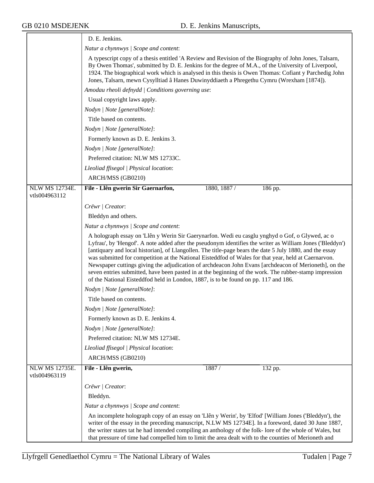|                                        | D. E. Jenkins.                                                                                                                                                                                                                                                                                                                                                                                                                                                                                                                                                                                                                                                                                                                             |
|----------------------------------------|--------------------------------------------------------------------------------------------------------------------------------------------------------------------------------------------------------------------------------------------------------------------------------------------------------------------------------------------------------------------------------------------------------------------------------------------------------------------------------------------------------------------------------------------------------------------------------------------------------------------------------------------------------------------------------------------------------------------------------------------|
|                                        | Natur a chynnwys / Scope and content:                                                                                                                                                                                                                                                                                                                                                                                                                                                                                                                                                                                                                                                                                                      |
|                                        | A typescript copy of a thesis entitled 'A Review and Revision of the Biography of John Jones, Talsarn,<br>By Owen Thomas', submitted by D. E. Jenkins for the degree of M.A., of the University of Liverpool,<br>1924. The biographical work which is analysed in this thesis is Owen Thomas: Cofiant y Parchedig John<br>Jones, Talsarn, mewn Cysylltiad â Hanes Duwinyddiaeth a Phregethu Cymru (Wrexham [1874]).                                                                                                                                                                                                                                                                                                                        |
|                                        | Amodau rheoli defnydd   Conditions governing use:                                                                                                                                                                                                                                                                                                                                                                                                                                                                                                                                                                                                                                                                                          |
|                                        | Usual copyright laws apply.                                                                                                                                                                                                                                                                                                                                                                                                                                                                                                                                                                                                                                                                                                                |
|                                        | Nodyn   Note [generalNote]:                                                                                                                                                                                                                                                                                                                                                                                                                                                                                                                                                                                                                                                                                                                |
|                                        | Title based on contents.                                                                                                                                                                                                                                                                                                                                                                                                                                                                                                                                                                                                                                                                                                                   |
|                                        | Nodyn   Note [generalNote]:                                                                                                                                                                                                                                                                                                                                                                                                                                                                                                                                                                                                                                                                                                                |
|                                        | Formerly known as D. E. Jenkins 3.                                                                                                                                                                                                                                                                                                                                                                                                                                                                                                                                                                                                                                                                                                         |
|                                        | Nodyn   Note [generalNote]:                                                                                                                                                                                                                                                                                                                                                                                                                                                                                                                                                                                                                                                                                                                |
|                                        | Preferred citation: NLW MS 12733C.                                                                                                                                                                                                                                                                                                                                                                                                                                                                                                                                                                                                                                                                                                         |
|                                        | Lleoliad ffisegol   Physical location:                                                                                                                                                                                                                                                                                                                                                                                                                                                                                                                                                                                                                                                                                                     |
|                                        | ARCH/MSS (GB0210)                                                                                                                                                                                                                                                                                                                                                                                                                                                                                                                                                                                                                                                                                                                          |
| <b>NLW MS 12734E.</b><br>vtls004963112 | 186 pp.<br>File - Llên gwerin Sir Gaernarfon,<br>1880, 1887 /                                                                                                                                                                                                                                                                                                                                                                                                                                                                                                                                                                                                                                                                              |
|                                        | Crëwr   Creator:                                                                                                                                                                                                                                                                                                                                                                                                                                                                                                                                                                                                                                                                                                                           |
|                                        | Bleddyn and others.                                                                                                                                                                                                                                                                                                                                                                                                                                                                                                                                                                                                                                                                                                                        |
|                                        | Natur a chynnwys / Scope and content:                                                                                                                                                                                                                                                                                                                                                                                                                                                                                                                                                                                                                                                                                                      |
|                                        | A holograph essay on 'Llên y Werin Sir Gaerynarfon. Wedi eu casglu ynghyd o Gof, o Glywed, ac o<br>Lyfrau', by 'Hengof'. A note added after the pseudonym identifies the writer as William Jones ('Bleddyn')<br>[antiquary and local historian], of Llangollen. The title-page bears the date 5 July 1880, and the essay<br>was submitted for competition at the National Eisteddfod of Wales for that year, held at Caernarvon.<br>Newspaper cuttings giving the adjudication of archdeacon John Evans [archdeacon of Merioneth], on the<br>seven entries submitted, have been pasted in at the beginning of the work. The rubber-stamp impression<br>of the National Eisteddfod held in London, 1887, is to be found on pp. 117 and 186. |
|                                        | Nodyn   Note [generalNote]:                                                                                                                                                                                                                                                                                                                                                                                                                                                                                                                                                                                                                                                                                                                |
|                                        | Title based on contents.                                                                                                                                                                                                                                                                                                                                                                                                                                                                                                                                                                                                                                                                                                                   |
|                                        | Nodyn   Note [generalNote]:                                                                                                                                                                                                                                                                                                                                                                                                                                                                                                                                                                                                                                                                                                                |
|                                        | Formerly known as D. E. Jenkins 4.                                                                                                                                                                                                                                                                                                                                                                                                                                                                                                                                                                                                                                                                                                         |
|                                        | Nodyn   Note [generalNote]:                                                                                                                                                                                                                                                                                                                                                                                                                                                                                                                                                                                                                                                                                                                |
|                                        | Preferred citation: NLW MS 12734E.                                                                                                                                                                                                                                                                                                                                                                                                                                                                                                                                                                                                                                                                                                         |
|                                        | Lleoliad ffisegol   Physical location:                                                                                                                                                                                                                                                                                                                                                                                                                                                                                                                                                                                                                                                                                                     |
|                                        | ARCH/MSS (GB0210)                                                                                                                                                                                                                                                                                                                                                                                                                                                                                                                                                                                                                                                                                                                          |
| <b>NLW MS 12735E.</b><br>vtls004963119 | 132 pp.<br>File - Llên gwerin,<br>1887/                                                                                                                                                                                                                                                                                                                                                                                                                                                                                                                                                                                                                                                                                                    |
|                                        | Crëwr   Creator:                                                                                                                                                                                                                                                                                                                                                                                                                                                                                                                                                                                                                                                                                                                           |
|                                        | Bleddyn.                                                                                                                                                                                                                                                                                                                                                                                                                                                                                                                                                                                                                                                                                                                                   |
|                                        | Natur a chynnwys / Scope and content:                                                                                                                                                                                                                                                                                                                                                                                                                                                                                                                                                                                                                                                                                                      |
|                                        | An incomplete holograph copy of an essay on 'Llên y Werin', by 'Elfod' [William Jones ('Bleddyn'), the<br>writer of the essay in the preceding manuscript, N.LW MS 12734E]. In a foreword, dated 30 June 1887,<br>the writer states tat he had intended compiling an anthology of the folk- lore of the whole of Wales, but<br>that pressure of time had compelled him to limit the area dealt with to the counties of Merioneth and                                                                                                                                                                                                                                                                                                       |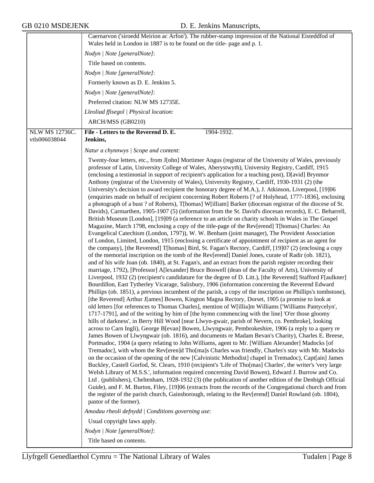|                                 | Caernarvon ('siroedd Meirion ac Arfon'). The rubber-stamp impression of the National Eisteddfod of                                                                                                                                                                                                                                                                                                                                                                                                                                                                                                                                                                                                                                                                                                                                                                                                                                                                                                                                                                                                                                                                                                                                                                                                                                                                                                                                                                                                                                                                                                                                                                                                                                                                                                                                                                                                                                                                                                                                                                                                                                                                                                                                                                                                                                                                                                                                                                                                                                                                                                                                                                                                                                                                                                                                                                                                                                                                                                                                                                                                                                                                                                                                                                                                                                                                                                                                                                                                                                                                                                                                                                                                                                                   |
|---------------------------------|------------------------------------------------------------------------------------------------------------------------------------------------------------------------------------------------------------------------------------------------------------------------------------------------------------------------------------------------------------------------------------------------------------------------------------------------------------------------------------------------------------------------------------------------------------------------------------------------------------------------------------------------------------------------------------------------------------------------------------------------------------------------------------------------------------------------------------------------------------------------------------------------------------------------------------------------------------------------------------------------------------------------------------------------------------------------------------------------------------------------------------------------------------------------------------------------------------------------------------------------------------------------------------------------------------------------------------------------------------------------------------------------------------------------------------------------------------------------------------------------------------------------------------------------------------------------------------------------------------------------------------------------------------------------------------------------------------------------------------------------------------------------------------------------------------------------------------------------------------------------------------------------------------------------------------------------------------------------------------------------------------------------------------------------------------------------------------------------------------------------------------------------------------------------------------------------------------------------------------------------------------------------------------------------------------------------------------------------------------------------------------------------------------------------------------------------------------------------------------------------------------------------------------------------------------------------------------------------------------------------------------------------------------------------------------------------------------------------------------------------------------------------------------------------------------------------------------------------------------------------------------------------------------------------------------------------------------------------------------------------------------------------------------------------------------------------------------------------------------------------------------------------------------------------------------------------------------------------------------------------------------------------------------------------------------------------------------------------------------------------------------------------------------------------------------------------------------------------------------------------------------------------------------------------------------------------------------------------------------------------------------------------------------------------------------------------------------------------------------------------------|
|                                 | Wales held in London in 1887 is to be found on the title-page and p. 1.                                                                                                                                                                                                                                                                                                                                                                                                                                                                                                                                                                                                                                                                                                                                                                                                                                                                                                                                                                                                                                                                                                                                                                                                                                                                                                                                                                                                                                                                                                                                                                                                                                                                                                                                                                                                                                                                                                                                                                                                                                                                                                                                                                                                                                                                                                                                                                                                                                                                                                                                                                                                                                                                                                                                                                                                                                                                                                                                                                                                                                                                                                                                                                                                                                                                                                                                                                                                                                                                                                                                                                                                                                                                              |
|                                 | Nodyn   Note [generalNote]:                                                                                                                                                                                                                                                                                                                                                                                                                                                                                                                                                                                                                                                                                                                                                                                                                                                                                                                                                                                                                                                                                                                                                                                                                                                                                                                                                                                                                                                                                                                                                                                                                                                                                                                                                                                                                                                                                                                                                                                                                                                                                                                                                                                                                                                                                                                                                                                                                                                                                                                                                                                                                                                                                                                                                                                                                                                                                                                                                                                                                                                                                                                                                                                                                                                                                                                                                                                                                                                                                                                                                                                                                                                                                                                          |
|                                 | Title based on contents.                                                                                                                                                                                                                                                                                                                                                                                                                                                                                                                                                                                                                                                                                                                                                                                                                                                                                                                                                                                                                                                                                                                                                                                                                                                                                                                                                                                                                                                                                                                                                                                                                                                                                                                                                                                                                                                                                                                                                                                                                                                                                                                                                                                                                                                                                                                                                                                                                                                                                                                                                                                                                                                                                                                                                                                                                                                                                                                                                                                                                                                                                                                                                                                                                                                                                                                                                                                                                                                                                                                                                                                                                                                                                                                             |
|                                 | Nodyn   Note [generalNote]:                                                                                                                                                                                                                                                                                                                                                                                                                                                                                                                                                                                                                                                                                                                                                                                                                                                                                                                                                                                                                                                                                                                                                                                                                                                                                                                                                                                                                                                                                                                                                                                                                                                                                                                                                                                                                                                                                                                                                                                                                                                                                                                                                                                                                                                                                                                                                                                                                                                                                                                                                                                                                                                                                                                                                                                                                                                                                                                                                                                                                                                                                                                                                                                                                                                                                                                                                                                                                                                                                                                                                                                                                                                                                                                          |
|                                 | Formerly known as D. E. Jenkins 5.                                                                                                                                                                                                                                                                                                                                                                                                                                                                                                                                                                                                                                                                                                                                                                                                                                                                                                                                                                                                                                                                                                                                                                                                                                                                                                                                                                                                                                                                                                                                                                                                                                                                                                                                                                                                                                                                                                                                                                                                                                                                                                                                                                                                                                                                                                                                                                                                                                                                                                                                                                                                                                                                                                                                                                                                                                                                                                                                                                                                                                                                                                                                                                                                                                                                                                                                                                                                                                                                                                                                                                                                                                                                                                                   |
|                                 | Nodyn   Note [generalNote]:                                                                                                                                                                                                                                                                                                                                                                                                                                                                                                                                                                                                                                                                                                                                                                                                                                                                                                                                                                                                                                                                                                                                                                                                                                                                                                                                                                                                                                                                                                                                                                                                                                                                                                                                                                                                                                                                                                                                                                                                                                                                                                                                                                                                                                                                                                                                                                                                                                                                                                                                                                                                                                                                                                                                                                                                                                                                                                                                                                                                                                                                                                                                                                                                                                                                                                                                                                                                                                                                                                                                                                                                                                                                                                                          |
|                                 | Preferred citation: NLW MS 12735E.                                                                                                                                                                                                                                                                                                                                                                                                                                                                                                                                                                                                                                                                                                                                                                                                                                                                                                                                                                                                                                                                                                                                                                                                                                                                                                                                                                                                                                                                                                                                                                                                                                                                                                                                                                                                                                                                                                                                                                                                                                                                                                                                                                                                                                                                                                                                                                                                                                                                                                                                                                                                                                                                                                                                                                                                                                                                                                                                                                                                                                                                                                                                                                                                                                                                                                                                                                                                                                                                                                                                                                                                                                                                                                                   |
|                                 | Lleoliad ffisegol   Physical location:                                                                                                                                                                                                                                                                                                                                                                                                                                                                                                                                                                                                                                                                                                                                                                                                                                                                                                                                                                                                                                                                                                                                                                                                                                                                                                                                                                                                                                                                                                                                                                                                                                                                                                                                                                                                                                                                                                                                                                                                                                                                                                                                                                                                                                                                                                                                                                                                                                                                                                                                                                                                                                                                                                                                                                                                                                                                                                                                                                                                                                                                                                                                                                                                                                                                                                                                                                                                                                                                                                                                                                                                                                                                                                               |
|                                 | ARCH/MSS (GB0210)                                                                                                                                                                                                                                                                                                                                                                                                                                                                                                                                                                                                                                                                                                                                                                                                                                                                                                                                                                                                                                                                                                                                                                                                                                                                                                                                                                                                                                                                                                                                                                                                                                                                                                                                                                                                                                                                                                                                                                                                                                                                                                                                                                                                                                                                                                                                                                                                                                                                                                                                                                                                                                                                                                                                                                                                                                                                                                                                                                                                                                                                                                                                                                                                                                                                                                                                                                                                                                                                                                                                                                                                                                                                                                                                    |
| NLW MS 12736C.<br>vtls006038044 | 1904-1932.<br>File - Letters to the Reverend D. E.<br>Jenkins,                                                                                                                                                                                                                                                                                                                                                                                                                                                                                                                                                                                                                                                                                                                                                                                                                                                                                                                                                                                                                                                                                                                                                                                                                                                                                                                                                                                                                                                                                                                                                                                                                                                                                                                                                                                                                                                                                                                                                                                                                                                                                                                                                                                                                                                                                                                                                                                                                                                                                                                                                                                                                                                                                                                                                                                                                                                                                                                                                                                                                                                                                                                                                                                                                                                                                                                                                                                                                                                                                                                                                                                                                                                                                       |
|                                 | Natur a chynnwys / Scope and content:                                                                                                                                                                                                                                                                                                                                                                                                                                                                                                                                                                                                                                                                                                                                                                                                                                                                                                                                                                                                                                                                                                                                                                                                                                                                                                                                                                                                                                                                                                                                                                                                                                                                                                                                                                                                                                                                                                                                                                                                                                                                                                                                                                                                                                                                                                                                                                                                                                                                                                                                                                                                                                                                                                                                                                                                                                                                                                                                                                                                                                                                                                                                                                                                                                                                                                                                                                                                                                                                                                                                                                                                                                                                                                                |
|                                 | Twenty-four letters, etc., from J[ohn] Mortimer Angus (registrar of the University of Wales, previously<br>professor of Latin, University College of Wales, Aberystwyth), University Registry, Cardiff, 1915<br>(enclosing a testimonial in support of recipient's application for a teaching post), D[avid] Brynmor<br>Anthony (registrar of the University of Wales), University Registry, Cardiff, 1930-1931 (2) (the<br>University's decision to award recipient the honorary degree of M.A.), J. Atkinson, Liverpool, [19]06<br>(enquiries made on behalf of recipient concerning Robert Roberts [? of Holyhead, 1777-1836], enclosing<br>a photograph of a bust ? of Roberts), T[homas] W[illiam] Barker (diocesan registrar of the diocese of St.<br>Davids), Carmarthen, 1905-1907 (5) (information from the St. David's diocesan records), E. C. Beharrell,<br>British Museum [London], [19]09 (a reference to an article on charity schools in Wales in The Gospel<br>Magazine, March 1798, enclosing a copy of the title-page of the Rev[erend] T[homas] Charles: An<br>Evangelical Catechism (London, 1797)), W. W. Benham (joint manager), The Provident Association<br>of London, Limited, London, 1915 (enclosing a certificate of appointment of recipient as an agent for<br>the company), [the Reverend] T[homas] Bird, St. Fagan's Rectory, Cardiff, [19]07 (2) (enclosing a copy<br>of the memorial inscription on the tomb of the Rev[erend] Daniel Jones, curate of Radir (ob. 1821),<br>and of his wife Joan (ob. 1840), at St. Fagan's, and an extract from the parish register recording their<br>marriage, 1792), [Professor] A[lexander] Bruce Boswell (dean of the Faculty of Arts), University of<br>Liverpool, 1932 (2) (recipient's candidature for the degree of D. Litt.), [the Reverend] Stafford F[aulkner]<br>Bourdillon, East Tytherley Vicarage, Salisbury, 1906 (information concerning the Reverend Edward<br>Phillips (ob. 1851), a previous incumbent of the parish, a copy of the inscription on Phillips's tombstone),<br>[the Reverend] Arthur J[ames] Bowen, Kington Magna Rectory, Dorset, 1905 (a promise to look at<br>old letters [for references to Thomas Charles], mention of W[illia]m Williams ['Williams Pantycelyn',<br>1717-1791], and of the writing by him of [the hymn commencing with the line] 'O'er those gloomy<br>hills of darkness', in Berry Hill Wood [near Llwyn-gwair, parish of Nevern, co. Pembroke], looking<br>across to Carn Ingli), George B[evan] Bowen, Llwyngwair, Pembrokeshire, 1906 (a reply to a query re<br>James Bowen of Llwyngwair (ob. 1816), and documents re Madam Bevan's Charity), Charles E. Breese,<br>Portmadoc, 1904 (a query relating to John Williams, agent to Mr. [William Alexander] Madocks [of<br>Tremadoc], with whom the Rev[eren]d Tho[ma]s Charles was friendly, Charles's stay with Mr. Madocks<br>on the occasion of the opening of the new [Calvinistic Methodist] chapel in Tremadoc), Capt[ain] James<br>Buckley, Castell Gorfod, St. Clears, 1910 (recipient's 'Life of Tho[mas] Charles', the writer's 'very large<br>Welsh Library of M.S.S.', information required concerning David Bowen), Edward J. Burrow and Co.<br>Ltd. (publishers), Cheltenham, 1928-1932 (3) (the publication of another edition of the Denbigh Official<br>Guide), and F. M. Burton, Filey, [19]06 (extracts from the records of the Congregational church and from<br>the register of the parish church, Gainsborough, relating to the Rev[erend] Daniel Rowland (ob. 1804),<br>pastor of the former).<br>Amodau rheoli defnydd   Conditions governing use:<br>Usual copyright laws apply.<br>Nodyn   Note [generalNote]:<br>Title based on contents. |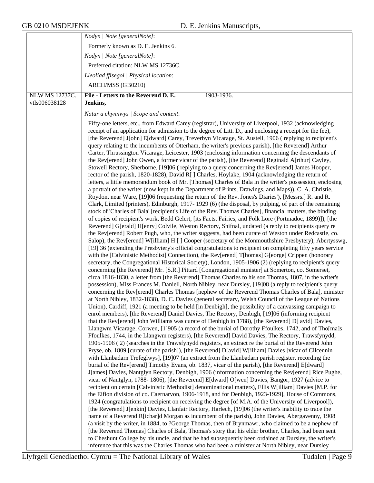|                       | Nodyn   Note [generalNote]:                                                                                                                                                                                                                                                                                                                                                                                                                                                                                                                                                                                                                                                                                                                                                                                                                                                                                                                                                                                                                                                                                                                                                                                                                                                                                                                                                                                                                                                                                                                                                                                                                                                                                                                                                                                                                                                                                                                                                                                                                                                                                                                                                                                                                                                                                                                                                                                                                                                                                                                                                                                                                                                                                                                                                                                                                                                                                                                                                                                                                                                                                                                                                                                                                                                                                                                                                                                                                                                                                                                                                                                                                                                                                                                                                                                                                                                                                                                                                                                                                                                                                                                                                                                                                                                                                                                                                                                                                                                                                                                                                                                                                                                                                                                                                                                                              |
|-----------------------|------------------------------------------------------------------------------------------------------------------------------------------------------------------------------------------------------------------------------------------------------------------------------------------------------------------------------------------------------------------------------------------------------------------------------------------------------------------------------------------------------------------------------------------------------------------------------------------------------------------------------------------------------------------------------------------------------------------------------------------------------------------------------------------------------------------------------------------------------------------------------------------------------------------------------------------------------------------------------------------------------------------------------------------------------------------------------------------------------------------------------------------------------------------------------------------------------------------------------------------------------------------------------------------------------------------------------------------------------------------------------------------------------------------------------------------------------------------------------------------------------------------------------------------------------------------------------------------------------------------------------------------------------------------------------------------------------------------------------------------------------------------------------------------------------------------------------------------------------------------------------------------------------------------------------------------------------------------------------------------------------------------------------------------------------------------------------------------------------------------------------------------------------------------------------------------------------------------------------------------------------------------------------------------------------------------------------------------------------------------------------------------------------------------------------------------------------------------------------------------------------------------------------------------------------------------------------------------------------------------------------------------------------------------------------------------------------------------------------------------------------------------------------------------------------------------------------------------------------------------------------------------------------------------------------------------------------------------------------------------------------------------------------------------------------------------------------------------------------------------------------------------------------------------------------------------------------------------------------------------------------------------------------------------------------------------------------------------------------------------------------------------------------------------------------------------------------------------------------------------------------------------------------------------------------------------------------------------------------------------------------------------------------------------------------------------------------------------------------------------------------------------------------------------------------------------------------------------------------------------------------------------------------------------------------------------------------------------------------------------------------------------------------------------------------------------------------------------------------------------------------------------------------------------------------------------------------------------------------------------------------------------------------------------------------------------------------------------------------------------------------------------------------------------------------------------------------------------------------------------------------------------------------------------------------------------------------------------------------------------------------------------------------------------------------------------------------------------------------------------------------------------------------------------------------------------------------------------|
|                       | Formerly known as D. E. Jenkins 6.                                                                                                                                                                                                                                                                                                                                                                                                                                                                                                                                                                                                                                                                                                                                                                                                                                                                                                                                                                                                                                                                                                                                                                                                                                                                                                                                                                                                                                                                                                                                                                                                                                                                                                                                                                                                                                                                                                                                                                                                                                                                                                                                                                                                                                                                                                                                                                                                                                                                                                                                                                                                                                                                                                                                                                                                                                                                                                                                                                                                                                                                                                                                                                                                                                                                                                                                                                                                                                                                                                                                                                                                                                                                                                                                                                                                                                                                                                                                                                                                                                                                                                                                                                                                                                                                                                                                                                                                                                                                                                                                                                                                                                                                                                                                                                                                       |
|                       | Nodyn   Note [generalNote]:                                                                                                                                                                                                                                                                                                                                                                                                                                                                                                                                                                                                                                                                                                                                                                                                                                                                                                                                                                                                                                                                                                                                                                                                                                                                                                                                                                                                                                                                                                                                                                                                                                                                                                                                                                                                                                                                                                                                                                                                                                                                                                                                                                                                                                                                                                                                                                                                                                                                                                                                                                                                                                                                                                                                                                                                                                                                                                                                                                                                                                                                                                                                                                                                                                                                                                                                                                                                                                                                                                                                                                                                                                                                                                                                                                                                                                                                                                                                                                                                                                                                                                                                                                                                                                                                                                                                                                                                                                                                                                                                                                                                                                                                                                                                                                                                              |
|                       | Preferred citation: NLW MS 12736C.                                                                                                                                                                                                                                                                                                                                                                                                                                                                                                                                                                                                                                                                                                                                                                                                                                                                                                                                                                                                                                                                                                                                                                                                                                                                                                                                                                                                                                                                                                                                                                                                                                                                                                                                                                                                                                                                                                                                                                                                                                                                                                                                                                                                                                                                                                                                                                                                                                                                                                                                                                                                                                                                                                                                                                                                                                                                                                                                                                                                                                                                                                                                                                                                                                                                                                                                                                                                                                                                                                                                                                                                                                                                                                                                                                                                                                                                                                                                                                                                                                                                                                                                                                                                                                                                                                                                                                                                                                                                                                                                                                                                                                                                                                                                                                                                       |
|                       | Lleoliad ffisegol   Physical location:                                                                                                                                                                                                                                                                                                                                                                                                                                                                                                                                                                                                                                                                                                                                                                                                                                                                                                                                                                                                                                                                                                                                                                                                                                                                                                                                                                                                                                                                                                                                                                                                                                                                                                                                                                                                                                                                                                                                                                                                                                                                                                                                                                                                                                                                                                                                                                                                                                                                                                                                                                                                                                                                                                                                                                                                                                                                                                                                                                                                                                                                                                                                                                                                                                                                                                                                                                                                                                                                                                                                                                                                                                                                                                                                                                                                                                                                                                                                                                                                                                                                                                                                                                                                                                                                                                                                                                                                                                                                                                                                                                                                                                                                                                                                                                                                   |
|                       | ARCH/MSS (GB0210)                                                                                                                                                                                                                                                                                                                                                                                                                                                                                                                                                                                                                                                                                                                                                                                                                                                                                                                                                                                                                                                                                                                                                                                                                                                                                                                                                                                                                                                                                                                                                                                                                                                                                                                                                                                                                                                                                                                                                                                                                                                                                                                                                                                                                                                                                                                                                                                                                                                                                                                                                                                                                                                                                                                                                                                                                                                                                                                                                                                                                                                                                                                                                                                                                                                                                                                                                                                                                                                                                                                                                                                                                                                                                                                                                                                                                                                                                                                                                                                                                                                                                                                                                                                                                                                                                                                                                                                                                                                                                                                                                                                                                                                                                                                                                                                                                        |
| <b>NLW MS 12737C.</b> | File - Letters to the Reverend D. E.<br>1903-1936.                                                                                                                                                                                                                                                                                                                                                                                                                                                                                                                                                                                                                                                                                                                                                                                                                                                                                                                                                                                                                                                                                                                                                                                                                                                                                                                                                                                                                                                                                                                                                                                                                                                                                                                                                                                                                                                                                                                                                                                                                                                                                                                                                                                                                                                                                                                                                                                                                                                                                                                                                                                                                                                                                                                                                                                                                                                                                                                                                                                                                                                                                                                                                                                                                                                                                                                                                                                                                                                                                                                                                                                                                                                                                                                                                                                                                                                                                                                                                                                                                                                                                                                                                                                                                                                                                                                                                                                                                                                                                                                                                                                                                                                                                                                                                                                       |
| vtls006038128         | Jenkins,                                                                                                                                                                                                                                                                                                                                                                                                                                                                                                                                                                                                                                                                                                                                                                                                                                                                                                                                                                                                                                                                                                                                                                                                                                                                                                                                                                                                                                                                                                                                                                                                                                                                                                                                                                                                                                                                                                                                                                                                                                                                                                                                                                                                                                                                                                                                                                                                                                                                                                                                                                                                                                                                                                                                                                                                                                                                                                                                                                                                                                                                                                                                                                                                                                                                                                                                                                                                                                                                                                                                                                                                                                                                                                                                                                                                                                                                                                                                                                                                                                                                                                                                                                                                                                                                                                                                                                                                                                                                                                                                                                                                                                                                                                                                                                                                                                 |
|                       | Natur a chynnwys / Scope and content:                                                                                                                                                                                                                                                                                                                                                                                                                                                                                                                                                                                                                                                                                                                                                                                                                                                                                                                                                                                                                                                                                                                                                                                                                                                                                                                                                                                                                                                                                                                                                                                                                                                                                                                                                                                                                                                                                                                                                                                                                                                                                                                                                                                                                                                                                                                                                                                                                                                                                                                                                                                                                                                                                                                                                                                                                                                                                                                                                                                                                                                                                                                                                                                                                                                                                                                                                                                                                                                                                                                                                                                                                                                                                                                                                                                                                                                                                                                                                                                                                                                                                                                                                                                                                                                                                                                                                                                                                                                                                                                                                                                                                                                                                                                                                                                                    |
|                       | Fifty-one letters, etc., from Edward Carey (registrar), University of Liverpool, 1932 (acknowledging<br>receipt of an application for admission to the degree of Litt. D., and enclosing a receipt for the fee),<br>[the Reverend] J[ohn] E[dward] Carey, Treverbyn Vicarage, St. Austell, 1906 (replying to recipient's<br>query relating to the incumbents of Otterham, the writer's previous parish), [the Reverend] Arthur<br>Carter, Thrussington Vicarage, Leicester, 1903 (enclosing information concerning the descendants of<br>the Rev[erend] John Owen, a former vicar of the parish), [the Reverend] Reginald A[rthur] Cayley,<br>Stowell Rectory, Sherborne, [19]06 (replying to a query concerning the Rev[erend] James Hooper,<br>rector of the parish, 1820-1828), David R[] Charles, Hoylake, 1904 (acknowledging the return of<br>letters, a little memorandum book of Mr. [Thomas] Charles of Bala in the writer's possession, enclosing<br>a portrait of the writer (now kept in the Department of Prints, Drawings, and Maps)), C. A. Christie,<br>Roydon, near Ware, [19]06 (requesting the return of 'the Rev. Jones's Diaries'), [Messrs.] R. and R.<br>Clark, Limited (printers), Edinburgh, 1917-1929 (6) (the disposal, by pulping, of part of the remaining<br>stock of 'Charles of Bala' [recipient's Life of the Rev. Thomas Charles], financial matters, the binding<br>of copies of recipient's work, Bedd Gelert, [its Facts, Fairies, and Folk Lore (Portmadoc, 1899)]), [the<br>Reverend] G[erald] H[enry] Colvile, Weston Rectory, Shifnal, undated (a reply to recipients query re<br>the Rev[erend] Robert Pugh, who, the writer suggests, had been curate of Weston under Redcastle, co.<br>Salop), the Rev[erend] W[illiam] H [] Cooper (secretary of the Monmouthshire Presbytery), Abertysswg,<br>[19] 36 (extending the Presbytery's official congratulations to recipient on completing fifty years service<br>with the [Calvinistic Methodist] Connection), the Rev[erend] T[homas] G[eorge] Crippen (honorary<br>secretary, the Congregational Historical Society), London, 1905-1906 (2) (replying to recipient's query<br>concerning [the Reverend] Mr. [S.R.] Pittard [Congregational minister] at Somerton, co. Somerset,<br>circa 1816-1830, a letter from [the Reverend] Thomas Charles to his son Thomas, 1807, in the writer's<br>possession), Miss Frances M. Daniell, North Nibley, near Dursley, [19]08 (a reply to recipient's query<br>concerning the Rev[erend] Charles Thomas [nephew of the Reverend Thomas Charles of Bala], minister<br>at North Nibley, 1832-1838), D. C. Davies (general secretary, Welsh Council of the League of Nations<br>Union), Cardiff, 1921 (a meeting to be held [in Denbigh], the possibility of a canvassing campaign to<br>enrol members), [the Reverend] Daniel Davies, The Rectory, Denbigh, [19]06 (informing recipient<br>that the Rev[erend] John Williams was curate of Denbigh in 1788), [the Reverend] D[ avid] Davies,<br>Llangwm Vicarage, Corwen, [1]905 (a record of the burial of Dorothy Ffoulkes, 1742, and of Tho[ma]s<br>Ffoulkes, 1744, in the Llangwm registers), [the Reverend] David Davies, The Rectory, Trawsfynydd,<br>1905-1906 (2) (searches in the Trawsfynydd registers, an extract re the burial of the Reverend John<br>Pryse, ob. 1809 [curate of the parish]), [the Reverend] D[avid] W[illiam] Davies [vicar of Cilcennin<br>with Llanbadarn Trefeglwys], [19]07 (an extract from the Llanbadarn parish register, recording the<br>burial of the Rev[erend] Timothy Evans, ob. 1837, vicar of the parish), [the Reverend] E[dward]<br>J[ames] Davies, Nantglyn Rectory, Denbigh, 1906 (information concerning the Rev[erend] Rice Pughe,<br>vicar of Nantglyn, 1788-1806), [the Reverend] E[dward] O[wen] Davies, Bangor, 1927 (advice to<br>recipient on certain [Calvinistic Methodist] denominational matters), Ellis W[illiam] Davies [M.P. for<br>the Eifion division of co. Caernarvon, 1906-1918, and for Denbigh, 1923-1929], House of Commons,<br>1924 (congratulations to recipient on receiving the degree [of M.A. of the University of Liverpool]),<br>[the Reverend] J[enkin] Davies, Llanfair Rectory, Harlech, [19]06 (the writer's inability to trace the<br>name of a Reverend R[ichar]d Morgan as incumbent of the parish), John Davies, Abergavenny, 1908<br>(a visit by the writer, in 1884, to ?George Thomas, then of Brynmawr, who claimed to be a nephew of<br>[the Reverend Thomas] Charles of Bala, Thomas's story that his elder brother, Charles, had been sent<br>to Cheshunt College by his uncle, and that he had subsequently been ordained at Dursley, the writer's<br>inference that this was the Charles Thomas who had been a minister at North Nibley, near Dursley |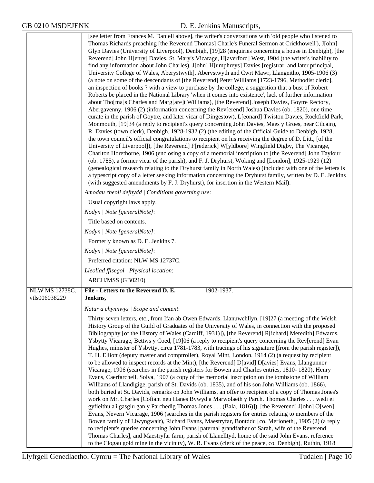|                                 | [see letter from Frances M. Daniell above], the writer's conversations with 'old people who listened to<br>Thomas Richards preaching [the Reverend Thomas] Charle's Funeral Sermon at Crickhowell'), J[ohn]<br>Glyn Davies (University of Liverpool), Denbigh, [19]28 (enquiries concerning a house in Denbigh), [the<br>Reverend] John H[enry] Davies, St. Mary's Vicarage, H[averford] West, 1904 (the writer's inability to<br>find any information about John Charles), J[ohn] H[umphreys] Davies [registrar, and later principal,<br>University College of Wales, Aberystwyth], Aberystwyth and Cwrt Mawr, Llangeitho, 1905-1906 (3)<br>(a note on some of the descendants of [the Reverend] Peter Williams [1723-1796, Methodist cleric],<br>an inspection of books? with a view to purchase by the college, a suggestion that a bust of Robert<br>Roberts be placed in the National Library 'when it comes into existence', lack of further information<br>about Tho[ma]s Charles and Marg[are]t Williams), [the Reverend] Joseph Davies, Goytre Rectory,<br>Abergavenny, 1906 (2) (information concerning the Rev[erend] Joshua Davies (ob. 1820), one time<br>curate in the parish of Goytre, and later vicar of Dingestow), L[eonard] Twiston Davies, Rockfield Park,<br>Monmouth, [19]34 (a reply to recipient's query concerning John Davies, Maes y Groes, near Cilcain),<br>R. Davies (town clerk), Denbigh, 1928-1932 (2) (the editing of the Official Guide to Denbigh, 1928,<br>the town council's official congratulations to recipient on his receiving the degree of D. Litt., [of the<br>University of Liverpool]), [the Reverend] F[rederick] W[yldbore] Wingfield Digby, The Vicarage,<br>Charlton Horethorne, 1906 (enclosing a copy of a memorial inscription to [the Reverend] John Taylour<br>(ob. 1785), a former vicar of the parish), and F. J. Dryhurst, Woking and [London], 1925-1929 (12)<br>(genealogical research relating to the Dryhurst family in North Wales) (included with one of the letters is<br>a typescript copy of a letter seeking information concerning the Dryhurst family, written by D. E. Jenkins<br>(with suggested amendments by F. J. Dryhurst), for insertion in the Western Mail). |
|---------------------------------|------------------------------------------------------------------------------------------------------------------------------------------------------------------------------------------------------------------------------------------------------------------------------------------------------------------------------------------------------------------------------------------------------------------------------------------------------------------------------------------------------------------------------------------------------------------------------------------------------------------------------------------------------------------------------------------------------------------------------------------------------------------------------------------------------------------------------------------------------------------------------------------------------------------------------------------------------------------------------------------------------------------------------------------------------------------------------------------------------------------------------------------------------------------------------------------------------------------------------------------------------------------------------------------------------------------------------------------------------------------------------------------------------------------------------------------------------------------------------------------------------------------------------------------------------------------------------------------------------------------------------------------------------------------------------------------------------------------------------------------------------------------------------------------------------------------------------------------------------------------------------------------------------------------------------------------------------------------------------------------------------------------------------------------------------------------------------------------------------------------------------------------------------------------------------------------------------------------------------------------------|
|                                 | Amodau rheoli defnydd   Conditions governing use:                                                                                                                                                                                                                                                                                                                                                                                                                                                                                                                                                                                                                                                                                                                                                                                                                                                                                                                                                                                                                                                                                                                                                                                                                                                                                                                                                                                                                                                                                                                                                                                                                                                                                                                                                                                                                                                                                                                                                                                                                                                                                                                                                                                              |
|                                 | Usual copyright laws apply.                                                                                                                                                                                                                                                                                                                                                                                                                                                                                                                                                                                                                                                                                                                                                                                                                                                                                                                                                                                                                                                                                                                                                                                                                                                                                                                                                                                                                                                                                                                                                                                                                                                                                                                                                                                                                                                                                                                                                                                                                                                                                                                                                                                                                    |
|                                 | Nodyn   Note [generalNote]:                                                                                                                                                                                                                                                                                                                                                                                                                                                                                                                                                                                                                                                                                                                                                                                                                                                                                                                                                                                                                                                                                                                                                                                                                                                                                                                                                                                                                                                                                                                                                                                                                                                                                                                                                                                                                                                                                                                                                                                                                                                                                                                                                                                                                    |
|                                 | Title based on contents.                                                                                                                                                                                                                                                                                                                                                                                                                                                                                                                                                                                                                                                                                                                                                                                                                                                                                                                                                                                                                                                                                                                                                                                                                                                                                                                                                                                                                                                                                                                                                                                                                                                                                                                                                                                                                                                                                                                                                                                                                                                                                                                                                                                                                       |
|                                 | Nodyn   Note [generalNote]:                                                                                                                                                                                                                                                                                                                                                                                                                                                                                                                                                                                                                                                                                                                                                                                                                                                                                                                                                                                                                                                                                                                                                                                                                                                                                                                                                                                                                                                                                                                                                                                                                                                                                                                                                                                                                                                                                                                                                                                                                                                                                                                                                                                                                    |
|                                 | Formerly known as D. E. Jenkins 7.                                                                                                                                                                                                                                                                                                                                                                                                                                                                                                                                                                                                                                                                                                                                                                                                                                                                                                                                                                                                                                                                                                                                                                                                                                                                                                                                                                                                                                                                                                                                                                                                                                                                                                                                                                                                                                                                                                                                                                                                                                                                                                                                                                                                             |
|                                 | Nodyn   Note [generalNote]:                                                                                                                                                                                                                                                                                                                                                                                                                                                                                                                                                                                                                                                                                                                                                                                                                                                                                                                                                                                                                                                                                                                                                                                                                                                                                                                                                                                                                                                                                                                                                                                                                                                                                                                                                                                                                                                                                                                                                                                                                                                                                                                                                                                                                    |
|                                 | Preferred citation: NLW MS 12737C.                                                                                                                                                                                                                                                                                                                                                                                                                                                                                                                                                                                                                                                                                                                                                                                                                                                                                                                                                                                                                                                                                                                                                                                                                                                                                                                                                                                                                                                                                                                                                                                                                                                                                                                                                                                                                                                                                                                                                                                                                                                                                                                                                                                                             |
|                                 | Lleoliad ffisegol   Physical location:                                                                                                                                                                                                                                                                                                                                                                                                                                                                                                                                                                                                                                                                                                                                                                                                                                                                                                                                                                                                                                                                                                                                                                                                                                                                                                                                                                                                                                                                                                                                                                                                                                                                                                                                                                                                                                                                                                                                                                                                                                                                                                                                                                                                         |
|                                 | ARCH/MSS (GB0210)                                                                                                                                                                                                                                                                                                                                                                                                                                                                                                                                                                                                                                                                                                                                                                                                                                                                                                                                                                                                                                                                                                                                                                                                                                                                                                                                                                                                                                                                                                                                                                                                                                                                                                                                                                                                                                                                                                                                                                                                                                                                                                                                                                                                                              |
| NLW MS 12738C.<br>vtls006038229 | File - Letters to the Reverend D. E.<br>1902-1937.<br>Jenkins,                                                                                                                                                                                                                                                                                                                                                                                                                                                                                                                                                                                                                                                                                                                                                                                                                                                                                                                                                                                                                                                                                                                                                                                                                                                                                                                                                                                                                                                                                                                                                                                                                                                                                                                                                                                                                                                                                                                                                                                                                                                                                                                                                                                 |
|                                 | Natur a chynnwys / Scope and content:                                                                                                                                                                                                                                                                                                                                                                                                                                                                                                                                                                                                                                                                                                                                                                                                                                                                                                                                                                                                                                                                                                                                                                                                                                                                                                                                                                                                                                                                                                                                                                                                                                                                                                                                                                                                                                                                                                                                                                                                                                                                                                                                                                                                          |
|                                 | Thirty-seven letters, etc., from Ifan ab Owen Edwards, Llanuwchllyn, [19]27 (a meeting of the Welsh<br>History Group of the Guild of Graduates of the University of Wales, in connection with the proposed<br>Bibliography [of the History of Wales (Cardiff, 1931)]), [the Reverend] R[ichard] Meredith] Edwards,<br>Ysbytty Vicarage, Bettws y Coed, [19]06 (a reply to recipient's query concerning the Rev[erend] Evan<br>Hughes, minister of Ysbytty, circa 1781-1783, with tracings of his signature [from the parish register]),<br>T. H. Elliott (deputy master and comptroller), Royal Mint, London, 1914 (2) (a request by recipient<br>to be allowed to inspect records at the Mint), [the Reverend] D[avid] D[avies] Evans, Llangunnor<br>Vicarage, 1906 (searches in the parish registers for Bowen and Charles entries, 1810-1820), Henry<br>Evans, Caerfarchell, Solva, 1907 (a copy of the memorial inscription on the tombstone of William<br>Williams of Llandigige, parish of St. Davids (ob. 1835), and of his son John Williams (ob. 1866),<br>both buried at St. Davids, remarks on John Williams, an offer to recipient of a copy of Thomas Jones's<br>work on Mr. Charles [Cofiant neu Hanes Bywyd a Marwolaeth y Parch. Thomas Charles wedi ei<br>gyfieithu a'i gasglu gan y Parchedig Thomas Jones (Bala, 1816)]), [the Reverend] J[ohn] O[wen]<br>Evans, Nevern Vicarage, 1906 (searches in the parish registers for entries relating to members of the<br>Bowen family of Llwyngwair), Richard Evans, Maestryfar, Bontddu [co. Merioneth], 1905 (2) (a reply<br>to recipient's queries concerning John Evans [paternal grandfather of Sarah, wife of the Reverend<br>Thomas Charles], and Maestryfar farm, parish of Llanelltyd, home of the said John Evans, reference<br>to the Clogau gold mine in the vicinity), W. R. Evans (clerk of the peace, co. Denbigh), Ruthin, 1918                                                                                                                                                                                                                                                                                                                                   |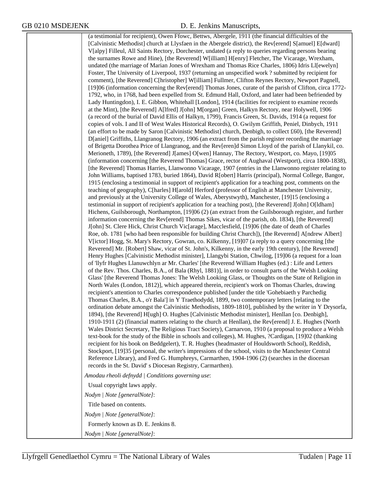(a testimonial for recipient), Owen Ffowc, Bettws, Abergele, 1911 (the financial difficulties of the [Calvinistic Methodist] church at Llysfaen in the Abergele district), the Rev[erend] S[amuel] E[dward] V[alpy] Filleul, All Saints Rectory, Dorchester, undated (a reply to queries regarding persons bearing the surnames Rowe and Hine), [the Reverend] W[illiam] H[enry] Fletcher, The Vicarage, Wrexham, undated (the marriage of Marian Jones of Wrexham and Thomas Rice Charles, 1806) Idris Ll[ewelyn] Foster, The University of Liverpool, 1937 (returning an unspecified work ? submitted by recipient for comment), [the Reverend] C[hristopher] W[illiam] Fullmer, Clifton Reynes Rectory, Newport Pagnell, [19]06 (information concerning the Rev[erend] Thomas Jones, curate of the parish of Clifton, circa 1772- 1792, who, in 1768, had been expelled from St. Edmund Hall, Oxford, and later had been befriended by Lady Huntingdon), I. E. Gibbon, Whitehall [London], 1914 (facilities for recipient to examine records at the Mint), [the Reverend] A[lfred] J[ohn] M[organ] Green, Halkyn Rectory, near Holywell, 1906 (a record of the burial of David Ellis of Halkyn, 1799), Francis Green, St. Davids, 1914 (a request for copies of vols. I and II of West Wales Historical Records), O. Gwilym Griffith, Peniel, Dinbych, 1911 (an effort to be made by Saron [Calvinistic Methodist] church, Denbigh, to collect £60), [the Reverend] D[aniel] Griffiths, Llangranog Rectory, 1906 (an extract from the parish register recording the marriage of Brigetta Dorothea Price of Llangranog, and the Rev[eren]d Simon Lloyd of the parish of Llanykil, co. Merioneth, 1789), [the Reverend] J[ames] O[wen] Hannay, The Rectory, Westport, co. Mayo, [19]05 (information concerning [the Reverend Thomas] Grace, rector of Aughaval (Westport), circa 1800-1838), [the Reverend] Thomas Harries, Llanwonno Vicarage, 1907 (entries in the Llanwonno register relating to John Williams, baptised 1783, buried 1864), David R[obert] Harris (principal), Normal College, Bangor, 1915 (enclosing a testimonial in support of recipient's application for a teaching post, comments on the teaching of geography), C[harles] H[arold] Herford (professor of English at Manchester University, and previously at the University College of Wales, Aberystwyth), Manchester, [19]15 (enclosing a testimonial in support of recipient's application for a teaching post), [the Reverend] J[ohn] O[ldham] Hichens, Guilsborough, Northampton, [19]06 (2) (an extract from the Guilsborough register, and further information concerning the Rev[erend] Thomas Sikes, vicar of the parish, ob. 1834), [the Reverend] J[ohn] St. Clere Hick, Christ Church Vic[arage], Macclesfield, [19]06 (the date of death of Charles Roe, ob. 1781 [who had been responsible for building Christ Church]), [the Reverend] A[ndrew Albert] V[ictor] Hogg, St. Mary's Rectory, Gowran, co. Kilkenny, [19]07 (a reply to a query concerning [the Reverend] Mr. [Robert] Shaw, vicar of St. John's, Kilkenny, in the early 19th century), [the Reverend] Henry Hughes [Calvinistic Methodist minister], Llangybi Station, Chwilog, [19]06 (a request for a loan of 'llyfr Hughes Llanuwchlyn ar Mr. Charles' [the Reverend William Hughes (ed.) : Life and Letters of the Rev. Thos. Charles, B.A., of Bala (Rhyl, 1881)], in order to consult parts of the 'Welsh Looking Glass' [the Reverend Thomas Jones: The Welsh Looking Glass, or Thoughts on the State of Religion in North Wales (London, 1812)], which appeared therein, recipient's work on Thomas Charles, drawing recipient's attention to Charles correspondence published [under the title 'Gohebiaeth y Parchedig Thomas Charles, B.A., o'r Bala'] in Y Traethodydd, 1899, two contemporary letters [relating to the ordination debate amongst the Calvinistic Methodists, 1809-1810], published by the writer in Y Drysorfa, 1894), [the Reverend] H[ugh] O. Hughes [Calvinistic Methodist minister], Henllan [co. Denbigh], 1910-1911 (2) (financial matters relating to the church at Henllan), the Rev[erend] J. E. Hughes (North Wales District Secretary, The Religious Tract Society), Carnarvon, 1910 (a proposal to produce a Welsh text-book for the study of the Bible in schools and colleges), M. Hughes, ?Cardigan, [19]02 (thanking recipient for his book on Beddgelert), T. R. Hughes (headmaster of Houldsworth School), Reddish, Stockport, [19]35 (personal, the writer's impressions of the school, visits to the Manchester Central Reference Library), and Fred G. Humphreys, Carmarthen, 1904-1906 (2) (searches in the diocesan records in the St. David' s Diocesan Registry, Carmarthen). *Amodau rheoli defnydd | Conditions governing use*: Usual copyright laws apply. *Nodyn | Note [generalNote]*: Title based on contents. *Nodyn | Note [generalNote]*:

Formerly known as D. E. Jenkins 8.

*Nodyn | Note [generalNote]*: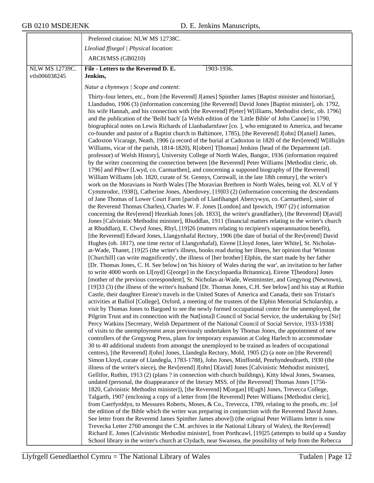|                       | Preferred citation: NLW MS 12738C.                                                                                                                                                                                                                                                                                                                                                                                                                                                                                                                                                                                                                                                                                                                                                                                                                                                                                                                                                                                                                                                                                                                                                                                                                                                                                                                                                                                                                                                                                                                                                                                                                                                                                                                                                                                                                                                                                                                                                                                                                                                                                                                                                                                                                                                                                                                                                                                                                                                                                                                                                                                                                                                                                                    |
|-----------------------|---------------------------------------------------------------------------------------------------------------------------------------------------------------------------------------------------------------------------------------------------------------------------------------------------------------------------------------------------------------------------------------------------------------------------------------------------------------------------------------------------------------------------------------------------------------------------------------------------------------------------------------------------------------------------------------------------------------------------------------------------------------------------------------------------------------------------------------------------------------------------------------------------------------------------------------------------------------------------------------------------------------------------------------------------------------------------------------------------------------------------------------------------------------------------------------------------------------------------------------------------------------------------------------------------------------------------------------------------------------------------------------------------------------------------------------------------------------------------------------------------------------------------------------------------------------------------------------------------------------------------------------------------------------------------------------------------------------------------------------------------------------------------------------------------------------------------------------------------------------------------------------------------------------------------------------------------------------------------------------------------------------------------------------------------------------------------------------------------------------------------------------------------------------------------------------------------------------------------------------------------------------------------------------------------------------------------------------------------------------------------------------------------------------------------------------------------------------------------------------------------------------------------------------------------------------------------------------------------------------------------------------------------------------------------------------------------------------------------------------|
|                       | Lleoliad ffisegol   Physical location:                                                                                                                                                                                                                                                                                                                                                                                                                                                                                                                                                                                                                                                                                                                                                                                                                                                                                                                                                                                                                                                                                                                                                                                                                                                                                                                                                                                                                                                                                                                                                                                                                                                                                                                                                                                                                                                                                                                                                                                                                                                                                                                                                                                                                                                                                                                                                                                                                                                                                                                                                                                                                                                                                                |
|                       | ARCH/MSS (GB0210)                                                                                                                                                                                                                                                                                                                                                                                                                                                                                                                                                                                                                                                                                                                                                                                                                                                                                                                                                                                                                                                                                                                                                                                                                                                                                                                                                                                                                                                                                                                                                                                                                                                                                                                                                                                                                                                                                                                                                                                                                                                                                                                                                                                                                                                                                                                                                                                                                                                                                                                                                                                                                                                                                                                     |
| <b>NLW MS 12739C.</b> | File - Letters to the Reverend D. E.<br>1903-1936.                                                                                                                                                                                                                                                                                                                                                                                                                                                                                                                                                                                                                                                                                                                                                                                                                                                                                                                                                                                                                                                                                                                                                                                                                                                                                                                                                                                                                                                                                                                                                                                                                                                                                                                                                                                                                                                                                                                                                                                                                                                                                                                                                                                                                                                                                                                                                                                                                                                                                                                                                                                                                                                                                    |
| vtls006038245         | Jenkins,                                                                                                                                                                                                                                                                                                                                                                                                                                                                                                                                                                                                                                                                                                                                                                                                                                                                                                                                                                                                                                                                                                                                                                                                                                                                                                                                                                                                                                                                                                                                                                                                                                                                                                                                                                                                                                                                                                                                                                                                                                                                                                                                                                                                                                                                                                                                                                                                                                                                                                                                                                                                                                                                                                                              |
|                       |                                                                                                                                                                                                                                                                                                                                                                                                                                                                                                                                                                                                                                                                                                                                                                                                                                                                                                                                                                                                                                                                                                                                                                                                                                                                                                                                                                                                                                                                                                                                                                                                                                                                                                                                                                                                                                                                                                                                                                                                                                                                                                                                                                                                                                                                                                                                                                                                                                                                                                                                                                                                                                                                                                                                       |
|                       |                                                                                                                                                                                                                                                                                                                                                                                                                                                                                                                                                                                                                                                                                                                                                                                                                                                                                                                                                                                                                                                                                                                                                                                                                                                                                                                                                                                                                                                                                                                                                                                                                                                                                                                                                                                                                                                                                                                                                                                                                                                                                                                                                                                                                                                                                                                                                                                                                                                                                                                                                                                                                                                                                                                                       |
|                       | Natur a chynnwys / Scope and content:<br>Thirty-four letters, etc., from [the Reverend] J[ames] Spinther James [Baptist minister and historian],<br>Llandudno, 1906 (3) (information concerning [the Reverend] David Jones [Baptist minister], ob. 1792,<br>his wife Hannah, and his connection with [the Reverend] P[eter] W[illiams, Methodist cleric, ob. 1796]<br>and the publication of the 'Beibl bach' [a Welsh edition of the 'Little Bible' of John Canne] in 1790,<br>biographical notes on Lewis Richards of Llanbadarnfawr [co.], who emigrated to America, and became<br>co-founder and pastor of a Baptist church in Baltimore, 1785), [the Reverend] J[ohn] D[aniel] James,<br>Cadoxton Vicarage, Neath, 1906 (a record of the burial at Cadoxton in 1820 of the Rev[erend] W[illia]m<br>Williams, vicar of the parish, 1814-1820), R[obert] T[homas] Jenkins [head of the Department (aft.<br>professor) of Welsh History], University College of North Wales, Bangor, 1936 (information required<br>by the writer concerning the connection between [the Reverend] Peter Williams [Methodist cleric, ob.<br>1796] and Pibwr [Lwyd, co. Carmarthen], and concerning a supposed biography of [the Reverend]<br>William Williams [ob. 1820, curate of St. Gennys, Cornwall, in the late 18th century], the writer's<br>work on the Moravians in North Wales [The Moravian Brethren in North Wales, being vol. XLV of Y<br>Cymmrodor, 1938]), Catherine Jones, Aberdovey, [19]03 (2) (information concerning the descendants<br>of Jane Thomas of Lower Court Farm [parish of Llanfihangel Abercywyn, co. Carmarthen], sister of<br>the Reverend Thomas Charles), Charles W. F. Jones [London] and Ipswich, 1907 (2) (information<br>concerning the Rev[erend] Hezekiah Jones [ob. 1833], the writer's grandfather), [the Reverend] D[avid]<br>Jones [Calvinistic Methodist minister], Rhuddlan, 1911 (financial matters relating to the writer's church<br>at Rhuddlan), E. Clwyd Jones, Rhyl, [19]26 (matters relating to recipient's superannuation benefit),<br>[the Reverend] Edward Jones, Llangynhafal Rectory, 1906 (the date of burial of the Rev[erend] David<br>Hughes (ob. 1817), one time rector of Llangynhafal), Eirene [Lloyd Jones, later White], St. Nicholas-<br>at-Wade, Thanet, [19]25 (the writer's illness, books read during her illness, her opinion that 'Winston<br>[Churchill] can write magnificently', the illness of [her brother] Elphin, the start made by her father<br>[Dr. Thomas Jones, C. H. See below] on 'his history of Wales during the war', an invitation to her father<br>to write 4000 words on Ll[oyd] G[eorge] in the Encyclopaedia Britannica), Eirene T[heodora] Jones |
|                       | [mother of the previous correspondent], St. Nicholas-at-Wade, Westminster, and Gregynog (Newtown),<br>[19]33 (3) (the illness of the writer's husband [Dr. Thomas Jones, C.H. See below] and his stay at Ruthin<br>Castle, their daughter Eirene's travels in the United States of America and Canada, their son Tristan's<br>activities at Balliol [College], Oxford, a meeting of the trustees of the Elphin Memorial Scholarship, a<br>visit by Thomas Jones to Bargoed to see the newly formed occupational centre for the unemployed, the<br>Pilgrim Trust and its connection with the Nat[iona]l Council of Social Service, the undertaking by [Sir]<br>Percy Watkins [Secretary, Welsh Department of the National Council of Social Service, 1933-1938]<br>of visits to the unemployment areas previously undertaken by Thomas Jones, the appointment of new                                                                                                                                                                                                                                                                                                                                                                                                                                                                                                                                                                                                                                                                                                                                                                                                                                                                                                                                                                                                                                                                                                                                                                                                                                                                                                                                                                                                                                                                                                                                                                                                                                                                                                                                                                                                                                                                   |
|                       | controllers of the Gregynog Press, plans for temporary expansion at Coleg Harlech to accommodate<br>30 to 40 additional students from amongst the unemployed to be trained as leaders of occupational<br>centres), [the Reverend] J[ohn] Jones, Llandegla Rectory, Mold, 1905 (2) (a note on [the Reverend]<br>Simon Lloyd, curate of Llandegla, 1783-1788), John Jones, Minffordd, Penrhyndeudraeth, 1930 (the<br>illness of the writer's niece), the Rev[erend] J[ohn] D[avid] Jones [Calvinistic Methodist minister],<br>Gellifor, Ruthin, 1913 (2) (plans ? in connection with church buildings), Kitty Idwal Jones, Swansea,<br>undated (personal, the disappearance of the literary MSS. of [the Reverend] Thomas Jones [1756-<br>1820, Calvinistic Methodist minister]), [the Reverend] M[organ] H[ugh] Jones, Trevecca College,<br>Talgarth, 1907 (enclosing a copy of a letter from [the Reverend] Peter Williams [Methodist cleric],<br>from Caerfyrddyn, to Messures Roberts, Moses, & Co., Trevecca, 1789, relating to the proofs, etc. [of<br>the edition of the Bible which the writer was preparing in conjunction with the Reverend David Jones.<br>See letter from the Reverend James Spinther James above]) (the original Peter Williams letter is now<br>Trevecka Letter 2760 amongst the C.M. archives in the National Library of Wales), the Rev[erend]<br>Richard E. Jones [Calvinistic Methodist minister], from Porthcawl, [19]25 (attempts to build up a Sunday<br>School library in the writer's church at Clydach, near Swansea, the possibility of help from the Rebecca                                                                                                                                                                                                                                                                                                                                                                                                                                                                                                                                                                                                                                                                                                                                                                                                                                                                                                                                                                                                                                                                                                                                  |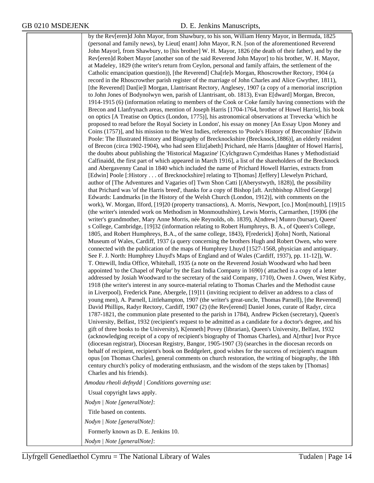by the Rev[eren]d John Mayor, from Shawbury, to his son, William Henry Mayor, in Bermuda, 1825 (personal and family news), by Lieut[ enant] John Mayor, R.N. [son of the aforementioned Reverend John Mayor], from Shawbury, to [his brother] W. H. Mayor, 1826 (the death of their father), and by the Rev[eren]d Robert Mayor [another son of the said Reverend John Mayor] to his brother, W. H. Mayor, at Madeley, 1829 (the writer's return from Ceylon, personal and family affairs, the settlement of the Catholic emancipation question)), [the Reverend] Cha[rle]s Morgan, Rhoscrowther Rectory, 1904 (a record in the Rhoscrowther parish register of the marriage of John Charles and Alice Gwyther, 1811), [the Reverend] Dan[ie]l Morgan, Llantrisant Rectory, Anglesey, 1907 (a copy of a memorial inscription to John Jones of Bodynolwyn wen, parish of Llantrisant, ob. 1813), Evan E[dward] Morgan, Brecon, 1914-1915 (6) (information relating to members of the Cook or Coke family having connections with the Brecon and Llanfrynach areas, mention of Joseph Harris [1704-1764, brother of Howel Harris], his book on optics [A Treatise on Optics (London, 1775)], his astronomical observations at Trevecka 'which he proposed to read before the Royal Society in London', his essay on money [An Essay Upon Money and Coins (1757)], and his mission to the West Indies, references to 'Poole's History of Breconshire' [Edwin Poole: The Illustrated History and Biography of Brecknockshire (Brecknock,1886)], an elderly resident of Brecon (circa 1902-1904), who had seen Eliz[abeth] Prichard, née Harris [daughter of Howel Harris], the doubts about publishing the 'Historical Magazine' [Cylchgrawn Cymdeithas Hanes y Methodistiaid Calfinaidd, the first part of which appeared in March 1916], a list of the shareholders of the Brecknock and Abergavenny Canal in 1840 which included the name of Prichard Howell Harries, extracts from [Edwin] Poole [:History . . . of Brecknockshire] relating to T[homas] J[effery] Llewelyn Prichard, author of [The Adventures and Vagaries of] Twm Shon Catti [(Aberystwyth, 1828)], the possibility that Prichard was 'of the Harris breed', thanks for a copy of Bishop [aft. Archbishop Alfred George] Edwards: Landmarks [in the History of the Welsh Church (London, 1912)], with comments on the work), W. Morgan, Ilford, [19]20 (property transactions), A. Morris, Newport, [co.] Mon[mouth], [19]15 (the writer's intended work on Methodism in Monmouthshire), Lewis Morris, Carmarthen, [19]06 (the writer's grandmother, Mary Anne Morris, née Reynolds, ob. 1839), A[ndrew] Munro (bursar), Queen' s College, Cambridge, [19]32 (information relating to Robert Humphreys, B. A., of Queen's College, 1805, and Robert Humphreys, B.A., of the same college, 1843), F[rederick] J[ohn] North, National Museum of Wales, Cardiff, 1937 (a query concerning the brothers Hugh and Robert Owen, who were connected with the publication of the maps of Humphrey Lhuyd [1527-1568, physician and antiquary. See F. J. North: Humphrey Lhuyd's Maps of England and of Wales (Cardiff, 1937), pp. 11-12]), W. T. Ottewill, India Office, Whitehall, 1935 (a note on the Reverend Josiah Woodward who had been appointed 'to the Chapel of Poplar' by the East India Company in 1690) ( attached is a copy of a letter addressed by Josiah Woodward to the secretary of the said Company, 1710), Owen J. Owen, West Kirby, 1918 (the writer's interest in any source-material relating to Thomas Charles and the Methodist cause in Liverpool), Frederick Pane, Abergele, [19]11 (inviting recipient to deliver an address to a class of young men), A. Parnell, Littlehampton, 1907 (the writer's great-uncle, Thomas Parnell), [the Reverend] David Phillips, Radyr Rectory, Cardiff, 1907 (2) (the Rev[erend] Daniel Jones, curate of Radyr, circa 1787-1821, the communion plate presented to the parish in 1784), Andrew Picken (secretary), Queen's University, Belfast, 1932 (recipient's request to be admitted as a candidate for a doctor's degree, and his gift of three books to the University), K[enneth] Povey (librarian), Queen's University, Belfast, 1932 (acknowledging receipt of a copy of recipient's biography of Thomas Charles), and A[rthur] Ivor Pryce (diocesan registrar), Diocesan Registry, Bangor, 1905-1907 (3) (searches in the diocesan records on behalf of recipient, recipient's book on Beddgelert, good wishes for the success of recipient's magnum opus [on Thomas Charles], general comments on church restoration, the writing of biography, the 18th century church's policy of moderating enthusiasm, and the wisdom of the steps taken by [Thomas] Charles and his friends). *Amodau rheoli defnydd | Conditions governing use*:

Usual copyright laws apply.

*Nodyn | Note [generalNote]*:

Title based on contents. *Nodyn | Note [generalNote]*:

Formerly known as D. E. Jenkins 10.

*Nodyn | Note [generalNote]*: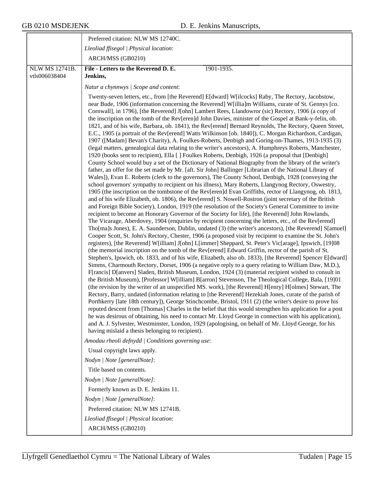|                                 | Preferred citation: NLW MS 12740C.                                                                                                                                                                                                                                                                                                                                                                                                                                                                                                                                                                                                                                                                                                                                                                                                                                                                                                                                                                                                                                                                                                                                                                                                                                                                                                                                                                                                                                                                                                                                                                                                                                                                                                                                                                                                                                                                                                                                                                                                                                                                                                                                                                                                                                                                                                                                                                                                                                                                                                                                                                                                                                                                                                                                                                                                                                                                                                                                                                                                                                                                                                                                                                                                                                                                                                                                                                                                                                                                                                             |
|---------------------------------|------------------------------------------------------------------------------------------------------------------------------------------------------------------------------------------------------------------------------------------------------------------------------------------------------------------------------------------------------------------------------------------------------------------------------------------------------------------------------------------------------------------------------------------------------------------------------------------------------------------------------------------------------------------------------------------------------------------------------------------------------------------------------------------------------------------------------------------------------------------------------------------------------------------------------------------------------------------------------------------------------------------------------------------------------------------------------------------------------------------------------------------------------------------------------------------------------------------------------------------------------------------------------------------------------------------------------------------------------------------------------------------------------------------------------------------------------------------------------------------------------------------------------------------------------------------------------------------------------------------------------------------------------------------------------------------------------------------------------------------------------------------------------------------------------------------------------------------------------------------------------------------------------------------------------------------------------------------------------------------------------------------------------------------------------------------------------------------------------------------------------------------------------------------------------------------------------------------------------------------------------------------------------------------------------------------------------------------------------------------------------------------------------------------------------------------------------------------------------------------------------------------------------------------------------------------------------------------------------------------------------------------------------------------------------------------------------------------------------------------------------------------------------------------------------------------------------------------------------------------------------------------------------------------------------------------------------------------------------------------------------------------------------------------------------------------------------------------------------------------------------------------------------------------------------------------------------------------------------------------------------------------------------------------------------------------------------------------------------------------------------------------------------------------------------------------------------------------------------------------------------------------------------------------------|
|                                 | Lleoliad ffisegol   Physical location:                                                                                                                                                                                                                                                                                                                                                                                                                                                                                                                                                                                                                                                                                                                                                                                                                                                                                                                                                                                                                                                                                                                                                                                                                                                                                                                                                                                                                                                                                                                                                                                                                                                                                                                                                                                                                                                                                                                                                                                                                                                                                                                                                                                                                                                                                                                                                                                                                                                                                                                                                                                                                                                                                                                                                                                                                                                                                                                                                                                                                                                                                                                                                                                                                                                                                                                                                                                                                                                                                                         |
|                                 | ARCH/MSS (GB0210)                                                                                                                                                                                                                                                                                                                                                                                                                                                                                                                                                                                                                                                                                                                                                                                                                                                                                                                                                                                                                                                                                                                                                                                                                                                                                                                                                                                                                                                                                                                                                                                                                                                                                                                                                                                                                                                                                                                                                                                                                                                                                                                                                                                                                                                                                                                                                                                                                                                                                                                                                                                                                                                                                                                                                                                                                                                                                                                                                                                                                                                                                                                                                                                                                                                                                                                                                                                                                                                                                                                              |
| NLW MS 12741B.<br>vtls006038404 | File - Letters to the Reverend D. E.<br>1901-1935.<br>Jenkins,                                                                                                                                                                                                                                                                                                                                                                                                                                                                                                                                                                                                                                                                                                                                                                                                                                                                                                                                                                                                                                                                                                                                                                                                                                                                                                                                                                                                                                                                                                                                                                                                                                                                                                                                                                                                                                                                                                                                                                                                                                                                                                                                                                                                                                                                                                                                                                                                                                                                                                                                                                                                                                                                                                                                                                                                                                                                                                                                                                                                                                                                                                                                                                                                                                                                                                                                                                                                                                                                                 |
|                                 | Natur a chynnwys / Scope and content:                                                                                                                                                                                                                                                                                                                                                                                                                                                                                                                                                                                                                                                                                                                                                                                                                                                                                                                                                                                                                                                                                                                                                                                                                                                                                                                                                                                                                                                                                                                                                                                                                                                                                                                                                                                                                                                                                                                                                                                                                                                                                                                                                                                                                                                                                                                                                                                                                                                                                                                                                                                                                                                                                                                                                                                                                                                                                                                                                                                                                                                                                                                                                                                                                                                                                                                                                                                                                                                                                                          |
|                                 | Twenty-seven letters, etc., from [the Reverend] E[dward] W[ilcocks] Raby, The Rectory, Jacobstow,<br>near Bude, 1906 (information concerning the Reverend] W[illia]m Williams, curate of St. Gennys [co.<br>Cornwall], in 1796), [the Reverend] J[ohn] Lambert Rees, Llandowror (sic) Rectory, 1906 (a copy of<br>the inscription on the tomb of the Rev[eren]d John Davies, minister of the Gospel at Bank-y-felin, ob.<br>1821, and of his wife, Barbara, ob. 1841), the Rev[erend] Bernard Reynolds, The Rectory, Queen Street,<br>E.C., 1905 (a portrait of the Rev[erend] Watts Wilkinson [ob. 1840]), C. Morgan Richardson, Cardigan,<br>1907 ([Madam] Bevan's Charity), A. Foulkes-Roberts, Denbigh and Goring-on-Thames, 1913-1935 (3)<br>(legal matters, genealogical data relating to the writer's ancestors), A. Humphreys Roberts, Manchester,<br>1920 (books sent to recipient), Ella [] Foulkes Roberts, Denbigh, 1926 (a proposal that [Denbigh]<br>County School would buy a set of the Dictionary of National Biography from the library of the writer's<br>father, an offer for the set made by Mr. [aft. Sir John] Ballinger [Librarian of the National Library of<br>Wales]), Evan E. Roberts (clerk to the governors), The County School, Denbigh, 1928 (conveying the<br>school governors' sympathy to recipient on his illness), Mary Roberts, Llangynog Rectory, Oswestry,<br>1905 (the inscription on the tombstone of the Rev[eren]d Evan Griffiths, rector of Llangynog, ob. 1813,<br>and of his wife Elizabeth, ob. 1806), the Rev[erend] S. Nowell-Rostron (joint secretary of the British<br>and Foreign Bible Society), London, 1919 (the resolution of the Society's General Committee to invite<br>recipient to become an Honorary Governor of the Society for life), [the Reverend] John Rowlands,<br>The Vicarage, Aberdovey, 1904 (enquiries by recipient concerning the letters, etc., of the Rev[erend]<br>Tho[ma]s Jones), E. A. Saunderson, Dublin, undated (3) (the writer's ancestors), [the Reverend] S[amuel]<br>Cooper Scott, St. John's Rectory, Chester, 1906 (a proposed visit by recipient to examine the St. John's<br>registers), [the Reverend] W[illiam] J[ohn] L[immer] Sheppard, St. Peter's Vic[arage], Ipswich, [19]08<br>(the memorial inscription on the tomb of the Rev[erend] Edward Griffin, rector of the parish of St.<br>Stephen's, Ipswich, ob. 1833, and of his wife, Elizabeth, also ob. 1833), [the Reverend] Spencer E[dward]<br>Simms, Charmouth Rectory, Dorset, 1906 (a negative reply to a query relating to William Daw, M.D.),<br>F[rancis] D[anvers] Sladen, British Museum, London, 1924 (3) (material recipient wished to consult in<br>the British Museum), [Professor] W[illiam] B[arron] Stevenson, The Theological College, Bala, [19]01<br>(the revision by the writer of an unspecified MS. work), [the Reverend] H[enry] H[olmes] Stewart, The<br>Rectory, Barry, undated (information relating to [the Reverend] Hezekiah Jones, curate of the parish of<br>Porthkerry [late 18th century]), George Stinchcombe, Bristol, 1911 (2) (the writer's desire to prove his<br>reputed descent from [Thomas] Charles in the belief that this would strengthen his application for a post<br>he was desirous of obtaining, his need to contact Mr. Lloyd George in connection with his application),<br>and A. J. Sylvester, Westminster, London, 1929 (apologising, on behalf of Mr. Lloyd George, for his<br>having mislaid a thesis belonging to recipient). |
|                                 | Amodau rheoli defnydd   Conditions governing use:                                                                                                                                                                                                                                                                                                                                                                                                                                                                                                                                                                                                                                                                                                                                                                                                                                                                                                                                                                                                                                                                                                                                                                                                                                                                                                                                                                                                                                                                                                                                                                                                                                                                                                                                                                                                                                                                                                                                                                                                                                                                                                                                                                                                                                                                                                                                                                                                                                                                                                                                                                                                                                                                                                                                                                                                                                                                                                                                                                                                                                                                                                                                                                                                                                                                                                                                                                                                                                                                                              |
|                                 | Usual copyright laws apply.                                                                                                                                                                                                                                                                                                                                                                                                                                                                                                                                                                                                                                                                                                                                                                                                                                                                                                                                                                                                                                                                                                                                                                                                                                                                                                                                                                                                                                                                                                                                                                                                                                                                                                                                                                                                                                                                                                                                                                                                                                                                                                                                                                                                                                                                                                                                                                                                                                                                                                                                                                                                                                                                                                                                                                                                                                                                                                                                                                                                                                                                                                                                                                                                                                                                                                                                                                                                                                                                                                                    |
|                                 | Nodyn   Note [generalNote]:                                                                                                                                                                                                                                                                                                                                                                                                                                                                                                                                                                                                                                                                                                                                                                                                                                                                                                                                                                                                                                                                                                                                                                                                                                                                                                                                                                                                                                                                                                                                                                                                                                                                                                                                                                                                                                                                                                                                                                                                                                                                                                                                                                                                                                                                                                                                                                                                                                                                                                                                                                                                                                                                                                                                                                                                                                                                                                                                                                                                                                                                                                                                                                                                                                                                                                                                                                                                                                                                                                                    |
|                                 | Title based on contents.                                                                                                                                                                                                                                                                                                                                                                                                                                                                                                                                                                                                                                                                                                                                                                                                                                                                                                                                                                                                                                                                                                                                                                                                                                                                                                                                                                                                                                                                                                                                                                                                                                                                                                                                                                                                                                                                                                                                                                                                                                                                                                                                                                                                                                                                                                                                                                                                                                                                                                                                                                                                                                                                                                                                                                                                                                                                                                                                                                                                                                                                                                                                                                                                                                                                                                                                                                                                                                                                                                                       |
|                                 | Nodyn   Note [generalNote]:                                                                                                                                                                                                                                                                                                                                                                                                                                                                                                                                                                                                                                                                                                                                                                                                                                                                                                                                                                                                                                                                                                                                                                                                                                                                                                                                                                                                                                                                                                                                                                                                                                                                                                                                                                                                                                                                                                                                                                                                                                                                                                                                                                                                                                                                                                                                                                                                                                                                                                                                                                                                                                                                                                                                                                                                                                                                                                                                                                                                                                                                                                                                                                                                                                                                                                                                                                                                                                                                                                                    |
|                                 | Formerly known as D. E. Jenkins 11.                                                                                                                                                                                                                                                                                                                                                                                                                                                                                                                                                                                                                                                                                                                                                                                                                                                                                                                                                                                                                                                                                                                                                                                                                                                                                                                                                                                                                                                                                                                                                                                                                                                                                                                                                                                                                                                                                                                                                                                                                                                                                                                                                                                                                                                                                                                                                                                                                                                                                                                                                                                                                                                                                                                                                                                                                                                                                                                                                                                                                                                                                                                                                                                                                                                                                                                                                                                                                                                                                                            |
|                                 | Nodyn   Note [generalNote]:                                                                                                                                                                                                                                                                                                                                                                                                                                                                                                                                                                                                                                                                                                                                                                                                                                                                                                                                                                                                                                                                                                                                                                                                                                                                                                                                                                                                                                                                                                                                                                                                                                                                                                                                                                                                                                                                                                                                                                                                                                                                                                                                                                                                                                                                                                                                                                                                                                                                                                                                                                                                                                                                                                                                                                                                                                                                                                                                                                                                                                                                                                                                                                                                                                                                                                                                                                                                                                                                                                                    |
|                                 | Preferred citation: NLW MS 12741B.                                                                                                                                                                                                                                                                                                                                                                                                                                                                                                                                                                                                                                                                                                                                                                                                                                                                                                                                                                                                                                                                                                                                                                                                                                                                                                                                                                                                                                                                                                                                                                                                                                                                                                                                                                                                                                                                                                                                                                                                                                                                                                                                                                                                                                                                                                                                                                                                                                                                                                                                                                                                                                                                                                                                                                                                                                                                                                                                                                                                                                                                                                                                                                                                                                                                                                                                                                                                                                                                                                             |
|                                 | Lleoliad ffisegol   Physical location:<br>ARCH/MSS (GB0210)                                                                                                                                                                                                                                                                                                                                                                                                                                                                                                                                                                                                                                                                                                                                                                                                                                                                                                                                                                                                                                                                                                                                                                                                                                                                                                                                                                                                                                                                                                                                                                                                                                                                                                                                                                                                                                                                                                                                                                                                                                                                                                                                                                                                                                                                                                                                                                                                                                                                                                                                                                                                                                                                                                                                                                                                                                                                                                                                                                                                                                                                                                                                                                                                                                                                                                                                                                                                                                                                                    |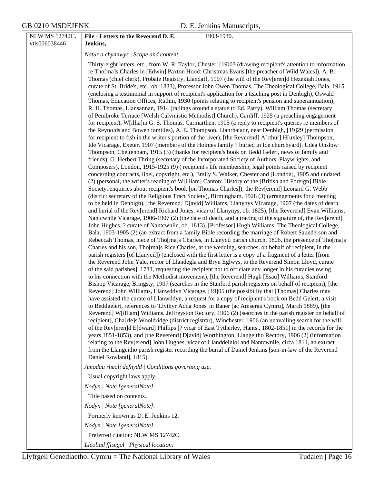| NLW MS 12742C.<br>vtls006038446 | File - Letters to the Reverend D. E.<br>1903-1930.<br>Jenkins,                                                                                                                                                                                                                                                                                                                                                                                                                                                                                                                                                                                                                                                                                                                                                                                                                                                                                                                                                                                                                                                                                                                                                                                                                                                                                                                                                                                                                                                                                                                                                                                                                                                                                                                                                                                                                                                                                                                                                                                                                                                                                                                                                                                                                                                                                                                                                                                                                                                                                                                                                                                                                                                                                                                                                                                                                                                                                                                                                                                                                                                                                                                                                                                                                                                                                                                                                                                                                                                                                                                                                                                                                                                                                                                                                                                                                                                                                                                                                                                                                                                                                                                                                                                                                                                                                                   |
|---------------------------------|------------------------------------------------------------------------------------------------------------------------------------------------------------------------------------------------------------------------------------------------------------------------------------------------------------------------------------------------------------------------------------------------------------------------------------------------------------------------------------------------------------------------------------------------------------------------------------------------------------------------------------------------------------------------------------------------------------------------------------------------------------------------------------------------------------------------------------------------------------------------------------------------------------------------------------------------------------------------------------------------------------------------------------------------------------------------------------------------------------------------------------------------------------------------------------------------------------------------------------------------------------------------------------------------------------------------------------------------------------------------------------------------------------------------------------------------------------------------------------------------------------------------------------------------------------------------------------------------------------------------------------------------------------------------------------------------------------------------------------------------------------------------------------------------------------------------------------------------------------------------------------------------------------------------------------------------------------------------------------------------------------------------------------------------------------------------------------------------------------------------------------------------------------------------------------------------------------------------------------------------------------------------------------------------------------------------------------------------------------------------------------------------------------------------------------------------------------------------------------------------------------------------------------------------------------------------------------------------------------------------------------------------------------------------------------------------------------------------------------------------------------------------------------------------------------------------------------------------------------------------------------------------------------------------------------------------------------------------------------------------------------------------------------------------------------------------------------------------------------------------------------------------------------------------------------------------------------------------------------------------------------------------------------------------------------------------------------------------------------------------------------------------------------------------------------------------------------------------------------------------------------------------------------------------------------------------------------------------------------------------------------------------------------------------------------------------------------------------------------------------------------------------------------------------------------------------------------------------------------------------------------------------------------------------------------------------------------------------------------------------------------------------------------------------------------------------------------------------------------------------------------------------------------------------------------------------------------------------------------------------------------------------------------------------------------------------------------------------------------------|
|                                 |                                                                                                                                                                                                                                                                                                                                                                                                                                                                                                                                                                                                                                                                                                                                                                                                                                                                                                                                                                                                                                                                                                                                                                                                                                                                                                                                                                                                                                                                                                                                                                                                                                                                                                                                                                                                                                                                                                                                                                                                                                                                                                                                                                                                                                                                                                                                                                                                                                                                                                                                                                                                                                                                                                                                                                                                                                                                                                                                                                                                                                                                                                                                                                                                                                                                                                                                                                                                                                                                                                                                                                                                                                                                                                                                                                                                                                                                                                                                                                                                                                                                                                                                                                                                                                                                                                                                                                  |
|                                 | Natur a chynnwys / Scope and content:<br>Thirty-eight letters, etc., from W. R. Taylor, Chester, [19]03 (drawing recipient's attention to information<br>re Tho[ma]s Charles in [Edwin] Paxton Hood: Christmas Evans [the preacher of Wild Wales]), A. B.<br>Thomas (chief clerk), Probate Registry, Llandaff, 1907 (the will of the Rev[eren]d Hezekiah Jones,<br>curate of St. Bride's, etc., ob. 1833), Professor John Owen Thomas, The Theological College, Bala, 1915<br>(enclosing a testimonial in support of recipient's application for a teaching post in Denbigh), Oswald<br>Thomas, Education Offices, Ruthin, 1930 (points relating to recipient's pension and superannuation),<br>R. H. Thomas, Llansannan, 1914 (railings around a statue to Ed. Parry), William Thomas (secretary<br>of Pembroke Terrace [Welsh Calvinistic Methodist] Church), Cardiff, 1925 (a preaching engagement<br>for recipient), W[illia]m G. S. Thomas, Carmarthen, 1905 (a reply to recipient's queries re members of<br>the Reynolds and Bowen families), A. E. Thompson, Llanrhaiadr, near Denbigh, [19]29 (permission<br>for recipient to fish in the writer's portion of the river), [the Reverend] A[rthur] H[uxley] Thompson,<br>Ide Vicarage, Exeter, 1907 (members of the Holmes family ? buried in Ide churchyard), Udea Onslow<br>Thompson, Cheltenham, 1915 (3) (thanks for recipient's book on Bedd Gelert, news of family and<br>friends), G. Herbert Thring (secretary of the Incorporated Society of Authors, Playwrights, and<br>Composers), London, 1915-1925 (9) (recipient's life membership, legal points raised by recipient<br>concerning contracts, libel, copyright, etc.), Emily S. Walker, Chester and [London], 1905 and undated<br>(2) (personal, the writer's reading of W[illiam] Canton: History of the [British and Foreign] Bible<br>Society, enquiries about recipient's book [on Thomas Charles]), the Rev[erend] Leonard G. Webb<br>(district secretary of the Religious Tract Society), Birmingham, 1928 (3) (arrangements for a meeting<br>to be held in Denbigh), [the Reverend] D[avid] Williams, Llanynys Vicarage, 1907 (the dates of death<br>and burial of the Rev[erend] Richard Jones, vicar of Llanynys, ob. 1825), [the Reverend] Evan Williams,<br>Nantcwnlle Vicarage, 1906-1907 (2) (the date of death, and a tracing of the signature of, the Rev[erend]<br>John Hughes, ? curate of Nantcwnlle, ob. 1813), [Professor] Hugh Williams, The Theological College,<br>Bala, 1903-1905 (2) (an extract from a family Bible recording the marriage of Robert Saunderson and<br>Rebeccah Thomas, niece of Tho[ma]s Charles, in Llanycil parish church, 1806, the presence of Tho[ma]s<br>Charles and his son, Tho[ma]s Rice Charles, at the wedding, searches, on behalf of recipient, in the<br>parish registers [of Llanycil]) (enclosed with the first letter is a copy of a fragment of a letter [from<br>the Reverend John Yale, rector of Llandegla and Bryn Eglwys, to the Reverend Simon Lloyd, curate<br>of the said parishes], 1783, requesting the recipient not to officiate any longer in his curacies owing<br>to his connection with the Methodist movement), [the Reverend] Hugh [Esau] Williams, Stanford<br>Bishop Vicarage, Bringsty, 1907 (searches in the Stanford parish registers on behalf of recipient), [the<br>Reverend] John Williams, Llanwddyn Vicarage, [19]05 (the possibility that [Thomas] Charles may<br>have assisted the curate of Llanwddyn, a request for a copy of recipient's book on Bedd Gelert, a visit<br>to Beddgelert, references to 'Llythyr Adda Jones' in Baner [ac Amserau Cymru], March 1869), [the<br>Reverend] W[illiam] Williams, Jeffreyston Rectory, 1906 (2) (searches in the parish register on behalf of<br>recipient), Cha[rle]s Wooldridge (district registrar), Winchester, 1906 (an unavailing search for the will<br>of the Rev[eren]d E[dward] Phillips [? vicar of East Tytherley, Hants., 1802-1851] in the records for the<br>years 1851-1853), and [the Reverend] D[avid] Worthington, Llangeitho Rectory, 1906 (2) (information<br>relating to the Rev[erend] John Hughes, vicar of Llanddeiniol and Nantcwnlle, circa 1811, an extract<br>from the Llangeitho parish register recording the burial of Daniel Jenkins [son-in-law of the Reverend |
|                                 | Daniel Rowland], 1815).                                                                                                                                                                                                                                                                                                                                                                                                                                                                                                                                                                                                                                                                                                                                                                                                                                                                                                                                                                                                                                                                                                                                                                                                                                                                                                                                                                                                                                                                                                                                                                                                                                                                                                                                                                                                                                                                                                                                                                                                                                                                                                                                                                                                                                                                                                                                                                                                                                                                                                                                                                                                                                                                                                                                                                                                                                                                                                                                                                                                                                                                                                                                                                                                                                                                                                                                                                                                                                                                                                                                                                                                                                                                                                                                                                                                                                                                                                                                                                                                                                                                                                                                                                                                                                                                                                                                          |
|                                 | Amodau rheoli defnydd   Conditions governing use:<br>Usual copyright laws apply.                                                                                                                                                                                                                                                                                                                                                                                                                                                                                                                                                                                                                                                                                                                                                                                                                                                                                                                                                                                                                                                                                                                                                                                                                                                                                                                                                                                                                                                                                                                                                                                                                                                                                                                                                                                                                                                                                                                                                                                                                                                                                                                                                                                                                                                                                                                                                                                                                                                                                                                                                                                                                                                                                                                                                                                                                                                                                                                                                                                                                                                                                                                                                                                                                                                                                                                                                                                                                                                                                                                                                                                                                                                                                                                                                                                                                                                                                                                                                                                                                                                                                                                                                                                                                                                                                 |
|                                 | Nodyn   Note [generalNote]:                                                                                                                                                                                                                                                                                                                                                                                                                                                                                                                                                                                                                                                                                                                                                                                                                                                                                                                                                                                                                                                                                                                                                                                                                                                                                                                                                                                                                                                                                                                                                                                                                                                                                                                                                                                                                                                                                                                                                                                                                                                                                                                                                                                                                                                                                                                                                                                                                                                                                                                                                                                                                                                                                                                                                                                                                                                                                                                                                                                                                                                                                                                                                                                                                                                                                                                                                                                                                                                                                                                                                                                                                                                                                                                                                                                                                                                                                                                                                                                                                                                                                                                                                                                                                                                                                                                                      |
|                                 | Title based on contents.                                                                                                                                                                                                                                                                                                                                                                                                                                                                                                                                                                                                                                                                                                                                                                                                                                                                                                                                                                                                                                                                                                                                                                                                                                                                                                                                                                                                                                                                                                                                                                                                                                                                                                                                                                                                                                                                                                                                                                                                                                                                                                                                                                                                                                                                                                                                                                                                                                                                                                                                                                                                                                                                                                                                                                                                                                                                                                                                                                                                                                                                                                                                                                                                                                                                                                                                                                                                                                                                                                                                                                                                                                                                                                                                                                                                                                                                                                                                                                                                                                                                                                                                                                                                                                                                                                                                         |
|                                 | Nodyn   Note [generalNote]:                                                                                                                                                                                                                                                                                                                                                                                                                                                                                                                                                                                                                                                                                                                                                                                                                                                                                                                                                                                                                                                                                                                                                                                                                                                                                                                                                                                                                                                                                                                                                                                                                                                                                                                                                                                                                                                                                                                                                                                                                                                                                                                                                                                                                                                                                                                                                                                                                                                                                                                                                                                                                                                                                                                                                                                                                                                                                                                                                                                                                                                                                                                                                                                                                                                                                                                                                                                                                                                                                                                                                                                                                                                                                                                                                                                                                                                                                                                                                                                                                                                                                                                                                                                                                                                                                                                                      |
|                                 | Formerly known as D. E. Jenkins 12.                                                                                                                                                                                                                                                                                                                                                                                                                                                                                                                                                                                                                                                                                                                                                                                                                                                                                                                                                                                                                                                                                                                                                                                                                                                                                                                                                                                                                                                                                                                                                                                                                                                                                                                                                                                                                                                                                                                                                                                                                                                                                                                                                                                                                                                                                                                                                                                                                                                                                                                                                                                                                                                                                                                                                                                                                                                                                                                                                                                                                                                                                                                                                                                                                                                                                                                                                                                                                                                                                                                                                                                                                                                                                                                                                                                                                                                                                                                                                                                                                                                                                                                                                                                                                                                                                                                              |
|                                 | Nodyn   Note [generalNote]:                                                                                                                                                                                                                                                                                                                                                                                                                                                                                                                                                                                                                                                                                                                                                                                                                                                                                                                                                                                                                                                                                                                                                                                                                                                                                                                                                                                                                                                                                                                                                                                                                                                                                                                                                                                                                                                                                                                                                                                                                                                                                                                                                                                                                                                                                                                                                                                                                                                                                                                                                                                                                                                                                                                                                                                                                                                                                                                                                                                                                                                                                                                                                                                                                                                                                                                                                                                                                                                                                                                                                                                                                                                                                                                                                                                                                                                                                                                                                                                                                                                                                                                                                                                                                                                                                                                                      |
|                                 | Preferred citation: NLW MS 12742C.                                                                                                                                                                                                                                                                                                                                                                                                                                                                                                                                                                                                                                                                                                                                                                                                                                                                                                                                                                                                                                                                                                                                                                                                                                                                                                                                                                                                                                                                                                                                                                                                                                                                                                                                                                                                                                                                                                                                                                                                                                                                                                                                                                                                                                                                                                                                                                                                                                                                                                                                                                                                                                                                                                                                                                                                                                                                                                                                                                                                                                                                                                                                                                                                                                                                                                                                                                                                                                                                                                                                                                                                                                                                                                                                                                                                                                                                                                                                                                                                                                                                                                                                                                                                                                                                                                                               |
|                                 | Lleoliad ffisegol   Physical location:                                                                                                                                                                                                                                                                                                                                                                                                                                                                                                                                                                                                                                                                                                                                                                                                                                                                                                                                                                                                                                                                                                                                                                                                                                                                                                                                                                                                                                                                                                                                                                                                                                                                                                                                                                                                                                                                                                                                                                                                                                                                                                                                                                                                                                                                                                                                                                                                                                                                                                                                                                                                                                                                                                                                                                                                                                                                                                                                                                                                                                                                                                                                                                                                                                                                                                                                                                                                                                                                                                                                                                                                                                                                                                                                                                                                                                                                                                                                                                                                                                                                                                                                                                                                                                                                                                                           |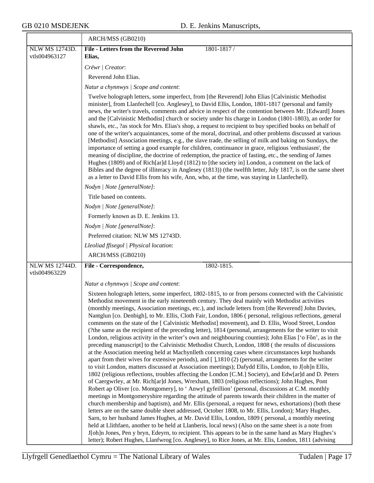$\overline{\phantom{0}}$ 

| ARCH/MSS (GB0210)                                                                                                                                                                                                                                                                                                                                                                                                                                                                                                                                                                                                                                                                                                                                                                                                                                                                                                                                                                                                                                                                                                                                                                                                                                                                                                                                                                                                                                                                                                                                                                                                                                                                                                                                                                                                                                                                                                                                                                                                                                                                                                                                       |
|---------------------------------------------------------------------------------------------------------------------------------------------------------------------------------------------------------------------------------------------------------------------------------------------------------------------------------------------------------------------------------------------------------------------------------------------------------------------------------------------------------------------------------------------------------------------------------------------------------------------------------------------------------------------------------------------------------------------------------------------------------------------------------------------------------------------------------------------------------------------------------------------------------------------------------------------------------------------------------------------------------------------------------------------------------------------------------------------------------------------------------------------------------------------------------------------------------------------------------------------------------------------------------------------------------------------------------------------------------------------------------------------------------------------------------------------------------------------------------------------------------------------------------------------------------------------------------------------------------------------------------------------------------------------------------------------------------------------------------------------------------------------------------------------------------------------------------------------------------------------------------------------------------------------------------------------------------------------------------------------------------------------------------------------------------------------------------------------------------------------------------------------------------|
| <b>File - Letters from the Reverend John</b><br>1801-1817/                                                                                                                                                                                                                                                                                                                                                                                                                                                                                                                                                                                                                                                                                                                                                                                                                                                                                                                                                                                                                                                                                                                                                                                                                                                                                                                                                                                                                                                                                                                                                                                                                                                                                                                                                                                                                                                                                                                                                                                                                                                                                              |
| Elias,                                                                                                                                                                                                                                                                                                                                                                                                                                                                                                                                                                                                                                                                                                                                                                                                                                                                                                                                                                                                                                                                                                                                                                                                                                                                                                                                                                                                                                                                                                                                                                                                                                                                                                                                                                                                                                                                                                                                                                                                                                                                                                                                                  |
| Crëwr   Creator:                                                                                                                                                                                                                                                                                                                                                                                                                                                                                                                                                                                                                                                                                                                                                                                                                                                                                                                                                                                                                                                                                                                                                                                                                                                                                                                                                                                                                                                                                                                                                                                                                                                                                                                                                                                                                                                                                                                                                                                                                                                                                                                                        |
| Reverend John Elias.                                                                                                                                                                                                                                                                                                                                                                                                                                                                                                                                                                                                                                                                                                                                                                                                                                                                                                                                                                                                                                                                                                                                                                                                                                                                                                                                                                                                                                                                                                                                                                                                                                                                                                                                                                                                                                                                                                                                                                                                                                                                                                                                    |
| Natur a chynnwys / Scope and content:                                                                                                                                                                                                                                                                                                                                                                                                                                                                                                                                                                                                                                                                                                                                                                                                                                                                                                                                                                                                                                                                                                                                                                                                                                                                                                                                                                                                                                                                                                                                                                                                                                                                                                                                                                                                                                                                                                                                                                                                                                                                                                                   |
| Twelve holograph letters, some imperfect, from [the Reverend] John Elias [Calvinistic Methodist]<br>minister], from Llanfechell [co. Anglesey], to David Ellis, London, 1801-1817 (personal and family<br>news, the writer's travels, comments and advice in respect of the contention between Mr. [Edward] Jones<br>and the [Calvinistic Methodist] church or society under his charge in London (1801-1803), an order for<br>shawls, etc., ?as stock for Mrs. Elias's shop, a request to recipient to buy specified books on behalf of<br>one of the writer's acquaintances, some of the moral, doctrinal, and other problems discussed at various<br>[Methodist] Association meetings, e.g., the slave trade, the selling of milk and baking on Sundays, the<br>importance of setting a good example for children, continuance in grace, religious 'enthusiasm', the<br>meaning of discipline, the doctrine of redemption, the practice of fasting, etc., the sending of James<br>Hughes (1809) and of Rich[ar]d Lloyd (1812) to [the society in] London, a comment on the lack of<br>Bibles and the degree of illiteracy in Anglesey (1813)) (the twelfth letter, July 1817, is on the same sheet<br>as a letter to David Ellis from his wife, Ann, who, at the time, was staying in Llanfechell).                                                                                                                                                                                                                                                                                                                                                                                                                                                                                                                                                                                                                                                                                                                                                                                                                                                  |
| Nodyn   Note [generalNote]:                                                                                                                                                                                                                                                                                                                                                                                                                                                                                                                                                                                                                                                                                                                                                                                                                                                                                                                                                                                                                                                                                                                                                                                                                                                                                                                                                                                                                                                                                                                                                                                                                                                                                                                                                                                                                                                                                                                                                                                                                                                                                                                             |
| Title based on contents.                                                                                                                                                                                                                                                                                                                                                                                                                                                                                                                                                                                                                                                                                                                                                                                                                                                                                                                                                                                                                                                                                                                                                                                                                                                                                                                                                                                                                                                                                                                                                                                                                                                                                                                                                                                                                                                                                                                                                                                                                                                                                                                                |
| Nodyn   Note [generalNote]:                                                                                                                                                                                                                                                                                                                                                                                                                                                                                                                                                                                                                                                                                                                                                                                                                                                                                                                                                                                                                                                                                                                                                                                                                                                                                                                                                                                                                                                                                                                                                                                                                                                                                                                                                                                                                                                                                                                                                                                                                                                                                                                             |
| Formerly known as D. E. Jenkins 13.                                                                                                                                                                                                                                                                                                                                                                                                                                                                                                                                                                                                                                                                                                                                                                                                                                                                                                                                                                                                                                                                                                                                                                                                                                                                                                                                                                                                                                                                                                                                                                                                                                                                                                                                                                                                                                                                                                                                                                                                                                                                                                                     |
| Nodyn   Note [generalNote]:                                                                                                                                                                                                                                                                                                                                                                                                                                                                                                                                                                                                                                                                                                                                                                                                                                                                                                                                                                                                                                                                                                                                                                                                                                                                                                                                                                                                                                                                                                                                                                                                                                                                                                                                                                                                                                                                                                                                                                                                                                                                                                                             |
| Preferred citation: NLW MS 12743D.                                                                                                                                                                                                                                                                                                                                                                                                                                                                                                                                                                                                                                                                                                                                                                                                                                                                                                                                                                                                                                                                                                                                                                                                                                                                                                                                                                                                                                                                                                                                                                                                                                                                                                                                                                                                                                                                                                                                                                                                                                                                                                                      |
| Lleoliad ffisegol   Physical location:                                                                                                                                                                                                                                                                                                                                                                                                                                                                                                                                                                                                                                                                                                                                                                                                                                                                                                                                                                                                                                                                                                                                                                                                                                                                                                                                                                                                                                                                                                                                                                                                                                                                                                                                                                                                                                                                                                                                                                                                                                                                                                                  |
| ARCH/MSS (GB0210)                                                                                                                                                                                                                                                                                                                                                                                                                                                                                                                                                                                                                                                                                                                                                                                                                                                                                                                                                                                                                                                                                                                                                                                                                                                                                                                                                                                                                                                                                                                                                                                                                                                                                                                                                                                                                                                                                                                                                                                                                                                                                                                                       |
| File - Correspondence,<br>1802-1815.                                                                                                                                                                                                                                                                                                                                                                                                                                                                                                                                                                                                                                                                                                                                                                                                                                                                                                                                                                                                                                                                                                                                                                                                                                                                                                                                                                                                                                                                                                                                                                                                                                                                                                                                                                                                                                                                                                                                                                                                                                                                                                                    |
| Natur a chynnwys / Scope and content:                                                                                                                                                                                                                                                                                                                                                                                                                                                                                                                                                                                                                                                                                                                                                                                                                                                                                                                                                                                                                                                                                                                                                                                                                                                                                                                                                                                                                                                                                                                                                                                                                                                                                                                                                                                                                                                                                                                                                                                                                                                                                                                   |
| Sixteen holograph letters, some imperfect, 1802-1815, to or from persons connected with the Calvinistic<br>Methodist movement in the early nineteenth century. They deal mainly with Methodist activities<br>(monthly meetings, Association meetings, etc.), and include letters from [the Reverend] John Davies,<br>Nantglun [co. Denbigh], to Mr. Ellis, Cloth Fair, London, 1806 (personal, religious reflections, general<br>comments on the state of the [Calvinistic Methodist] movement), and D. Ellis, Wood Street, London<br>(?the same as the recipient of the preceding letter), 1814 (personal, arrangements for the writer to visit<br>London, religious activity in the writer's own and neighbouring counties); John Elias ['o Fôn', as in the<br>preceding manuscript] to the Calvinistic Methodist Church, London, 1808 (the results of discussions<br>at the Association meeting held at Machynlleth concerning cases where circumstances kept husbands<br>apart from their wives for extensive periods), and [],1810 (2) (personal, arrangements for the writer<br>to visit London, matters discussed at Association meetings); Dafydd Ellis, London, to J[oh]n Ellis,<br>1802 (religious reflections, troubles affecting the London [C.M.] Society), and Edw[ar]d and D. Peters<br>of Caergwrley, at Mr. Rich[ar]d Jones, Wrexham, 1803 (religious reflections); John Hughes, Pont<br>Robert ap Oliver [co. Montgomery], to 'Anwyl gyfeillion' (personal, discussions at C.M. monthly<br>meetings in Montgomeryshire regarding the attitude of parents towards their children in the matter of<br>church membership and baptism), and Mr. Ellis (personal, a request for news, exhortations) (both these<br>letters are on the same double sheet addressed, October 1808, to Mr. Ellis, London); Mary Hughes,<br>Sarn, to her husband James Hughes, at Mr. David Ellis, London, 1809 (personal, a monthly meeting<br>held at Llithfaen, another to be held at Llanberis, local news) (Also on the same sheet is a note from<br>J[oh]n Jones, Pen y bryn, Edeyrn, to recipient. This appears to be in the same hand as Mary Hughes's |
|                                                                                                                                                                                                                                                                                                                                                                                                                                                                                                                                                                                                                                                                                                                                                                                                                                                                                                                                                                                                                                                                                                                                                                                                                                                                                                                                                                                                                                                                                                                                                                                                                                                                                                                                                                                                                                                                                                                                                                                                                                                                                                                                                         |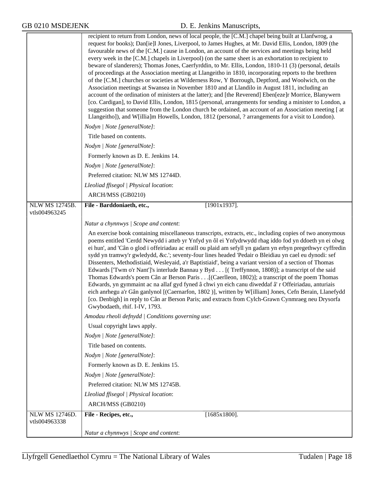|                       | recipient to return from London, news of local people, the [C.M.] chapel being built at Llanfwrog, a<br>request for books); Dan[ie]l Jones, Liverpool, to James Hughes, at Mr. David Ellis, London, 1809 (the<br>favourable news of the [C.M.] cause in London, an account of the services and meetings being held<br>every week in the [C.M.] chapels in Liverpool) (on the same sheet is an exhortation to recipient to<br>beware of slanderers); Thomas Jones, Caerfyrddin, to Mr. Ellis, London, 1810-11 (3) (personal, details<br>of proceedings at the Association meeting at Llangeitho in 1810, incorporating reports to the brethren<br>of the [C.M.] churches or societies at Wilderness Row, Y Borrough, Deptford, and Woolwich, on the<br>Association meetings at Swansea in November 1810 and at Llandilo in August 1811, including an<br>account of the ordination of ministers at the latter); and [the Reverend] Eben[eze]r Morrice, Blanywern<br>[co. Cardigan], to David Ellis, London, 1815 (personal, arrangements for sending a minister to London, a<br>suggestion that someone from the London church be ordained, an account of an Association meeting [ at<br>Llangeitho]), and W[illia]m Howells, London, 1812 (personal, ? arrangements for a visit to London).<br>Nodyn   Note [generalNote]: |
|-----------------------|---------------------------------------------------------------------------------------------------------------------------------------------------------------------------------------------------------------------------------------------------------------------------------------------------------------------------------------------------------------------------------------------------------------------------------------------------------------------------------------------------------------------------------------------------------------------------------------------------------------------------------------------------------------------------------------------------------------------------------------------------------------------------------------------------------------------------------------------------------------------------------------------------------------------------------------------------------------------------------------------------------------------------------------------------------------------------------------------------------------------------------------------------------------------------------------------------------------------------------------------------------------------------------------------------------------------------|
|                       | Title based on contents.                                                                                                                                                                                                                                                                                                                                                                                                                                                                                                                                                                                                                                                                                                                                                                                                                                                                                                                                                                                                                                                                                                                                                                                                                                                                                                  |
|                       | Nodyn   Note [generalNote]:                                                                                                                                                                                                                                                                                                                                                                                                                                                                                                                                                                                                                                                                                                                                                                                                                                                                                                                                                                                                                                                                                                                                                                                                                                                                                               |
|                       | Formerly known as D. E. Jenkins 14.                                                                                                                                                                                                                                                                                                                                                                                                                                                                                                                                                                                                                                                                                                                                                                                                                                                                                                                                                                                                                                                                                                                                                                                                                                                                                       |
|                       | Nodyn   Note [generalNote]:                                                                                                                                                                                                                                                                                                                                                                                                                                                                                                                                                                                                                                                                                                                                                                                                                                                                                                                                                                                                                                                                                                                                                                                                                                                                                               |
|                       | Preferred citation: NLW MS 12744D.                                                                                                                                                                                                                                                                                                                                                                                                                                                                                                                                                                                                                                                                                                                                                                                                                                                                                                                                                                                                                                                                                                                                                                                                                                                                                        |
|                       | Lleoliad ffisegol   Physical location:                                                                                                                                                                                                                                                                                                                                                                                                                                                                                                                                                                                                                                                                                                                                                                                                                                                                                                                                                                                                                                                                                                                                                                                                                                                                                    |
|                       | ARCH/MSS (GB0210)                                                                                                                                                                                                                                                                                                                                                                                                                                                                                                                                                                                                                                                                                                                                                                                                                                                                                                                                                                                                                                                                                                                                                                                                                                                                                                         |
| <b>NLW MS 12745B.</b> | $[1901x1937]$ .<br>File - Barddoniaeth, etc.,                                                                                                                                                                                                                                                                                                                                                                                                                                                                                                                                                                                                                                                                                                                                                                                                                                                                                                                                                                                                                                                                                                                                                                                                                                                                             |
| vtls004963245         |                                                                                                                                                                                                                                                                                                                                                                                                                                                                                                                                                                                                                                                                                                                                                                                                                                                                                                                                                                                                                                                                                                                                                                                                                                                                                                                           |
|                       | Natur a chynnwys   Scope and content:                                                                                                                                                                                                                                                                                                                                                                                                                                                                                                                                                                                                                                                                                                                                                                                                                                                                                                                                                                                                                                                                                                                                                                                                                                                                                     |
|                       | An exercise book containing miscellaneous transcripts, extracts, etc., including copies of two anonymous<br>poems entitled 'Cerdd Newydd i atteb yr Ynfyd yn ôl ei Ynfydrwydd rhag iddo fod yn ddoeth yn ei olwg<br>ei hun', and 'Cân o glod i offeiriadau ac eraill ou plaid am sefyll yn gadarn yn erbyn pregethwyr cyffredin<br>sydd yn tramwy'r gwledydd, &c.'; seventy-four lines headed 'Pedair o Bleidiau yn cael eu dynodi: sef<br>Dissenters, Methodistiaid, Wesleyaid, a'r Baptistiaid', being a variant version of a section of Thomas<br>Edwards ['Twm o'r Nant']'s interlude Bannau y Byd [(Treffynnon, 1808)]; a transcript of the said<br>Thomas Edwards's poem Cân ar Berson Paris [(Caerlleon, 1802)]; a transcript of the poem Thomas<br>Edwards, yn gymmaint ac na allaf gyd fyned â chwi yn eich canu diweddaf â' r Offeiriadau, anturiais<br>eich anrhegu a'r Gân ganlynol [(Caernarfon, 1802)], written by W[illiam] Jones, Cefn Berain, Llanefydd<br>[co. Denbigh] in reply to Cân ar Berson Paris; and extracts from Cylch-Grawn Cynmraeg neu Drysorfa<br>Gwybodaeth, rhif. I-IV, 1793.                                                                                                                                                                                                           |
|                       | Amodau rheoli defnydd   Conditions governing use:                                                                                                                                                                                                                                                                                                                                                                                                                                                                                                                                                                                                                                                                                                                                                                                                                                                                                                                                                                                                                                                                                                                                                                                                                                                                         |
|                       | Usual copyright laws apply.                                                                                                                                                                                                                                                                                                                                                                                                                                                                                                                                                                                                                                                                                                                                                                                                                                                                                                                                                                                                                                                                                                                                                                                                                                                                                               |
|                       | Nodyn   Note [generalNote]:                                                                                                                                                                                                                                                                                                                                                                                                                                                                                                                                                                                                                                                                                                                                                                                                                                                                                                                                                                                                                                                                                                                                                                                                                                                                                               |
|                       | Title based on contents.                                                                                                                                                                                                                                                                                                                                                                                                                                                                                                                                                                                                                                                                                                                                                                                                                                                                                                                                                                                                                                                                                                                                                                                                                                                                                                  |
|                       | Nodyn   Note [generalNote]:                                                                                                                                                                                                                                                                                                                                                                                                                                                                                                                                                                                                                                                                                                                                                                                                                                                                                                                                                                                                                                                                                                                                                                                                                                                                                               |
|                       | Formerly known as D. E. Jenkins 15.                                                                                                                                                                                                                                                                                                                                                                                                                                                                                                                                                                                                                                                                                                                                                                                                                                                                                                                                                                                                                                                                                                                                                                                                                                                                                       |
|                       | Nodyn   Note [generalNote]:                                                                                                                                                                                                                                                                                                                                                                                                                                                                                                                                                                                                                                                                                                                                                                                                                                                                                                                                                                                                                                                                                                                                                                                                                                                                                               |
|                       | Preferred citation: NLW MS 12745B.                                                                                                                                                                                                                                                                                                                                                                                                                                                                                                                                                                                                                                                                                                                                                                                                                                                                                                                                                                                                                                                                                                                                                                                                                                                                                        |
|                       | Lleoliad ffisegol   Physical location:                                                                                                                                                                                                                                                                                                                                                                                                                                                                                                                                                                                                                                                                                                                                                                                                                                                                                                                                                                                                                                                                                                                                                                                                                                                                                    |
|                       | ARCH/MSS (GB0210)                                                                                                                                                                                                                                                                                                                                                                                                                                                                                                                                                                                                                                                                                                                                                                                                                                                                                                                                                                                                                                                                                                                                                                                                                                                                                                         |
| <b>NLW MS 12746D.</b> | $[1685x1800]$ .<br>File - Recipes, etc.,                                                                                                                                                                                                                                                                                                                                                                                                                                                                                                                                                                                                                                                                                                                                                                                                                                                                                                                                                                                                                                                                                                                                                                                                                                                                                  |
| vtls004963338         |                                                                                                                                                                                                                                                                                                                                                                                                                                                                                                                                                                                                                                                                                                                                                                                                                                                                                                                                                                                                                                                                                                                                                                                                                                                                                                                           |
|                       | Natur a chynnwys / Scope and content:                                                                                                                                                                                                                                                                                                                                                                                                                                                                                                                                                                                                                                                                                                                                                                                                                                                                                                                                                                                                                                                                                                                                                                                                                                                                                     |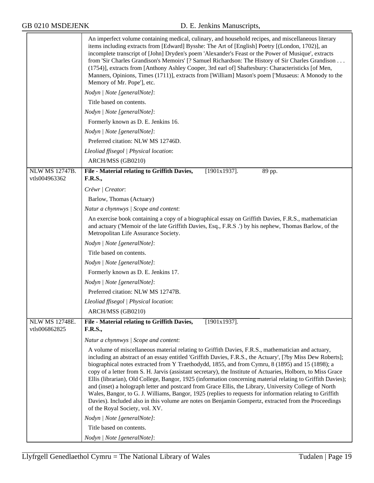|                                 | An imperfect volume containing medical, culinary, and household recipes, and miscellaneous literary<br>items including extracts from [Edward] Bysshe: The Art of [English] Poetry [(London, 1702)], an<br>incomplete transcript of [John] Dryden's poem 'Alexander's Feast or the Power of Musique', extracts<br>from 'Sir Charles Grandison's Memoirs' [? Samuel Richardson: The History of Sir Charles Grandison<br>(1754)], extracts from [Anthony Ashley Cooper, 3rd earl of] Shaftesbury: Characteristicks [of Men,<br>Manners, Opinions, Times (1711)], extracts from [William] Mason's poem ['Musaeus: A Monody to the<br>Memory of Mr. Pope'], etc.<br>Nodyn   Note [generalNote]:<br>Title based on contents.<br>Nodyn   Note [generalNote]:<br>Formerly known as D. E. Jenkins 16.<br>Nodyn   Note [generalNote]:<br>Preferred citation: NLW MS 12746D.                                                   |
|---------------------------------|---------------------------------------------------------------------------------------------------------------------------------------------------------------------------------------------------------------------------------------------------------------------------------------------------------------------------------------------------------------------------------------------------------------------------------------------------------------------------------------------------------------------------------------------------------------------------------------------------------------------------------------------------------------------------------------------------------------------------------------------------------------------------------------------------------------------------------------------------------------------------------------------------------------------|
|                                 | Lleoliad ffisegol   Physical location:                                                                                                                                                                                                                                                                                                                                                                                                                                                                                                                                                                                                                                                                                                                                                                                                                                                                              |
| NLW MS 12747B.<br>vtls004963362 | ARCH/MSS (GB0210)<br>$[1901x1937]$ .<br>File - Material relating to Griffith Davies,<br>89 pp.<br><b>F.R.S.,</b>                                                                                                                                                                                                                                                                                                                                                                                                                                                                                                                                                                                                                                                                                                                                                                                                    |
|                                 | Crëwr   Creator:                                                                                                                                                                                                                                                                                                                                                                                                                                                                                                                                                                                                                                                                                                                                                                                                                                                                                                    |
|                                 | Barlow, Thomas (Actuary)                                                                                                                                                                                                                                                                                                                                                                                                                                                                                                                                                                                                                                                                                                                                                                                                                                                                                            |
|                                 | Natur a chynnwys / Scope and content:                                                                                                                                                                                                                                                                                                                                                                                                                                                                                                                                                                                                                                                                                                                                                                                                                                                                               |
|                                 | An exercise book containing a copy of a biographical essay on Griffith Davies, F.R.S., mathematician<br>and actuary ('Memoir of the late Griffith Davies, Esq., F.R.S.') by his nephew, Thomas Barlow, of the<br>Metropolitan Life Assurance Society.                                                                                                                                                                                                                                                                                                                                                                                                                                                                                                                                                                                                                                                               |
|                                 | Nodyn   Note [generalNote]:                                                                                                                                                                                                                                                                                                                                                                                                                                                                                                                                                                                                                                                                                                                                                                                                                                                                                         |
|                                 | Title based on contents.                                                                                                                                                                                                                                                                                                                                                                                                                                                                                                                                                                                                                                                                                                                                                                                                                                                                                            |
|                                 | Nodyn   Note [generalNote]:                                                                                                                                                                                                                                                                                                                                                                                                                                                                                                                                                                                                                                                                                                                                                                                                                                                                                         |
|                                 | Formerly known as D. E. Jenkins 17.                                                                                                                                                                                                                                                                                                                                                                                                                                                                                                                                                                                                                                                                                                                                                                                                                                                                                 |
|                                 | Nodyn   Note [generalNote]:                                                                                                                                                                                                                                                                                                                                                                                                                                                                                                                                                                                                                                                                                                                                                                                                                                                                                         |
|                                 | Preferred citation: NLW MS 12747B.                                                                                                                                                                                                                                                                                                                                                                                                                                                                                                                                                                                                                                                                                                                                                                                                                                                                                  |
|                                 | Lleoliad ffisegol   Physical location:                                                                                                                                                                                                                                                                                                                                                                                                                                                                                                                                                                                                                                                                                                                                                                                                                                                                              |
|                                 | ARCH/MSS (GB0210)                                                                                                                                                                                                                                                                                                                                                                                                                                                                                                                                                                                                                                                                                                                                                                                                                                                                                                   |
| NLW MS 12748E.<br>vtls006862825 | File - Material relating to Griffith Davies,<br>$[1901x1937]$ .<br><b>F.R.S.,</b>                                                                                                                                                                                                                                                                                                                                                                                                                                                                                                                                                                                                                                                                                                                                                                                                                                   |
|                                 | Natur a chynnwys / Scope and content:                                                                                                                                                                                                                                                                                                                                                                                                                                                                                                                                                                                                                                                                                                                                                                                                                                                                               |
|                                 | A volume of miscellaneous material relating to Griffith Davies, F.R.S., mathematician and actuary,<br>including an abstract of an essay entitled 'Griffith Davies, F.R.S., the Actuary', [?by Miss Dew Roberts];<br>biographical notes extracted from Y Traethodydd, 1855, and from Cymru, 8 (1895) and 15 (1898); a<br>copy of a letter from S. H. Jarvis (assistant secretary), the Institute of Actuaries, Holborn, to Miss Grace<br>Ellis (librarian), Old College, Bangor, 1925 (information concerning material relating to Griffith Davies);<br>and (inset) a holograph letter and postcard from Grace Ellis, the Library, University College of North<br>Wales, Bangor, to G. J. Williams, Bangor, 1925 (replies to requests for information relating to Griffith<br>Davies). Included also in this volume are notes on Benjamin Gompertz, extracted from the Proceedings<br>of the Royal Society, vol. XV. |
|                                 | Nodyn   Note [generalNote]:                                                                                                                                                                                                                                                                                                                                                                                                                                                                                                                                                                                                                                                                                                                                                                                                                                                                                         |
|                                 | Title based on contents.                                                                                                                                                                                                                                                                                                                                                                                                                                                                                                                                                                                                                                                                                                                                                                                                                                                                                            |
|                                 | Nodyn   Note [generalNote]:                                                                                                                                                                                                                                                                                                                                                                                                                                                                                                                                                                                                                                                                                                                                                                                                                                                                                         |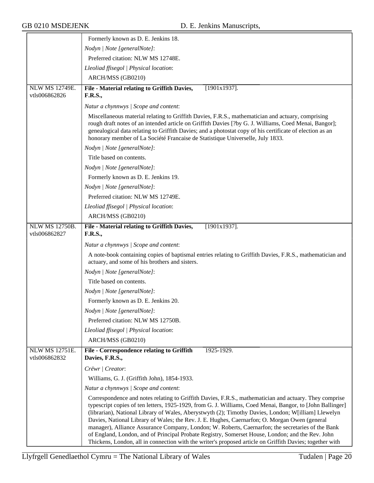|                                        | Formerly known as D. E. Jenkins 18.                                                                                                                                                                                                                                                                                                                                                                                                                                                                                                                                                                                                                                                                                                              |
|----------------------------------------|--------------------------------------------------------------------------------------------------------------------------------------------------------------------------------------------------------------------------------------------------------------------------------------------------------------------------------------------------------------------------------------------------------------------------------------------------------------------------------------------------------------------------------------------------------------------------------------------------------------------------------------------------------------------------------------------------------------------------------------------------|
|                                        | Nodyn   Note [generalNote]:                                                                                                                                                                                                                                                                                                                                                                                                                                                                                                                                                                                                                                                                                                                      |
|                                        | Preferred citation: NLW MS 12748E.                                                                                                                                                                                                                                                                                                                                                                                                                                                                                                                                                                                                                                                                                                               |
|                                        | Lleoliad ffisegol   Physical location:                                                                                                                                                                                                                                                                                                                                                                                                                                                                                                                                                                                                                                                                                                           |
|                                        | ARCH/MSS (GB0210)                                                                                                                                                                                                                                                                                                                                                                                                                                                                                                                                                                                                                                                                                                                                |
| <b>NLW MS 12749E.</b>                  | $[1901x1937]$ .<br>File - Material relating to Griffith Davies,                                                                                                                                                                                                                                                                                                                                                                                                                                                                                                                                                                                                                                                                                  |
| vtls006862826                          | <b>F.R.S.,</b>                                                                                                                                                                                                                                                                                                                                                                                                                                                                                                                                                                                                                                                                                                                                   |
|                                        | Natur a chynnwys / Scope and content:                                                                                                                                                                                                                                                                                                                                                                                                                                                                                                                                                                                                                                                                                                            |
|                                        | Miscellaneous material relating to Griffith Davies, F.R.S., mathematician and actuary, comprising<br>rough draft notes of an intended article on Griffith Davies [?by G. J. Williams, Coed Menai, Bangor];<br>genealogical data relating to Griffith Davies; and a photostat copy of his certificate of election as an<br>honorary member of La Société Francaise de Statistique Universelle, July 1833.                                                                                                                                                                                                                                                                                                                                         |
|                                        | Nodyn   Note [generalNote]:                                                                                                                                                                                                                                                                                                                                                                                                                                                                                                                                                                                                                                                                                                                      |
|                                        | Title based on contents.                                                                                                                                                                                                                                                                                                                                                                                                                                                                                                                                                                                                                                                                                                                         |
|                                        | Nodyn   Note [generalNote]:                                                                                                                                                                                                                                                                                                                                                                                                                                                                                                                                                                                                                                                                                                                      |
|                                        | Formerly known as D. E. Jenkins 19.                                                                                                                                                                                                                                                                                                                                                                                                                                                                                                                                                                                                                                                                                                              |
|                                        | Nodyn   Note [generalNote]:                                                                                                                                                                                                                                                                                                                                                                                                                                                                                                                                                                                                                                                                                                                      |
|                                        | Preferred citation: NLW MS 12749E.                                                                                                                                                                                                                                                                                                                                                                                                                                                                                                                                                                                                                                                                                                               |
|                                        | Lleoliad ffisegol   Physical location:                                                                                                                                                                                                                                                                                                                                                                                                                                                                                                                                                                                                                                                                                                           |
|                                        | ARCH/MSS (GB0210)                                                                                                                                                                                                                                                                                                                                                                                                                                                                                                                                                                                                                                                                                                                                |
| <b>NLW MS 12750B.</b>                  | $[1901x1937]$ .<br>File - Material relating to Griffith Davies,                                                                                                                                                                                                                                                                                                                                                                                                                                                                                                                                                                                                                                                                                  |
| vtls006862827                          | <b>F.R.S.,</b>                                                                                                                                                                                                                                                                                                                                                                                                                                                                                                                                                                                                                                                                                                                                   |
|                                        | Natur a chynnwys / Scope and content:                                                                                                                                                                                                                                                                                                                                                                                                                                                                                                                                                                                                                                                                                                            |
|                                        | A note-book containing copies of baptismal entries relating to Griffith Davies, F.R.S., mathematician and<br>actuary, and some of his brothers and sisters.                                                                                                                                                                                                                                                                                                                                                                                                                                                                                                                                                                                      |
|                                        | Nodyn   Note [generalNote]:                                                                                                                                                                                                                                                                                                                                                                                                                                                                                                                                                                                                                                                                                                                      |
|                                        | Title based on contents.                                                                                                                                                                                                                                                                                                                                                                                                                                                                                                                                                                                                                                                                                                                         |
|                                        | Nodyn   Note [generalNote]:                                                                                                                                                                                                                                                                                                                                                                                                                                                                                                                                                                                                                                                                                                                      |
|                                        | Formerly known as D. E. Jenkins 20.                                                                                                                                                                                                                                                                                                                                                                                                                                                                                                                                                                                                                                                                                                              |
|                                        | Nodyn   Note [generalNote]:                                                                                                                                                                                                                                                                                                                                                                                                                                                                                                                                                                                                                                                                                                                      |
|                                        | Preferred citation: NLW MS 12750B.                                                                                                                                                                                                                                                                                                                                                                                                                                                                                                                                                                                                                                                                                                               |
|                                        | Lleoliad ffisegol   Physical location:                                                                                                                                                                                                                                                                                                                                                                                                                                                                                                                                                                                                                                                                                                           |
|                                        | ARCH/MSS (GB0210)                                                                                                                                                                                                                                                                                                                                                                                                                                                                                                                                                                                                                                                                                                                                |
| <b>NLW MS 12751E.</b><br>vtls006862832 | <b>File - Correspondence relating to Griffith</b><br>1925-1929.<br>Davies, F.R.S.,                                                                                                                                                                                                                                                                                                                                                                                                                                                                                                                                                                                                                                                               |
|                                        | Crëwr   Creator:                                                                                                                                                                                                                                                                                                                                                                                                                                                                                                                                                                                                                                                                                                                                 |
|                                        | Williams, G. J. (Griffith John), 1854-1933.                                                                                                                                                                                                                                                                                                                                                                                                                                                                                                                                                                                                                                                                                                      |
|                                        | Natur a chynnwys / Scope and content:                                                                                                                                                                                                                                                                                                                                                                                                                                                                                                                                                                                                                                                                                                            |
|                                        | Correspondence and notes relating to Griffith Davies, F.R.S., mathematician and actuary. They comprise<br>typescript copies of ten letters, 1925-1929, from G. J. Williams, Coed Menai, Bangor, to [John Ballinger]<br>(librarian), National Library of Wales, Aberystwyth (2); Timothy Davies, London; W[illiam] Llewelyn<br>Davies, National Library of Wales; the Rev. J. E. Hughes, Caernarfon; O. Morgan Owen (general<br>manager), Alliance Assurance Company, London; W. Roberts, Caernarfon; the secretaries of the Bank<br>of England, London, and of Principal Probate Registry, Somerset House, London; and the Rev. John<br>Thickens, London, all in connection with the writer's proposed article on Griffith Davies; together with |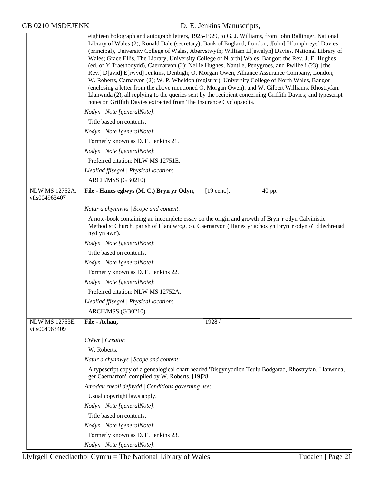|                                        | eighteen holograph and autograph letters, 1925-1929, to G. J. Williams, from John Ballinger, National<br>Library of Wales (2); Ronald Dale (secretary), Bank of England, London; J[ohn] H[umphreys] Davies<br>(principal), University College of Wales, Aberystwyth; William Ll[ewelyn] Davies, National Library of<br>Wales; Grace Ellis, The Library, University College of N[orth] Wales, Bangor; the Rev. J. E. Hughes<br>(ed. of Y Traethodydd), Caernarvon (2); Nellie Hughes, Nantlle, Penygroes, and Pwllheli (?3); [the<br>Rev.] D[avid] E[rwyd] Jenkins, Denbigh; O. Morgan Owen, Alliance Assurance Company, London;<br>W. Roberts, Carnarvon (2); W. P. Wheldon (registrar), University College of North Wales, Bangor<br>(enclosing a letter from the above mentioned O. Morgan Owen); and W. Gilbert Williams, Rhostryfan,<br>Llanwnda (2), all replying to the queries sent by the recipient concerning Griffith Davies; and typescript<br>notes on Griffith Davies extracted from The Insurance Cyclopaedia.<br>Nodyn   Note [generalNote]:<br>Title based on contents. |
|----------------------------------------|-----------------------------------------------------------------------------------------------------------------------------------------------------------------------------------------------------------------------------------------------------------------------------------------------------------------------------------------------------------------------------------------------------------------------------------------------------------------------------------------------------------------------------------------------------------------------------------------------------------------------------------------------------------------------------------------------------------------------------------------------------------------------------------------------------------------------------------------------------------------------------------------------------------------------------------------------------------------------------------------------------------------------------------------------------------------------------------------|
|                                        |                                                                                                                                                                                                                                                                                                                                                                                                                                                                                                                                                                                                                                                                                                                                                                                                                                                                                                                                                                                                                                                                                         |
|                                        | Nodyn   Note [generalNote]:                                                                                                                                                                                                                                                                                                                                                                                                                                                                                                                                                                                                                                                                                                                                                                                                                                                                                                                                                                                                                                                             |
|                                        | Formerly known as D. E. Jenkins 21.                                                                                                                                                                                                                                                                                                                                                                                                                                                                                                                                                                                                                                                                                                                                                                                                                                                                                                                                                                                                                                                     |
|                                        | Nodyn   Note [generalNote]:                                                                                                                                                                                                                                                                                                                                                                                                                                                                                                                                                                                                                                                                                                                                                                                                                                                                                                                                                                                                                                                             |
|                                        | Preferred citation: NLW MS 12751E.                                                                                                                                                                                                                                                                                                                                                                                                                                                                                                                                                                                                                                                                                                                                                                                                                                                                                                                                                                                                                                                      |
|                                        | Lleoliad ffisegol   Physical location:                                                                                                                                                                                                                                                                                                                                                                                                                                                                                                                                                                                                                                                                                                                                                                                                                                                                                                                                                                                                                                                  |
|                                        | ARCH/MSS (GB0210)                                                                                                                                                                                                                                                                                                                                                                                                                                                                                                                                                                                                                                                                                                                                                                                                                                                                                                                                                                                                                                                                       |
| <b>NLW MS 12752A.</b><br>vtls004963407 | File - Hanes eglwys (M. C.) Bryn yr Odyn,<br>$[19 \text{ cent.}]$ .<br>40 pp.                                                                                                                                                                                                                                                                                                                                                                                                                                                                                                                                                                                                                                                                                                                                                                                                                                                                                                                                                                                                           |
|                                        | Natur a chynnwys / Scope and content:                                                                                                                                                                                                                                                                                                                                                                                                                                                                                                                                                                                                                                                                                                                                                                                                                                                                                                                                                                                                                                                   |
|                                        | A note-book containing an incomplete essay on the origin and growth of Bryn 'r odyn Calvinistic<br>Methodist Church, parish of Llandwrog, co. Caernarvon ('Hanes yr achos yn Bryn 'r odyn o'i ddechreuad<br>hyd yn awr').                                                                                                                                                                                                                                                                                                                                                                                                                                                                                                                                                                                                                                                                                                                                                                                                                                                               |
|                                        | Nodyn   Note [generalNote]:                                                                                                                                                                                                                                                                                                                                                                                                                                                                                                                                                                                                                                                                                                                                                                                                                                                                                                                                                                                                                                                             |
|                                        | Title based on contents.                                                                                                                                                                                                                                                                                                                                                                                                                                                                                                                                                                                                                                                                                                                                                                                                                                                                                                                                                                                                                                                                |
|                                        | Nodyn   Note [generalNote]:                                                                                                                                                                                                                                                                                                                                                                                                                                                                                                                                                                                                                                                                                                                                                                                                                                                                                                                                                                                                                                                             |
|                                        | Formerly known as D. E. Jenkins 22.                                                                                                                                                                                                                                                                                                                                                                                                                                                                                                                                                                                                                                                                                                                                                                                                                                                                                                                                                                                                                                                     |
|                                        | Nodyn   Note [generalNote]:                                                                                                                                                                                                                                                                                                                                                                                                                                                                                                                                                                                                                                                                                                                                                                                                                                                                                                                                                                                                                                                             |
|                                        | Preferred citation: NLW MS 12752A.                                                                                                                                                                                                                                                                                                                                                                                                                                                                                                                                                                                                                                                                                                                                                                                                                                                                                                                                                                                                                                                      |
|                                        | Lleoliad ffisegol   Physical location:                                                                                                                                                                                                                                                                                                                                                                                                                                                                                                                                                                                                                                                                                                                                                                                                                                                                                                                                                                                                                                                  |
|                                        | ARCH/MSS (GB0210)                                                                                                                                                                                                                                                                                                                                                                                                                                                                                                                                                                                                                                                                                                                                                                                                                                                                                                                                                                                                                                                                       |
| <b>NLW MS 12753E.</b><br>vtls004963409 | File - Achau,<br>1928 /                                                                                                                                                                                                                                                                                                                                                                                                                                                                                                                                                                                                                                                                                                                                                                                                                                                                                                                                                                                                                                                                 |
|                                        | Crëwr   Creator:                                                                                                                                                                                                                                                                                                                                                                                                                                                                                                                                                                                                                                                                                                                                                                                                                                                                                                                                                                                                                                                                        |
|                                        | W. Roberts.                                                                                                                                                                                                                                                                                                                                                                                                                                                                                                                                                                                                                                                                                                                                                                                                                                                                                                                                                                                                                                                                             |
|                                        | Natur a chynnwys / Scope and content:                                                                                                                                                                                                                                                                                                                                                                                                                                                                                                                                                                                                                                                                                                                                                                                                                                                                                                                                                                                                                                                   |
|                                        | A typescript copy of a genealogical chart headed 'Disgynyddion Teulu Bodgarad, Rhostryfan, Llanwnda,<br>ger Caernarfon', compiled by W. Roberts, [19]28.                                                                                                                                                                                                                                                                                                                                                                                                                                                                                                                                                                                                                                                                                                                                                                                                                                                                                                                                |
|                                        | Amodau rheoli defnydd   Conditions governing use:                                                                                                                                                                                                                                                                                                                                                                                                                                                                                                                                                                                                                                                                                                                                                                                                                                                                                                                                                                                                                                       |
|                                        | Usual copyright laws apply.                                                                                                                                                                                                                                                                                                                                                                                                                                                                                                                                                                                                                                                                                                                                                                                                                                                                                                                                                                                                                                                             |
|                                        | Nodyn   Note [generalNote]:                                                                                                                                                                                                                                                                                                                                                                                                                                                                                                                                                                                                                                                                                                                                                                                                                                                                                                                                                                                                                                                             |
|                                        | Title based on contents.                                                                                                                                                                                                                                                                                                                                                                                                                                                                                                                                                                                                                                                                                                                                                                                                                                                                                                                                                                                                                                                                |
|                                        | Nodyn   Note [generalNote]:                                                                                                                                                                                                                                                                                                                                                                                                                                                                                                                                                                                                                                                                                                                                                                                                                                                                                                                                                                                                                                                             |
|                                        | Formerly known as D. E. Jenkins 23.                                                                                                                                                                                                                                                                                                                                                                                                                                                                                                                                                                                                                                                                                                                                                                                                                                                                                                                                                                                                                                                     |
|                                        | Nodyn   Note [generalNote]:                                                                                                                                                                                                                                                                                                                                                                                                                                                                                                                                                                                                                                                                                                                                                                                                                                                                                                                                                                                                                                                             |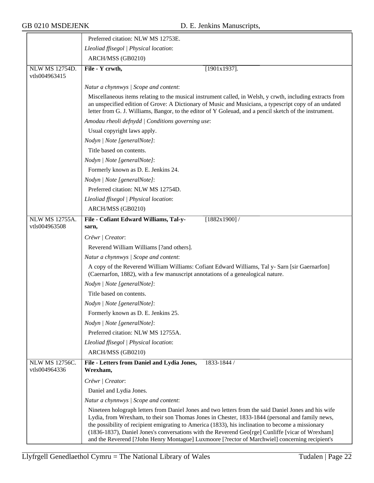|                                        | Preferred citation: NLW MS 12753E.                                                                                                                                                                                                                                                                                                                                                                                                                                                                                 |
|----------------------------------------|--------------------------------------------------------------------------------------------------------------------------------------------------------------------------------------------------------------------------------------------------------------------------------------------------------------------------------------------------------------------------------------------------------------------------------------------------------------------------------------------------------------------|
|                                        | Lleoliad ffisegol   Physical location:                                                                                                                                                                                                                                                                                                                                                                                                                                                                             |
|                                        | ARCH/MSS (GB0210)                                                                                                                                                                                                                                                                                                                                                                                                                                                                                                  |
| <b>NLW MS 12754D.</b><br>vtls004963415 | File - Y crwth,<br>$[1901x1937]$ .                                                                                                                                                                                                                                                                                                                                                                                                                                                                                 |
|                                        | Natur a chynnwys   Scope and content:                                                                                                                                                                                                                                                                                                                                                                                                                                                                              |
|                                        | Miscellaneous items relating to the musical instrument called, in Welsh, y crwth, including extracts from<br>an unspecified edition of Grove: A Dictionary of Music and Musicians, a typescript copy of an undated<br>letter from G. J. Williams, Bangor, to the editor of Y Goleuad, and a pencil sketch of the instrument.                                                                                                                                                                                       |
|                                        | Amodau rheoli defnydd   Conditions governing use:                                                                                                                                                                                                                                                                                                                                                                                                                                                                  |
|                                        | Usual copyright laws apply.                                                                                                                                                                                                                                                                                                                                                                                                                                                                                        |
|                                        | Nodyn   Note [generalNote]:                                                                                                                                                                                                                                                                                                                                                                                                                                                                                        |
|                                        | Title based on contents.                                                                                                                                                                                                                                                                                                                                                                                                                                                                                           |
|                                        | Nodyn   Note [generalNote]:                                                                                                                                                                                                                                                                                                                                                                                                                                                                                        |
|                                        | Formerly known as D. E. Jenkins 24.                                                                                                                                                                                                                                                                                                                                                                                                                                                                                |
|                                        | Nodyn   Note [generalNote]:                                                                                                                                                                                                                                                                                                                                                                                                                                                                                        |
|                                        | Preferred citation: NLW MS 12754D.                                                                                                                                                                                                                                                                                                                                                                                                                                                                                 |
|                                        | Lleoliad ffisegol   Physical location:                                                                                                                                                                                                                                                                                                                                                                                                                                                                             |
|                                        | ARCH/MSS (GB0210)                                                                                                                                                                                                                                                                                                                                                                                                                                                                                                  |
| <b>NLW MS 12755A.</b>                  | File - Cofiant Edward Williams, Tal-y-<br>$[1882x1900]$ /                                                                                                                                                                                                                                                                                                                                                                                                                                                          |
| vtls004963508                          | sarn,                                                                                                                                                                                                                                                                                                                                                                                                                                                                                                              |
|                                        | Crëwr   Creator:                                                                                                                                                                                                                                                                                                                                                                                                                                                                                                   |
|                                        | Reverend William Williams [?and others].                                                                                                                                                                                                                                                                                                                                                                                                                                                                           |
|                                        | Natur a chynnwys / Scope and content:                                                                                                                                                                                                                                                                                                                                                                                                                                                                              |
|                                        | A copy of the Reverend William Williams: Cofiant Edward Williams, Tal y- Sarn [sir Gaernarfon]<br>(Caernarfon, 1882), with a few manuscript annotations of a genealogical nature.                                                                                                                                                                                                                                                                                                                                  |
|                                        | Nodyn   Note [generalNote]:                                                                                                                                                                                                                                                                                                                                                                                                                                                                                        |
|                                        | Title based on contents.                                                                                                                                                                                                                                                                                                                                                                                                                                                                                           |
|                                        | Nodyn   Note [generalNote]:                                                                                                                                                                                                                                                                                                                                                                                                                                                                                        |
|                                        | Formerly known as D. E. Jenkins 25.                                                                                                                                                                                                                                                                                                                                                                                                                                                                                |
|                                        | Nodyn   Note [generalNote]:                                                                                                                                                                                                                                                                                                                                                                                                                                                                                        |
|                                        | Preferred citation: NLW MS 12755A.                                                                                                                                                                                                                                                                                                                                                                                                                                                                                 |
|                                        | Lleoliad ffisegol   Physical location:                                                                                                                                                                                                                                                                                                                                                                                                                                                                             |
|                                        | ARCH/MSS (GB0210)                                                                                                                                                                                                                                                                                                                                                                                                                                                                                                  |
| <b>NLW MS 12756C.</b><br>vtls004964336 | File - Letters from Daniel and Lydia Jones,<br>1833-1844 /<br>Wrexham,                                                                                                                                                                                                                                                                                                                                                                                                                                             |
|                                        | Crëwr   Creator:                                                                                                                                                                                                                                                                                                                                                                                                                                                                                                   |
|                                        | Daniel and Lydia Jones.                                                                                                                                                                                                                                                                                                                                                                                                                                                                                            |
|                                        | Natur a chynnwys / Scope and content:                                                                                                                                                                                                                                                                                                                                                                                                                                                                              |
|                                        | Nineteen holograph letters from Daniel Jones and two letters from the said Daniel Jones and his wife<br>Lydia, from Wrexham, to their son Thomas Jones in Chester, 1833-1844 (personal and family news,<br>the possibility of recipient emigrating to America (1833), his inclination to become a missionary<br>(1836-1837), Daniel Jones's conversations with the Reverend Geo[rge] Cunliffe [vicar of Wrexham]<br>and the Reverend [?John Henry Montague] Luxmoore [?rector of Marchwiel] concerning recipient's |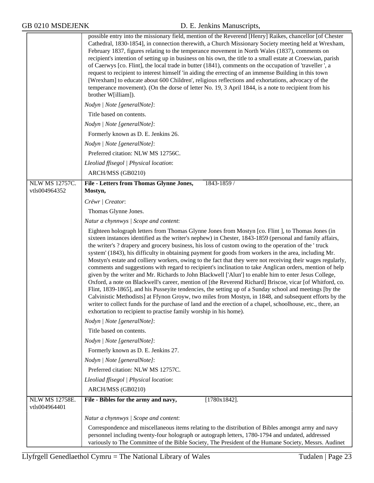|                                 | possible entry into the missionary field, mention of the Reverend [Henry] Raikes, chancellor [of Chester<br>Cathedral, 1830-1854], in connection therewith, a Church Missionary Society meeting held at Wrexham,<br>February 1837, figures relating to the temperance movement in North Wales (1837), comments on<br>recipient's intention of setting up in business on his own, the title to a small estate at Croeswian, parish<br>of Caerwys [co. Flint], the local trade in butter (1841), comments on the occupation of 'traveller', a<br>request to recipient to interest himself 'in aiding the errecting of an immense Building in this town<br>[Wrexham] to educate about 600 Children', religious reflections and exhortations, advocacy of the<br>temperance movement). (On the dorse of letter No. 19, 3 April 1844, is a note to recipient from his<br>brother W[illiam]).<br>Nodyn   Note [generalNote]:<br>Title based on contents.<br>Nodyn   Note [generalNote]:<br>Formerly known as D. E. Jenkins 26.<br>Nodyn   Note [generalNote]:<br>Preferred citation: NLW MS 12756C.<br>Lleoliad ffisegol   Physical location:                                                                                                                                                |
|---------------------------------|----------------------------------------------------------------------------------------------------------------------------------------------------------------------------------------------------------------------------------------------------------------------------------------------------------------------------------------------------------------------------------------------------------------------------------------------------------------------------------------------------------------------------------------------------------------------------------------------------------------------------------------------------------------------------------------------------------------------------------------------------------------------------------------------------------------------------------------------------------------------------------------------------------------------------------------------------------------------------------------------------------------------------------------------------------------------------------------------------------------------------------------------------------------------------------------------------------------------------------------------------------------------------------------|
|                                 | ARCH/MSS (GB0210)                                                                                                                                                                                                                                                                                                                                                                                                                                                                                                                                                                                                                                                                                                                                                                                                                                                                                                                                                                                                                                                                                                                                                                                                                                                                      |
| <b>NLW MS 12757C.</b>           | File - Letters from Thomas Glynne Jones,<br>1843-1859 /                                                                                                                                                                                                                                                                                                                                                                                                                                                                                                                                                                                                                                                                                                                                                                                                                                                                                                                                                                                                                                                                                                                                                                                                                                |
| vtls004964352                   | Mostyn,                                                                                                                                                                                                                                                                                                                                                                                                                                                                                                                                                                                                                                                                                                                                                                                                                                                                                                                                                                                                                                                                                                                                                                                                                                                                                |
|                                 | Crëwr / Creator:                                                                                                                                                                                                                                                                                                                                                                                                                                                                                                                                                                                                                                                                                                                                                                                                                                                                                                                                                                                                                                                                                                                                                                                                                                                                       |
|                                 | Thomas Glynne Jones.                                                                                                                                                                                                                                                                                                                                                                                                                                                                                                                                                                                                                                                                                                                                                                                                                                                                                                                                                                                                                                                                                                                                                                                                                                                                   |
|                                 | Natur a chynnwys / Scope and content:                                                                                                                                                                                                                                                                                                                                                                                                                                                                                                                                                                                                                                                                                                                                                                                                                                                                                                                                                                                                                                                                                                                                                                                                                                                  |
|                                 | Eighteen holograph letters from Thomas Glynne Jones from Mostyn [co. Flint], to Thomas Jones (in<br>sixteen instances identified as the writer's nephew) in Chester, 1843-1859 (personal and family affairs,<br>the writer's ? drapery and grocery business, his loss of custom owing to the operation of the 'truck<br>system' (1843), his difficulty in obtaining payment for goods from workers in the area, including Mr.<br>Mostyn's estate and colliery workers, owing to the fact that they were not receiving their wages regularly,<br>comments and suggestions with regard to recipient's inclination to take Anglican orders, mention of help<br>given by the writer and Mr. Richards to John Blackwell ['Alun'] to enable him to enter Jesus College,<br>Oxford, a note on Blackwell's career, mention of [the Reverend Richard] Briscoe, vicar [of Whitford, co.<br>Flint, 1839-1865], and his Pusseyite tendencies, the setting up of a Sunday school and meetings [by the<br>Calvinistic Methodists] at Ffynon Groyw, two miles from Mostyn, in 1848, and subsequent efforts by the<br>writer to collect funds for the purchase of land and the erection of a chapel, schoolhouse, etc., there, an<br>exhortation to recipient to practise family worship in his home). |
|                                 | Nodyn   Note [generalNote]:                                                                                                                                                                                                                                                                                                                                                                                                                                                                                                                                                                                                                                                                                                                                                                                                                                                                                                                                                                                                                                                                                                                                                                                                                                                            |
|                                 | Title based on contents.                                                                                                                                                                                                                                                                                                                                                                                                                                                                                                                                                                                                                                                                                                                                                                                                                                                                                                                                                                                                                                                                                                                                                                                                                                                               |
|                                 | Nodyn   Note [generalNote]:                                                                                                                                                                                                                                                                                                                                                                                                                                                                                                                                                                                                                                                                                                                                                                                                                                                                                                                                                                                                                                                                                                                                                                                                                                                            |
|                                 | Formerly known as D. E. Jenkins 27.                                                                                                                                                                                                                                                                                                                                                                                                                                                                                                                                                                                                                                                                                                                                                                                                                                                                                                                                                                                                                                                                                                                                                                                                                                                    |
|                                 | Nodyn   Note [generalNote]:                                                                                                                                                                                                                                                                                                                                                                                                                                                                                                                                                                                                                                                                                                                                                                                                                                                                                                                                                                                                                                                                                                                                                                                                                                                            |
|                                 | Preferred citation: NLW MS 12757C.                                                                                                                                                                                                                                                                                                                                                                                                                                                                                                                                                                                                                                                                                                                                                                                                                                                                                                                                                                                                                                                                                                                                                                                                                                                     |
|                                 | Lleoliad ffisegol   Physical location:                                                                                                                                                                                                                                                                                                                                                                                                                                                                                                                                                                                                                                                                                                                                                                                                                                                                                                                                                                                                                                                                                                                                                                                                                                                 |
|                                 | ARCH/MSS (GB0210)                                                                                                                                                                                                                                                                                                                                                                                                                                                                                                                                                                                                                                                                                                                                                                                                                                                                                                                                                                                                                                                                                                                                                                                                                                                                      |
| NLW MS 12758E.<br>vtls004964401 | $[1780x1842]$ .<br>File - Bibles for the army and navy,                                                                                                                                                                                                                                                                                                                                                                                                                                                                                                                                                                                                                                                                                                                                                                                                                                                                                                                                                                                                                                                                                                                                                                                                                                |
|                                 | Natur a chynnwys / Scope and content:                                                                                                                                                                                                                                                                                                                                                                                                                                                                                                                                                                                                                                                                                                                                                                                                                                                                                                                                                                                                                                                                                                                                                                                                                                                  |
|                                 | Correspondence and miscellaneous items relating to the distribution of Bibles amongst army and navy<br>personnel including twenty-four holograph or autograph letters, 1780-1794 and undated, addressed<br>variously to The Committee of the Bible Society, The President of the Humane Society, Messrs. Audinet                                                                                                                                                                                                                                                                                                                                                                                                                                                                                                                                                                                                                                                                                                                                                                                                                                                                                                                                                                       |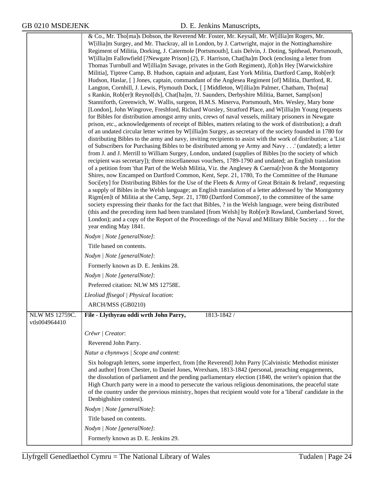|                | & Co., Mr. Tho[ma]s Dobson, the Reverend Mr. Foster, Mr. Keysall, Mr. W[illia]m Rogers, Mr.                                                                                                                      |
|----------------|------------------------------------------------------------------------------------------------------------------------------------------------------------------------------------------------------------------|
|                | W[illia]m Surgey, and Mr. Thackray, all in London, by J. Cartwright, major in the Nottinghamshire                                                                                                                |
|                | Regiment of Militia, Dorking, J. Catermole [Portsmouth], Luis Delvin, J. Doting, Spithead, Portsmouth,                                                                                                           |
|                | W[illia]m Fallowfield [?Newgate Prison] (2), F. Harrison, Chat[ha]m Dock (enclosing a letter from                                                                                                                |
|                | Thomas Turnbull and W[illia]m Savage, privates in the Goth Regiment), J[oh]n Hey [Warwickshire                                                                                                                   |
|                | Militia], Tiptree Camp, B. Hudson, captain and adjutant, East York Militia, Dartford Camp, Rob[er]t                                                                                                              |
|                | Hudson, Haslar, [] Jones, captain, commandant of the Anglesea Regiment [of] Militia, Dartford, R.                                                                                                                |
|                | Langton, Cornhill, J. Lewis, Plymouth Dock, [] Middleton, W[illia]m Palmer, Chatham, Tho[ma]                                                                                                                     |
|                | s Rankin, Rob[er]t Reynol[ds], Chat[ha]m, ?J. Saunders, Derbyshire Militia, Barnet, Samp[son]                                                                                                                    |
|                | Stanniforth, Greenwich, W. Wallis, surgeon, H.M.S. Minerva, Portsmouth, Mrs. Wesley, Mary bone<br>[London], John Wingrove, Freshford, Richard Worsley, Stratford Place, and W[illia]m Young (requests            |
|                | for Bibles for distribution amongst army units, crews of naval vessels, military prisoners in Newgate                                                                                                            |
|                | prison, etc., acknowledgements of receipt of Bibles, matters relating to the work of distribution); a draft                                                                                                      |
|                | of an undated circular letter written by W[illia]m Surgey, as secretary of the society founded in 1780 for                                                                                                       |
|                | distributing Bibles to the army and navy, inviting recipients to assist with the work of distribution; a 'List                                                                                                   |
|                | of Subscribers for Purchasing Bibles to be distributed among ye Army and Navy' (undated); a letter                                                                                                               |
|                | from J. and J. Merrill to William Surgey, London, undated (supplies of Bibles [to the society of which<br>recipient was secretary]); three miscellaneous vouchers, 1789-1790 and undated; an English translation |
|                | of a petition from 'that Part of the Welsh Militia, Viz. the Anglesey & Caerna[r]von & the Montgomry                                                                                                             |
|                | Shires, now Encamped on Dartford Common, Kent, Sepr. 21, 1780, To the Committee of the Humane                                                                                                                    |
|                | Soci[ety] for Distributing Bibles for the Use of the Fleets & Army of Great Britain & Ireland', requesting                                                                                                       |
|                | a supply of Bibles in the Welsh language; an English translation of a letter addressed by 'the Montgomry                                                                                                         |
|                | Rigm[en]t of Militia at the Camp, Sepr. 21, 1780 (Dartford Common)', to the committee of the same                                                                                                                |
|                | society expressing their thanks for the fact that Bibles, ? in the Welsh language, were being distributed                                                                                                        |
|                | (this and the preceding item had been translated [from Welsh] by Rob[er]t Rowland, Cumberland Street,<br>London); and a copy of the Report of the Proceedings of the Naval and Military Bible Society for the    |
|                | year ending May 1841.                                                                                                                                                                                            |
|                | Nodyn   Note [generalNote]:                                                                                                                                                                                      |
|                | Title based on contents.                                                                                                                                                                                         |
|                | Nodyn   Note [generalNote]:                                                                                                                                                                                      |
|                | Formerly known as D. E. Jenkins 28.                                                                                                                                                                              |
|                | Nodyn   Note [generalNote]:                                                                                                                                                                                      |
|                | Preferred citation: NLW MS 12758E.                                                                                                                                                                               |
|                | Lleoliad ffisegol   Physical location:                                                                                                                                                                           |
|                | ARCH/MSS (GB0210)                                                                                                                                                                                                |
| NLW MS 12759C. | File - Llythyrau oddi wrth John Parry,<br>1813-1842 /                                                                                                                                                            |
| vtls004964410  |                                                                                                                                                                                                                  |
|                | Crëwr   Creator:                                                                                                                                                                                                 |
|                | Reverend John Parry.                                                                                                                                                                                             |
|                | Natur a chynnwys / Scope and content:                                                                                                                                                                            |
|                | Six holograph letters, some imperfect, from [the Reverend] John Parry [Calvinistic Methodist minister                                                                                                            |
|                | and author] from Chester, to Daniel Jones, Wrexham, 1813-1842 (personal, preaching engagements,                                                                                                                  |
|                | the dissolution of parliament and the pending parliamentary election (1840, the writer's opinion that the                                                                                                        |
|                | High Church party were in a mood to persecute the various religious denominations, the peaceful state                                                                                                            |
|                | of the country under the previous ministry, hopes that recipient would vote for a 'liberal' candidate in the<br>Denbighshire contest).                                                                           |
|                | Nodyn   Note [generalNote]:                                                                                                                                                                                      |
|                | Title based on contents.                                                                                                                                                                                         |
|                | Nodyn   Note [generalNote]:                                                                                                                                                                                      |
|                |                                                                                                                                                                                                                  |
|                | Formerly known as D. E. Jenkins 29.                                                                                                                                                                              |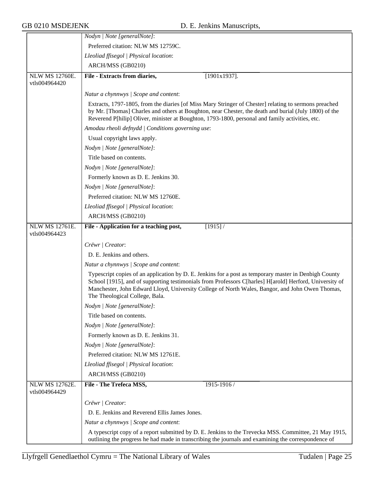|                                        | Nodyn   Note [generalNote]:                                                                                                                                                                                                                                                                                                                           |
|----------------------------------------|-------------------------------------------------------------------------------------------------------------------------------------------------------------------------------------------------------------------------------------------------------------------------------------------------------------------------------------------------------|
|                                        | Preferred citation: NLW MS 12759C.                                                                                                                                                                                                                                                                                                                    |
|                                        | Lleoliad ffisegol   Physical location:                                                                                                                                                                                                                                                                                                                |
|                                        | ARCH/MSS (GB0210)                                                                                                                                                                                                                                                                                                                                     |
| <b>NLW MS 12760E.</b><br>vtls004964420 | File - Extracts from diaries,<br>$[1901x1937]$ .                                                                                                                                                                                                                                                                                                      |
|                                        | Natur a chynnwys / Scope and content:                                                                                                                                                                                                                                                                                                                 |
|                                        | Extracts, 1797-1805, from the diaries [of Miss Mary Stringer of Chester] relating to sermons preached<br>by Mr. [Thomas] Charles and others at Boughton, near Chester, the death and burial (July 1800) of the<br>Reverend P[hilip] Oliver, minister at Boughton, 1793-1800, personal and family activities, etc.                                     |
|                                        | Amodau rheoli defnydd   Conditions governing use:                                                                                                                                                                                                                                                                                                     |
|                                        | Usual copyright laws apply.                                                                                                                                                                                                                                                                                                                           |
|                                        | Nodyn   Note [generalNote]:                                                                                                                                                                                                                                                                                                                           |
|                                        | Title based on contents.                                                                                                                                                                                                                                                                                                                              |
|                                        | Nodyn   Note [generalNote]:                                                                                                                                                                                                                                                                                                                           |
|                                        | Formerly known as D. E. Jenkins 30.                                                                                                                                                                                                                                                                                                                   |
|                                        | Nodyn   Note [generalNote]:                                                                                                                                                                                                                                                                                                                           |
|                                        | Preferred citation: NLW MS 12760E.                                                                                                                                                                                                                                                                                                                    |
|                                        | Lleoliad ffisegol   Physical location:                                                                                                                                                                                                                                                                                                                |
|                                        | ARCH/MSS (GB0210)                                                                                                                                                                                                                                                                                                                                     |
| <b>NLW MS 12761E.</b>                  | File - Application for a teaching post,<br>$[1915]$ /                                                                                                                                                                                                                                                                                                 |
| vtls004964423                          |                                                                                                                                                                                                                                                                                                                                                       |
|                                        | Crëwr   Creator:                                                                                                                                                                                                                                                                                                                                      |
|                                        | D. E. Jenkins and others.                                                                                                                                                                                                                                                                                                                             |
|                                        | Natur a chynnwys / Scope and content:                                                                                                                                                                                                                                                                                                                 |
|                                        | Typescript copies of an application by D. E. Jenkins for a post as temporary master in Denbigh County<br>School [1915], and of supporting testimonials from Professors C[harles] H[arold] Herford, University of<br>Manchester, John Edward Lloyd, University College of North Wales, Bangor, and John Owen Thomas,<br>The Theological College, Bala. |
|                                        | Nodyn   Note [generalNote]:                                                                                                                                                                                                                                                                                                                           |
|                                        | Title based on contents.                                                                                                                                                                                                                                                                                                                              |
|                                        | Nodyn   Note [generalNote]:                                                                                                                                                                                                                                                                                                                           |
|                                        | Formerly known as D. E. Jenkins 31.                                                                                                                                                                                                                                                                                                                   |
|                                        | Nodyn   Note [generalNote]:                                                                                                                                                                                                                                                                                                                           |
|                                        | Preferred citation: NLW MS 12761E.                                                                                                                                                                                                                                                                                                                    |
|                                        | Lleoliad ffisegol   Physical location:                                                                                                                                                                                                                                                                                                                |
|                                        | ARCH/MSS (GB0210)                                                                                                                                                                                                                                                                                                                                     |
| <b>NLW MS 12762E.</b><br>vtls004964429 | File - The Trefeca MSS,<br>1915-1916/                                                                                                                                                                                                                                                                                                                 |
|                                        | Crëwr / Creator:                                                                                                                                                                                                                                                                                                                                      |
|                                        | D. E. Jenkins and Reverend Ellis James Jones.                                                                                                                                                                                                                                                                                                         |
|                                        | Natur a chynnwys / Scope and content:                                                                                                                                                                                                                                                                                                                 |
|                                        | A typescript copy of a report submitted by D. E. Jenkins to the Trevecka MSS. Committee, 21 May 1915,<br>outlining the progress he had made in transcribing the journals and examining the correspondence of                                                                                                                                          |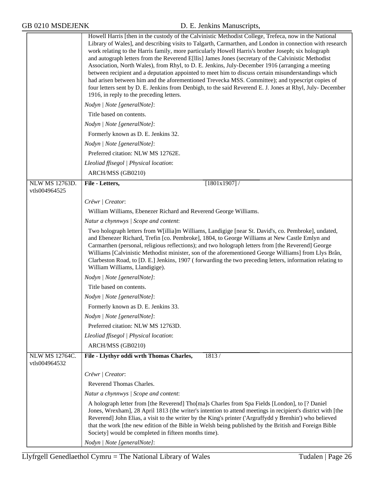|                                        | Howell Harris [then in the custody of the Calvinistic Methodist College, Trefeca, now in the National<br>Library of Wales], and describing visits to Talgarth, Carmarthen, and London in connection with research<br>work relating to the Harris family, more particularly Howell Harris's brother Joseph; six holograph<br>and autograph letters from the Reverend E[llis] James Jones (secretary of the Calvinistic Methodist<br>Association, North Wales), from Rhyl, to D. E. Jenkins, July-December 1916 (arranging a meeting<br>between recipient and a deputation appointed to meet him to discuss certain misunderstandings which<br>had arisen between him and the aforementioned Trevecka MSS. Committee); and typescript copies of<br>four letters sent by D. E. Jenkins from Denbigh, to the said Reverend E. J. Jones at Rhyl, July- December<br>1916, in reply to the preceding letters. |
|----------------------------------------|--------------------------------------------------------------------------------------------------------------------------------------------------------------------------------------------------------------------------------------------------------------------------------------------------------------------------------------------------------------------------------------------------------------------------------------------------------------------------------------------------------------------------------------------------------------------------------------------------------------------------------------------------------------------------------------------------------------------------------------------------------------------------------------------------------------------------------------------------------------------------------------------------------|
|                                        | Nodyn   Note [generalNote]:                                                                                                                                                                                                                                                                                                                                                                                                                                                                                                                                                                                                                                                                                                                                                                                                                                                                            |
|                                        | Title based on contents.                                                                                                                                                                                                                                                                                                                                                                                                                                                                                                                                                                                                                                                                                                                                                                                                                                                                               |
|                                        | Nodyn   Note [generalNote]:                                                                                                                                                                                                                                                                                                                                                                                                                                                                                                                                                                                                                                                                                                                                                                                                                                                                            |
|                                        | Formerly known as D. E. Jenkins 32.                                                                                                                                                                                                                                                                                                                                                                                                                                                                                                                                                                                                                                                                                                                                                                                                                                                                    |
|                                        | Nodyn   Note [generalNote]:                                                                                                                                                                                                                                                                                                                                                                                                                                                                                                                                                                                                                                                                                                                                                                                                                                                                            |
|                                        | Preferred citation: NLW MS 12762E.                                                                                                                                                                                                                                                                                                                                                                                                                                                                                                                                                                                                                                                                                                                                                                                                                                                                     |
|                                        | Lleoliad ffisegol   Physical location:                                                                                                                                                                                                                                                                                                                                                                                                                                                                                                                                                                                                                                                                                                                                                                                                                                                                 |
|                                        | ARCH/MSS (GB0210)                                                                                                                                                                                                                                                                                                                                                                                                                                                                                                                                                                                                                                                                                                                                                                                                                                                                                      |
| <b>NLW MS 12763D.</b>                  | File - Letters,<br>$[1801x1907]$ /                                                                                                                                                                                                                                                                                                                                                                                                                                                                                                                                                                                                                                                                                                                                                                                                                                                                     |
| vtls004964525                          |                                                                                                                                                                                                                                                                                                                                                                                                                                                                                                                                                                                                                                                                                                                                                                                                                                                                                                        |
|                                        | Crëwr   Creator:                                                                                                                                                                                                                                                                                                                                                                                                                                                                                                                                                                                                                                                                                                                                                                                                                                                                                       |
|                                        | William Williams, Ebenezer Richard and Reverend George Williams.                                                                                                                                                                                                                                                                                                                                                                                                                                                                                                                                                                                                                                                                                                                                                                                                                                       |
|                                        | Natur a chynnwys / Scope and content:                                                                                                                                                                                                                                                                                                                                                                                                                                                                                                                                                                                                                                                                                                                                                                                                                                                                  |
|                                        | Two holograph letters from W[illia]m Williams, Landigige [near St. David's, co. Pembroke], undated,<br>and Ebenezer Richard, Trefin [co. Pembroke], 1804, to George Williams at New Castle Emlyn and<br>Carmarthen (personal, religious reflections); and two holograph letters from [the Reverend] George<br>Williams [Calvinistic Methodist minister, son of the aforementioned George Williams] from Llys Brân,<br>Clarbeston Road, to [D. E.] Jenkins, 1907 (forwarding the two preceding letters, information relating to<br>William Williams, Llandigige).                                                                                                                                                                                                                                                                                                                                       |
|                                        | Nodyn   Note [generalNote]:                                                                                                                                                                                                                                                                                                                                                                                                                                                                                                                                                                                                                                                                                                                                                                                                                                                                            |
|                                        | Title based on contents.                                                                                                                                                                                                                                                                                                                                                                                                                                                                                                                                                                                                                                                                                                                                                                                                                                                                               |
|                                        | Nodyn   Note [generalNote]:                                                                                                                                                                                                                                                                                                                                                                                                                                                                                                                                                                                                                                                                                                                                                                                                                                                                            |
|                                        | Formerly known as D. E. Jenkins 33.                                                                                                                                                                                                                                                                                                                                                                                                                                                                                                                                                                                                                                                                                                                                                                                                                                                                    |
|                                        | Nodyn   Note [generalNote]:                                                                                                                                                                                                                                                                                                                                                                                                                                                                                                                                                                                                                                                                                                                                                                                                                                                                            |
|                                        | Preferred citation: NLW MS 12763D.                                                                                                                                                                                                                                                                                                                                                                                                                                                                                                                                                                                                                                                                                                                                                                                                                                                                     |
|                                        | Lleoliad ffisegol   Physical location:                                                                                                                                                                                                                                                                                                                                                                                                                                                                                                                                                                                                                                                                                                                                                                                                                                                                 |
|                                        | ARCH/MSS (GB0210)                                                                                                                                                                                                                                                                                                                                                                                                                                                                                                                                                                                                                                                                                                                                                                                                                                                                                      |
| <b>NLW MS 12764C.</b><br>vtls004964532 | File - Llythyr oddi wrth Thomas Charles,<br>1813/                                                                                                                                                                                                                                                                                                                                                                                                                                                                                                                                                                                                                                                                                                                                                                                                                                                      |
|                                        | Crëwr   Creator:                                                                                                                                                                                                                                                                                                                                                                                                                                                                                                                                                                                                                                                                                                                                                                                                                                                                                       |
|                                        | Reverend Thomas Charles.                                                                                                                                                                                                                                                                                                                                                                                                                                                                                                                                                                                                                                                                                                                                                                                                                                                                               |
|                                        | Natur a chynnwys / Scope and content:                                                                                                                                                                                                                                                                                                                                                                                                                                                                                                                                                                                                                                                                                                                                                                                                                                                                  |
|                                        | A holograph letter from [the Reverend] Tho[ma]s Charles from Spa Fields [London], to [? Daniel<br>Jones, Wrexham], 28 April 1813 (the writer's intention to attend meetings in recipient's district with [the<br>Reverend] John Elias, a visit to the writer by the King's printer ('Argraffydd y Brenhin') who believed<br>that the work [the new edition of the Bible in Welsh being published by the British and Foreign Bible<br>Society] would be completed in fifteen months time).                                                                                                                                                                                                                                                                                                                                                                                                              |
|                                        | Nodyn   Note [generalNote]:                                                                                                                                                                                                                                                                                                                                                                                                                                                                                                                                                                                                                                                                                                                                                                                                                                                                            |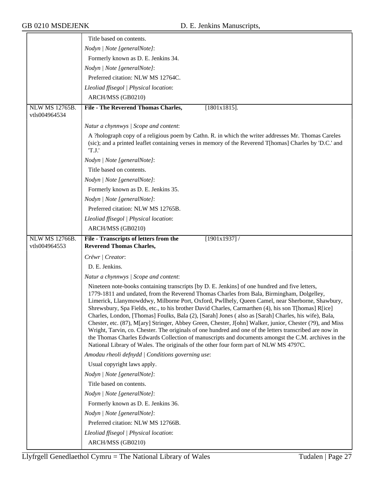|                                        | Title based on contents.                                                                                                                                                                                                                                                                                                                                                                                                                                                                                                                                                                                                                                                                                                                                                                                                                                                                                                             |
|----------------------------------------|--------------------------------------------------------------------------------------------------------------------------------------------------------------------------------------------------------------------------------------------------------------------------------------------------------------------------------------------------------------------------------------------------------------------------------------------------------------------------------------------------------------------------------------------------------------------------------------------------------------------------------------------------------------------------------------------------------------------------------------------------------------------------------------------------------------------------------------------------------------------------------------------------------------------------------------|
|                                        | Nodyn   Note [generalNote]:                                                                                                                                                                                                                                                                                                                                                                                                                                                                                                                                                                                                                                                                                                                                                                                                                                                                                                          |
|                                        | Formerly known as D. E. Jenkins 34.                                                                                                                                                                                                                                                                                                                                                                                                                                                                                                                                                                                                                                                                                                                                                                                                                                                                                                  |
|                                        | Nodyn   Note [generalNote]:                                                                                                                                                                                                                                                                                                                                                                                                                                                                                                                                                                                                                                                                                                                                                                                                                                                                                                          |
|                                        | Preferred citation: NLW MS 12764C.                                                                                                                                                                                                                                                                                                                                                                                                                                                                                                                                                                                                                                                                                                                                                                                                                                                                                                   |
|                                        | Lleoliad ffisegol   Physical location:                                                                                                                                                                                                                                                                                                                                                                                                                                                                                                                                                                                                                                                                                                                                                                                                                                                                                               |
|                                        | ARCH/MSS (GB0210)                                                                                                                                                                                                                                                                                                                                                                                                                                                                                                                                                                                                                                                                                                                                                                                                                                                                                                                    |
| <b>NLW MS 12765B.</b>                  | File - The Reverend Thomas Charles,<br>$[1801x1815]$ .                                                                                                                                                                                                                                                                                                                                                                                                                                                                                                                                                                                                                                                                                                                                                                                                                                                                               |
| vtls004964534                          |                                                                                                                                                                                                                                                                                                                                                                                                                                                                                                                                                                                                                                                                                                                                                                                                                                                                                                                                      |
|                                        | Natur a chynnwys / Scope and content:                                                                                                                                                                                                                                                                                                                                                                                                                                                                                                                                                                                                                                                                                                                                                                                                                                                                                                |
|                                        | A ?holograph copy of a religious poem by Cathn. R. in which the writer addresses Mr. Thomas Careles<br>(sic); and a printed leaflet containing verses in memory of the Reverend T[homas] Charles by 'D.C.' and<br>'T.J.'                                                                                                                                                                                                                                                                                                                                                                                                                                                                                                                                                                                                                                                                                                             |
|                                        | Nodyn   Note [generalNote]:                                                                                                                                                                                                                                                                                                                                                                                                                                                                                                                                                                                                                                                                                                                                                                                                                                                                                                          |
|                                        | Title based on contents.                                                                                                                                                                                                                                                                                                                                                                                                                                                                                                                                                                                                                                                                                                                                                                                                                                                                                                             |
|                                        | Nodyn   Note [generalNote]:                                                                                                                                                                                                                                                                                                                                                                                                                                                                                                                                                                                                                                                                                                                                                                                                                                                                                                          |
|                                        | Formerly known as D. E. Jenkins 35.                                                                                                                                                                                                                                                                                                                                                                                                                                                                                                                                                                                                                                                                                                                                                                                                                                                                                                  |
|                                        | Nodyn   Note [generalNote]:                                                                                                                                                                                                                                                                                                                                                                                                                                                                                                                                                                                                                                                                                                                                                                                                                                                                                                          |
|                                        | Preferred citation: NLW MS 12765B.                                                                                                                                                                                                                                                                                                                                                                                                                                                                                                                                                                                                                                                                                                                                                                                                                                                                                                   |
|                                        | Lleoliad ffisegol   Physical location:                                                                                                                                                                                                                                                                                                                                                                                                                                                                                                                                                                                                                                                                                                                                                                                                                                                                                               |
|                                        | ARCH/MSS (GB0210)                                                                                                                                                                                                                                                                                                                                                                                                                                                                                                                                                                                                                                                                                                                                                                                                                                                                                                                    |
| <b>NLW MS 12766B.</b><br>vtls004964553 | File - Transcripts of letters from the<br>$[1901x1937]$ /<br><b>Reverend Thomas Charles,</b>                                                                                                                                                                                                                                                                                                                                                                                                                                                                                                                                                                                                                                                                                                                                                                                                                                         |
|                                        | Crëwr   Creator:                                                                                                                                                                                                                                                                                                                                                                                                                                                                                                                                                                                                                                                                                                                                                                                                                                                                                                                     |
|                                        | D. E. Jenkins.                                                                                                                                                                                                                                                                                                                                                                                                                                                                                                                                                                                                                                                                                                                                                                                                                                                                                                                       |
|                                        | Natur a chynnwys / Scope and content:                                                                                                                                                                                                                                                                                                                                                                                                                                                                                                                                                                                                                                                                                                                                                                                                                                                                                                |
|                                        | Nineteen note-books containing transcripts [by D. E. Jenkins] of one hundred and five letters,<br>1779-1811 and undated, from the Reverend Thomas Charles from Bala, Birmingham, Dolgelley,<br>Limerick, Llanymowddwy, Milborne Port, Oxford, Pwllhely, Queen Camel, near Sherborne, Shawbury,<br>Shrewsbury, Spa Fields, etc., to his brother David Charles, Carmarthen (4), his son T[homas] R[ice]<br>Charles, London, [Thomas] Foulks, Bala (2), [Sarah] Jones (also as [Sarah] Charles, his wife), Bala,<br>Chester, etc. (87), M[ary] Stringer, Abbey Green, Chester, J[ohn] Walker, junior, Chester (?9), and Miss<br>Wright, Tarvin, co. Chester. The originals of one hundred and one of the letters transcribed are now in<br>the Thomas Charles Edwards Collection of manuscripts and documents amongst the C.M. archives in the<br>National Library of Wales. The originals of the other four form part of NLW MS 4797C. |
|                                        | Amodau rheoli defnydd   Conditions governing use:                                                                                                                                                                                                                                                                                                                                                                                                                                                                                                                                                                                                                                                                                                                                                                                                                                                                                    |
|                                        | Usual copyright laws apply.                                                                                                                                                                                                                                                                                                                                                                                                                                                                                                                                                                                                                                                                                                                                                                                                                                                                                                          |
|                                        | Nodyn   Note [generalNote]:                                                                                                                                                                                                                                                                                                                                                                                                                                                                                                                                                                                                                                                                                                                                                                                                                                                                                                          |
|                                        | Title based on contents.                                                                                                                                                                                                                                                                                                                                                                                                                                                                                                                                                                                                                                                                                                                                                                                                                                                                                                             |
|                                        | Nodyn   Note [generalNote]:                                                                                                                                                                                                                                                                                                                                                                                                                                                                                                                                                                                                                                                                                                                                                                                                                                                                                                          |
|                                        | Formerly known as D. E. Jenkins 36.                                                                                                                                                                                                                                                                                                                                                                                                                                                                                                                                                                                                                                                                                                                                                                                                                                                                                                  |
|                                        | Nodyn   Note [generalNote]:                                                                                                                                                                                                                                                                                                                                                                                                                                                                                                                                                                                                                                                                                                                                                                                                                                                                                                          |
|                                        | Preferred citation: NLW MS 12766B.                                                                                                                                                                                                                                                                                                                                                                                                                                                                                                                                                                                                                                                                                                                                                                                                                                                                                                   |
|                                        | Lleoliad ffisegol   Physical location:                                                                                                                                                                                                                                                                                                                                                                                                                                                                                                                                                                                                                                                                                                                                                                                                                                                                                               |
|                                        | ARCH/MSS (GB0210)                                                                                                                                                                                                                                                                                                                                                                                                                                                                                                                                                                                                                                                                                                                                                                                                                                                                                                                    |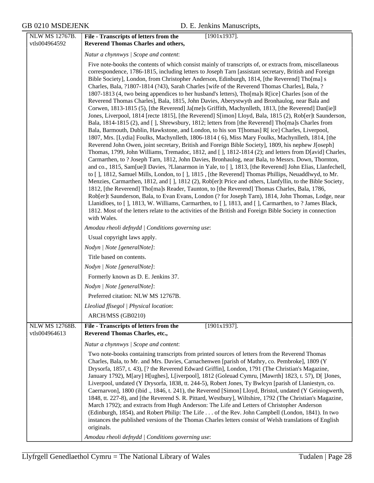| NLW MS 12767B.<br>vtls004964592        | $[1901x1937]$ .<br>File - Transcripts of letters from the<br><b>Reverend Thomas Charles and others,</b>                                                                                                                                                                                                                                                                                                                                                                                                                                                                                                                                                                                                                                                                                                                                                                                                                                                                                                                                                                                                                                                                                                                                                                                                                                                                                                                                                                                                                                                                                                                                                                                                                                                                                                                                                                                                                                                                                                                                                                                                                                                                                                                                           |
|----------------------------------------|---------------------------------------------------------------------------------------------------------------------------------------------------------------------------------------------------------------------------------------------------------------------------------------------------------------------------------------------------------------------------------------------------------------------------------------------------------------------------------------------------------------------------------------------------------------------------------------------------------------------------------------------------------------------------------------------------------------------------------------------------------------------------------------------------------------------------------------------------------------------------------------------------------------------------------------------------------------------------------------------------------------------------------------------------------------------------------------------------------------------------------------------------------------------------------------------------------------------------------------------------------------------------------------------------------------------------------------------------------------------------------------------------------------------------------------------------------------------------------------------------------------------------------------------------------------------------------------------------------------------------------------------------------------------------------------------------------------------------------------------------------------------------------------------------------------------------------------------------------------------------------------------------------------------------------------------------------------------------------------------------------------------------------------------------------------------------------------------------------------------------------------------------------------------------------------------------------------------------------------------------|
|                                        | Natur a chynnwys / Scope and content:                                                                                                                                                                                                                                                                                                                                                                                                                                                                                                                                                                                                                                                                                                                                                                                                                                                                                                                                                                                                                                                                                                                                                                                                                                                                                                                                                                                                                                                                                                                                                                                                                                                                                                                                                                                                                                                                                                                                                                                                                                                                                                                                                                                                             |
|                                        | Five note-books the contents of which consist mainly of transcripts of, or extracts from, miscellaneous<br>correspondence, 1786-1815, including letters to Joseph Tarn [assistant secretary, British and Foreign<br>Bible Society], London, from Christopher Anderson, Edinburgh, 1814, [the Reverend] Tho[ma] s<br>Charles, Bala, ?1807-1814 (?43), Sarah Charles [wife of the Reverend Thomas Charles], Bala, ?<br>1807-1813 (4, two being appendices to her husband's letters), Tho[ma]s R[ice] Charles [son of the<br>Reverend Thomas Charles], Bala, 1815, John Davies, Aberystwyth and Bronhaulog, near Bala and<br>Corwen, 1813-1815 (5), [the Reverend] Ja[me]s Griffith, Machynlleth, 1813, [the Reverend] Dan[ie]l<br>Jones, Liverpool, 1814 [recte 1815], [the Reverend] S[imon] Lloyd, Bala, 1815 (2), Rob[er]t Saunderson,<br>Bala, 1814-1815 (2), and [], Shrewsbury, 1812; letters from [the Reverend] Tho[ma]s Charles from<br>Bala, Barmouth, Dublin, Hawkstone, and London, to his son T[homas] R[ ice] Charles, Liverpool,<br>1807, Mrs. [Lydia] Foulks, Machynlleth, 1806-1814 (6), Miss Mary Foulks, Machynlleth, 1814, [the<br>Reverend John Owen, joint secretary, British and Foreign Bible Society], 1809, his nephew J[oseph]<br>Thomas, 1799, John Williams, Tremadoc, 1812, and [], 1812-1814 (2); and letters from D[avid] Charles,<br>Carmarthen, to ? Joseph Tarn, 1812, John Davies, Bronhaulog, near Bala, to Messrs. Down, Thornton,<br>and co., 1815, Sam[ue]l Davies, ?Llanarmon in Yale, to [], 1813, [the Reverend] John Elias, Llanfechell,<br>to [], 1812, Samuel Mills, London, to [], 1815, [the Reverend] Thomas Phillips, Neuaddlwyd, to Mr.<br>Menzies, Carmarthen, 1812, and [], 1812 (2), Rob[er]t Price and others, Llanfyllin, to the Bible Society,<br>1812, [the Reverend] Tho[ma]s Reader, Taunton, to [the Reverend] Thomas Charles, Bala, 1786,<br>Rob[er]t Saunderson, Bala, to Evan Evans, London (? for Joseph Tarn), 1814, John Thomas, Lodge, near<br>Llanidloes, to [], 1813, W. Williams, Carmarthen, to [], 1813, and [], Carmarthen, to ? James Black,<br>1812. Most of the letters relate to the activities of the British and Foreign Bible Society in connection<br>with Wales. |
|                                        | Amodau rheoli defnydd   Conditions governing use:                                                                                                                                                                                                                                                                                                                                                                                                                                                                                                                                                                                                                                                                                                                                                                                                                                                                                                                                                                                                                                                                                                                                                                                                                                                                                                                                                                                                                                                                                                                                                                                                                                                                                                                                                                                                                                                                                                                                                                                                                                                                                                                                                                                                 |
|                                        | Usual copyright laws apply.                                                                                                                                                                                                                                                                                                                                                                                                                                                                                                                                                                                                                                                                                                                                                                                                                                                                                                                                                                                                                                                                                                                                                                                                                                                                                                                                                                                                                                                                                                                                                                                                                                                                                                                                                                                                                                                                                                                                                                                                                                                                                                                                                                                                                       |
|                                        | Nodyn   Note [generalNote]:                                                                                                                                                                                                                                                                                                                                                                                                                                                                                                                                                                                                                                                                                                                                                                                                                                                                                                                                                                                                                                                                                                                                                                                                                                                                                                                                                                                                                                                                                                                                                                                                                                                                                                                                                                                                                                                                                                                                                                                                                                                                                                                                                                                                                       |
|                                        | Title based on contents.                                                                                                                                                                                                                                                                                                                                                                                                                                                                                                                                                                                                                                                                                                                                                                                                                                                                                                                                                                                                                                                                                                                                                                                                                                                                                                                                                                                                                                                                                                                                                                                                                                                                                                                                                                                                                                                                                                                                                                                                                                                                                                                                                                                                                          |
|                                        | Nodyn   Note [generalNote]:                                                                                                                                                                                                                                                                                                                                                                                                                                                                                                                                                                                                                                                                                                                                                                                                                                                                                                                                                                                                                                                                                                                                                                                                                                                                                                                                                                                                                                                                                                                                                                                                                                                                                                                                                                                                                                                                                                                                                                                                                                                                                                                                                                                                                       |
|                                        | Formerly known as D. E. Jenkins 37.                                                                                                                                                                                                                                                                                                                                                                                                                                                                                                                                                                                                                                                                                                                                                                                                                                                                                                                                                                                                                                                                                                                                                                                                                                                                                                                                                                                                                                                                                                                                                                                                                                                                                                                                                                                                                                                                                                                                                                                                                                                                                                                                                                                                               |
|                                        | Nodyn   Note [generalNote]:                                                                                                                                                                                                                                                                                                                                                                                                                                                                                                                                                                                                                                                                                                                                                                                                                                                                                                                                                                                                                                                                                                                                                                                                                                                                                                                                                                                                                                                                                                                                                                                                                                                                                                                                                                                                                                                                                                                                                                                                                                                                                                                                                                                                                       |
|                                        | Preferred citation: NLW MS 12767B.                                                                                                                                                                                                                                                                                                                                                                                                                                                                                                                                                                                                                                                                                                                                                                                                                                                                                                                                                                                                                                                                                                                                                                                                                                                                                                                                                                                                                                                                                                                                                                                                                                                                                                                                                                                                                                                                                                                                                                                                                                                                                                                                                                                                                |
|                                        | Lleoliad ffisegol   Physical location:                                                                                                                                                                                                                                                                                                                                                                                                                                                                                                                                                                                                                                                                                                                                                                                                                                                                                                                                                                                                                                                                                                                                                                                                                                                                                                                                                                                                                                                                                                                                                                                                                                                                                                                                                                                                                                                                                                                                                                                                                                                                                                                                                                                                            |
|                                        | ARCH/MSS (GB0210)                                                                                                                                                                                                                                                                                                                                                                                                                                                                                                                                                                                                                                                                                                                                                                                                                                                                                                                                                                                                                                                                                                                                                                                                                                                                                                                                                                                                                                                                                                                                                                                                                                                                                                                                                                                                                                                                                                                                                                                                                                                                                                                                                                                                                                 |
| <b>NLW MS 12768B.</b><br>vtls004964613 | $[1901x1937]$ .<br>File - Transcripts of letters from the<br><b>Reverend Thomas Charles, etc.,</b>                                                                                                                                                                                                                                                                                                                                                                                                                                                                                                                                                                                                                                                                                                                                                                                                                                                                                                                                                                                                                                                                                                                                                                                                                                                                                                                                                                                                                                                                                                                                                                                                                                                                                                                                                                                                                                                                                                                                                                                                                                                                                                                                                |
|                                        | Natur a chynnwys / Scope and content:                                                                                                                                                                                                                                                                                                                                                                                                                                                                                                                                                                                                                                                                                                                                                                                                                                                                                                                                                                                                                                                                                                                                                                                                                                                                                                                                                                                                                                                                                                                                                                                                                                                                                                                                                                                                                                                                                                                                                                                                                                                                                                                                                                                                             |
|                                        | Two note-books containing transcripts from printed sources of letters from the Reverend Thomas<br>Charles, Bala, to Mr. and Mrs. Davies, Carnachenwen [parish of Mathry, co. Pembroke], 1809 (Y<br>Drysorfa, 1857, t. 43), [? the Reverend Edward Griffin], London, 1791 (The Christian's Magazine,<br>January 1792), M[ary] H[ughes], L[iverpool], 1812 (Goleuad Cymru, [Mawrth] 1823, t. 57), D[ ]Jones,<br>Liverpool, undated (Y Drysorfa, 1838, tt. 244-5), Robert Jones, Ty Bwlcyn [parish of Llaniestyn, co.<br>Caernarvon], 1800 (ibid ., 1846, t. 241), the Reverend [Simon] Lloyd, Bristol, undated (Y Geiniogwerth,<br>1848, tt. 227-8), and [the Reverend S. R. Pittard, Westbury], Wiltshire, 1792 (The Christian's Magazine,<br>March 1792); and extracts from Hugh Anderson: The Life and Letters of Christopher Anderson<br>(Edinburgh, 1854), and Robert Philip: The Life of the Rev. John Campbell (London, 1841). In two<br>instances the published versions of the Thomas Charles letters consist of Welsh translations of English<br>originals.                                                                                                                                                                                                                                                                                                                                                                                                                                                                                                                                                                                                                                                                                                                                                                                                                                                                                                                                                                                                                                                                                                                                                                               |
|                                        | Amodau rheoli defnydd   Conditions governing use:                                                                                                                                                                                                                                                                                                                                                                                                                                                                                                                                                                                                                                                                                                                                                                                                                                                                                                                                                                                                                                                                                                                                                                                                                                                                                                                                                                                                                                                                                                                                                                                                                                                                                                                                                                                                                                                                                                                                                                                                                                                                                                                                                                                                 |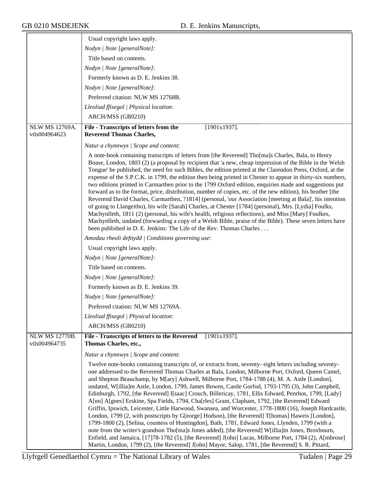|                                        | Usual copyright laws apply.                                                                                                                                                                                                                                                                                                                                                                                                                                                                                                                                                                                                                                                                                                                                                                                                                                                                                                                                                                                                                                                                                                                                                                                                                                         |
|----------------------------------------|---------------------------------------------------------------------------------------------------------------------------------------------------------------------------------------------------------------------------------------------------------------------------------------------------------------------------------------------------------------------------------------------------------------------------------------------------------------------------------------------------------------------------------------------------------------------------------------------------------------------------------------------------------------------------------------------------------------------------------------------------------------------------------------------------------------------------------------------------------------------------------------------------------------------------------------------------------------------------------------------------------------------------------------------------------------------------------------------------------------------------------------------------------------------------------------------------------------------------------------------------------------------|
|                                        | Nodyn   Note [generalNote]:                                                                                                                                                                                                                                                                                                                                                                                                                                                                                                                                                                                                                                                                                                                                                                                                                                                                                                                                                                                                                                                                                                                                                                                                                                         |
|                                        | Title based on contents.                                                                                                                                                                                                                                                                                                                                                                                                                                                                                                                                                                                                                                                                                                                                                                                                                                                                                                                                                                                                                                                                                                                                                                                                                                            |
|                                        | Nodyn   Note [generalNote]:                                                                                                                                                                                                                                                                                                                                                                                                                                                                                                                                                                                                                                                                                                                                                                                                                                                                                                                                                                                                                                                                                                                                                                                                                                         |
|                                        | Formerly known as D. E. Jenkins 38.                                                                                                                                                                                                                                                                                                                                                                                                                                                                                                                                                                                                                                                                                                                                                                                                                                                                                                                                                                                                                                                                                                                                                                                                                                 |
|                                        | Nodyn   Note [generalNote]:                                                                                                                                                                                                                                                                                                                                                                                                                                                                                                                                                                                                                                                                                                                                                                                                                                                                                                                                                                                                                                                                                                                                                                                                                                         |
|                                        | Preferred citation: NLW MS 12768B.                                                                                                                                                                                                                                                                                                                                                                                                                                                                                                                                                                                                                                                                                                                                                                                                                                                                                                                                                                                                                                                                                                                                                                                                                                  |
|                                        | Lleoliad ffisegol   Physical location:                                                                                                                                                                                                                                                                                                                                                                                                                                                                                                                                                                                                                                                                                                                                                                                                                                                                                                                                                                                                                                                                                                                                                                                                                              |
|                                        | ARCH/MSS (GB0210)                                                                                                                                                                                                                                                                                                                                                                                                                                                                                                                                                                                                                                                                                                                                                                                                                                                                                                                                                                                                                                                                                                                                                                                                                                                   |
| <b>NLW MS 12769A.</b><br>vtls004964623 | File - Transcripts of letters from the<br>$[1901x1937]$ .<br><b>Reverend Thomas Charles,</b>                                                                                                                                                                                                                                                                                                                                                                                                                                                                                                                                                                                                                                                                                                                                                                                                                                                                                                                                                                                                                                                                                                                                                                        |
|                                        | Natur a chynnwys / Scope and content:                                                                                                                                                                                                                                                                                                                                                                                                                                                                                                                                                                                                                                                                                                                                                                                                                                                                                                                                                                                                                                                                                                                                                                                                                               |
|                                        | A note-book containing transcripts of letters from [the Reverend] Tho[ma]s Charles, Bala, to Henry<br>Boase, London, 1803 (2) (a proposal by recipient that 'a new, cheap impression of the Bible in the Welsh<br>Tongue' be published, the need for such Bibles, the edition printed at the Clarendon Press, Oxford, at the<br>expense of the S.P.C.K. in 1799, the edition then being printed in Chester to appear in thirty-six numbers,<br>two editions printed in Carmarthen prior to the 1799 Oxford edition, enquiries made and suggestions put<br>forward as to the format, price, distribution, number of copies, etc. of the new edition), his brother [the<br>Reverend David Charles, Carmarthen, ?1814] (personal, 'our Association [meeting at Bala]', his intention<br>of going to Llangeitho), his wife [Sarah] Charles, at Chester [1784] (personal), Mrs. [Lydia] Foulks,<br>Machynlleth, 1811 (2) (personal, his wife's health, religious reflections), and Miss [Mary] Foulkes,<br>Machynlleth, undated (forwarding a copy of a Welsh Bible, praise of the Bible). These seven letters have<br>been published in D. E. Jenkins: The Life of the Rev. Thomas Charles                                                                              |
|                                        | Amodau rheoli defnydd   Conditions governing use:                                                                                                                                                                                                                                                                                                                                                                                                                                                                                                                                                                                                                                                                                                                                                                                                                                                                                                                                                                                                                                                                                                                                                                                                                   |
|                                        | Usual copyright laws apply.                                                                                                                                                                                                                                                                                                                                                                                                                                                                                                                                                                                                                                                                                                                                                                                                                                                                                                                                                                                                                                                                                                                                                                                                                                         |
|                                        | Nodyn   Note [generalNote]:                                                                                                                                                                                                                                                                                                                                                                                                                                                                                                                                                                                                                                                                                                                                                                                                                                                                                                                                                                                                                                                                                                                                                                                                                                         |
|                                        | Title based on contents.                                                                                                                                                                                                                                                                                                                                                                                                                                                                                                                                                                                                                                                                                                                                                                                                                                                                                                                                                                                                                                                                                                                                                                                                                                            |
|                                        | Nodyn   Note [generalNote]:                                                                                                                                                                                                                                                                                                                                                                                                                                                                                                                                                                                                                                                                                                                                                                                                                                                                                                                                                                                                                                                                                                                                                                                                                                         |
|                                        | Formerly known as D. E. Jenkins 39.                                                                                                                                                                                                                                                                                                                                                                                                                                                                                                                                                                                                                                                                                                                                                                                                                                                                                                                                                                                                                                                                                                                                                                                                                                 |
|                                        | Nodyn   Note [generalNote]:                                                                                                                                                                                                                                                                                                                                                                                                                                                                                                                                                                                                                                                                                                                                                                                                                                                                                                                                                                                                                                                                                                                                                                                                                                         |
|                                        | Preferred citation: NLW MS 12769A.                                                                                                                                                                                                                                                                                                                                                                                                                                                                                                                                                                                                                                                                                                                                                                                                                                                                                                                                                                                                                                                                                                                                                                                                                                  |
|                                        | Lleoliad ffisegol   Physical location:                                                                                                                                                                                                                                                                                                                                                                                                                                                                                                                                                                                                                                                                                                                                                                                                                                                                                                                                                                                                                                                                                                                                                                                                                              |
|                                        | ARCH/MSS (GB0210)                                                                                                                                                                                                                                                                                                                                                                                                                                                                                                                                                                                                                                                                                                                                                                                                                                                                                                                                                                                                                                                                                                                                                                                                                                                   |
| <b>NLW MS 12770B.</b><br>vtls004964735 | File - Transcripts of letters to the Reverend<br>$[1901x1937]$ .<br>Thomas Charles, etc.,                                                                                                                                                                                                                                                                                                                                                                                                                                                                                                                                                                                                                                                                                                                                                                                                                                                                                                                                                                                                                                                                                                                                                                           |
|                                        | Natur a chynnwys / Scope and content:                                                                                                                                                                                                                                                                                                                                                                                                                                                                                                                                                                                                                                                                                                                                                                                                                                                                                                                                                                                                                                                                                                                                                                                                                               |
|                                        | Twelve note-books containing transcripts of, or extracts from, seventy-eight letters including seventy-<br>one addressed to the Reverend Thomas Charles at Bala, London, Milborne Port, Oxford, Queen Camel,<br>and Shepton Beauchamp, by M[ary] Ashwell, Milborne Port, 1784-1788 (4), M. A. Astle [London],<br>undated, W[illia]m Astle, London, 1799, James Bowen, Castle Gorfod, 1793-1795 (3), John Campbell,<br>Edinburgh, 1792, [the Reverend] I[saac] Crouch, Billericay, 1781, Ellis Edward, Penrhos, 1799, [Lady]<br>A[nn] A[gnes] Erskine, Spa Fields, 1794, Cha[rles] Grant, Clapham, 1792, [the Reverend] Edward<br>Griffin, Ipswich, Leicester, Little Harwood, Swansea, and Worcester, 1778-1800 (16), Joseph Hardcastle,<br>London, 1799 (2, with postscripts by G[eorge] Hodson), [the Reverend] T[homas] Haweis [London],<br>1799-1800 (2), [Selina, countess of Huntingdon], Bath, 1781, Edward Jones, Llynden, 1799 (with a<br>note from the writer's grandson Tho[ma]s Jones added), [the Reverend] W[illia]m Jones, Broxbourn,<br>Enfield, and Jamaica, [17]78-1782 (5), [the Reverend] J[ohn] Lucas, Milborne Port, 1784 (2), A[mbrose]<br>Martin, London, 1799 (2), [the Reverend] J[ohn] Mayor, Salop, 1781, [the Reverend] S. R. Pittard, |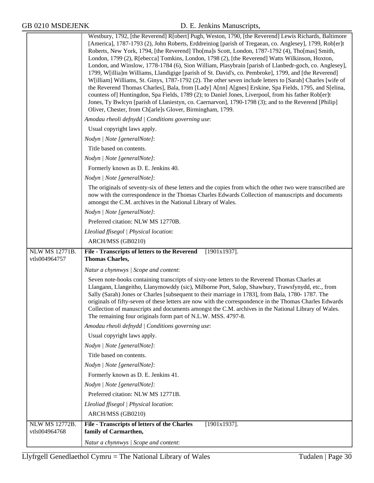|                                        | Westbury, 1792, [the Reverend] R[obert] Pugh, Weston, 1790, [the Reverend] Lewis Richards, Baltimore<br>[America], 1787-1793 (2), John Roberts, Erddreiniog [parish of Tregaean, co. Anglesey], 1799, Rob[er]t<br>Roberts, New York, 1794, [the Reverend] Tho[ma]s Scott, London, 1787-1792 (4), Tho[mas] Smith,<br>London, 1799 (2), R[ebecca] Tomkins, London, 1798 (2), [the Reverend] Watts Wilkinson, Hoxton,<br>London, and Winslow, 1778-1784 (6), Sion William, Plasybrain [parish of Llanbedr-goch, co. Anglesey],<br>1799, W[illia]m Williams, Llandigige [parish of St. David's, co. Pembroke], 1799, and [the Reverend]<br>W[illiam] Williams, St. Ginys, 1787-1792 (2). The other seven include letters to [Sarah] Charles [wife of<br>the Reverend Thomas Charles], Bala, from [Lady] A[nn] A[gnes] Erskine, Spa Fields, 1795, and S[elina,<br>countess of] Huntingdon, Spa Fields, 1789 (2); to Daniel Jones, Liverpool, from his father Rob[er]t<br>Jones, Ty Bwlcyn [parish of Llaniestyn, co. Caernarvon], 1790-1798 (3); and to the Reverend [Philip]<br>Oliver, Chester, from Ch[arle]s Glover, Birmingham, 1799.<br>Amodau rheoli defnydd   Conditions governing use:<br>Usual copyright laws apply.<br>Nodyn   Note [generalNote]:<br>Title based on contents.<br>Nodyn   Note [generalNote]:<br>Formerly known as D. E. Jenkins 40.<br>Nodyn   Note [generalNote]:<br>The originals of seventy-six of these letters and the copies from which the other two were transcribed are<br>now with the correspondence in the Thomas Charles Edwards Collection of manuscripts and documents<br>amongst the C.M. archives in the National Library of Wales.<br>Nodyn   Note [generalNote]:<br>Preferred citation: NLW MS 12770B. |
|----------------------------------------|--------------------------------------------------------------------------------------------------------------------------------------------------------------------------------------------------------------------------------------------------------------------------------------------------------------------------------------------------------------------------------------------------------------------------------------------------------------------------------------------------------------------------------------------------------------------------------------------------------------------------------------------------------------------------------------------------------------------------------------------------------------------------------------------------------------------------------------------------------------------------------------------------------------------------------------------------------------------------------------------------------------------------------------------------------------------------------------------------------------------------------------------------------------------------------------------------------------------------------------------------------------------------------------------------------------------------------------------------------------------------------------------------------------------------------------------------------------------------------------------------------------------------------------------------------------------------------------------------------------------------------------------------------------------------------------------------------------------------------------------------|
|                                        | Lleoliad ffisegol   Physical location:                                                                                                                                                                                                                                                                                                                                                                                                                                                                                                                                                                                                                                                                                                                                                                                                                                                                                                                                                                                                                                                                                                                                                                                                                                                                                                                                                                                                                                                                                                                                                                                                                                                                                                           |
|                                        | ARCH/MSS (GB0210)                                                                                                                                                                                                                                                                                                                                                                                                                                                                                                                                                                                                                                                                                                                                                                                                                                                                                                                                                                                                                                                                                                                                                                                                                                                                                                                                                                                                                                                                                                                                                                                                                                                                                                                                |
| <b>NLW MS 12771B.</b>                  | File - Transcripts of letters to the Reverend<br>$[1901x1937]$ .                                                                                                                                                                                                                                                                                                                                                                                                                                                                                                                                                                                                                                                                                                                                                                                                                                                                                                                                                                                                                                                                                                                                                                                                                                                                                                                                                                                                                                                                                                                                                                                                                                                                                 |
| vtls004964757                          | <b>Thomas Charles,</b>                                                                                                                                                                                                                                                                                                                                                                                                                                                                                                                                                                                                                                                                                                                                                                                                                                                                                                                                                                                                                                                                                                                                                                                                                                                                                                                                                                                                                                                                                                                                                                                                                                                                                                                           |
|                                        |                                                                                                                                                                                                                                                                                                                                                                                                                                                                                                                                                                                                                                                                                                                                                                                                                                                                                                                                                                                                                                                                                                                                                                                                                                                                                                                                                                                                                                                                                                                                                                                                                                                                                                                                                  |
|                                        | Natur a chynnwys / Scope and content:                                                                                                                                                                                                                                                                                                                                                                                                                                                                                                                                                                                                                                                                                                                                                                                                                                                                                                                                                                                                                                                                                                                                                                                                                                                                                                                                                                                                                                                                                                                                                                                                                                                                                                            |
|                                        | Seven note-books containing transcripts of sixty-one letters to the Reverend Thomas Charles at<br>Llangann, Llangeitho, Llanymowddy (sic), Milborne Port, Salop, Shawbury, Trawsfynydd, etc., from<br>Sally (Sarah) Jones or Charles [subsequent to their marriage in 1783], from Bala, 1780-1787. The<br>originals of fifty-seven of these letters are now with the correspondence in the Thomas Charles Edwards<br>Collection of manuscripts and documents amongst the C.M. archives in the National Library of Wales.<br>The remaining four originals form part of N.L.W. MSS. 4797-8.                                                                                                                                                                                                                                                                                                                                                                                                                                                                                                                                                                                                                                                                                                                                                                                                                                                                                                                                                                                                                                                                                                                                                        |
|                                        | Amodau rheoli defnydd   Conditions governing use:                                                                                                                                                                                                                                                                                                                                                                                                                                                                                                                                                                                                                                                                                                                                                                                                                                                                                                                                                                                                                                                                                                                                                                                                                                                                                                                                                                                                                                                                                                                                                                                                                                                                                                |
|                                        | Usual copyright laws apply.                                                                                                                                                                                                                                                                                                                                                                                                                                                                                                                                                                                                                                                                                                                                                                                                                                                                                                                                                                                                                                                                                                                                                                                                                                                                                                                                                                                                                                                                                                                                                                                                                                                                                                                      |
|                                        | Nodyn   Note [generalNote]:                                                                                                                                                                                                                                                                                                                                                                                                                                                                                                                                                                                                                                                                                                                                                                                                                                                                                                                                                                                                                                                                                                                                                                                                                                                                                                                                                                                                                                                                                                                                                                                                                                                                                                                      |
|                                        | Title based on contents.                                                                                                                                                                                                                                                                                                                                                                                                                                                                                                                                                                                                                                                                                                                                                                                                                                                                                                                                                                                                                                                                                                                                                                                                                                                                                                                                                                                                                                                                                                                                                                                                                                                                                                                         |
|                                        | Nodyn   Note [generalNote]:                                                                                                                                                                                                                                                                                                                                                                                                                                                                                                                                                                                                                                                                                                                                                                                                                                                                                                                                                                                                                                                                                                                                                                                                                                                                                                                                                                                                                                                                                                                                                                                                                                                                                                                      |
|                                        | Formerly known as D. E. Jenkins 41.                                                                                                                                                                                                                                                                                                                                                                                                                                                                                                                                                                                                                                                                                                                                                                                                                                                                                                                                                                                                                                                                                                                                                                                                                                                                                                                                                                                                                                                                                                                                                                                                                                                                                                              |
|                                        | Nodyn   Note [generalNote]:                                                                                                                                                                                                                                                                                                                                                                                                                                                                                                                                                                                                                                                                                                                                                                                                                                                                                                                                                                                                                                                                                                                                                                                                                                                                                                                                                                                                                                                                                                                                                                                                                                                                                                                      |
|                                        | Preferred citation: NLW MS 12771B.                                                                                                                                                                                                                                                                                                                                                                                                                                                                                                                                                                                                                                                                                                                                                                                                                                                                                                                                                                                                                                                                                                                                                                                                                                                                                                                                                                                                                                                                                                                                                                                                                                                                                                               |
|                                        | Lleoliad ffisegol   Physical location:                                                                                                                                                                                                                                                                                                                                                                                                                                                                                                                                                                                                                                                                                                                                                                                                                                                                                                                                                                                                                                                                                                                                                                                                                                                                                                                                                                                                                                                                                                                                                                                                                                                                                                           |
|                                        | ARCH/MSS (GB0210)                                                                                                                                                                                                                                                                                                                                                                                                                                                                                                                                                                                                                                                                                                                                                                                                                                                                                                                                                                                                                                                                                                                                                                                                                                                                                                                                                                                                                                                                                                                                                                                                                                                                                                                                |
| <b>NLW MS 12772B.</b><br>vtls004964768 | File - Transcripts of letters of the Charles<br>$[1901x1937]$ .<br>family of Carmarthen,                                                                                                                                                                                                                                                                                                                                                                                                                                                                                                                                                                                                                                                                                                                                                                                                                                                                                                                                                                                                                                                                                                                                                                                                                                                                                                                                                                                                                                                                                                                                                                                                                                                         |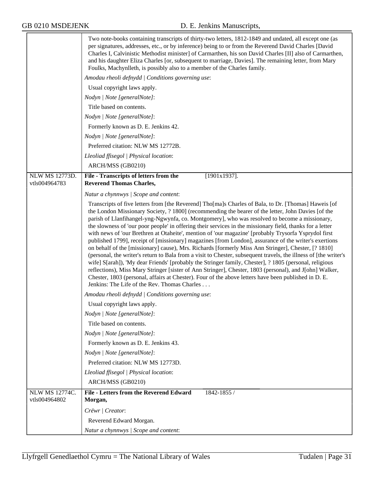|                                        | Two note-books containing transcripts of thirty-two letters, 1812-1849 and undated, all except one (as<br>per signatures, addresses, etc., or by inference) being to or from the Reverend David Charles [David<br>Charles I, Calvinistic Methodist minister] of Carmarthen, his son David Charles [II] also of Carmarthen,<br>and his daughter Eliza Charles [or, subsequent to marriage, Davies]. The remaining letter, from Mary<br>Foulks, Machynlleth, is possibly also to a member of the Charles family.                                                                                                                                                                                                                                                                                                                                                                                                                                                                                                                                                                                                                                                                                                                                    |
|----------------------------------------|---------------------------------------------------------------------------------------------------------------------------------------------------------------------------------------------------------------------------------------------------------------------------------------------------------------------------------------------------------------------------------------------------------------------------------------------------------------------------------------------------------------------------------------------------------------------------------------------------------------------------------------------------------------------------------------------------------------------------------------------------------------------------------------------------------------------------------------------------------------------------------------------------------------------------------------------------------------------------------------------------------------------------------------------------------------------------------------------------------------------------------------------------------------------------------------------------------------------------------------------------|
|                                        | Amodau rheoli defnydd   Conditions governing use:                                                                                                                                                                                                                                                                                                                                                                                                                                                                                                                                                                                                                                                                                                                                                                                                                                                                                                                                                                                                                                                                                                                                                                                                 |
|                                        | Usual copyright laws apply.                                                                                                                                                                                                                                                                                                                                                                                                                                                                                                                                                                                                                                                                                                                                                                                                                                                                                                                                                                                                                                                                                                                                                                                                                       |
|                                        | Nodyn   Note [generalNote]:                                                                                                                                                                                                                                                                                                                                                                                                                                                                                                                                                                                                                                                                                                                                                                                                                                                                                                                                                                                                                                                                                                                                                                                                                       |
|                                        | Title based on contents.                                                                                                                                                                                                                                                                                                                                                                                                                                                                                                                                                                                                                                                                                                                                                                                                                                                                                                                                                                                                                                                                                                                                                                                                                          |
|                                        | Nodyn   Note [generalNote]:                                                                                                                                                                                                                                                                                                                                                                                                                                                                                                                                                                                                                                                                                                                                                                                                                                                                                                                                                                                                                                                                                                                                                                                                                       |
|                                        | Formerly known as D. E. Jenkins 42.                                                                                                                                                                                                                                                                                                                                                                                                                                                                                                                                                                                                                                                                                                                                                                                                                                                                                                                                                                                                                                                                                                                                                                                                               |
|                                        | Nodyn   Note [generalNote]:                                                                                                                                                                                                                                                                                                                                                                                                                                                                                                                                                                                                                                                                                                                                                                                                                                                                                                                                                                                                                                                                                                                                                                                                                       |
|                                        | Preferred citation: NLW MS 12772B.                                                                                                                                                                                                                                                                                                                                                                                                                                                                                                                                                                                                                                                                                                                                                                                                                                                                                                                                                                                                                                                                                                                                                                                                                |
|                                        | Lleoliad ffisegol   Physical location:                                                                                                                                                                                                                                                                                                                                                                                                                                                                                                                                                                                                                                                                                                                                                                                                                                                                                                                                                                                                                                                                                                                                                                                                            |
|                                        | ARCH/MSS (GB0210)                                                                                                                                                                                                                                                                                                                                                                                                                                                                                                                                                                                                                                                                                                                                                                                                                                                                                                                                                                                                                                                                                                                                                                                                                                 |
| <b>NLW MS 12773D.</b><br>vtls004964783 | $[1901x1937]$ .<br>File - Transcripts of letters from the<br><b>Reverend Thomas Charles,</b>                                                                                                                                                                                                                                                                                                                                                                                                                                                                                                                                                                                                                                                                                                                                                                                                                                                                                                                                                                                                                                                                                                                                                      |
|                                        | Natur a chynnwys / Scope and content:                                                                                                                                                                                                                                                                                                                                                                                                                                                                                                                                                                                                                                                                                                                                                                                                                                                                                                                                                                                                                                                                                                                                                                                                             |
|                                        | Transcripts of five letters from [the Reverend] Tho[ma]s Charles of Bala, to Dr. [Thomas] Haweis [of<br>the London Missionary Society, ? 1800] (recommending the bearer of the letter, John Davies [of the<br>parish of Llanfihangel-yng-Ngwynfa, co. Montgomery], who was resolved to become a missionary,<br>the slowness of 'our poor people' in offering their services in the missionary field, thanks for a letter<br>with news of 'our Brethren at Otaheite', mention of 'our magazine' [probably Trysorfa Ysprydol first<br>published 1799], receipt of [missionary] magazines [from London], assurance of the writer's exertions<br>on behalf of the [missionary] cause), Mrs. Richards [formerly Miss Ann Stringer], Chester, [? 1810]<br>(personal, the writer's return to Bala from a visit to Chester, subsequent travels, the illness of [the writer's<br>wife] S[arah]), 'My dear Friends' [probably the Stringer family, Chester], ? 1805 (personal, religious<br>reflections), Miss Mary Stringer [sister of Ann Stringer], Chester, 1803 (personal), and J[ohn] Walker,<br>Chester, 1803 (personal, affairs at Chester). Four of the above letters have been published in D. E.<br>Jenkins: The Life of the Rev. Thomas Charles |
|                                        | Amodau rheoli defnydd   Conditions governing use:                                                                                                                                                                                                                                                                                                                                                                                                                                                                                                                                                                                                                                                                                                                                                                                                                                                                                                                                                                                                                                                                                                                                                                                                 |
|                                        | Usual copyright laws apply.                                                                                                                                                                                                                                                                                                                                                                                                                                                                                                                                                                                                                                                                                                                                                                                                                                                                                                                                                                                                                                                                                                                                                                                                                       |
|                                        | Nodyn   Note [generalNote]:                                                                                                                                                                                                                                                                                                                                                                                                                                                                                                                                                                                                                                                                                                                                                                                                                                                                                                                                                                                                                                                                                                                                                                                                                       |
|                                        | Title based on contents.                                                                                                                                                                                                                                                                                                                                                                                                                                                                                                                                                                                                                                                                                                                                                                                                                                                                                                                                                                                                                                                                                                                                                                                                                          |
|                                        | Nodyn   Note [generalNote]:                                                                                                                                                                                                                                                                                                                                                                                                                                                                                                                                                                                                                                                                                                                                                                                                                                                                                                                                                                                                                                                                                                                                                                                                                       |
|                                        | Formerly known as D. E. Jenkins 43.                                                                                                                                                                                                                                                                                                                                                                                                                                                                                                                                                                                                                                                                                                                                                                                                                                                                                                                                                                                                                                                                                                                                                                                                               |
|                                        | Nodyn   Note [generalNote]:                                                                                                                                                                                                                                                                                                                                                                                                                                                                                                                                                                                                                                                                                                                                                                                                                                                                                                                                                                                                                                                                                                                                                                                                                       |
|                                        | Preferred citation: NLW MS 12773D.                                                                                                                                                                                                                                                                                                                                                                                                                                                                                                                                                                                                                                                                                                                                                                                                                                                                                                                                                                                                                                                                                                                                                                                                                |
|                                        | Lleoliad ffisegol   Physical location:                                                                                                                                                                                                                                                                                                                                                                                                                                                                                                                                                                                                                                                                                                                                                                                                                                                                                                                                                                                                                                                                                                                                                                                                            |
|                                        | ARCH/MSS (GB0210)                                                                                                                                                                                                                                                                                                                                                                                                                                                                                                                                                                                                                                                                                                                                                                                                                                                                                                                                                                                                                                                                                                                                                                                                                                 |
| <b>NLW MS 12774C.</b>                  | <b>File - Letters from the Reverend Edward</b><br>1842-1855 /                                                                                                                                                                                                                                                                                                                                                                                                                                                                                                                                                                                                                                                                                                                                                                                                                                                                                                                                                                                                                                                                                                                                                                                     |
| vtls004964802                          | Morgan,                                                                                                                                                                                                                                                                                                                                                                                                                                                                                                                                                                                                                                                                                                                                                                                                                                                                                                                                                                                                                                                                                                                                                                                                                                           |
|                                        | Crëwr   Creator:                                                                                                                                                                                                                                                                                                                                                                                                                                                                                                                                                                                                                                                                                                                                                                                                                                                                                                                                                                                                                                                                                                                                                                                                                                  |
|                                        | Reverend Edward Morgan.                                                                                                                                                                                                                                                                                                                                                                                                                                                                                                                                                                                                                                                                                                                                                                                                                                                                                                                                                                                                                                                                                                                                                                                                                           |
|                                        | Natur a chynnwys / Scope and content:                                                                                                                                                                                                                                                                                                                                                                                                                                                                                                                                                                                                                                                                                                                                                                                                                                                                                                                                                                                                                                                                                                                                                                                                             |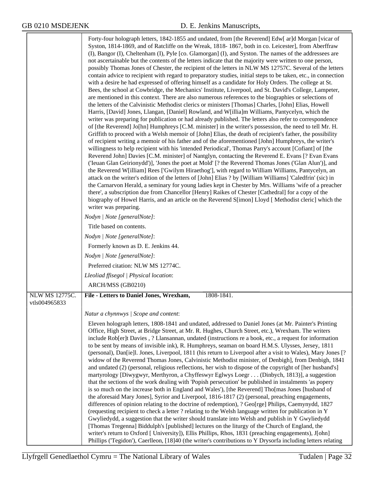|                                        | Forty-four holograph letters, 1842-1855 and undated, from [the Reverend] Edw[ ar]d Morgan [vicar of<br>Syston, 1814-1869, and of Ratcliffe on the Wreak, 1818-1867, both in co. Leicester], from Aberffraw<br>(I), Bangor (I), Cheltenham (I), Pyle [co. Glamorgan] (I), and Syston. The names of the addressees are<br>not ascertainable but the contents of the letters indicate that the majority were written to one person,<br>possibly Thomas Jones of Chester, the recipient of the letters in NLW MS 12757C. Several of the letters<br>contain advice to recipient with regard to preparatory studies, initial steps to be taken, etc., in connection<br>with a desire he had expressed of offering himself as a candidate for Holy Orders. The college at St.<br>Bees, the school at Cowbridge, the Mechanics' Institute, Liverpool, and St. David's College, Lampeter,<br>are mentioned in this context. There are also numerous references to the biographies or selections of<br>the letters of the Calvinistic Methodist clerics or ministers [Thomas] Charles, [John] Elias, Howell<br>Harris, [David] Jones, Llangan, [Daniel] Rowland, and W[illia]m Williams, Pantycelyn, which the<br>writer was preparing for publication or had already published. The letters also refer to correspondence<br>of [the Reverend] Jo[hn] Humphreys [C.M. minister] in the writer's possession, the need to tell Mr. H.<br>Griffith to proceed with a Welsh memoir of [John] Elias, the death of recipient's father, the possibility<br>of recipient writing a memoir of his father and of the aforementioned [John] Humphreys, the writer's<br>willingness to help recipient with his 'intended Periodical', Thomas Parry's account [Cofiant] of [the<br>Reverend John] Davies [C.M. minister] of Nantglyn, contacting the Reverend E. Evans [? Evan Evans<br>('Ieuan Glan Geirionydd')], 'Jones the poet at Mold' [? the Reverend Thomas Jones ('Glan Alun')], and<br>the Reverend W[illiam] Rees ['Gwilym Hiraethog'], with regard to William Williams, Pantycelyn, an<br>attack on the writer's edition of the letters of [John] Elias ? by [William Williams] 'Caledfrin' (sic) in<br>the Carnarvon Herald, a seminary for young ladies kept in Chester by Mrs. Williams 'wife of a preacher<br>there', a subscription due from Chancellor [Henry] Raikes of Chester [Cathedral] for a copy of the<br>biography of Howel Harris, and an article on the Reverend S[imon] Lloyd [ Methodist cleric] which the<br>writer was preparing.<br>Nodyn   Note [generalNote]:<br>Title based on contents. |
|----------------------------------------|--------------------------------------------------------------------------------------------------------------------------------------------------------------------------------------------------------------------------------------------------------------------------------------------------------------------------------------------------------------------------------------------------------------------------------------------------------------------------------------------------------------------------------------------------------------------------------------------------------------------------------------------------------------------------------------------------------------------------------------------------------------------------------------------------------------------------------------------------------------------------------------------------------------------------------------------------------------------------------------------------------------------------------------------------------------------------------------------------------------------------------------------------------------------------------------------------------------------------------------------------------------------------------------------------------------------------------------------------------------------------------------------------------------------------------------------------------------------------------------------------------------------------------------------------------------------------------------------------------------------------------------------------------------------------------------------------------------------------------------------------------------------------------------------------------------------------------------------------------------------------------------------------------------------------------------------------------------------------------------------------------------------------------------------------------------------------------------------------------------------------------------------------------------------------------------------------------------------------------------------------------------------------------------------------------------------------------------------------------------------------------------------------------------------------------------------------------------------------------------------------------------------------------------------------------------------------------------------------------|
|                                        | Nodyn   Note [generalNote]:                                                                                                                                                                                                                                                                                                                                                                                                                                                                                                                                                                                                                                                                                                                                                                                                                                                                                                                                                                                                                                                                                                                                                                                                                                                                                                                                                                                                                                                                                                                                                                                                                                                                                                                                                                                                                                                                                                                                                                                                                                                                                                                                                                                                                                                                                                                                                                                                                                                                                                                                                                            |
|                                        | Formerly known as D. E. Jenkins 44.                                                                                                                                                                                                                                                                                                                                                                                                                                                                                                                                                                                                                                                                                                                                                                                                                                                                                                                                                                                                                                                                                                                                                                                                                                                                                                                                                                                                                                                                                                                                                                                                                                                                                                                                                                                                                                                                                                                                                                                                                                                                                                                                                                                                                                                                                                                                                                                                                                                                                                                                                                    |
|                                        | Nodyn   Note [generalNote]:                                                                                                                                                                                                                                                                                                                                                                                                                                                                                                                                                                                                                                                                                                                                                                                                                                                                                                                                                                                                                                                                                                                                                                                                                                                                                                                                                                                                                                                                                                                                                                                                                                                                                                                                                                                                                                                                                                                                                                                                                                                                                                                                                                                                                                                                                                                                                                                                                                                                                                                                                                            |
|                                        | Preferred citation: NLW MS 12774C.                                                                                                                                                                                                                                                                                                                                                                                                                                                                                                                                                                                                                                                                                                                                                                                                                                                                                                                                                                                                                                                                                                                                                                                                                                                                                                                                                                                                                                                                                                                                                                                                                                                                                                                                                                                                                                                                                                                                                                                                                                                                                                                                                                                                                                                                                                                                                                                                                                                                                                                                                                     |
|                                        | Lleoliad ffisegol   Physical location:                                                                                                                                                                                                                                                                                                                                                                                                                                                                                                                                                                                                                                                                                                                                                                                                                                                                                                                                                                                                                                                                                                                                                                                                                                                                                                                                                                                                                                                                                                                                                                                                                                                                                                                                                                                                                                                                                                                                                                                                                                                                                                                                                                                                                                                                                                                                                                                                                                                                                                                                                                 |
|                                        | ARCH/MSS (GB0210)                                                                                                                                                                                                                                                                                                                                                                                                                                                                                                                                                                                                                                                                                                                                                                                                                                                                                                                                                                                                                                                                                                                                                                                                                                                                                                                                                                                                                                                                                                                                                                                                                                                                                                                                                                                                                                                                                                                                                                                                                                                                                                                                                                                                                                                                                                                                                                                                                                                                                                                                                                                      |
| <b>NLW MS 12775C.</b><br>vtls004965833 | File - Letters to Daniel Jones, Wrexham,<br>1808-1841.                                                                                                                                                                                                                                                                                                                                                                                                                                                                                                                                                                                                                                                                                                                                                                                                                                                                                                                                                                                                                                                                                                                                                                                                                                                                                                                                                                                                                                                                                                                                                                                                                                                                                                                                                                                                                                                                                                                                                                                                                                                                                                                                                                                                                                                                                                                                                                                                                                                                                                                                                 |
|                                        | Natur a chynnwys / Scope and content:                                                                                                                                                                                                                                                                                                                                                                                                                                                                                                                                                                                                                                                                                                                                                                                                                                                                                                                                                                                                                                                                                                                                                                                                                                                                                                                                                                                                                                                                                                                                                                                                                                                                                                                                                                                                                                                                                                                                                                                                                                                                                                                                                                                                                                                                                                                                                                                                                                                                                                                                                                  |
|                                        |                                                                                                                                                                                                                                                                                                                                                                                                                                                                                                                                                                                                                                                                                                                                                                                                                                                                                                                                                                                                                                                                                                                                                                                                                                                                                                                                                                                                                                                                                                                                                                                                                                                                                                                                                                                                                                                                                                                                                                                                                                                                                                                                                                                                                                                                                                                                                                                                                                                                                                                                                                                                        |
|                                        | Eleven holograph letters, 1808-1841 and undated, addressed to Daniel Jones (at Mr. Painter's Printing<br>Office, High Street, at Bridge Street, at Mr. R. Hughes, Church Street, etc.), Wrexham. The writers<br>include Rob[er]t Davies, ? Llansannan, undated (instructions re a book, etc., a request for information<br>to be sent by means of invisible ink), R. Humphreys, seaman on board H.M.S. Ulysses, Jersey, 1811<br>(personal), Dan[ie]l. Jones, Liverpool, 1811 (his return to Liverpool after a visit to Wales), Mary Jones [?<br>widow of the Reverend Thomas Jones, Calvinistic Methodist minister, of Denbigh], from Denbigh, 1841<br>and undated (2) (personal, religious reflections, her wish to dispose of the copyright of [her husband's]<br>martyrology [Diwygwyr, Merthyron, a Chyffeswyr Eglwys Loegr (Dinbych, 1813)], a suggestion<br>that the sections of the work dealing with 'Popish persecution' be published in instalments 'as popery<br>is so much on the increase both in England and Wales'), [the Reverend] Tho[mas Jones [husband of<br>the aforesaid Mary Jones], Syrior and Liverpool, 1816-1817 (2) (personal, preaching engagements,<br>differences of opinion relating to the doctrine of redemption), ? Geo[rge] Philips, Caemynydd, 1827<br>(requesting recipient to check a letter ? relating to the Welsh language written for publication in Y<br>Gwyliedydd, a suggestion that the writer should translate into Welsh and publish in Y Gwyliedydd<br>[Thomas Tregenna] Biddulph's [published] lectures on the liturgy of the Church of England, the<br>writer's return to Oxford [ University]), Ellis Phillips, Rhos, 1831 (preaching engagements), J[ohn]<br>Phillips ('Tegidon'), Caerlleon, [18]40 (the writer's contributions to Y Drysorfa including letters relating                                                                                                                                                                                                                                                                                                                                                                                                                                                                                                                                                                                                                                                                                                                                                                         |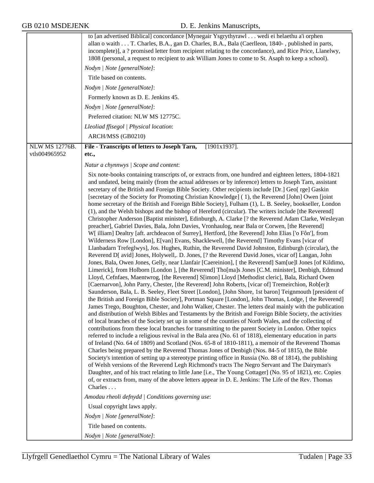|                                 | to [an advertised Biblical] concordance [Mynegair Ysgrythyrawl wedi ei helaethu a'i orphen<br>allan o waith T. Charles, B.A., gan D. Charles, B.A., Bala (Caerlleon, 1840-, published in parts,<br>incomplete)], a ? promised letter from recipient relating to the concordance), and Rice Price, Llanelwy,<br>1808 (personal, a request to recipient to ask William Jones to come to St. Asaph to keep a school).<br>Nodyn   Note [generalNote]:<br>Title based on contents.<br>Nodyn   Note [generalNote]:<br>Formerly known as D. E. Jenkins 45.<br>Nodyn   Note [generalNote]:<br>Preferred citation: NLW MS 12775C.<br>Lleoliad ffisegol   Physical location:                                                                                                                                                                                                                                                                                                                                                                                                                                                                                                                                                                                                                                                                                                                                                                                                                                                                                                                                                                                                                                                                                                                                                                                                                                                                                                                                                                                                                                                                                                                                                                                                                                                                                                                                                                                                                                                                                                                                                                                                                                                                                                                                                                                                                                                                                                                                                                                                                                                            |
|---------------------------------|-------------------------------------------------------------------------------------------------------------------------------------------------------------------------------------------------------------------------------------------------------------------------------------------------------------------------------------------------------------------------------------------------------------------------------------------------------------------------------------------------------------------------------------------------------------------------------------------------------------------------------------------------------------------------------------------------------------------------------------------------------------------------------------------------------------------------------------------------------------------------------------------------------------------------------------------------------------------------------------------------------------------------------------------------------------------------------------------------------------------------------------------------------------------------------------------------------------------------------------------------------------------------------------------------------------------------------------------------------------------------------------------------------------------------------------------------------------------------------------------------------------------------------------------------------------------------------------------------------------------------------------------------------------------------------------------------------------------------------------------------------------------------------------------------------------------------------------------------------------------------------------------------------------------------------------------------------------------------------------------------------------------------------------------------------------------------------------------------------------------------------------------------------------------------------------------------------------------------------------------------------------------------------------------------------------------------------------------------------------------------------------------------------------------------------------------------------------------------------------------------------------------------------------------------------------------------------------------------------------------------------------------------------------------------------------------------------------------------------------------------------------------------------------------------------------------------------------------------------------------------------------------------------------------------------------------------------------------------------------------------------------------------------------------------------------------------------------------------------------------------------|
|                                 | ARCH/MSS (GB0210)                                                                                                                                                                                                                                                                                                                                                                                                                                                                                                                                                                                                                                                                                                                                                                                                                                                                                                                                                                                                                                                                                                                                                                                                                                                                                                                                                                                                                                                                                                                                                                                                                                                                                                                                                                                                                                                                                                                                                                                                                                                                                                                                                                                                                                                                                                                                                                                                                                                                                                                                                                                                                                                                                                                                                                                                                                                                                                                                                                                                                                                                                                             |
| NLW MS 12776B.<br>vtls004965952 | $[1901x1937]$ .<br>File - Transcripts of letters to Joseph Tarn,<br>etc.,                                                                                                                                                                                                                                                                                                                                                                                                                                                                                                                                                                                                                                                                                                                                                                                                                                                                                                                                                                                                                                                                                                                                                                                                                                                                                                                                                                                                                                                                                                                                                                                                                                                                                                                                                                                                                                                                                                                                                                                                                                                                                                                                                                                                                                                                                                                                                                                                                                                                                                                                                                                                                                                                                                                                                                                                                                                                                                                                                                                                                                                     |
|                                 | Natur a chynnwys / Scope and content:                                                                                                                                                                                                                                                                                                                                                                                                                                                                                                                                                                                                                                                                                                                                                                                                                                                                                                                                                                                                                                                                                                                                                                                                                                                                                                                                                                                                                                                                                                                                                                                                                                                                                                                                                                                                                                                                                                                                                                                                                                                                                                                                                                                                                                                                                                                                                                                                                                                                                                                                                                                                                                                                                                                                                                                                                                                                                                                                                                                                                                                                                         |
|                                 | Six note-books containing transcripts of, or extracts from, one hundred and eighteen letters, 1804-1821<br>and undated, being mainly (from the actual addresses or by inference) letters to Joseph Tarn, assistant<br>secretary of the British and Foreign Bible Society. Other recipients include [Dr.] Geo[ rge] Gaskin<br>[secretary of the Society for Promoting Christian Knowledge] (1), the Reverend [John] Owen [joint]<br>home secretary of the British and Foreign Bible Society], Fulham (1), L. B. Seeley, bookseller, London<br>(1), and the Welsh bishops and the bishop of Hereford (circular). The writers include [the Reverend]<br>Christopher Anderson [Baptist minister], Edinburgh, A. Clarke [? the Reverend Adam Clarke, Wesleyan<br>preacher], Gabriel Davies, Bala, John Davies, Vronhaulog, near Bala or Corwen, [the Reverend]<br>W[ illiam] Dealtry [aft. archdeacon of Surrey], Hertford, [the Reverend] John Elias ['o Fôn'], from<br>Wilderness Row [London], E[van] Evans, Shacklewell, [the Reverend] Timothy Evans [vicar of<br>Llanbadarn Trefeglwys], Jos. Hughes, Ruthin, the Reverend David Johnston, Edinburgh (circular), the<br>Reverend D[ avid] Jones, Holywell, D. Jones, [? the Reverend David Jones, vicar of] Langan, John<br>Jones, Bala, Owen Jones, Gelly, near Llanfair [Caereinion], [the Reverend] Sam[ue]l Jones [of Kildimo,<br>Limerick], from Holborn [London], [the Reverend] Tho[ma]s Jones [C.M. minister], Denbigh, Edmund<br>Lloyd, Cefnfaes, Maentwrog, [the Reverend] S[imon] Lloyd [Methodist cleric], Bala, Richard Owen<br>[Caernarvon], John Parry, Chester, [the Reverend] John Roberts, [vicar of] Tremeirchion, Rob[er]t<br>Saunderson, Bala, L. B. Seeley, Fleet Street [London], [John Shore, 1st baron] Teignmouth [president of<br>the British and Foreign Bible Society], Portman Square [London], John Thomas, Lodge, [the Reverend]<br>James Trego, Boughton, Chester, and John Walker, Chester. The letters deal mainly with the publication<br>and distribution of Welsh Bibles and Testaments by the British and Foreign Bible Society, the activities<br>of local branches of the Society set up in some of the counties of North Wales, and the collecting of<br>contributions from these local branches for transmitting to the parent Society in London. Other topics<br>referred to include a religious revival in the Bala area (No. 61 of 1818), elementary education in parts<br>of Ireland (No. 64 of 1809) and Scotland (Nos. 65-8 of 1810-1811), a memoir of the Reverend Thomas<br>Charles being prepared by the Reverend Thomas Jones of Denbigh (Nos. 84-5 of 1815), the Bible<br>Society's intention of setting up a stereotype printing office in Russia (No. 88 of 1814), the publishing<br>of Welsh versions of the Reverend Legh Richmond's tracts The Negro Servant and The Dairyman's<br>Daughter, and of his tract relating to little Jane [i.e., The Young Cottager] (No. 95 of 1821), etc. Copies<br>of, or extracts from, many of the above letters appear in D. E. Jenkins: The Life of the Rev. Thomas<br>Charles |
|                                 | Amodau rheoli defnydd   Conditions governing use:<br>Usual copyright laws apply.                                                                                                                                                                                                                                                                                                                                                                                                                                                                                                                                                                                                                                                                                                                                                                                                                                                                                                                                                                                                                                                                                                                                                                                                                                                                                                                                                                                                                                                                                                                                                                                                                                                                                                                                                                                                                                                                                                                                                                                                                                                                                                                                                                                                                                                                                                                                                                                                                                                                                                                                                                                                                                                                                                                                                                                                                                                                                                                                                                                                                                              |
|                                 | Nodyn   Note [generalNote]:                                                                                                                                                                                                                                                                                                                                                                                                                                                                                                                                                                                                                                                                                                                                                                                                                                                                                                                                                                                                                                                                                                                                                                                                                                                                                                                                                                                                                                                                                                                                                                                                                                                                                                                                                                                                                                                                                                                                                                                                                                                                                                                                                                                                                                                                                                                                                                                                                                                                                                                                                                                                                                                                                                                                                                                                                                                                                                                                                                                                                                                                                                   |
|                                 | Title based on contents.                                                                                                                                                                                                                                                                                                                                                                                                                                                                                                                                                                                                                                                                                                                                                                                                                                                                                                                                                                                                                                                                                                                                                                                                                                                                                                                                                                                                                                                                                                                                                                                                                                                                                                                                                                                                                                                                                                                                                                                                                                                                                                                                                                                                                                                                                                                                                                                                                                                                                                                                                                                                                                                                                                                                                                                                                                                                                                                                                                                                                                                                                                      |
|                                 | Nodyn   Note [generalNote]:                                                                                                                                                                                                                                                                                                                                                                                                                                                                                                                                                                                                                                                                                                                                                                                                                                                                                                                                                                                                                                                                                                                                                                                                                                                                                                                                                                                                                                                                                                                                                                                                                                                                                                                                                                                                                                                                                                                                                                                                                                                                                                                                                                                                                                                                                                                                                                                                                                                                                                                                                                                                                                                                                                                                                                                                                                                                                                                                                                                                                                                                                                   |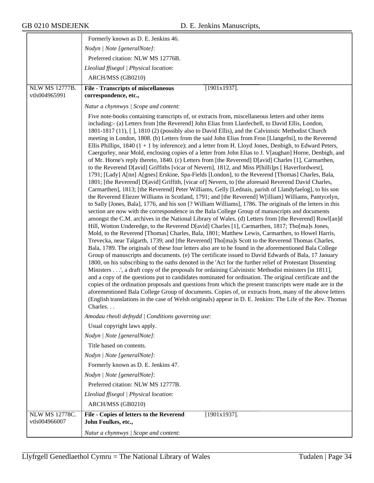|                                 | Formerly known as D. E. Jenkins 46.                                                                                                                                                                                                                                                                                                                                                                                                                                                                                                                                                                                                                                                                                                                                                                                                                                                                                                                                                                                                                                                                                                                                                                                                                                                                                                                                                                                                                                                                                                                                                                                                                                                                                                                                                                                                                                                                                                                                                                                                                                                                                                                                                                                                                                                                                                                                                                                                                                                                                                                                                                                                                                                                                                                                                                                   |
|---------------------------------|-----------------------------------------------------------------------------------------------------------------------------------------------------------------------------------------------------------------------------------------------------------------------------------------------------------------------------------------------------------------------------------------------------------------------------------------------------------------------------------------------------------------------------------------------------------------------------------------------------------------------------------------------------------------------------------------------------------------------------------------------------------------------------------------------------------------------------------------------------------------------------------------------------------------------------------------------------------------------------------------------------------------------------------------------------------------------------------------------------------------------------------------------------------------------------------------------------------------------------------------------------------------------------------------------------------------------------------------------------------------------------------------------------------------------------------------------------------------------------------------------------------------------------------------------------------------------------------------------------------------------------------------------------------------------------------------------------------------------------------------------------------------------------------------------------------------------------------------------------------------------------------------------------------------------------------------------------------------------------------------------------------------------------------------------------------------------------------------------------------------------------------------------------------------------------------------------------------------------------------------------------------------------------------------------------------------------------------------------------------------------------------------------------------------------------------------------------------------------------------------------------------------------------------------------------------------------------------------------------------------------------------------------------------------------------------------------------------------------------------------------------------------------------------------------------------------------|
|                                 | Nodyn   Note [generalNote]:                                                                                                                                                                                                                                                                                                                                                                                                                                                                                                                                                                                                                                                                                                                                                                                                                                                                                                                                                                                                                                                                                                                                                                                                                                                                                                                                                                                                                                                                                                                                                                                                                                                                                                                                                                                                                                                                                                                                                                                                                                                                                                                                                                                                                                                                                                                                                                                                                                                                                                                                                                                                                                                                                                                                                                                           |
|                                 | Preferred citation: NLW MS 12776B.                                                                                                                                                                                                                                                                                                                                                                                                                                                                                                                                                                                                                                                                                                                                                                                                                                                                                                                                                                                                                                                                                                                                                                                                                                                                                                                                                                                                                                                                                                                                                                                                                                                                                                                                                                                                                                                                                                                                                                                                                                                                                                                                                                                                                                                                                                                                                                                                                                                                                                                                                                                                                                                                                                                                                                                    |
|                                 | Lleoliad ffisegol   Physical location:                                                                                                                                                                                                                                                                                                                                                                                                                                                                                                                                                                                                                                                                                                                                                                                                                                                                                                                                                                                                                                                                                                                                                                                                                                                                                                                                                                                                                                                                                                                                                                                                                                                                                                                                                                                                                                                                                                                                                                                                                                                                                                                                                                                                                                                                                                                                                                                                                                                                                                                                                                                                                                                                                                                                                                                |
|                                 | ARCH/MSS (GB0210)                                                                                                                                                                                                                                                                                                                                                                                                                                                                                                                                                                                                                                                                                                                                                                                                                                                                                                                                                                                                                                                                                                                                                                                                                                                                                                                                                                                                                                                                                                                                                                                                                                                                                                                                                                                                                                                                                                                                                                                                                                                                                                                                                                                                                                                                                                                                                                                                                                                                                                                                                                                                                                                                                                                                                                                                     |
| NLW MS 12777B.                  | $[1901x1937]$ .<br><b>File - Transcripts of miscellaneous</b>                                                                                                                                                                                                                                                                                                                                                                                                                                                                                                                                                                                                                                                                                                                                                                                                                                                                                                                                                                                                                                                                                                                                                                                                                                                                                                                                                                                                                                                                                                                                                                                                                                                                                                                                                                                                                                                                                                                                                                                                                                                                                                                                                                                                                                                                                                                                                                                                                                                                                                                                                                                                                                                                                                                                                         |
| vtls004965991                   | correspondence, etc.,                                                                                                                                                                                                                                                                                                                                                                                                                                                                                                                                                                                                                                                                                                                                                                                                                                                                                                                                                                                                                                                                                                                                                                                                                                                                                                                                                                                                                                                                                                                                                                                                                                                                                                                                                                                                                                                                                                                                                                                                                                                                                                                                                                                                                                                                                                                                                                                                                                                                                                                                                                                                                                                                                                                                                                                                 |
|                                 | Natur a chynnwys / Scope and content:                                                                                                                                                                                                                                                                                                                                                                                                                                                                                                                                                                                                                                                                                                                                                                                                                                                                                                                                                                                                                                                                                                                                                                                                                                                                                                                                                                                                                                                                                                                                                                                                                                                                                                                                                                                                                                                                                                                                                                                                                                                                                                                                                                                                                                                                                                                                                                                                                                                                                                                                                                                                                                                                                                                                                                                 |
|                                 | Five note-books containing transcripts of, or extracts from, miscellaneous letters and other items<br>including:- (a) Letters from [the Reverend] John Elias from Llanfechell, to David Ellis, London,<br>1801-1817 (11), [], 1810 (2) (possibly also to David Ellis), and the Calvinistic Methodist Church<br>meeting in London, 1808. (b) Letters from the said John Elias from Fron [Llangefni], to the Reverend<br>Ellis Phillips, 1840 $(1 + 1)$ by inference); and a letter from H. Lloyd Jones, Denbigh, to Edward Peters,<br>Caergurley, near Mold, enclosing copies of a letter from John Elias to J. V[aughan] Horne, Denbigh, and<br>of Mr. Horne's reply thereto, 1840. (c) Letters from [the Reverend] D[avid] Charles [1], Carmarthen,<br>to the Reverend D[avid] Griffiths [vicar of Nevern], 1812, and Miss P[hilli]ps [ Haverfordwest],<br>1791; [Lady] A[nn] A[gnes] Erskine, Spa-Fields [London], to the Reverend [Thomas] Charles, Bala,<br>1801; [the Reverend] D[avid] Griffith, [vicar of] Nevern, to [the aforesaid Reverend David Charles,<br>Carmarthen], 1813; [the Reverend] Peter Williams, Gelly [Lednais, parish of Llandyfaelog], to his son<br>the Reverend Eliezer Williams in Scotland, 1791; and [the Reverend] W[illiam] Williams, Pantycelyn,<br>to Sally [Jones, Bala], 1776, and his son [? William Williams], 1786. The originals of the letters in this<br>section are now with the correspondence in the Bala College Group of manuscripts and documents<br>amongst the C.M. archives in the National Library of Wales. (d) Letters from [the Reverend] Rowl[an]d<br>Hill, Wotton Underedge, to the Reverend D[avid] Charles [1], Carmarthen, 1817; Tho[ma]s Jones,<br>Mold, to the Reverend [Thomas] Charles, Bala, 1801; Matthew Lewis, Carmarthen, to Howel Harris,<br>Trevecka, near Talgarth, 1739; and [the Reverend] Tho[ma]s Scott to the Reverend Thomas Charles,<br>Bala, 1789. The originals of these four letters also are to be found in the aforementioned Bala College<br>Group of manuscripts and documents. (e) The certificate issued to David Edwards of Bala, 17 January<br>1800, on his subscribing to the oaths denoted in the 'Act for the further relief of Protestant Dissenting<br>Ministers', a draft copy of the proposals for ordaining Calvinistic Methodist ministers [in 1811],<br>and a copy of the questions put to candidates nominated for ordination. The original certificate and the<br>copies of the ordination proposals and questions from which the present transcripts were made are in the<br>aforementioned Bala College Group of documents. Copies of, or extracts from, many of the above letters<br>(English translations in the case of Welsh originals) appear in D. E. Jenkins: The Life of the Rev. Thomas<br>Charles |
|                                 | Amodau rheoli defnydd   Conditions governing use:                                                                                                                                                                                                                                                                                                                                                                                                                                                                                                                                                                                                                                                                                                                                                                                                                                                                                                                                                                                                                                                                                                                                                                                                                                                                                                                                                                                                                                                                                                                                                                                                                                                                                                                                                                                                                                                                                                                                                                                                                                                                                                                                                                                                                                                                                                                                                                                                                                                                                                                                                                                                                                                                                                                                                                     |
|                                 | Usual copyright laws apply.<br>Nodyn   Note [generalNote]:                                                                                                                                                                                                                                                                                                                                                                                                                                                                                                                                                                                                                                                                                                                                                                                                                                                                                                                                                                                                                                                                                                                                                                                                                                                                                                                                                                                                                                                                                                                                                                                                                                                                                                                                                                                                                                                                                                                                                                                                                                                                                                                                                                                                                                                                                                                                                                                                                                                                                                                                                                                                                                                                                                                                                            |
|                                 | Title based on contents.                                                                                                                                                                                                                                                                                                                                                                                                                                                                                                                                                                                                                                                                                                                                                                                                                                                                                                                                                                                                                                                                                                                                                                                                                                                                                                                                                                                                                                                                                                                                                                                                                                                                                                                                                                                                                                                                                                                                                                                                                                                                                                                                                                                                                                                                                                                                                                                                                                                                                                                                                                                                                                                                                                                                                                                              |
|                                 | Nodyn   Note [generalNote]:                                                                                                                                                                                                                                                                                                                                                                                                                                                                                                                                                                                                                                                                                                                                                                                                                                                                                                                                                                                                                                                                                                                                                                                                                                                                                                                                                                                                                                                                                                                                                                                                                                                                                                                                                                                                                                                                                                                                                                                                                                                                                                                                                                                                                                                                                                                                                                                                                                                                                                                                                                                                                                                                                                                                                                                           |
|                                 | Formerly known as D. E. Jenkins 47.                                                                                                                                                                                                                                                                                                                                                                                                                                                                                                                                                                                                                                                                                                                                                                                                                                                                                                                                                                                                                                                                                                                                                                                                                                                                                                                                                                                                                                                                                                                                                                                                                                                                                                                                                                                                                                                                                                                                                                                                                                                                                                                                                                                                                                                                                                                                                                                                                                                                                                                                                                                                                                                                                                                                                                                   |
|                                 | Nodyn   Note [generalNote]:                                                                                                                                                                                                                                                                                                                                                                                                                                                                                                                                                                                                                                                                                                                                                                                                                                                                                                                                                                                                                                                                                                                                                                                                                                                                                                                                                                                                                                                                                                                                                                                                                                                                                                                                                                                                                                                                                                                                                                                                                                                                                                                                                                                                                                                                                                                                                                                                                                                                                                                                                                                                                                                                                                                                                                                           |
|                                 | Preferred citation: NLW MS 12777B.                                                                                                                                                                                                                                                                                                                                                                                                                                                                                                                                                                                                                                                                                                                                                                                                                                                                                                                                                                                                                                                                                                                                                                                                                                                                                                                                                                                                                                                                                                                                                                                                                                                                                                                                                                                                                                                                                                                                                                                                                                                                                                                                                                                                                                                                                                                                                                                                                                                                                                                                                                                                                                                                                                                                                                                    |
|                                 | Lleoliad ffisegol   Physical location:                                                                                                                                                                                                                                                                                                                                                                                                                                                                                                                                                                                                                                                                                                                                                                                                                                                                                                                                                                                                                                                                                                                                                                                                                                                                                                                                                                                                                                                                                                                                                                                                                                                                                                                                                                                                                                                                                                                                                                                                                                                                                                                                                                                                                                                                                                                                                                                                                                                                                                                                                                                                                                                                                                                                                                                |
|                                 | ARCH/MSS (GB0210)                                                                                                                                                                                                                                                                                                                                                                                                                                                                                                                                                                                                                                                                                                                                                                                                                                                                                                                                                                                                                                                                                                                                                                                                                                                                                                                                                                                                                                                                                                                                                                                                                                                                                                                                                                                                                                                                                                                                                                                                                                                                                                                                                                                                                                                                                                                                                                                                                                                                                                                                                                                                                                                                                                                                                                                                     |
| NLW MS 12778C.<br>vtls004966007 | File - Copies of letters to the Reverend<br>$[1901x1937]$ .<br>John Foulkes, etc.,                                                                                                                                                                                                                                                                                                                                                                                                                                                                                                                                                                                                                                                                                                                                                                                                                                                                                                                                                                                                                                                                                                                                                                                                                                                                                                                                                                                                                                                                                                                                                                                                                                                                                                                                                                                                                                                                                                                                                                                                                                                                                                                                                                                                                                                                                                                                                                                                                                                                                                                                                                                                                                                                                                                                    |
|                                 | Natur a chynnwys / Scope and content:                                                                                                                                                                                                                                                                                                                                                                                                                                                                                                                                                                                                                                                                                                                                                                                                                                                                                                                                                                                                                                                                                                                                                                                                                                                                                                                                                                                                                                                                                                                                                                                                                                                                                                                                                                                                                                                                                                                                                                                                                                                                                                                                                                                                                                                                                                                                                                                                                                                                                                                                                                                                                                                                                                                                                                                 |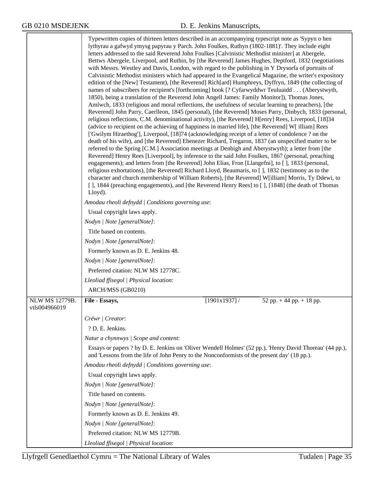|                                        | Typewritten copies of thirteen letters described in an accompanying typescript note as 'Sypyn o hen<br>lythyrau a gafwyd ymysg papyrau y Parch. John Foulkes, Ruthyn (1802-1881)'. They include eight<br>letters addressed to the said Reverend John Foulkes [Calvinistic Methodist minister] at Abergele,<br>Bettws Abergele, Liverpool, and Ruthin, by [the Reverend] James Hughes, Deptford, 1832 (negotiations<br>with Messrs. Westley and Davis, London, with regard to the publishing in Y Drysorfa of portraits of<br>Calvinistic Methodist ministers which had appeared in the Evangelical Magazine, the writer's expository<br>edition of the [New] Testament), [the Reverend] Rich[ard] Humphreys, Dyffryn, 1849 (the collecting of<br>names of subscribers for recipient's [forthcoming] book [? Cyfarwyddwr Teuluaidd (Aberystwyth,<br>1850), being a translation of the Reverend John Angell James: Family Monitor]), Thomas Jones,<br>Amlwch, 1833 (religious and moral reflections, the usefulness of secular learning to preachers), [the<br>Reverend] John Parry, Caerlleon, 1845 (personal), [the Reverend] Moses Parry, Dinbych, 1833 (personal,<br>religious reflections, C.M. denominational activity), [the Reverend] H[enry] Rees, Liverpool, [18]34<br>(advice to recipient on the achieving of happiness in married life), [the Reverend] W[ illiam] Rees<br>['Gwilym Hiraethog'], Liverpool, [18]74 (acknowledging receipt of a letter of condolence ? on the<br>death of his wife), and [the Reverend] Ebenezer Richard, Tregaron, 1837 (an unspecified matter to be<br>referred to the Spring [C.M.] Association meetings at Denbigh and Aberystwyth); a letter from [the<br>Reverend] Henry Rees [Liverpool], by inference to the said John Foulkes, 1867 (personal, preaching<br>engagements); and letters from [the Reverend] John Elias, Fron [Llangefni], to [], 1833 (personal,<br>religious exhortations), [the Reverend] Richard Lloyd, Beaumaris, to [], 1832 (testimony as to the<br>character and church membership of William Roberts), [the Reverend] W[illiam] Morris, Ty Ddewi, to<br>[ ], 1844 (preaching engagements), and [the Reverend Henry Rees] to [ ], [1848] (the death of Thomas<br>Lloyd). |             |                            |
|----------------------------------------|--------------------------------------------------------------------------------------------------------------------------------------------------------------------------------------------------------------------------------------------------------------------------------------------------------------------------------------------------------------------------------------------------------------------------------------------------------------------------------------------------------------------------------------------------------------------------------------------------------------------------------------------------------------------------------------------------------------------------------------------------------------------------------------------------------------------------------------------------------------------------------------------------------------------------------------------------------------------------------------------------------------------------------------------------------------------------------------------------------------------------------------------------------------------------------------------------------------------------------------------------------------------------------------------------------------------------------------------------------------------------------------------------------------------------------------------------------------------------------------------------------------------------------------------------------------------------------------------------------------------------------------------------------------------------------------------------------------------------------------------------------------------------------------------------------------------------------------------------------------------------------------------------------------------------------------------------------------------------------------------------------------------------------------------------------------------------------------------------------------------------------------------------------------------------------------------------------------------------------------------------|-------------|----------------------------|
|                                        | Amodau rheoli defnydd   Conditions governing use:                                                                                                                                                                                                                                                                                                                                                                                                                                                                                                                                                                                                                                                                                                                                                                                                                                                                                                                                                                                                                                                                                                                                                                                                                                                                                                                                                                                                                                                                                                                                                                                                                                                                                                                                                                                                                                                                                                                                                                                                                                                                                                                                                                                                |             |                            |
|                                        | Usual copyright laws apply.                                                                                                                                                                                                                                                                                                                                                                                                                                                                                                                                                                                                                                                                                                                                                                                                                                                                                                                                                                                                                                                                                                                                                                                                                                                                                                                                                                                                                                                                                                                                                                                                                                                                                                                                                                                                                                                                                                                                                                                                                                                                                                                                                                                                                      |             |                            |
|                                        | Nodyn   Note [generalNote]:                                                                                                                                                                                                                                                                                                                                                                                                                                                                                                                                                                                                                                                                                                                                                                                                                                                                                                                                                                                                                                                                                                                                                                                                                                                                                                                                                                                                                                                                                                                                                                                                                                                                                                                                                                                                                                                                                                                                                                                                                                                                                                                                                                                                                      |             |                            |
|                                        | Title based on contents.                                                                                                                                                                                                                                                                                                                                                                                                                                                                                                                                                                                                                                                                                                                                                                                                                                                                                                                                                                                                                                                                                                                                                                                                                                                                                                                                                                                                                                                                                                                                                                                                                                                                                                                                                                                                                                                                                                                                                                                                                                                                                                                                                                                                                         |             |                            |
|                                        | Nodyn   Note [generalNote]:                                                                                                                                                                                                                                                                                                                                                                                                                                                                                                                                                                                                                                                                                                                                                                                                                                                                                                                                                                                                                                                                                                                                                                                                                                                                                                                                                                                                                                                                                                                                                                                                                                                                                                                                                                                                                                                                                                                                                                                                                                                                                                                                                                                                                      |             |                            |
|                                        | Formerly known as D. E. Jenkins 48.                                                                                                                                                                                                                                                                                                                                                                                                                                                                                                                                                                                                                                                                                                                                                                                                                                                                                                                                                                                                                                                                                                                                                                                                                                                                                                                                                                                                                                                                                                                                                                                                                                                                                                                                                                                                                                                                                                                                                                                                                                                                                                                                                                                                              |             |                            |
|                                        | Nodyn   Note [generalNote]:                                                                                                                                                                                                                                                                                                                                                                                                                                                                                                                                                                                                                                                                                                                                                                                                                                                                                                                                                                                                                                                                                                                                                                                                                                                                                                                                                                                                                                                                                                                                                                                                                                                                                                                                                                                                                                                                                                                                                                                                                                                                                                                                                                                                                      |             |                            |
|                                        | Preferred citation: NLW MS 12778C.                                                                                                                                                                                                                                                                                                                                                                                                                                                                                                                                                                                                                                                                                                                                                                                                                                                                                                                                                                                                                                                                                                                                                                                                                                                                                                                                                                                                                                                                                                                                                                                                                                                                                                                                                                                                                                                                                                                                                                                                                                                                                                                                                                                                               |             |                            |
|                                        | Lleoliad ffisegol   Physical location:                                                                                                                                                                                                                                                                                                                                                                                                                                                                                                                                                                                                                                                                                                                                                                                                                                                                                                                                                                                                                                                                                                                                                                                                                                                                                                                                                                                                                                                                                                                                                                                                                                                                                                                                                                                                                                                                                                                                                                                                                                                                                                                                                                                                           |             |                            |
|                                        | ARCH/MSS (GB0210)                                                                                                                                                                                                                                                                                                                                                                                                                                                                                                                                                                                                                                                                                                                                                                                                                                                                                                                                                                                                                                                                                                                                                                                                                                                                                                                                                                                                                                                                                                                                                                                                                                                                                                                                                                                                                                                                                                                                                                                                                                                                                                                                                                                                                                |             |                            |
| <b>NLW MS 12779B.</b><br>vtls004966019 | File - Essays,                                                                                                                                                                                                                                                                                                                                                                                                                                                                                                                                                                                                                                                                                                                                                                                                                                                                                                                                                                                                                                                                                                                                                                                                                                                                                                                                                                                                                                                                                                                                                                                                                                                                                                                                                                                                                                                                                                                                                                                                                                                                                                                                                                                                                                   | [1901x1937] | 52 pp. $+44$ pp. $+18$ pp. |
|                                        | Crëwr   Creator:                                                                                                                                                                                                                                                                                                                                                                                                                                                                                                                                                                                                                                                                                                                                                                                                                                                                                                                                                                                                                                                                                                                                                                                                                                                                                                                                                                                                                                                                                                                                                                                                                                                                                                                                                                                                                                                                                                                                                                                                                                                                                                                                                                                                                                 |             |                            |
|                                        | ? D. E. Jenkins.                                                                                                                                                                                                                                                                                                                                                                                                                                                                                                                                                                                                                                                                                                                                                                                                                                                                                                                                                                                                                                                                                                                                                                                                                                                                                                                                                                                                                                                                                                                                                                                                                                                                                                                                                                                                                                                                                                                                                                                                                                                                                                                                                                                                                                 |             |                            |
|                                        | Natur a chynnwys / Scope and content:                                                                                                                                                                                                                                                                                                                                                                                                                                                                                                                                                                                                                                                                                                                                                                                                                                                                                                                                                                                                                                                                                                                                                                                                                                                                                                                                                                                                                                                                                                                                                                                                                                                                                                                                                                                                                                                                                                                                                                                                                                                                                                                                                                                                            |             |                            |
|                                        | Essays or papers ? by D. E. Jenkins on 'Oliver Wendell Holmes' (52 pp.), 'Henry David Thoreau' (44 pp.),<br>and 'Lessons from the life of John Penry to the Nonconformists of the present day' (18 pp.).                                                                                                                                                                                                                                                                                                                                                                                                                                                                                                                                                                                                                                                                                                                                                                                                                                                                                                                                                                                                                                                                                                                                                                                                                                                                                                                                                                                                                                                                                                                                                                                                                                                                                                                                                                                                                                                                                                                                                                                                                                         |             |                            |
|                                        | Amodau rheoli defnydd   Conditions governing use:                                                                                                                                                                                                                                                                                                                                                                                                                                                                                                                                                                                                                                                                                                                                                                                                                                                                                                                                                                                                                                                                                                                                                                                                                                                                                                                                                                                                                                                                                                                                                                                                                                                                                                                                                                                                                                                                                                                                                                                                                                                                                                                                                                                                |             |                            |
|                                        | Usual copyright laws apply.                                                                                                                                                                                                                                                                                                                                                                                                                                                                                                                                                                                                                                                                                                                                                                                                                                                                                                                                                                                                                                                                                                                                                                                                                                                                                                                                                                                                                                                                                                                                                                                                                                                                                                                                                                                                                                                                                                                                                                                                                                                                                                                                                                                                                      |             |                            |
|                                        | Nodyn   Note [generalNote]:                                                                                                                                                                                                                                                                                                                                                                                                                                                                                                                                                                                                                                                                                                                                                                                                                                                                                                                                                                                                                                                                                                                                                                                                                                                                                                                                                                                                                                                                                                                                                                                                                                                                                                                                                                                                                                                                                                                                                                                                                                                                                                                                                                                                                      |             |                            |
|                                        | Title based on contents.                                                                                                                                                                                                                                                                                                                                                                                                                                                                                                                                                                                                                                                                                                                                                                                                                                                                                                                                                                                                                                                                                                                                                                                                                                                                                                                                                                                                                                                                                                                                                                                                                                                                                                                                                                                                                                                                                                                                                                                                                                                                                                                                                                                                                         |             |                            |
|                                        | Nodyn   Note [generalNote]:                                                                                                                                                                                                                                                                                                                                                                                                                                                                                                                                                                                                                                                                                                                                                                                                                                                                                                                                                                                                                                                                                                                                                                                                                                                                                                                                                                                                                                                                                                                                                                                                                                                                                                                                                                                                                                                                                                                                                                                                                                                                                                                                                                                                                      |             |                            |
|                                        | Formerly known as D. E. Jenkins 49.                                                                                                                                                                                                                                                                                                                                                                                                                                                                                                                                                                                                                                                                                                                                                                                                                                                                                                                                                                                                                                                                                                                                                                                                                                                                                                                                                                                                                                                                                                                                                                                                                                                                                                                                                                                                                                                                                                                                                                                                                                                                                                                                                                                                              |             |                            |
|                                        | Nodyn   Note [generalNote]:                                                                                                                                                                                                                                                                                                                                                                                                                                                                                                                                                                                                                                                                                                                                                                                                                                                                                                                                                                                                                                                                                                                                                                                                                                                                                                                                                                                                                                                                                                                                                                                                                                                                                                                                                                                                                                                                                                                                                                                                                                                                                                                                                                                                                      |             |                            |
|                                        | Preferred citation: NLW MS 12779B.                                                                                                                                                                                                                                                                                                                                                                                                                                                                                                                                                                                                                                                                                                                                                                                                                                                                                                                                                                                                                                                                                                                                                                                                                                                                                                                                                                                                                                                                                                                                                                                                                                                                                                                                                                                                                                                                                                                                                                                                                                                                                                                                                                                                               |             |                            |
|                                        | Lleoliad ffisegol   Physical location:                                                                                                                                                                                                                                                                                                                                                                                                                                                                                                                                                                                                                                                                                                                                                                                                                                                                                                                                                                                                                                                                                                                                                                                                                                                                                                                                                                                                                                                                                                                                                                                                                                                                                                                                                                                                                                                                                                                                                                                                                                                                                                                                                                                                           |             |                            |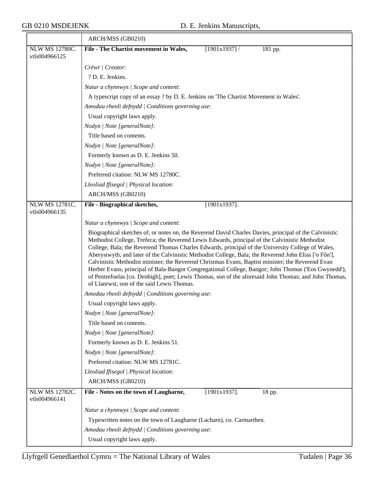|                                        | ARCH/MSS (GB0210)                                                                                                                                                                                                                                                                                                                                                                                                                                                                                                                                                                                                                                                               |
|----------------------------------------|---------------------------------------------------------------------------------------------------------------------------------------------------------------------------------------------------------------------------------------------------------------------------------------------------------------------------------------------------------------------------------------------------------------------------------------------------------------------------------------------------------------------------------------------------------------------------------------------------------------------------------------------------------------------------------|
| NLW MS 12780C.                         | File - The Chartist movement in Wales,<br>$[1901x1937]$ /<br>181 pp.                                                                                                                                                                                                                                                                                                                                                                                                                                                                                                                                                                                                            |
| vtls004966125                          |                                                                                                                                                                                                                                                                                                                                                                                                                                                                                                                                                                                                                                                                                 |
|                                        | Crëwr   Creator:                                                                                                                                                                                                                                                                                                                                                                                                                                                                                                                                                                                                                                                                |
|                                        | ? D. E. Jenkins.                                                                                                                                                                                                                                                                                                                                                                                                                                                                                                                                                                                                                                                                |
|                                        | Natur a chynnwys / Scope and content:                                                                                                                                                                                                                                                                                                                                                                                                                                                                                                                                                                                                                                           |
|                                        | A typescript copy of an essay ? by D. E. Jenkins on 'The Chartist Movement in Wales'.                                                                                                                                                                                                                                                                                                                                                                                                                                                                                                                                                                                           |
|                                        | Amodau rheoli defnydd   Conditions governing use:                                                                                                                                                                                                                                                                                                                                                                                                                                                                                                                                                                                                                               |
|                                        | Usual copyright laws apply.                                                                                                                                                                                                                                                                                                                                                                                                                                                                                                                                                                                                                                                     |
|                                        | Nodyn   Note [generalNote]:                                                                                                                                                                                                                                                                                                                                                                                                                                                                                                                                                                                                                                                     |
|                                        | Title based on contents.                                                                                                                                                                                                                                                                                                                                                                                                                                                                                                                                                                                                                                                        |
|                                        | Nodyn   Note [generalNote]:                                                                                                                                                                                                                                                                                                                                                                                                                                                                                                                                                                                                                                                     |
|                                        | Formerly known as D. E. Jenkins 50.                                                                                                                                                                                                                                                                                                                                                                                                                                                                                                                                                                                                                                             |
|                                        | Nodyn   Note [generalNote]:                                                                                                                                                                                                                                                                                                                                                                                                                                                                                                                                                                                                                                                     |
|                                        | Preferred citation: NLW MS 12780C.                                                                                                                                                                                                                                                                                                                                                                                                                                                                                                                                                                                                                                              |
|                                        | Lleoliad ffisegol   Physical location:                                                                                                                                                                                                                                                                                                                                                                                                                                                                                                                                                                                                                                          |
|                                        | ARCH/MSS (GB0210)                                                                                                                                                                                                                                                                                                                                                                                                                                                                                                                                                                                                                                                               |
| <b>NLW MS 12781C.</b><br>vtls004966135 | $[1901x1937]$ .<br>File - Biographical sketches,                                                                                                                                                                                                                                                                                                                                                                                                                                                                                                                                                                                                                                |
|                                        | Natur a chynnwys / Scope and content:                                                                                                                                                                                                                                                                                                                                                                                                                                                                                                                                                                                                                                           |
|                                        | Biographical sketches of, or notes on, the Reverend David Charles Davies, principal of the Calvinistic                                                                                                                                                                                                                                                                                                                                                                                                                                                                                                                                                                          |
|                                        | Methodist College, Trefeca; the Reverend Lewis Edwards, principal of the Calvinistic Methodist<br>College, Bala; the Reverend Thomas Charles Edwards, principal of the University College of Wales,<br>Aberystwyth, and later of the Calvinistic Methodist College, Bala; the Reverend John Elias ['o Fôn'],<br>Calvinistic Methodist minister; the Reverend Christmas Evans, Baptist minister; the Reverend Evan<br>Herber Evans, principal of Bala-Bangor Congregational College, Bangor; John Thomas ('Eos Gwynedd'),<br>of Pentrefoelas [co. Denbigh], poet; Lewis Thomas, son of the aforesaid John Thomas; and John Thomas,<br>of Llanrwst, son of the said Lewis Thomas. |
|                                        | Amodau rheoli defnydd   Conditions governing use:                                                                                                                                                                                                                                                                                                                                                                                                                                                                                                                                                                                                                               |
|                                        | Usual copyright laws apply.                                                                                                                                                                                                                                                                                                                                                                                                                                                                                                                                                                                                                                                     |
|                                        | Nodyn   Note [generalNote]:                                                                                                                                                                                                                                                                                                                                                                                                                                                                                                                                                                                                                                                     |
|                                        | Title based on contents.                                                                                                                                                                                                                                                                                                                                                                                                                                                                                                                                                                                                                                                        |
|                                        | Nodyn   Note [generalNote]:                                                                                                                                                                                                                                                                                                                                                                                                                                                                                                                                                                                                                                                     |
|                                        | Formerly known as D. E. Jenkins 51.                                                                                                                                                                                                                                                                                                                                                                                                                                                                                                                                                                                                                                             |
|                                        | Nodyn   Note [generalNote]:                                                                                                                                                                                                                                                                                                                                                                                                                                                                                                                                                                                                                                                     |
|                                        | Preferred citation: NLW MS 12781C.                                                                                                                                                                                                                                                                                                                                                                                                                                                                                                                                                                                                                                              |
|                                        | Lleoliad ffisegol   Physical location:                                                                                                                                                                                                                                                                                                                                                                                                                                                                                                                                                                                                                                          |
|                                        | ARCH/MSS (GB0210)                                                                                                                                                                                                                                                                                                                                                                                                                                                                                                                                                                                                                                                               |
| <b>NLW MS 12782C.</b><br>vtls004966141 | File - Notes on the town of Laugharne,<br>$[1901x1937]$ .<br>18 pp.                                                                                                                                                                                                                                                                                                                                                                                                                                                                                                                                                                                                             |
|                                        | Natur a chynnwys / Scope and content:                                                                                                                                                                                                                                                                                                                                                                                                                                                                                                                                                                                                                                           |
|                                        | Typewritten notes on the town of Laugharne (Lacharn), co. Carmarthen.                                                                                                                                                                                                                                                                                                                                                                                                                                                                                                                                                                                                           |
|                                        | Amodau rheoli defnydd   Conditions governing use:                                                                                                                                                                                                                                                                                                                                                                                                                                                                                                                                                                                                                               |
|                                        | Usual copyright laws apply.                                                                                                                                                                                                                                                                                                                                                                                                                                                                                                                                                                                                                                                     |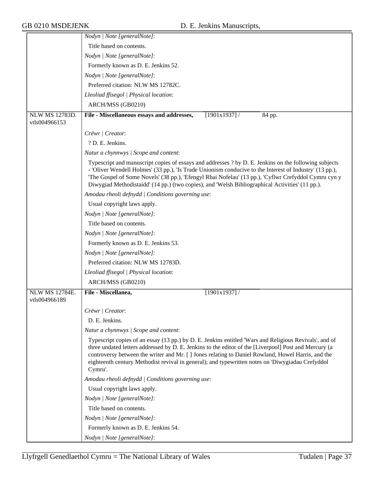|                | Nodyn   Note [generalNote]:                                                                                                                                                                                                                                                                                                                                                                                                         |
|----------------|-------------------------------------------------------------------------------------------------------------------------------------------------------------------------------------------------------------------------------------------------------------------------------------------------------------------------------------------------------------------------------------------------------------------------------------|
|                | Title based on contents.                                                                                                                                                                                                                                                                                                                                                                                                            |
|                | Nodyn   Note [generalNote]:                                                                                                                                                                                                                                                                                                                                                                                                         |
|                | Formerly known as D. E. Jenkins 52.                                                                                                                                                                                                                                                                                                                                                                                                 |
|                | Nodyn   Note [generalNote]:                                                                                                                                                                                                                                                                                                                                                                                                         |
|                | Preferred citation: NLW MS 12782C.                                                                                                                                                                                                                                                                                                                                                                                                  |
|                | Lleoliad ffisegol   Physical location:                                                                                                                                                                                                                                                                                                                                                                                              |
|                | ARCH/MSS (GB0210)                                                                                                                                                                                                                                                                                                                                                                                                                   |
| NLW MS 12783D. | File - Miscellaneous essays and addresses,<br>$[1901x1937]$ /<br>84 pp.                                                                                                                                                                                                                                                                                                                                                             |
| vtls004966153  |                                                                                                                                                                                                                                                                                                                                                                                                                                     |
|                | Crëwr   Creator:                                                                                                                                                                                                                                                                                                                                                                                                                    |
|                | ? D. E. Jenkins.                                                                                                                                                                                                                                                                                                                                                                                                                    |
|                | Natur a chynnwys / Scope and content:                                                                                                                                                                                                                                                                                                                                                                                               |
|                | Typescript and manuscript copies of essays and addresses ? by D. E. Jenkins on the following subjects<br>- 'Oliver Wendell Holmes' (33 pp.), 'Is Trade Unionism conducive to the Interest of Industry' (13 pp.),<br>The Gospel of Some Novels' (38 pp.), 'Efengyl Rhai Nofelau' (13 pp.), 'Cyflwr Crefyddol Cymru cyn y<br>Diwygiad Methodistaidd' (14 pp.) (two copies), and 'Welsh Bibliographical Activities' (11 pp.).          |
|                | Amodau rheoli defnydd / Conditions governing use:                                                                                                                                                                                                                                                                                                                                                                                   |
|                | Usual copyright laws apply.                                                                                                                                                                                                                                                                                                                                                                                                         |
|                | Nodyn   Note [generalNote]:                                                                                                                                                                                                                                                                                                                                                                                                         |
|                | Title based on contents.                                                                                                                                                                                                                                                                                                                                                                                                            |
|                | Nodyn   Note [generalNote]:                                                                                                                                                                                                                                                                                                                                                                                                         |
|                | Formerly known as D. E. Jenkins 53.                                                                                                                                                                                                                                                                                                                                                                                                 |
|                | Nodyn   Note [generalNote]:                                                                                                                                                                                                                                                                                                                                                                                                         |
|                | Preferred citation: NLW MS 12783D.                                                                                                                                                                                                                                                                                                                                                                                                  |
|                | Lleoliad ffisegol   Physical location:                                                                                                                                                                                                                                                                                                                                                                                              |
|                | ARCH/MSS (GB0210)                                                                                                                                                                                                                                                                                                                                                                                                                   |
| NLW MS 12784E. | File - Miscellanea,<br>[1901x1937]                                                                                                                                                                                                                                                                                                                                                                                                  |
| vtls004966189  |                                                                                                                                                                                                                                                                                                                                                                                                                                     |
|                | Crëwr   Creator:                                                                                                                                                                                                                                                                                                                                                                                                                    |
|                | D. E. Jenkins.                                                                                                                                                                                                                                                                                                                                                                                                                      |
|                | Natur a chynnwys / Scope and content:                                                                                                                                                                                                                                                                                                                                                                                               |
|                | Typescript copies of an essay (13 pp.) by D. E. Jenkins entitled 'Wars and Religious Revivals', and of<br>three undated letters addressed by D. E. Jenkins to the editor of the [Liverpool] Post and Mercury (a<br>controversy between the writer and Mr. [] Jones relating to Daniel Rowland, Howel Harris, and the<br>eighteenth century Methodist revival in general); and typewritten notes on 'Diwygiadau Crefyddol<br>Cymru'. |
|                | Amodau rheoli defnydd   Conditions governing use:                                                                                                                                                                                                                                                                                                                                                                                   |
|                | Usual copyright laws apply.                                                                                                                                                                                                                                                                                                                                                                                                         |
|                | Nodyn   Note [generalNote]:                                                                                                                                                                                                                                                                                                                                                                                                         |
|                | Title based on contents.                                                                                                                                                                                                                                                                                                                                                                                                            |
|                | Nodyn   Note [generalNote]:                                                                                                                                                                                                                                                                                                                                                                                                         |
|                | Formerly known as D. E. Jenkins 54.                                                                                                                                                                                                                                                                                                                                                                                                 |
|                | Nodyn   Note [generalNote]:                                                                                                                                                                                                                                                                                                                                                                                                         |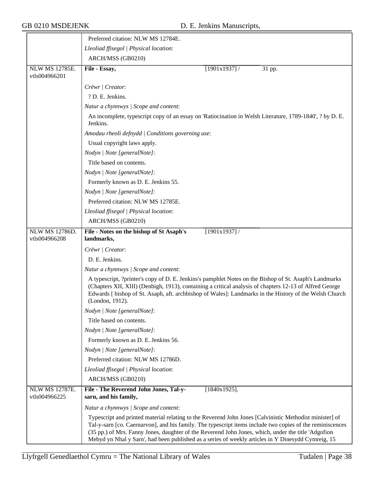|                                        | Preferred citation: NLW MS 12784E.                                                                                                                                                                                                                                                                                                                                                                                                |
|----------------------------------------|-----------------------------------------------------------------------------------------------------------------------------------------------------------------------------------------------------------------------------------------------------------------------------------------------------------------------------------------------------------------------------------------------------------------------------------|
|                                        | Lleoliad ffisegol   Physical location:                                                                                                                                                                                                                                                                                                                                                                                            |
|                                        | ARCH/MSS (GB0210)                                                                                                                                                                                                                                                                                                                                                                                                                 |
| <b>NLW MS 12785E.</b><br>vtls004966201 | File - Essay,<br>$[1901x1937]$ /<br>31 pp.                                                                                                                                                                                                                                                                                                                                                                                        |
|                                        | Crëwr   Creator:                                                                                                                                                                                                                                                                                                                                                                                                                  |
|                                        | ? D. E. Jenkins.                                                                                                                                                                                                                                                                                                                                                                                                                  |
|                                        | Natur a chynnwys / Scope and content:                                                                                                                                                                                                                                                                                                                                                                                             |
|                                        | An incomplete, typescript copy of an essay on 'Ratiocination in Welsh Literature, 1789-1840', ? by D. E.<br>Jenkins.                                                                                                                                                                                                                                                                                                              |
|                                        | Amodau rheoli defnydd   Conditions governing use:                                                                                                                                                                                                                                                                                                                                                                                 |
|                                        | Usual copyright laws apply.                                                                                                                                                                                                                                                                                                                                                                                                       |
|                                        | Nodyn   Note [generalNote]:                                                                                                                                                                                                                                                                                                                                                                                                       |
|                                        | Title based on contents.                                                                                                                                                                                                                                                                                                                                                                                                          |
|                                        | Nodyn   Note [generalNote]:                                                                                                                                                                                                                                                                                                                                                                                                       |
|                                        | Formerly known as D. E. Jenkins 55.                                                                                                                                                                                                                                                                                                                                                                                               |
|                                        | Nodyn   Note [generalNote]:                                                                                                                                                                                                                                                                                                                                                                                                       |
|                                        | Preferred citation: NLW MS 12785E.                                                                                                                                                                                                                                                                                                                                                                                                |
|                                        | Lleoliad ffisegol   Physical location:                                                                                                                                                                                                                                                                                                                                                                                            |
|                                        | ARCH/MSS (GB0210)                                                                                                                                                                                                                                                                                                                                                                                                                 |
| <b>NLW MS 12786D.</b><br>vtls004966208 | File - Notes on the bishop of St Asaph's<br>$[1901x1937]$ /<br>landmarks,                                                                                                                                                                                                                                                                                                                                                         |
|                                        | Crëwr   Creator:                                                                                                                                                                                                                                                                                                                                                                                                                  |
|                                        | D. E. Jenkins.                                                                                                                                                                                                                                                                                                                                                                                                                    |
|                                        | Natur a chynnwys / Scope and content:                                                                                                                                                                                                                                                                                                                                                                                             |
|                                        | A typescript, ?printer's copy of D. E. Jenkins's pamphlet Notes on the Bishop of St. Asaph's Landmarks<br>(Chapters XII, XIII) (Denbigh, 1913), containing a critical analysis of chapters 12-13 of Alfred George<br>Edwards [bishop of St. Asaph, aft. archbishop of Wales]: Landmarks in the History of the Welsh Church<br>(London, 1912).                                                                                     |
|                                        | Nodyn   Note [generalNote]:                                                                                                                                                                                                                                                                                                                                                                                                       |
|                                        | Title based on contents.                                                                                                                                                                                                                                                                                                                                                                                                          |
|                                        | Nodyn   Note [generalNote]:                                                                                                                                                                                                                                                                                                                                                                                                       |
|                                        | Formerly known as D. E. Jenkins 56.                                                                                                                                                                                                                                                                                                                                                                                               |
|                                        | Nodyn   Note [generalNote]:                                                                                                                                                                                                                                                                                                                                                                                                       |
|                                        | Preferred citation: NLW MS 12786D.                                                                                                                                                                                                                                                                                                                                                                                                |
|                                        | Lleoliad ffisegol   Physical location:                                                                                                                                                                                                                                                                                                                                                                                            |
|                                        | ARCH/MSS (GB0210)                                                                                                                                                                                                                                                                                                                                                                                                                 |
| <b>NLW MS 12787E.</b><br>vtls004966225 | $[1840x1925]$ .<br>File - The Reverend John Jones, Tal-y-<br>sarn, and his family,                                                                                                                                                                                                                                                                                                                                                |
|                                        | Natur a chynnwys / Scope and content:                                                                                                                                                                                                                                                                                                                                                                                             |
|                                        | Typescript and printed material relating to the Reverend John Jones [Calvinistic Methodist minister] of<br>Tal-y-sarn [co. Caernarvon], and his family. The typescript items include two copies of the reminiscences<br>(35 pp.) of Mrs. Fanny Jones, daughter of the Reverend John Jones, which, under the title 'Adgofion<br>Mebyd yn Nhal y Sarn', had been published as a series of weekly articles in Y Dinesydd Cymreig, 15 |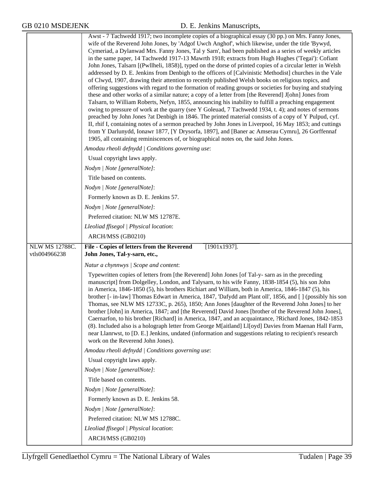|                                 | Awst - 7 Tachwedd 1917; two incomplete copies of a biographical essay (30 pp.) on Mrs. Fanny Jones,<br>wife of the Reverend John Jones, by 'Adgof Uwch Anghof', which likewise, under the title 'Bywyd,<br>Cymeriad, a Dylanwad Mrs. Fanny Jones, Tal y Sarn', had been published as a series of weekly articles<br>in the same paper, 14 Tachwedd 1917-13 Mawrth 1918; extracts from Hugh Hughes ('Tegai'): Cofiant<br>John Jones, Talsarn [(Pwllheli, 1858)], typed on the dorse of printed copies of a circular letter in Welsh<br>addressed by D. E. Jenkins from Denbigh to the officers of [Calvinistic Methodist] churches in the Vale<br>of Clwyd, 1907, drawing their attention to recently published Welsh books on religious topics, and<br>offering suggestions with regard to the formation of reading groups or societies for buying and studying<br>these and other works of a similar nature; a copy of a letter from [the Reverend] J[ohn] Jones from<br>Talsarn, to William Roberts, Nefyn, 1855, announcing his inability to fulfill a preaching engagement<br>owing to pressure of work at the quarry (see Y Goleuad, 7 Tachwedd 1934, t. 4); and notes of sermons<br>preached by John Jones ?at Denbigh in 1846. The printed material consists of a copy of Y Pulpud, cyf.<br>II, rhif I, containing notes of a sermon preached by John Jones in Liverpool, 16 May 1853; and cuttings<br>from Y Darlunydd, Ionawr 1877, [Y Drysorfa, 1897], and [Baner ac Amserau Cymru], 26 Gorffennaf<br>1905, all containing reminiscences of, or biographical notes on, the said John Jones. |
|---------------------------------|-------------------------------------------------------------------------------------------------------------------------------------------------------------------------------------------------------------------------------------------------------------------------------------------------------------------------------------------------------------------------------------------------------------------------------------------------------------------------------------------------------------------------------------------------------------------------------------------------------------------------------------------------------------------------------------------------------------------------------------------------------------------------------------------------------------------------------------------------------------------------------------------------------------------------------------------------------------------------------------------------------------------------------------------------------------------------------------------------------------------------------------------------------------------------------------------------------------------------------------------------------------------------------------------------------------------------------------------------------------------------------------------------------------------------------------------------------------------------------------------------------------------------------------------------------------------------------------------------------|
|                                 | Amodau rheoli defnydd / Conditions governing use:                                                                                                                                                                                                                                                                                                                                                                                                                                                                                                                                                                                                                                                                                                                                                                                                                                                                                                                                                                                                                                                                                                                                                                                                                                                                                                                                                                                                                                                                                                                                                     |
|                                 | Usual copyright laws apply.                                                                                                                                                                                                                                                                                                                                                                                                                                                                                                                                                                                                                                                                                                                                                                                                                                                                                                                                                                                                                                                                                                                                                                                                                                                                                                                                                                                                                                                                                                                                                                           |
|                                 | Nodyn   Note [generalNote]:                                                                                                                                                                                                                                                                                                                                                                                                                                                                                                                                                                                                                                                                                                                                                                                                                                                                                                                                                                                                                                                                                                                                                                                                                                                                                                                                                                                                                                                                                                                                                                           |
|                                 | Title based on contents.                                                                                                                                                                                                                                                                                                                                                                                                                                                                                                                                                                                                                                                                                                                                                                                                                                                                                                                                                                                                                                                                                                                                                                                                                                                                                                                                                                                                                                                                                                                                                                              |
|                                 | Nodyn   Note [generalNote]:                                                                                                                                                                                                                                                                                                                                                                                                                                                                                                                                                                                                                                                                                                                                                                                                                                                                                                                                                                                                                                                                                                                                                                                                                                                                                                                                                                                                                                                                                                                                                                           |
|                                 | Formerly known as D. E. Jenkins 57.                                                                                                                                                                                                                                                                                                                                                                                                                                                                                                                                                                                                                                                                                                                                                                                                                                                                                                                                                                                                                                                                                                                                                                                                                                                                                                                                                                                                                                                                                                                                                                   |
|                                 | Nodyn   Note [generalNote]:                                                                                                                                                                                                                                                                                                                                                                                                                                                                                                                                                                                                                                                                                                                                                                                                                                                                                                                                                                                                                                                                                                                                                                                                                                                                                                                                                                                                                                                                                                                                                                           |
|                                 | Preferred citation: NLW MS 12787E.                                                                                                                                                                                                                                                                                                                                                                                                                                                                                                                                                                                                                                                                                                                                                                                                                                                                                                                                                                                                                                                                                                                                                                                                                                                                                                                                                                                                                                                                                                                                                                    |
|                                 | Lleoliad ffisegol   Physical location:                                                                                                                                                                                                                                                                                                                                                                                                                                                                                                                                                                                                                                                                                                                                                                                                                                                                                                                                                                                                                                                                                                                                                                                                                                                                                                                                                                                                                                                                                                                                                                |
|                                 | ARCH/MSS (GB0210)                                                                                                                                                                                                                                                                                                                                                                                                                                                                                                                                                                                                                                                                                                                                                                                                                                                                                                                                                                                                                                                                                                                                                                                                                                                                                                                                                                                                                                                                                                                                                                                     |
| NLW MS 12788C.<br>vtls004966238 | File - Copies of letters from the Reverend<br>$[1901x1937]$ .                                                                                                                                                                                                                                                                                                                                                                                                                                                                                                                                                                                                                                                                                                                                                                                                                                                                                                                                                                                                                                                                                                                                                                                                                                                                                                                                                                                                                                                                                                                                         |
|                                 | John Jones, Tal-y-sarn, etc.,                                                                                                                                                                                                                                                                                                                                                                                                                                                                                                                                                                                                                                                                                                                                                                                                                                                                                                                                                                                                                                                                                                                                                                                                                                                                                                                                                                                                                                                                                                                                                                         |
|                                 | Natur a chynnwys / Scope and content:                                                                                                                                                                                                                                                                                                                                                                                                                                                                                                                                                                                                                                                                                                                                                                                                                                                                                                                                                                                                                                                                                                                                                                                                                                                                                                                                                                                                                                                                                                                                                                 |
|                                 | Typewritten copies of letters from [the Reverend] John Jones [of Tal-y- sarn as in the preceding<br>manuscript] from Dolgelley, London, and Talysarn, to his wife Fanny, 1838-1854 (5), his son John<br>in America, 1846-1850 (5), his brothers Richiart and William, both in America, 1846-1847 (5), his<br>brother [- in-law] Thomas Edwart in America, 1847, 'Dafydd am Plant oll', 1856, and [] (possibly his son<br>Thomas, see NLW MS 12733C, p. 265), 1850; Ann Jones [daughter of the Reverend John Jones] to her<br>brother [John] in America, 1847; and [the Reverend] David Jones [brother of the Reverend John Jones],<br>Caernarfon, to his brother [Richard] in America, 1847, and an acquaintance, ?Richard Jones, 1842-1853<br>(8). Included also is a holograph letter from George M[aitland] Ll[oyd] Davies from Maenan Hall Farm,<br>near Llanrwst, to [D. E.] Jenkins, undated (information and suggestions relating to recipient's research<br>work on the Reverend John Jones).                                                                                                                                                                                                                                                                                                                                                                                                                                                                                                                                                                                                 |
|                                 | Amodau rheoli defnydd   Conditions governing use:                                                                                                                                                                                                                                                                                                                                                                                                                                                                                                                                                                                                                                                                                                                                                                                                                                                                                                                                                                                                                                                                                                                                                                                                                                                                                                                                                                                                                                                                                                                                                     |
|                                 | Usual copyright laws apply.                                                                                                                                                                                                                                                                                                                                                                                                                                                                                                                                                                                                                                                                                                                                                                                                                                                                                                                                                                                                                                                                                                                                                                                                                                                                                                                                                                                                                                                                                                                                                                           |
|                                 | Nodyn   Note [generalNote]:                                                                                                                                                                                                                                                                                                                                                                                                                                                                                                                                                                                                                                                                                                                                                                                                                                                                                                                                                                                                                                                                                                                                                                                                                                                                                                                                                                                                                                                                                                                                                                           |
|                                 | Title based on contents.                                                                                                                                                                                                                                                                                                                                                                                                                                                                                                                                                                                                                                                                                                                                                                                                                                                                                                                                                                                                                                                                                                                                                                                                                                                                                                                                                                                                                                                                                                                                                                              |
|                                 | Nodyn   Note [generalNote]:                                                                                                                                                                                                                                                                                                                                                                                                                                                                                                                                                                                                                                                                                                                                                                                                                                                                                                                                                                                                                                                                                                                                                                                                                                                                                                                                                                                                                                                                                                                                                                           |
|                                 | Formerly known as D. E. Jenkins 58.                                                                                                                                                                                                                                                                                                                                                                                                                                                                                                                                                                                                                                                                                                                                                                                                                                                                                                                                                                                                                                                                                                                                                                                                                                                                                                                                                                                                                                                                                                                                                                   |
|                                 | Nodyn   Note [generalNote]:                                                                                                                                                                                                                                                                                                                                                                                                                                                                                                                                                                                                                                                                                                                                                                                                                                                                                                                                                                                                                                                                                                                                                                                                                                                                                                                                                                                                                                                                                                                                                                           |
|                                 | Preferred citation: NLW MS 12788C.                                                                                                                                                                                                                                                                                                                                                                                                                                                                                                                                                                                                                                                                                                                                                                                                                                                                                                                                                                                                                                                                                                                                                                                                                                                                                                                                                                                                                                                                                                                                                                    |
|                                 | Lleoliad ffisegol   Physical location:                                                                                                                                                                                                                                                                                                                                                                                                                                                                                                                                                                                                                                                                                                                                                                                                                                                                                                                                                                                                                                                                                                                                                                                                                                                                                                                                                                                                                                                                                                                                                                |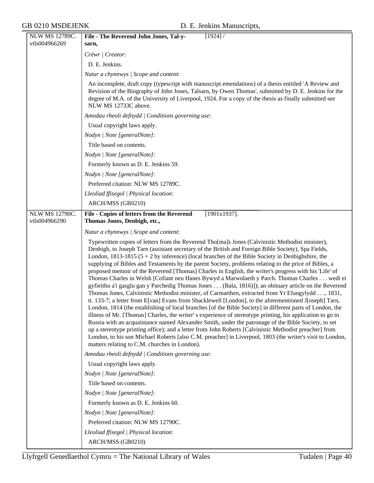| NLW MS 12789C. | File - The Reverend John Jones, Tal-y-<br>$[1924]$ /                                                                                                                                                                                                                                                                                                                                                                                                                                                                                                                                                                                                                                                                                                                                                                                                                                                                                                                                                                                                                                                                                                                                                                                                                                                                                                                                                                                                                                                                                                           |
|----------------|----------------------------------------------------------------------------------------------------------------------------------------------------------------------------------------------------------------------------------------------------------------------------------------------------------------------------------------------------------------------------------------------------------------------------------------------------------------------------------------------------------------------------------------------------------------------------------------------------------------------------------------------------------------------------------------------------------------------------------------------------------------------------------------------------------------------------------------------------------------------------------------------------------------------------------------------------------------------------------------------------------------------------------------------------------------------------------------------------------------------------------------------------------------------------------------------------------------------------------------------------------------------------------------------------------------------------------------------------------------------------------------------------------------------------------------------------------------------------------------------------------------------------------------------------------------|
| vtls004966269  | sarn,                                                                                                                                                                                                                                                                                                                                                                                                                                                                                                                                                                                                                                                                                                                                                                                                                                                                                                                                                                                                                                                                                                                                                                                                                                                                                                                                                                                                                                                                                                                                                          |
|                | Crëwr   Creator:                                                                                                                                                                                                                                                                                                                                                                                                                                                                                                                                                                                                                                                                                                                                                                                                                                                                                                                                                                                                                                                                                                                                                                                                                                                                                                                                                                                                                                                                                                                                               |
|                | D. E. Jenkins.                                                                                                                                                                                                                                                                                                                                                                                                                                                                                                                                                                                                                                                                                                                                                                                                                                                                                                                                                                                                                                                                                                                                                                                                                                                                                                                                                                                                                                                                                                                                                 |
|                | Natur a chynnwys / Scope and content:                                                                                                                                                                                                                                                                                                                                                                                                                                                                                                                                                                                                                                                                                                                                                                                                                                                                                                                                                                                                                                                                                                                                                                                                                                                                                                                                                                                                                                                                                                                          |
|                | An incomplete, draft copy (typescript with manuscript emendations) of a thesis entitled 'A Review and<br>Revision of the Biography of John Jones, Talsarn, by Owen Thomas', submitted by D. E. Jenkins for the<br>degree of M.A. of the University of Liverpool, 1924. For a copy of the thesis as finally submitted see<br>NLW MS 12733C above.                                                                                                                                                                                                                                                                                                                                                                                                                                                                                                                                                                                                                                                                                                                                                                                                                                                                                                                                                                                                                                                                                                                                                                                                               |
|                | Amodau rheoli defnydd   Conditions governing use:                                                                                                                                                                                                                                                                                                                                                                                                                                                                                                                                                                                                                                                                                                                                                                                                                                                                                                                                                                                                                                                                                                                                                                                                                                                                                                                                                                                                                                                                                                              |
|                | Usual copyright laws apply.                                                                                                                                                                                                                                                                                                                                                                                                                                                                                                                                                                                                                                                                                                                                                                                                                                                                                                                                                                                                                                                                                                                                                                                                                                                                                                                                                                                                                                                                                                                                    |
|                | Nodyn   Note [generalNote]:                                                                                                                                                                                                                                                                                                                                                                                                                                                                                                                                                                                                                                                                                                                                                                                                                                                                                                                                                                                                                                                                                                                                                                                                                                                                                                                                                                                                                                                                                                                                    |
|                | Title based on contents.                                                                                                                                                                                                                                                                                                                                                                                                                                                                                                                                                                                                                                                                                                                                                                                                                                                                                                                                                                                                                                                                                                                                                                                                                                                                                                                                                                                                                                                                                                                                       |
|                | Nodyn   Note [generalNote]:                                                                                                                                                                                                                                                                                                                                                                                                                                                                                                                                                                                                                                                                                                                                                                                                                                                                                                                                                                                                                                                                                                                                                                                                                                                                                                                                                                                                                                                                                                                                    |
|                | Formerly known as D. E. Jenkins 59.                                                                                                                                                                                                                                                                                                                                                                                                                                                                                                                                                                                                                                                                                                                                                                                                                                                                                                                                                                                                                                                                                                                                                                                                                                                                                                                                                                                                                                                                                                                            |
|                | Nodyn   Note [generalNote]:                                                                                                                                                                                                                                                                                                                                                                                                                                                                                                                                                                                                                                                                                                                                                                                                                                                                                                                                                                                                                                                                                                                                                                                                                                                                                                                                                                                                                                                                                                                                    |
|                | Preferred citation: NLW MS 12789C.                                                                                                                                                                                                                                                                                                                                                                                                                                                                                                                                                                                                                                                                                                                                                                                                                                                                                                                                                                                                                                                                                                                                                                                                                                                                                                                                                                                                                                                                                                                             |
|                | Lleoliad ffisegol   Physical location:                                                                                                                                                                                                                                                                                                                                                                                                                                                                                                                                                                                                                                                                                                                                                                                                                                                                                                                                                                                                                                                                                                                                                                                                                                                                                                                                                                                                                                                                                                                         |
|                | ARCH/MSS (GB0210)                                                                                                                                                                                                                                                                                                                                                                                                                                                                                                                                                                                                                                                                                                                                                                                                                                                                                                                                                                                                                                                                                                                                                                                                                                                                                                                                                                                                                                                                                                                                              |
| NLW MS 12790C. | File - Copies of letters from the Reverend<br>$[1901x1937]$ .                                                                                                                                                                                                                                                                                                                                                                                                                                                                                                                                                                                                                                                                                                                                                                                                                                                                                                                                                                                                                                                                                                                                                                                                                                                                                                                                                                                                                                                                                                  |
| vtls004966290  | Thomas Jones, Denbigh, etc.,                                                                                                                                                                                                                                                                                                                                                                                                                                                                                                                                                                                                                                                                                                                                                                                                                                                                                                                                                                                                                                                                                                                                                                                                                                                                                                                                                                                                                                                                                                                                   |
|                | Natur a chynnwys / Scope and content:                                                                                                                                                                                                                                                                                                                                                                                                                                                                                                                                                                                                                                                                                                                                                                                                                                                                                                                                                                                                                                                                                                                                                                                                                                                                                                                                                                                                                                                                                                                          |
|                | Typewritten copies of letters from the Reverend Tho[ma]s Jones (Calvinistic Methodist minister),<br>Denbigh, to Joseph Tarn (assistant secretary of the British and Foreign Bible Society), Spa Fields,<br>London, 1813-1815 (5 + 2 by inference) (local branches of the Bible Society in Denbighshire, the<br>supplying of Bibles and Testaments by the parent Society, problems relating to the price of Bibles, a<br>proposed memoir of the Reverend [Thomas] Charles in English, the writer's progress with his 'Life' of<br>Thomas Charles in Welsh [Cofiant neu Hanes Bywyd a Marwolaeth y Parch. Thomas Charles wedi ei<br>gyfieithu a'i gasglu gan y Parchedig Thomas Jones (Bala, 1816)]); an obituary article on the Reverend<br>Thomas Jones, Calvinistic Methodist minister, of Carmarthen, extracted from Yr Efangylydd, 1831,<br>tt. 133-7; a letter from E[van] Evans from Shacklewell [London], to the aforementioned J[oseph] Tarn,<br>London, 1814 (the establishing of local branches [of the Bible Society] in different parts of London, the<br>illness of Mr. [Thomas] Charles, the writer' s experience of stereotype printing, his application to go to<br>Russia with an acquaintance named Alexander Smith, under the patronage of the Bible Society, to set<br>up a stereotype printing office); and a letter from John Roberts [Calvinistic Methodist preacher] from<br>London, to his son Michael Roberts [also C.M. preacher] in Liverpool, 1803 (the writer's visit to London,<br>matters relating to C.M. churches in London). |
|                | Amodau rheoli defnydd   Conditions governing use:                                                                                                                                                                                                                                                                                                                                                                                                                                                                                                                                                                                                                                                                                                                                                                                                                                                                                                                                                                                                                                                                                                                                                                                                                                                                                                                                                                                                                                                                                                              |
|                | Usual copyright laws apply.                                                                                                                                                                                                                                                                                                                                                                                                                                                                                                                                                                                                                                                                                                                                                                                                                                                                                                                                                                                                                                                                                                                                                                                                                                                                                                                                                                                                                                                                                                                                    |
|                | Nodyn   Note [generalNote]:                                                                                                                                                                                                                                                                                                                                                                                                                                                                                                                                                                                                                                                                                                                                                                                                                                                                                                                                                                                                                                                                                                                                                                                                                                                                                                                                                                                                                                                                                                                                    |
|                | Title based on contents.                                                                                                                                                                                                                                                                                                                                                                                                                                                                                                                                                                                                                                                                                                                                                                                                                                                                                                                                                                                                                                                                                                                                                                                                                                                                                                                                                                                                                                                                                                                                       |
|                | Nodyn   Note [generalNote]:                                                                                                                                                                                                                                                                                                                                                                                                                                                                                                                                                                                                                                                                                                                                                                                                                                                                                                                                                                                                                                                                                                                                                                                                                                                                                                                                                                                                                                                                                                                                    |
|                | Formerly known as D. E. Jenkins 60.                                                                                                                                                                                                                                                                                                                                                                                                                                                                                                                                                                                                                                                                                                                                                                                                                                                                                                                                                                                                                                                                                                                                                                                                                                                                                                                                                                                                                                                                                                                            |
|                | Nodyn   Note [generalNote]:                                                                                                                                                                                                                                                                                                                                                                                                                                                                                                                                                                                                                                                                                                                                                                                                                                                                                                                                                                                                                                                                                                                                                                                                                                                                                                                                                                                                                                                                                                                                    |
|                | Preferred citation: NLW MS 12790C.                                                                                                                                                                                                                                                                                                                                                                                                                                                                                                                                                                                                                                                                                                                                                                                                                                                                                                                                                                                                                                                                                                                                                                                                                                                                                                                                                                                                                                                                                                                             |
|                | Lleoliad ffisegol   Physical location:                                                                                                                                                                                                                                                                                                                                                                                                                                                                                                                                                                                                                                                                                                                                                                                                                                                                                                                                                                                                                                                                                                                                                                                                                                                                                                                                                                                                                                                                                                                         |
|                | ARCH/MSS (GB0210)                                                                                                                                                                                                                                                                                                                                                                                                                                                                                                                                                                                                                                                                                                                                                                                                                                                                                                                                                                                                                                                                                                                                                                                                                                                                                                                                                                                                                                                                                                                                              |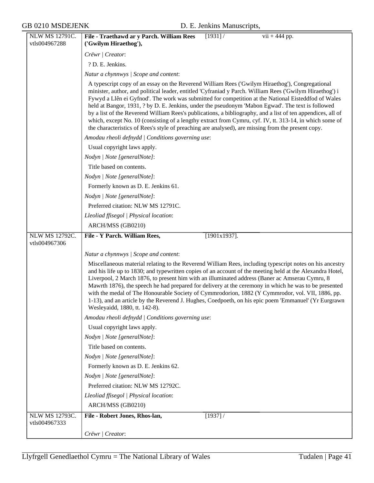| NLW MS 12791C.                         | File - Traethawd ar y Parch. William Rees<br>[1931] /<br>$\overline{vii + 444}$ pp.                                                                                                                                                                                                                                                                                                                                                                                                                                                                                                                                                                                                                                                                     |
|----------------------------------------|---------------------------------------------------------------------------------------------------------------------------------------------------------------------------------------------------------------------------------------------------------------------------------------------------------------------------------------------------------------------------------------------------------------------------------------------------------------------------------------------------------------------------------------------------------------------------------------------------------------------------------------------------------------------------------------------------------------------------------------------------------|
| vtls004967288                          | ('Gwilym Hiraethog'),                                                                                                                                                                                                                                                                                                                                                                                                                                                                                                                                                                                                                                                                                                                                   |
|                                        | Crëwr   Creator:                                                                                                                                                                                                                                                                                                                                                                                                                                                                                                                                                                                                                                                                                                                                        |
|                                        | ? D. E. Jenkins.                                                                                                                                                                                                                                                                                                                                                                                                                                                                                                                                                                                                                                                                                                                                        |
|                                        | Natur a chynnwys / Scope and content:                                                                                                                                                                                                                                                                                                                                                                                                                                                                                                                                                                                                                                                                                                                   |
|                                        | A typescript copy of an essay on the Reverend William Rees ('Gwilym Hiraethog'), Congregational<br>minister, author, and political leader, entitled 'Cyfraniad y Parch. William Rees ('Gwilym Hiraethog') i<br>Fywyd a Llên ei Gyfnod'. The work was submitted for competition at the National Eisteddfod of Wales<br>held at Bangor, 1931, ? by D. E. Jenkins, under the pseudonym 'Mabon Egwad'. The text is followed<br>by a list of the Reverend William Rees's publications, a bibliography, and a list of ten appendices, all of<br>which, except No. 10 (consisting of a lengthy extract from Cymru, cyf. IV, tt. 313-14, in which some of<br>the characteristics of Rees's style of preaching are analysed), are missing from the present copy. |
|                                        | Amodau rheoli defnydd   Conditions governing use:                                                                                                                                                                                                                                                                                                                                                                                                                                                                                                                                                                                                                                                                                                       |
|                                        | Usual copyright laws apply.                                                                                                                                                                                                                                                                                                                                                                                                                                                                                                                                                                                                                                                                                                                             |
|                                        | Nodyn   Note [generalNote]:                                                                                                                                                                                                                                                                                                                                                                                                                                                                                                                                                                                                                                                                                                                             |
|                                        | Title based on contents.                                                                                                                                                                                                                                                                                                                                                                                                                                                                                                                                                                                                                                                                                                                                |
|                                        | Nodyn   Note [generalNote]:                                                                                                                                                                                                                                                                                                                                                                                                                                                                                                                                                                                                                                                                                                                             |
|                                        | Formerly known as D. E. Jenkins 61.                                                                                                                                                                                                                                                                                                                                                                                                                                                                                                                                                                                                                                                                                                                     |
|                                        | Nodyn   Note [generalNote]:                                                                                                                                                                                                                                                                                                                                                                                                                                                                                                                                                                                                                                                                                                                             |
|                                        | Preferred citation: NLW MS 12791C.                                                                                                                                                                                                                                                                                                                                                                                                                                                                                                                                                                                                                                                                                                                      |
|                                        | Lleoliad ffisegol   Physical location:                                                                                                                                                                                                                                                                                                                                                                                                                                                                                                                                                                                                                                                                                                                  |
|                                        | ARCH/MSS (GB0210)                                                                                                                                                                                                                                                                                                                                                                                                                                                                                                                                                                                                                                                                                                                                       |
| <b>NLW MS 12792C.</b><br>vtls004967306 | $[1901x1937]$ .<br>File - Y Parch. William Rees,                                                                                                                                                                                                                                                                                                                                                                                                                                                                                                                                                                                                                                                                                                        |
|                                        | Natur a chynnwys   Scope and content:                                                                                                                                                                                                                                                                                                                                                                                                                                                                                                                                                                                                                                                                                                                   |
|                                        | Miscellaneous material relating to the Reverend William Rees, including typescript notes on his ancestry<br>and his life up to 1830; and typewritten copies of an account of the meeting held at the Alexandra Hotel,<br>Liverpool, 2 March 1876, to present him with an illuminated address (Baner ac Amserau Cymru, 8<br>Mawrth 1876), the speech he had prepared for delivery at the ceremony in which he was to be presented<br>with the medal of The Honourable Society of Cymmrodorion, 1882 (Y Cymmrodor, vol. VII, 1886, pp.<br>1-13), and an article by the Reverend J. Hughes, Coedpoeth, on his epic poem 'Emmanuel' (Yr Eurgrawn<br>Wesleyaidd, 1880, tt. 142-8).                                                                           |
|                                        | Amodau rheoli defnydd   Conditions governing use:                                                                                                                                                                                                                                                                                                                                                                                                                                                                                                                                                                                                                                                                                                       |
|                                        | Usual copyright laws apply.                                                                                                                                                                                                                                                                                                                                                                                                                                                                                                                                                                                                                                                                                                                             |
|                                        | Nodyn   Note [generalNote]:                                                                                                                                                                                                                                                                                                                                                                                                                                                                                                                                                                                                                                                                                                                             |
|                                        | Title based on contents.                                                                                                                                                                                                                                                                                                                                                                                                                                                                                                                                                                                                                                                                                                                                |
|                                        | Nodyn   Note [generalNote]:                                                                                                                                                                                                                                                                                                                                                                                                                                                                                                                                                                                                                                                                                                                             |
|                                        | Formerly known as D. E. Jenkins 62.                                                                                                                                                                                                                                                                                                                                                                                                                                                                                                                                                                                                                                                                                                                     |
|                                        | Nodyn   Note [generalNote]:                                                                                                                                                                                                                                                                                                                                                                                                                                                                                                                                                                                                                                                                                                                             |
|                                        | Preferred citation: NLW MS 12792C.                                                                                                                                                                                                                                                                                                                                                                                                                                                                                                                                                                                                                                                                                                                      |
|                                        | Lleoliad ffisegol   Physical location:                                                                                                                                                                                                                                                                                                                                                                                                                                                                                                                                                                                                                                                                                                                  |
|                                        | ARCH/MSS (GB0210)                                                                                                                                                                                                                                                                                                                                                                                                                                                                                                                                                                                                                                                                                                                                       |
| <b>NLW MS 12793C.</b>                  | File - Robert Jones, Rhos-lan,<br>[1937] /                                                                                                                                                                                                                                                                                                                                                                                                                                                                                                                                                                                                                                                                                                              |
| vtls004967333                          |                                                                                                                                                                                                                                                                                                                                                                                                                                                                                                                                                                                                                                                                                                                                                         |
|                                        | Crëwr   Creator:                                                                                                                                                                                                                                                                                                                                                                                                                                                                                                                                                                                                                                                                                                                                        |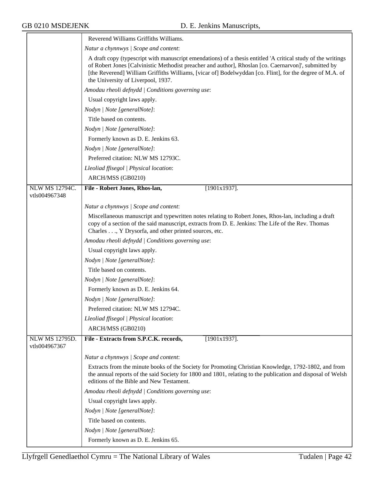|                                 | Reverend Williams Griffiths Williams.                                                                                                                                                                                                                                                                                                                                  |
|---------------------------------|------------------------------------------------------------------------------------------------------------------------------------------------------------------------------------------------------------------------------------------------------------------------------------------------------------------------------------------------------------------------|
|                                 | Natur a chynnwys / Scope and content:                                                                                                                                                                                                                                                                                                                                  |
|                                 | A draft copy (typescript with manuscript emendations) of a thesis entitled 'A critical study of the writings<br>of Robert Jones [Calvinistic Methodist preacher and author], Rhoslan [co. Caernarvon]', submitted by<br>[the Reverend] William Griffiths Williams, [vicar of] Bodelwyddan [co. Flint], for the degree of M.A. of<br>the University of Liverpool, 1937. |
|                                 | Amodau rheoli defnydd / Conditions governing use:                                                                                                                                                                                                                                                                                                                      |
|                                 | Usual copyright laws apply.                                                                                                                                                                                                                                                                                                                                            |
|                                 | Nodyn   Note [generalNote]:                                                                                                                                                                                                                                                                                                                                            |
|                                 | Title based on contents.                                                                                                                                                                                                                                                                                                                                               |
|                                 | Nodyn   Note [generalNote]:                                                                                                                                                                                                                                                                                                                                            |
|                                 | Formerly known as D. E. Jenkins 63.                                                                                                                                                                                                                                                                                                                                    |
|                                 | Nodyn   Note [generalNote]:                                                                                                                                                                                                                                                                                                                                            |
|                                 | Preferred citation: NLW MS 12793C.                                                                                                                                                                                                                                                                                                                                     |
|                                 | Lleoliad ffisegol   Physical location:                                                                                                                                                                                                                                                                                                                                 |
|                                 | ARCH/MSS (GB0210)                                                                                                                                                                                                                                                                                                                                                      |
| NLW MS 12794C.<br>vtls004967348 | File - Robert Jones, Rhos-lan,<br>$[1901x1937]$ .                                                                                                                                                                                                                                                                                                                      |
|                                 | Natur a chynnwys / Scope and content:                                                                                                                                                                                                                                                                                                                                  |
|                                 | Miscellaneous manuscript and typewritten notes relating to Robert Jones, Rhos-lan, including a draft<br>copy of a section of the said manuscript, extracts from D. E. Jenkins: The Life of the Rev. Thomas<br>Charles, Y Drysorfa, and other printed sources, etc.                                                                                                     |
|                                 | Amodau rheoli defnydd   Conditions governing use:                                                                                                                                                                                                                                                                                                                      |
|                                 | Usual copyright laws apply.                                                                                                                                                                                                                                                                                                                                            |
|                                 | Nodyn   Note [generalNote]:                                                                                                                                                                                                                                                                                                                                            |
|                                 | Title based on contents.                                                                                                                                                                                                                                                                                                                                               |
|                                 | Nodyn   Note [generalNote]:                                                                                                                                                                                                                                                                                                                                            |
|                                 | Formerly known as D. E. Jenkins 64.                                                                                                                                                                                                                                                                                                                                    |
|                                 | Nodyn   Note [generalNote]:                                                                                                                                                                                                                                                                                                                                            |
|                                 | Preferred citation: NLW MS 12794C.                                                                                                                                                                                                                                                                                                                                     |
|                                 | Lleoliad ffisegol   Physical location:                                                                                                                                                                                                                                                                                                                                 |
|                                 | ARCH/MSS (GB0210)                                                                                                                                                                                                                                                                                                                                                      |
| NLW MS 12795D.<br>vtls004967367 | File - Extracts from S.P.C.K. records,<br>$[1901x1937]$ .                                                                                                                                                                                                                                                                                                              |
|                                 | Natur a chynnwys / Scope and content:                                                                                                                                                                                                                                                                                                                                  |
|                                 | Extracts from the minute books of the Society for Promoting Christian Knowledge, 1792-1802, and from<br>the annual reports of the said Society for 1800 and 1801, relating to the publication and disposal of Welsh<br>editions of the Bible and New Testament.                                                                                                        |
|                                 | Amodau rheoli defnydd   Conditions governing use:                                                                                                                                                                                                                                                                                                                      |
|                                 | Usual copyright laws apply.                                                                                                                                                                                                                                                                                                                                            |
|                                 | Nodyn   Note [generalNote]:                                                                                                                                                                                                                                                                                                                                            |
|                                 | Title based on contents.                                                                                                                                                                                                                                                                                                                                               |
|                                 | Nodyn   Note [generalNote]:                                                                                                                                                                                                                                                                                                                                            |
|                                 | Formerly known as D. E. Jenkins 65.                                                                                                                                                                                                                                                                                                                                    |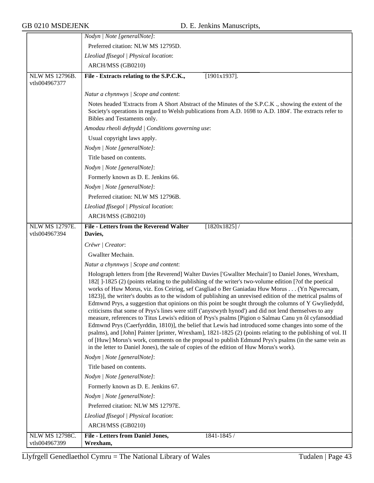$\overline{\phantom{a}}$ 

|                                        | Nodyn   Note [generalNote]:                                                                                                                                                                                                                                                                                                                                                                                                                                                                                                                                                                                                                                                                                                                                                                                                                                                                                                                                                                                                                                                                                                                                                    |
|----------------------------------------|--------------------------------------------------------------------------------------------------------------------------------------------------------------------------------------------------------------------------------------------------------------------------------------------------------------------------------------------------------------------------------------------------------------------------------------------------------------------------------------------------------------------------------------------------------------------------------------------------------------------------------------------------------------------------------------------------------------------------------------------------------------------------------------------------------------------------------------------------------------------------------------------------------------------------------------------------------------------------------------------------------------------------------------------------------------------------------------------------------------------------------------------------------------------------------|
|                                        | Preferred citation: NLW MS 12795D.                                                                                                                                                                                                                                                                                                                                                                                                                                                                                                                                                                                                                                                                                                                                                                                                                                                                                                                                                                                                                                                                                                                                             |
|                                        | Lleoliad ffisegol   Physical location:                                                                                                                                                                                                                                                                                                                                                                                                                                                                                                                                                                                                                                                                                                                                                                                                                                                                                                                                                                                                                                                                                                                                         |
|                                        | ARCH/MSS (GB0210)                                                                                                                                                                                                                                                                                                                                                                                                                                                                                                                                                                                                                                                                                                                                                                                                                                                                                                                                                                                                                                                                                                                                                              |
| <b>NLW MS 12796B.</b><br>vtls004967377 | File - Extracts relating to the S.P.C.K.,<br>$[1901x1937]$ .                                                                                                                                                                                                                                                                                                                                                                                                                                                                                                                                                                                                                                                                                                                                                                                                                                                                                                                                                                                                                                                                                                                   |
|                                        | Natur a chynnwys / Scope and content:                                                                                                                                                                                                                                                                                                                                                                                                                                                                                                                                                                                                                                                                                                                                                                                                                                                                                                                                                                                                                                                                                                                                          |
|                                        | Notes headed 'Extracts from A Short Abstract of the Minutes of the S.P.C.K ., showing the extent of the<br>Society's operations in regard to Welsh publications from A.D. 1698 to A.D. 1804'. The extracts refer to<br>Bibles and Testaments only.                                                                                                                                                                                                                                                                                                                                                                                                                                                                                                                                                                                                                                                                                                                                                                                                                                                                                                                             |
|                                        | Amodau rheoli defnydd / Conditions governing use:                                                                                                                                                                                                                                                                                                                                                                                                                                                                                                                                                                                                                                                                                                                                                                                                                                                                                                                                                                                                                                                                                                                              |
|                                        | Usual copyright laws apply.                                                                                                                                                                                                                                                                                                                                                                                                                                                                                                                                                                                                                                                                                                                                                                                                                                                                                                                                                                                                                                                                                                                                                    |
|                                        | Nodyn   Note [generalNote]:                                                                                                                                                                                                                                                                                                                                                                                                                                                                                                                                                                                                                                                                                                                                                                                                                                                                                                                                                                                                                                                                                                                                                    |
|                                        | Title based on contents.                                                                                                                                                                                                                                                                                                                                                                                                                                                                                                                                                                                                                                                                                                                                                                                                                                                                                                                                                                                                                                                                                                                                                       |
|                                        | Nodyn   Note [generalNote]:                                                                                                                                                                                                                                                                                                                                                                                                                                                                                                                                                                                                                                                                                                                                                                                                                                                                                                                                                                                                                                                                                                                                                    |
|                                        | Formerly known as D. E. Jenkins 66.                                                                                                                                                                                                                                                                                                                                                                                                                                                                                                                                                                                                                                                                                                                                                                                                                                                                                                                                                                                                                                                                                                                                            |
|                                        | Nodyn   Note [generalNote]:                                                                                                                                                                                                                                                                                                                                                                                                                                                                                                                                                                                                                                                                                                                                                                                                                                                                                                                                                                                                                                                                                                                                                    |
|                                        | Preferred citation: NLW MS 12796B.                                                                                                                                                                                                                                                                                                                                                                                                                                                                                                                                                                                                                                                                                                                                                                                                                                                                                                                                                                                                                                                                                                                                             |
|                                        | Lleoliad ffisegol   Physical location:                                                                                                                                                                                                                                                                                                                                                                                                                                                                                                                                                                                                                                                                                                                                                                                                                                                                                                                                                                                                                                                                                                                                         |
|                                        | ARCH/MSS (GB0210)                                                                                                                                                                                                                                                                                                                                                                                                                                                                                                                                                                                                                                                                                                                                                                                                                                                                                                                                                                                                                                                                                                                                                              |
| <b>NLW MS 12797E.</b>                  | <b>File - Letters from the Reverend Walter</b><br>$[1820x1825]$ /                                                                                                                                                                                                                                                                                                                                                                                                                                                                                                                                                                                                                                                                                                                                                                                                                                                                                                                                                                                                                                                                                                              |
| vtls004967394                          | Davies,                                                                                                                                                                                                                                                                                                                                                                                                                                                                                                                                                                                                                                                                                                                                                                                                                                                                                                                                                                                                                                                                                                                                                                        |
|                                        | Crëwr   Creator:                                                                                                                                                                                                                                                                                                                                                                                                                                                                                                                                                                                                                                                                                                                                                                                                                                                                                                                                                                                                                                                                                                                                                               |
|                                        | Gwallter Mechain.                                                                                                                                                                                                                                                                                                                                                                                                                                                                                                                                                                                                                                                                                                                                                                                                                                                                                                                                                                                                                                                                                                                                                              |
|                                        | Natur a chynnwys / Scope and content:                                                                                                                                                                                                                                                                                                                                                                                                                                                                                                                                                                                                                                                                                                                                                                                                                                                                                                                                                                                                                                                                                                                                          |
|                                        | Holograph letters from [the Reverend] Walter Davies ['Gwallter Mechain'] to Daniel Jones, Wrexham,<br>1821 [-1825 (2) (points relating to the publishing of the writer's two-volume edition [?of the poetical<br>works of Huw Morus, viz. Eos Ceiriog, sef Casgliad o Ber Ganiadau Huw Morus (Yn Ngwrecsam,<br>1823)], the writer's doubts as to the wisdom of publishing an unrevised edition of the metrical psalms of<br>Edmwnd Prys, a suggestion that opinions on this point be sought through the columns of Y Gwyliedydd,<br>criticisms that some of Prys's lines were stiff ('anystwyth hynod') and did not lend themselves to any<br>measure, references to Titus Lewis's edition of Prys's psalms [Pigion o Salmau Canu yn ôl cyfansoddiad<br>Edmwnd Prys (Caerfyrddin, 1810)], the belief that Lewis had introduced some changes into some of the<br>psalms), and [John] Painter [printer, Wrexham], 1821-1825 (2) (points relating to the publishing of vol. II<br>of [Huw] Morus's work, comments on the proposal to publish Edmund Prys's psalms (in the same vein as<br>in the letter to Daniel Jones), the sale of copies of the edition of Huw Morus's work). |
|                                        | Nodyn   Note [generalNote]:                                                                                                                                                                                                                                                                                                                                                                                                                                                                                                                                                                                                                                                                                                                                                                                                                                                                                                                                                                                                                                                                                                                                                    |
|                                        | Title based on contents.                                                                                                                                                                                                                                                                                                                                                                                                                                                                                                                                                                                                                                                                                                                                                                                                                                                                                                                                                                                                                                                                                                                                                       |
|                                        | Nodyn   Note [generalNote]:                                                                                                                                                                                                                                                                                                                                                                                                                                                                                                                                                                                                                                                                                                                                                                                                                                                                                                                                                                                                                                                                                                                                                    |
|                                        | Formerly known as D. E. Jenkins 67.                                                                                                                                                                                                                                                                                                                                                                                                                                                                                                                                                                                                                                                                                                                                                                                                                                                                                                                                                                                                                                                                                                                                            |
|                                        | Nodyn   Note [generalNote]:                                                                                                                                                                                                                                                                                                                                                                                                                                                                                                                                                                                                                                                                                                                                                                                                                                                                                                                                                                                                                                                                                                                                                    |
|                                        | Preferred citation: NLW MS 12797E.                                                                                                                                                                                                                                                                                                                                                                                                                                                                                                                                                                                                                                                                                                                                                                                                                                                                                                                                                                                                                                                                                                                                             |
|                                        | Lleoliad ffisegol   Physical location:                                                                                                                                                                                                                                                                                                                                                                                                                                                                                                                                                                                                                                                                                                                                                                                                                                                                                                                                                                                                                                                                                                                                         |
|                                        | ARCH/MSS (GB0210)                                                                                                                                                                                                                                                                                                                                                                                                                                                                                                                                                                                                                                                                                                                                                                                                                                                                                                                                                                                                                                                                                                                                                              |
| <b>NLW MS 12798C.</b>                  | <b>File - Letters from Daniel Jones,</b><br>1841-1845 /                                                                                                                                                                                                                                                                                                                                                                                                                                                                                                                                                                                                                                                                                                                                                                                                                                                                                                                                                                                                                                                                                                                        |
| vtls004967399                          | Wrexham,                                                                                                                                                                                                                                                                                                                                                                                                                                                                                                                                                                                                                                                                                                                                                                                                                                                                                                                                                                                                                                                                                                                                                                       |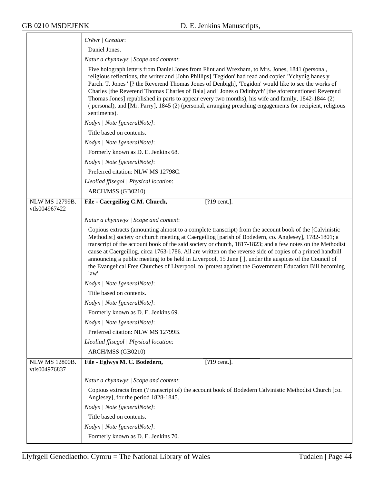$\overline{\phantom{a}}$ 

|                                        | Crëwr   Creator:                                                                                                                                                                                                                                                                                                                                                                                                                                                                                                                                                                                                                                                      |
|----------------------------------------|-----------------------------------------------------------------------------------------------------------------------------------------------------------------------------------------------------------------------------------------------------------------------------------------------------------------------------------------------------------------------------------------------------------------------------------------------------------------------------------------------------------------------------------------------------------------------------------------------------------------------------------------------------------------------|
|                                        | Daniel Jones.                                                                                                                                                                                                                                                                                                                                                                                                                                                                                                                                                                                                                                                         |
|                                        | Natur a chynnwys / Scope and content:                                                                                                                                                                                                                                                                                                                                                                                                                                                                                                                                                                                                                                 |
|                                        | Five holograph letters from Daniel Jones from Flint and Wrexham, to Mrs. Jones, 1841 (personal,<br>religious reflections, the writer and [John Phillips] 'Tegidon' had read and copied 'Ychydig hanes y<br>Parch. T. Jones ' [? the Reverend Thomas Jones of Denbigh], 'Tegidon' would like to see the works of<br>Charles [the Reverend Thomas Charles of Bala] and ' Jones o Ddinbych' [the aforementioned Reverend<br>Thomas Jones] republished in parts to appear every two months), his wife and family, 1842-1844 (2)<br>(personal), and [Mr. Parry], 1845 (2) (personal, arranging preaching engagements for recipient, religious<br>sentiments).              |
|                                        | Nodyn   Note [generalNote]:                                                                                                                                                                                                                                                                                                                                                                                                                                                                                                                                                                                                                                           |
|                                        | Title based on contents.                                                                                                                                                                                                                                                                                                                                                                                                                                                                                                                                                                                                                                              |
|                                        | Nodyn   Note [generalNote]:                                                                                                                                                                                                                                                                                                                                                                                                                                                                                                                                                                                                                                           |
|                                        | Formerly known as D. E. Jenkins 68.                                                                                                                                                                                                                                                                                                                                                                                                                                                                                                                                                                                                                                   |
|                                        | Nodyn   Note [generalNote]:                                                                                                                                                                                                                                                                                                                                                                                                                                                                                                                                                                                                                                           |
|                                        | Preferred citation: NLW MS 12798C.                                                                                                                                                                                                                                                                                                                                                                                                                                                                                                                                                                                                                                    |
|                                        | Lleoliad ffisegol   Physical location:                                                                                                                                                                                                                                                                                                                                                                                                                                                                                                                                                                                                                                |
|                                        | ARCH/MSS (GB0210)                                                                                                                                                                                                                                                                                                                                                                                                                                                                                                                                                                                                                                                     |
| <b>NLW MS 12799B.</b>                  | File - Caergeiliog C.M. Church,<br>[?19 cent.].                                                                                                                                                                                                                                                                                                                                                                                                                                                                                                                                                                                                                       |
| vtls004967422                          |                                                                                                                                                                                                                                                                                                                                                                                                                                                                                                                                                                                                                                                                       |
|                                        | Natur a chynnwys / Scope and content:                                                                                                                                                                                                                                                                                                                                                                                                                                                                                                                                                                                                                                 |
|                                        | Copious extracts (amounting almost to a complete transcript) from the account book of the [Calvinistic<br>Methodist] society or church meeting at Caergeiliog [parish of Bodedern, co. Anglesey], 1782-1801; a<br>transcript of the account book of the said society or church, 1817-1823; and a few notes on the Methodist<br>cause at Caergeiliog, circa 1763-1786. All are written on the reverse side of copies of a printed handbill<br>announcing a public meeting to be held in Liverpool, 15 June [], under the auspices of the Council of<br>the Evangelical Free Churches of Liverpool, to 'protest against the Government Education Bill becoming<br>law'. |
|                                        | Nodyn   Note [generalNote]:                                                                                                                                                                                                                                                                                                                                                                                                                                                                                                                                                                                                                                           |
|                                        | Title based on contents.                                                                                                                                                                                                                                                                                                                                                                                                                                                                                                                                                                                                                                              |
|                                        | Nodyn   Note [generalNote]:                                                                                                                                                                                                                                                                                                                                                                                                                                                                                                                                                                                                                                           |
|                                        | Formerly known as D. E. Jenkins 69.                                                                                                                                                                                                                                                                                                                                                                                                                                                                                                                                                                                                                                   |
|                                        | Nodyn   Note [generalNote]:                                                                                                                                                                                                                                                                                                                                                                                                                                                                                                                                                                                                                                           |
|                                        | Preferred citation: NLW MS 12799B.                                                                                                                                                                                                                                                                                                                                                                                                                                                                                                                                                                                                                                    |
|                                        | Lleoliad ffisegol   Physical location:                                                                                                                                                                                                                                                                                                                                                                                                                                                                                                                                                                                                                                |
|                                        | ARCH/MSS (GB0210)                                                                                                                                                                                                                                                                                                                                                                                                                                                                                                                                                                                                                                                     |
| <b>NLW MS 12800B.</b><br>vtls004976837 | File - Eglwys M. C. Bodedern,<br>[?19 cent.].                                                                                                                                                                                                                                                                                                                                                                                                                                                                                                                                                                                                                         |
|                                        | Natur a chynnwys / Scope and content:                                                                                                                                                                                                                                                                                                                                                                                                                                                                                                                                                                                                                                 |
|                                        | Copious extracts from (? transcript of) the account book of Bodedern Calvinistic Methodist Church [co.<br>Anglesey], for the period 1828-1845.                                                                                                                                                                                                                                                                                                                                                                                                                                                                                                                        |
|                                        | Nodyn   Note [generalNote]:                                                                                                                                                                                                                                                                                                                                                                                                                                                                                                                                                                                                                                           |
|                                        | Title based on contents.                                                                                                                                                                                                                                                                                                                                                                                                                                                                                                                                                                                                                                              |
|                                        | Nodyn   Note [generalNote]:                                                                                                                                                                                                                                                                                                                                                                                                                                                                                                                                                                                                                                           |
|                                        | Formerly known as D. E. Jenkins 70.                                                                                                                                                                                                                                                                                                                                                                                                                                                                                                                                                                                                                                   |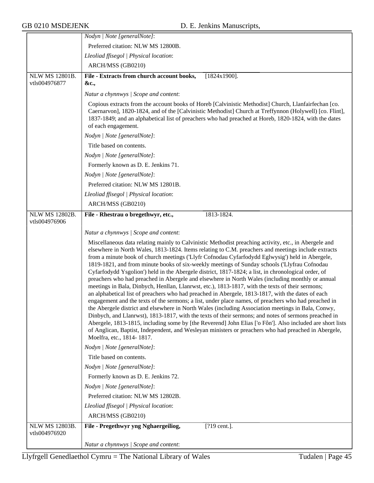|                                        | Nodyn   Note [generalNote]:                                                                                                                                                                                                                                                                                                                                                                                                                                                                                                                                                                                                                                                                                                                                                                                                                                                                                                                                                                                                                                                                                                                                                                                                                                                                                                                                                                                 |
|----------------------------------------|-------------------------------------------------------------------------------------------------------------------------------------------------------------------------------------------------------------------------------------------------------------------------------------------------------------------------------------------------------------------------------------------------------------------------------------------------------------------------------------------------------------------------------------------------------------------------------------------------------------------------------------------------------------------------------------------------------------------------------------------------------------------------------------------------------------------------------------------------------------------------------------------------------------------------------------------------------------------------------------------------------------------------------------------------------------------------------------------------------------------------------------------------------------------------------------------------------------------------------------------------------------------------------------------------------------------------------------------------------------------------------------------------------------|
|                                        | Preferred citation: NLW MS 12800B.                                                                                                                                                                                                                                                                                                                                                                                                                                                                                                                                                                                                                                                                                                                                                                                                                                                                                                                                                                                                                                                                                                                                                                                                                                                                                                                                                                          |
|                                        | Lleoliad ffisegol   Physical location:                                                                                                                                                                                                                                                                                                                                                                                                                                                                                                                                                                                                                                                                                                                                                                                                                                                                                                                                                                                                                                                                                                                                                                                                                                                                                                                                                                      |
|                                        | ARCH/MSS (GB0210)                                                                                                                                                                                                                                                                                                                                                                                                                                                                                                                                                                                                                                                                                                                                                                                                                                                                                                                                                                                                                                                                                                                                                                                                                                                                                                                                                                                           |
| <b>NLW MS 12801B.</b><br>vtls004976877 | File - Extracts from church account books,<br>$[1824x1900]$ .<br>&c.,                                                                                                                                                                                                                                                                                                                                                                                                                                                                                                                                                                                                                                                                                                                                                                                                                                                                                                                                                                                                                                                                                                                                                                                                                                                                                                                                       |
|                                        | Natur a chynnwys / Scope and content:                                                                                                                                                                                                                                                                                                                                                                                                                                                                                                                                                                                                                                                                                                                                                                                                                                                                                                                                                                                                                                                                                                                                                                                                                                                                                                                                                                       |
|                                        | Copious extracts from the account books of Horeb [Calvinistic Methodist] Church, Llanfairfechan [co.<br>Caernarvon], 1820-1824, and of the [Calvinistic Methodist] Church at Treffynnon (Holywell) [co. Flint],<br>1837-1849; and an alphabetical list of preachers who had preached at Horeb, 1820-1824, with the dates<br>of each engagement.                                                                                                                                                                                                                                                                                                                                                                                                                                                                                                                                                                                                                                                                                                                                                                                                                                                                                                                                                                                                                                                             |
|                                        | Nodyn   Note [generalNote]:                                                                                                                                                                                                                                                                                                                                                                                                                                                                                                                                                                                                                                                                                                                                                                                                                                                                                                                                                                                                                                                                                                                                                                                                                                                                                                                                                                                 |
|                                        | Title based on contents.                                                                                                                                                                                                                                                                                                                                                                                                                                                                                                                                                                                                                                                                                                                                                                                                                                                                                                                                                                                                                                                                                                                                                                                                                                                                                                                                                                                    |
|                                        | Nodyn   Note [generalNote]:                                                                                                                                                                                                                                                                                                                                                                                                                                                                                                                                                                                                                                                                                                                                                                                                                                                                                                                                                                                                                                                                                                                                                                                                                                                                                                                                                                                 |
|                                        | Formerly known as D. E. Jenkins 71.                                                                                                                                                                                                                                                                                                                                                                                                                                                                                                                                                                                                                                                                                                                                                                                                                                                                                                                                                                                                                                                                                                                                                                                                                                                                                                                                                                         |
|                                        | Nodyn   Note [generalNote]:                                                                                                                                                                                                                                                                                                                                                                                                                                                                                                                                                                                                                                                                                                                                                                                                                                                                                                                                                                                                                                                                                                                                                                                                                                                                                                                                                                                 |
|                                        | Preferred citation: NLW MS 12801B.                                                                                                                                                                                                                                                                                                                                                                                                                                                                                                                                                                                                                                                                                                                                                                                                                                                                                                                                                                                                                                                                                                                                                                                                                                                                                                                                                                          |
|                                        | Lleoliad ffisegol   Physical location:                                                                                                                                                                                                                                                                                                                                                                                                                                                                                                                                                                                                                                                                                                                                                                                                                                                                                                                                                                                                                                                                                                                                                                                                                                                                                                                                                                      |
|                                        | ARCH/MSS (GB0210)                                                                                                                                                                                                                                                                                                                                                                                                                                                                                                                                                                                                                                                                                                                                                                                                                                                                                                                                                                                                                                                                                                                                                                                                                                                                                                                                                                                           |
| NLW MS 12802B.<br>vtls004976906        | File - Rhestrau o bregethwyr, etc.,<br>1813-1824.                                                                                                                                                                                                                                                                                                                                                                                                                                                                                                                                                                                                                                                                                                                                                                                                                                                                                                                                                                                                                                                                                                                                                                                                                                                                                                                                                           |
|                                        | Natur a chynnwys / Scope and content:                                                                                                                                                                                                                                                                                                                                                                                                                                                                                                                                                                                                                                                                                                                                                                                                                                                                                                                                                                                                                                                                                                                                                                                                                                                                                                                                                                       |
|                                        | Miscellaneous data relating mainly to Calvinistic Methodist preaching activity, etc., in Abergele and<br>elsewhere in North Wales, 1813-1824. Items relating to C.M. preachers and meetings include extracts<br>from a minute book of church meetings ('Llyfr Cofnodau Cyfarfodydd Eglwysig') held in Abergele,<br>1819-1821, and from minute books of six-weekly meetings of Sunday schools ('Llyfrau Cofnodau<br>Cyfarfodydd Ysgolion') held in the Abergele district, 1817-1824; a list, in chronological order, of<br>preachers who had preached in Abergele and elsewhere in North Wales (including monthly or annual<br>meetings in Bala, Dinbych, Henllan, Llanrwst, etc.), 1813-1817, with the texts of their sermons;<br>an alphabetical list of preachers who had preached in Abergele, 1813-1817, with the dates of each<br>engagement and the texts of the sermons; a list, under place names, of preachers who had preached in<br>the Abergele district and elsewhere in North Wales (including Association meetings in Bala, Conwy,<br>Dinbych, and Llanrwst), 1813-1817, with the texts of their sermons; and notes of sermons preached in<br>Abergele, 1813-1815, including some by [the Reverend] John Elias ['o Fôn']. Also included are short lists<br>of Anglican, Baptist, Independent, and Wesleyan ministers or preachers who had preached in Abergele,<br>Moelfra, etc., 1814-1817. |
|                                        | Nodyn   Note [generalNote]:                                                                                                                                                                                                                                                                                                                                                                                                                                                                                                                                                                                                                                                                                                                                                                                                                                                                                                                                                                                                                                                                                                                                                                                                                                                                                                                                                                                 |
|                                        | Title based on contents.                                                                                                                                                                                                                                                                                                                                                                                                                                                                                                                                                                                                                                                                                                                                                                                                                                                                                                                                                                                                                                                                                                                                                                                                                                                                                                                                                                                    |
|                                        | Nodyn   Note [generalNote]:                                                                                                                                                                                                                                                                                                                                                                                                                                                                                                                                                                                                                                                                                                                                                                                                                                                                                                                                                                                                                                                                                                                                                                                                                                                                                                                                                                                 |
|                                        | Formerly known as D. E. Jenkins 72.                                                                                                                                                                                                                                                                                                                                                                                                                                                                                                                                                                                                                                                                                                                                                                                                                                                                                                                                                                                                                                                                                                                                                                                                                                                                                                                                                                         |
|                                        | Nodyn   Note [generalNote]:                                                                                                                                                                                                                                                                                                                                                                                                                                                                                                                                                                                                                                                                                                                                                                                                                                                                                                                                                                                                                                                                                                                                                                                                                                                                                                                                                                                 |
|                                        | Preferred citation: NLW MS 12802B.                                                                                                                                                                                                                                                                                                                                                                                                                                                                                                                                                                                                                                                                                                                                                                                                                                                                                                                                                                                                                                                                                                                                                                                                                                                                                                                                                                          |
|                                        | Lleoliad ffisegol   Physical location:                                                                                                                                                                                                                                                                                                                                                                                                                                                                                                                                                                                                                                                                                                                                                                                                                                                                                                                                                                                                                                                                                                                                                                                                                                                                                                                                                                      |
|                                        | ARCH/MSS (GB0210)                                                                                                                                                                                                                                                                                                                                                                                                                                                                                                                                                                                                                                                                                                                                                                                                                                                                                                                                                                                                                                                                                                                                                                                                                                                                                                                                                                                           |
| NLW MS 12803B.<br>vtls004976920        | File - Pregethwyr yng Nghaergeiliog,<br>[?19 cent.].                                                                                                                                                                                                                                                                                                                                                                                                                                                                                                                                                                                                                                                                                                                                                                                                                                                                                                                                                                                                                                                                                                                                                                                                                                                                                                                                                        |
|                                        | Natur a chynnwys / Scope and content:                                                                                                                                                                                                                                                                                                                                                                                                                                                                                                                                                                                                                                                                                                                                                                                                                                                                                                                                                                                                                                                                                                                                                                                                                                                                                                                                                                       |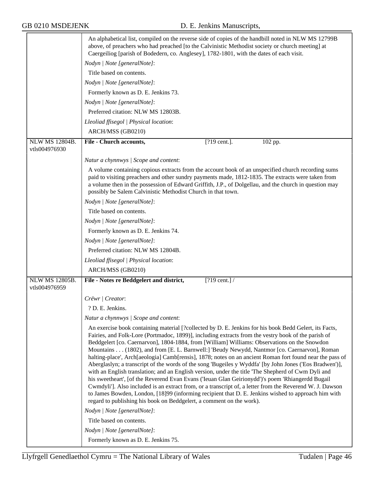|                                        | An alphabetical list, compiled on the reverse side of copies of the handbill noted in NLW MS 12799B<br>above, of preachers who had preached [to the Calvinistic Methodist society or church meeting] at<br>Caergeiliog [parish of Bodedern, co. Anglesey], 1782-1801, with the dates of each visit.                                                                                                                                                                                                                                                                                                                                                                                                                                                                                                                                                                                                                                                                                                                                                                                                                                      |
|----------------------------------------|------------------------------------------------------------------------------------------------------------------------------------------------------------------------------------------------------------------------------------------------------------------------------------------------------------------------------------------------------------------------------------------------------------------------------------------------------------------------------------------------------------------------------------------------------------------------------------------------------------------------------------------------------------------------------------------------------------------------------------------------------------------------------------------------------------------------------------------------------------------------------------------------------------------------------------------------------------------------------------------------------------------------------------------------------------------------------------------------------------------------------------------|
|                                        | Nodyn   Note [generalNote]:                                                                                                                                                                                                                                                                                                                                                                                                                                                                                                                                                                                                                                                                                                                                                                                                                                                                                                                                                                                                                                                                                                              |
|                                        | Title based on contents.                                                                                                                                                                                                                                                                                                                                                                                                                                                                                                                                                                                                                                                                                                                                                                                                                                                                                                                                                                                                                                                                                                                 |
|                                        | Nodyn   Note [generalNote]:                                                                                                                                                                                                                                                                                                                                                                                                                                                                                                                                                                                                                                                                                                                                                                                                                                                                                                                                                                                                                                                                                                              |
|                                        | Formerly known as D. E. Jenkins 73.                                                                                                                                                                                                                                                                                                                                                                                                                                                                                                                                                                                                                                                                                                                                                                                                                                                                                                                                                                                                                                                                                                      |
|                                        | Nodyn   Note [generalNote]:                                                                                                                                                                                                                                                                                                                                                                                                                                                                                                                                                                                                                                                                                                                                                                                                                                                                                                                                                                                                                                                                                                              |
|                                        | Preferred citation: NLW MS 12803B.                                                                                                                                                                                                                                                                                                                                                                                                                                                                                                                                                                                                                                                                                                                                                                                                                                                                                                                                                                                                                                                                                                       |
|                                        | Lleoliad ffisegol   Physical location:                                                                                                                                                                                                                                                                                                                                                                                                                                                                                                                                                                                                                                                                                                                                                                                                                                                                                                                                                                                                                                                                                                   |
|                                        | ARCH/MSS (GB0210)                                                                                                                                                                                                                                                                                                                                                                                                                                                                                                                                                                                                                                                                                                                                                                                                                                                                                                                                                                                                                                                                                                                        |
| NLW MS 12804B.                         | <b>File - Church accounts,</b><br>$\sqrt{[?]}9$ cent.].<br>102 pp.                                                                                                                                                                                                                                                                                                                                                                                                                                                                                                                                                                                                                                                                                                                                                                                                                                                                                                                                                                                                                                                                       |
| vtls004976930                          |                                                                                                                                                                                                                                                                                                                                                                                                                                                                                                                                                                                                                                                                                                                                                                                                                                                                                                                                                                                                                                                                                                                                          |
|                                        | Natur a chynnwys / Scope and content:                                                                                                                                                                                                                                                                                                                                                                                                                                                                                                                                                                                                                                                                                                                                                                                                                                                                                                                                                                                                                                                                                                    |
|                                        | A volume containing copious extracts from the account book of an unspecified church recording sums<br>paid to visiting preachers and other sundry payments made, 1812-1835. The extracts were taken from<br>a volume then in the possession of Edward Griffith, J.P., of Dolgellau, and the church in question may<br>possibly be Salem Calvinistic Methodist Church in that town.                                                                                                                                                                                                                                                                                                                                                                                                                                                                                                                                                                                                                                                                                                                                                       |
|                                        | Nodyn   Note [generalNote]:                                                                                                                                                                                                                                                                                                                                                                                                                                                                                                                                                                                                                                                                                                                                                                                                                                                                                                                                                                                                                                                                                                              |
|                                        | Title based on contents.                                                                                                                                                                                                                                                                                                                                                                                                                                                                                                                                                                                                                                                                                                                                                                                                                                                                                                                                                                                                                                                                                                                 |
|                                        | Nodyn   Note [generalNote]:                                                                                                                                                                                                                                                                                                                                                                                                                                                                                                                                                                                                                                                                                                                                                                                                                                                                                                                                                                                                                                                                                                              |
|                                        | Formerly known as D. E. Jenkins 74.                                                                                                                                                                                                                                                                                                                                                                                                                                                                                                                                                                                                                                                                                                                                                                                                                                                                                                                                                                                                                                                                                                      |
|                                        | Nodyn   Note [generalNote]:                                                                                                                                                                                                                                                                                                                                                                                                                                                                                                                                                                                                                                                                                                                                                                                                                                                                                                                                                                                                                                                                                                              |
|                                        | Preferred citation: NLW MS 12804B.                                                                                                                                                                                                                                                                                                                                                                                                                                                                                                                                                                                                                                                                                                                                                                                                                                                                                                                                                                                                                                                                                                       |
|                                        | Lleoliad ffisegol   Physical location:                                                                                                                                                                                                                                                                                                                                                                                                                                                                                                                                                                                                                                                                                                                                                                                                                                                                                                                                                                                                                                                                                                   |
|                                        | ARCH/MSS (GB0210)                                                                                                                                                                                                                                                                                                                                                                                                                                                                                                                                                                                                                                                                                                                                                                                                                                                                                                                                                                                                                                                                                                                        |
| <b>NLW MS 12805B.</b><br>vtls004976959 | File - Notes re Beddgelert and district,<br>$[?19 \text{ cent.}]$ /                                                                                                                                                                                                                                                                                                                                                                                                                                                                                                                                                                                                                                                                                                                                                                                                                                                                                                                                                                                                                                                                      |
|                                        | Crëwr   Creator:                                                                                                                                                                                                                                                                                                                                                                                                                                                                                                                                                                                                                                                                                                                                                                                                                                                                                                                                                                                                                                                                                                                         |
|                                        | ? D. E. Jenkins.                                                                                                                                                                                                                                                                                                                                                                                                                                                                                                                                                                                                                                                                                                                                                                                                                                                                                                                                                                                                                                                                                                                         |
|                                        | Natur a chynnwys / Scope and content:                                                                                                                                                                                                                                                                                                                                                                                                                                                                                                                                                                                                                                                                                                                                                                                                                                                                                                                                                                                                                                                                                                    |
|                                        | An exercise book containing material [?collected by D. E. Jenkins for his book Bedd Gelert, its Facts,<br>Fairies, and Folk-Lore (Portmadoc, 1899)], including extracts from the vestry book of the parish of<br>Beddgelert [co. Caernarvon], 1804-1884, from [William] Williams: Observations on the Snowdon<br>Mountains (1802), and from [E. L. Barnwell:] 'Beudy Newydd, Nantmor [co. Caernarvon], Roman<br>halting-place', Arch[aeologia] Camb[rensis], 1878; notes on an ancient Roman fort found near the pass of<br>Aberglaslyn; a transcript of the words of the song 'Bugeiles y Wyddfa' [by John Jones ('Eos Bradwen')],<br>with an English translation; and an English version, under the title 'The Shepherd of Cwm Dyli and<br>his sweetheart', [of the Reverend Evan Evans ('Ieuan Glan Geirionydd')'s poem 'Rhiangerdd Bugail<br>Cwmdyli']. Also included is an extract from, or a transcript of, a letter from the Reverend W. J. Dawson<br>to James Bowden, London, [18]99 (informing recipient that D. E. Jenkins wished to approach him with<br>regard to publishing his book on Beddgelert, a comment on the work). |
|                                        | Nodyn   Note [generalNote]:                                                                                                                                                                                                                                                                                                                                                                                                                                                                                                                                                                                                                                                                                                                                                                                                                                                                                                                                                                                                                                                                                                              |
|                                        | Title based on contents.                                                                                                                                                                                                                                                                                                                                                                                                                                                                                                                                                                                                                                                                                                                                                                                                                                                                                                                                                                                                                                                                                                                 |
|                                        | Nodyn   Note [generalNote]:                                                                                                                                                                                                                                                                                                                                                                                                                                                                                                                                                                                                                                                                                                                                                                                                                                                                                                                                                                                                                                                                                                              |
|                                        | Formerly known as D. E. Jenkins 75.                                                                                                                                                                                                                                                                                                                                                                                                                                                                                                                                                                                                                                                                                                                                                                                                                                                                                                                                                                                                                                                                                                      |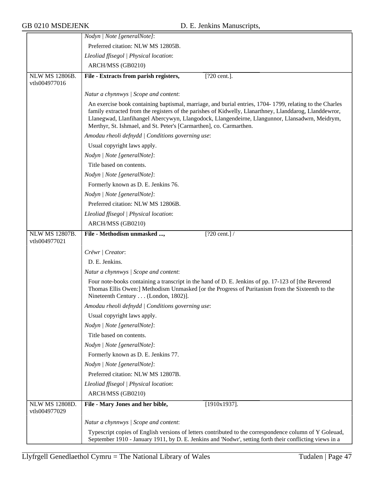|                                        | Nodyn   Note [generalNote]:                                                                                                                                                                                                                                                                                                                                                                |
|----------------------------------------|--------------------------------------------------------------------------------------------------------------------------------------------------------------------------------------------------------------------------------------------------------------------------------------------------------------------------------------------------------------------------------------------|
|                                        | Preferred citation: NLW MS 12805B.                                                                                                                                                                                                                                                                                                                                                         |
|                                        | Lleoliad ffisegol   Physical location:                                                                                                                                                                                                                                                                                                                                                     |
|                                        | ARCH/MSS (GB0210)                                                                                                                                                                                                                                                                                                                                                                          |
| <b>NLW MS 12806B.</b><br>vtls004977016 | File - Extracts from parish registers,<br>[?20 cent.].                                                                                                                                                                                                                                                                                                                                     |
|                                        | Natur a chynnwys / Scope and content:                                                                                                                                                                                                                                                                                                                                                      |
|                                        | An exercise book containing baptismal, marriage, and burial entries, 1704-1799, relating to the Charles<br>family extracted from the registers of the parishes of Kidwelly, Llanarthney, Llanddarog, Llanddewror,<br>Llanegwad, Llanfihangel Abercywyn, Llangodock, Llangendeirne, Llangunnor, Llansadwrn, Meidrym,<br>Merthyr, St. Ishmael, and St. Peter's [Carmarthen], co. Carmarthen. |
|                                        | Amodau rheoli defnydd   Conditions governing use:                                                                                                                                                                                                                                                                                                                                          |
|                                        | Usual copyright laws apply.                                                                                                                                                                                                                                                                                                                                                                |
|                                        | Nodyn   Note [generalNote]:                                                                                                                                                                                                                                                                                                                                                                |
|                                        | Title based on contents.                                                                                                                                                                                                                                                                                                                                                                   |
|                                        | Nodyn   Note [generalNote]:                                                                                                                                                                                                                                                                                                                                                                |
|                                        | Formerly known as D. E. Jenkins 76.                                                                                                                                                                                                                                                                                                                                                        |
|                                        | Nodyn   Note [generalNote]:                                                                                                                                                                                                                                                                                                                                                                |
|                                        | Preferred citation: NLW MS 12806B.                                                                                                                                                                                                                                                                                                                                                         |
|                                        | Lleoliad ffisegol   Physical location:                                                                                                                                                                                                                                                                                                                                                     |
|                                        | ARCH/MSS (GB0210)                                                                                                                                                                                                                                                                                                                                                                          |
| <b>NLW MS 12807B.</b>                  | $[?20 \text{ cent.}]$<br>File - Methodism unmasked ,                                                                                                                                                                                                                                                                                                                                       |
| vtls004977021                          |                                                                                                                                                                                                                                                                                                                                                                                            |
|                                        | Crëwr   Creator:                                                                                                                                                                                                                                                                                                                                                                           |
|                                        | D. E. Jenkins.                                                                                                                                                                                                                                                                                                                                                                             |
|                                        | Natur a chynnwys / Scope and content:                                                                                                                                                                                                                                                                                                                                                      |
|                                        | Four note-books containing a transcript in the hand of D. E. Jenkins of pp. 17-123 of [the Reverend<br>Thomas Ellis Owen:] Methodism Unmasked [or the Progress of Puritanism from the Sixteenth to the<br>Nineteenth Century (London, 1802)].                                                                                                                                              |
|                                        | Amodau rheoli defnydd   Conditions governing use:                                                                                                                                                                                                                                                                                                                                          |
|                                        | Usual copyright laws apply.                                                                                                                                                                                                                                                                                                                                                                |
|                                        | Nodyn   Note [generalNote]:                                                                                                                                                                                                                                                                                                                                                                |
|                                        | Title based on contents.                                                                                                                                                                                                                                                                                                                                                                   |
|                                        | Nodyn   Note [generalNote]:                                                                                                                                                                                                                                                                                                                                                                |
|                                        | Formerly known as D. E. Jenkins 77.                                                                                                                                                                                                                                                                                                                                                        |
|                                        | Nodyn   Note [generalNote]:                                                                                                                                                                                                                                                                                                                                                                |
|                                        | Preferred citation: NLW MS 12807B.                                                                                                                                                                                                                                                                                                                                                         |
|                                        | Lleoliad ffisegol   Physical location:                                                                                                                                                                                                                                                                                                                                                     |
|                                        | ARCH/MSS (GB0210)                                                                                                                                                                                                                                                                                                                                                                          |
| NLW MS 12808D.<br>vtls004977029        | File - Mary Jones and her bible,<br>$[1910x1937]$ .                                                                                                                                                                                                                                                                                                                                        |
|                                        | Natur a chynnwys / Scope and content:                                                                                                                                                                                                                                                                                                                                                      |
|                                        | Typescript copies of English versions of letters contributed to the correspondence column of Y Goleuad,<br>September 1910 - January 1911, by D. E. Jenkins and 'Nodwr', setting forth their conflicting views in a                                                                                                                                                                         |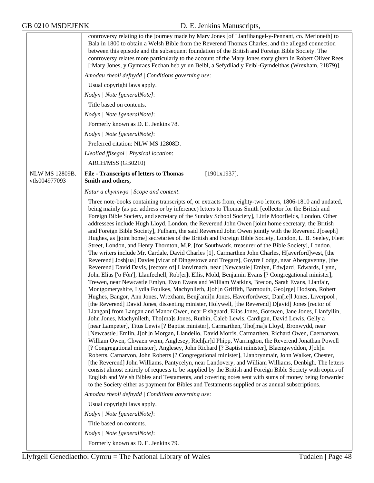|                | controversy relating to the journey made by Mary Jones [of Llanfihangel-y-Pennant, co. Merioneth] to<br>Bala in 1800 to obtain a Welsh Bible from the Reverend Thomas Charles, and the alleged connection<br>between this episode and the subsequent foundation of the British and Foreign Bible Society. The<br>controversy relates more particularly to the account of the Mary Jones story given in Robert Oliver Rees<br>[:Mary Jones, y Gymraes Fechan heb yr un Beibl, a Sefydliad y Feibl-Gymdeithas (Wrexham, ?1879)].<br>Amodau rheoli defnydd   Conditions governing use:<br>Usual copyright laws apply.<br>Nodyn   Note [generalNote]:<br>Title based on contents.<br>Nodyn   Note [generalNote]:<br>Formerly known as D. E. Jenkins 78.<br>Nodyn   Note [generalNote]:<br>Preferred citation: NLW MS 12808D.<br>Lleoliad ffisegol   Physical location:<br>ARCH/MSS (GB0210)                                                                                                                                                                                                                                                                                                                                                                                                                                                                                                                                                                                                                                                                                                                                                                                                                                                                                                                                                                                                                                                                                                                                                                                                                                                                                                                                                                                                                                                                                                                                                                                                                                                                                                                                                                                                                                                                                                                                         |
|----------------|---------------------------------------------------------------------------------------------------------------------------------------------------------------------------------------------------------------------------------------------------------------------------------------------------------------------------------------------------------------------------------------------------------------------------------------------------------------------------------------------------------------------------------------------------------------------------------------------------------------------------------------------------------------------------------------------------------------------------------------------------------------------------------------------------------------------------------------------------------------------------------------------------------------------------------------------------------------------------------------------------------------------------------------------------------------------------------------------------------------------------------------------------------------------------------------------------------------------------------------------------------------------------------------------------------------------------------------------------------------------------------------------------------------------------------------------------------------------------------------------------------------------------------------------------------------------------------------------------------------------------------------------------------------------------------------------------------------------------------------------------------------------------------------------------------------------------------------------------------------------------------------------------------------------------------------------------------------------------------------------------------------------------------------------------------------------------------------------------------------------------------------------------------------------------------------------------------------------------------------------------------------------------------------------------------------------------------------------------------------------------------------------------------------------------------------------------------------------------------------------------------------------------------------------------------------------------------------------------------------------------------------------------------------------------------------------------------------------------------------------------------------------------------------------------------------------------------|
| NLW MS 12809B. | $[1901x1937]$ .<br><b>File - Transcripts of letters to Thomas</b>                                                                                                                                                                                                                                                                                                                                                                                                                                                                                                                                                                                                                                                                                                                                                                                                                                                                                                                                                                                                                                                                                                                                                                                                                                                                                                                                                                                                                                                                                                                                                                                                                                                                                                                                                                                                                                                                                                                                                                                                                                                                                                                                                                                                                                                                                                                                                                                                                                                                                                                                                                                                                                                                                                                                                               |
| vtls004977093  | Smith and others,<br>Natur a chynnwys / Scope and content:                                                                                                                                                                                                                                                                                                                                                                                                                                                                                                                                                                                                                                                                                                                                                                                                                                                                                                                                                                                                                                                                                                                                                                                                                                                                                                                                                                                                                                                                                                                                                                                                                                                                                                                                                                                                                                                                                                                                                                                                                                                                                                                                                                                                                                                                                                                                                                                                                                                                                                                                                                                                                                                                                                                                                                      |
|                | Three note-books containing transcripts of, or extracts from, eighty-two letters, 1806-1810 and undated,<br>being mainly (as per address or by inference) letters to Thomas Smith [collector for the British and<br>Foreign Bible Society, and secretary of the Sunday School Society], Little Moorfields, London. Other<br>addressees include Hugh Lloyd, London, the Reverend John Owen [joint home secretary, the British<br>and Foreign Bible Society], Fulham, the said Reverend John Owen jointly with the Reverend J[oseph]<br>Hughes, as [joint home] secretaries of the British and Foreign Bible Society, London, L. B. Seeley, Fleet<br>Street, London, and Henry Thornton, M.P. [for Southwark, treasurer of the Bible Society], London.<br>The writers include Mr. Cardale, David Charles [1], Carmarthen John Charles, H[averford]west, [the<br>Reverend] Josh[ua] Davies [vicar of Dingestowe and Tregare], Goytre Lodge, near Abergavenny, [the<br>Reverend] David Davis, [rectors of] Llanvirnach, near [Newcastle] Emlyn, Edw[ard] Edwards, Lynn,<br>John Elias ['o Fôn'], Llanfechell, Rob[er]t Ellis, Mold, Benjamin Evans [? Congregational minister],<br>Trewen, near Newcastle Emlyn, Evan Evans and William Watkins, Brecon, Sarah Evans, Llanfair,<br>Montgomeryshire, Lydia Foulkes, Machynlleth, J[oh]n Griffith, Barmouth, Geo[rge] Hodson, Robert<br>Hughes, Bangor, Ann Jones, Wrexham, Benj[ami]n Jones, Haverfordwest, Dan[ie]l Jones, Liverpool,<br>[the Reverend] David Jones, dissenting minister, Holywell, [the Reverend] D[avid] Jones [rector of<br>Llangan] from Langan and Manor Owen, near Fishguard, Elias Jones, Gorswen, Jane Jones, Llanfyllin,<br>John Jones, Machynlleth, Tho[ma]s Jones, Ruthin, Caleb Lewis, Cardigan, David Lewis, Gelly a<br>[near Lampeter], Titus Lewis [? Baptist minister], Carmarthen, Tho[ma]s Lloyd, Bronwydd, near<br>[Newcastle] Emlin, J[oh]n Morgan, Llandeilo, David Morris, Carmarthen, Richard Owen, Caernarvon,<br>William Owen, Chwaen wenn, Anglesey, Rich[ar]d Phipp, Warrington, the Reverend Jonathan Powell<br>[? Congregational minister], Anglesey, John Richard [? Baptist minister], Blaengwyddon, J[oh]n<br>Roberts, Carnarvon, John Roberts [? Congregational minister], Llanbrynmair, John Walker, Chester,<br>[the Reverend] John Williams, Pantycelyn, near Landovery, and William Williams, Denbigh. The letters<br>consist almost entirely of requests to be supplied by the British and Foreign Bible Society with copies of<br>English and Welsh Bibles and Testaments, and covering notes sent with sums of money being forwarded<br>to the Society either as payment for Bibles and Testaments supplied or as annual subscriptions.<br>Amodau rheoli defnydd   Conditions governing use:<br>Usual copyright laws apply. |
|                | Nodyn   Note [generalNote]:<br>Title based on contents.                                                                                                                                                                                                                                                                                                                                                                                                                                                                                                                                                                                                                                                                                                                                                                                                                                                                                                                                                                                                                                                                                                                                                                                                                                                                                                                                                                                                                                                                                                                                                                                                                                                                                                                                                                                                                                                                                                                                                                                                                                                                                                                                                                                                                                                                                                                                                                                                                                                                                                                                                                                                                                                                                                                                                                         |
|                | Nodyn   Note [generalNote]:                                                                                                                                                                                                                                                                                                                                                                                                                                                                                                                                                                                                                                                                                                                                                                                                                                                                                                                                                                                                                                                                                                                                                                                                                                                                                                                                                                                                                                                                                                                                                                                                                                                                                                                                                                                                                                                                                                                                                                                                                                                                                                                                                                                                                                                                                                                                                                                                                                                                                                                                                                                                                                                                                                                                                                                                     |
|                | Formerly known as D. E. Jenkins 79.                                                                                                                                                                                                                                                                                                                                                                                                                                                                                                                                                                                                                                                                                                                                                                                                                                                                                                                                                                                                                                                                                                                                                                                                                                                                                                                                                                                                                                                                                                                                                                                                                                                                                                                                                                                                                                                                                                                                                                                                                                                                                                                                                                                                                                                                                                                                                                                                                                                                                                                                                                                                                                                                                                                                                                                             |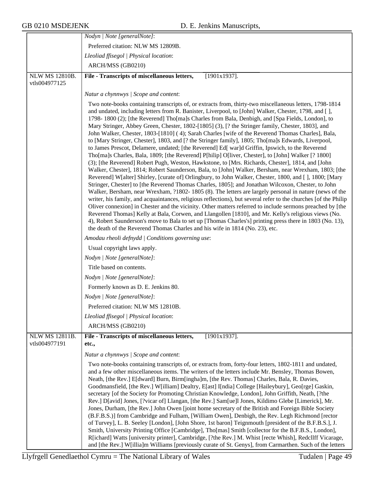|                                 | Nodyn   Note [generalNote]:                                                                                                                                                                                                                                                                                                                                                                                                                                                                                                                                                                                                                                                                                                                                                                                                                                                                                                                                                                                                                                                                                                                                                                                                                                                                                                                                                                                                                                                                                                                                                                                                                                                                                                                                                                                                                                                                                         |
|---------------------------------|---------------------------------------------------------------------------------------------------------------------------------------------------------------------------------------------------------------------------------------------------------------------------------------------------------------------------------------------------------------------------------------------------------------------------------------------------------------------------------------------------------------------------------------------------------------------------------------------------------------------------------------------------------------------------------------------------------------------------------------------------------------------------------------------------------------------------------------------------------------------------------------------------------------------------------------------------------------------------------------------------------------------------------------------------------------------------------------------------------------------------------------------------------------------------------------------------------------------------------------------------------------------------------------------------------------------------------------------------------------------------------------------------------------------------------------------------------------------------------------------------------------------------------------------------------------------------------------------------------------------------------------------------------------------------------------------------------------------------------------------------------------------------------------------------------------------------------------------------------------------------------------------------------------------|
|                                 | Preferred citation: NLW MS 12809B.                                                                                                                                                                                                                                                                                                                                                                                                                                                                                                                                                                                                                                                                                                                                                                                                                                                                                                                                                                                                                                                                                                                                                                                                                                                                                                                                                                                                                                                                                                                                                                                                                                                                                                                                                                                                                                                                                  |
|                                 | Lleoliad ffisegol   Physical location:                                                                                                                                                                                                                                                                                                                                                                                                                                                                                                                                                                                                                                                                                                                                                                                                                                                                                                                                                                                                                                                                                                                                                                                                                                                                                                                                                                                                                                                                                                                                                                                                                                                                                                                                                                                                                                                                              |
|                                 | ARCH/MSS (GB0210)                                                                                                                                                                                                                                                                                                                                                                                                                                                                                                                                                                                                                                                                                                                                                                                                                                                                                                                                                                                                                                                                                                                                                                                                                                                                                                                                                                                                                                                                                                                                                                                                                                                                                                                                                                                                                                                                                                   |
| NLW MS 12810B.<br>vtls004977125 | File - Transcripts of miscellaneous letters,<br>$[1901x1937]$ .                                                                                                                                                                                                                                                                                                                                                                                                                                                                                                                                                                                                                                                                                                                                                                                                                                                                                                                                                                                                                                                                                                                                                                                                                                                                                                                                                                                                                                                                                                                                                                                                                                                                                                                                                                                                                                                     |
|                                 | Natur a chynnwys / Scope and content:                                                                                                                                                                                                                                                                                                                                                                                                                                                                                                                                                                                                                                                                                                                                                                                                                                                                                                                                                                                                                                                                                                                                                                                                                                                                                                                                                                                                                                                                                                                                                                                                                                                                                                                                                                                                                                                                               |
|                                 | Two note-books containing transcripts of, or extracts from, thirty-two miscellaneous letters, 1798-1814<br>and undated, including letters from R. Banister, Liverpool, to [John] Walker, Chester, 1798, and [],<br>1798-1800 (2); [the Reverend] Tho[ma]s Charles from Bala, Denbigh, and [Spa Fields, London], to<br>Mary Stringer, Abbey Green, Chester, 1802-[1805] (3), [? the Stringer family, Chester, 1803], and<br>John Walker, Chester, 1803-[1810] (4); Sarah Charles [wife of the Reverend Thomas Charles], Bala,<br>to [Mary Stringer, Chester], 1803, and [? the Stringer family], 1805; Tho[ma]s Edwards, Liverpool,<br>to James Prescot, Delamere, undated; [the Reverend] Ed[ war]d Griffin, Ipswich, to the Reverend<br>Tho[ma]s Charles, Bala, 1809; [the Reverend] P[hilip] O[liver, Chester], to [John] Walker [? 1800]<br>(3); [the Reverend] Robert Pugh, Weston, Hawkstone, to [Mrs. Richards, Chester], 1814, and [John<br>Walker, Chester], 1814; Robert Saunderson, Bala, to [John] Walker, Bersham, near Wrexham, 1803; [the<br>Reverend W[alter] Shirley, [curate of] Orlingbury, to John Walker, Chester, 1800, and [], 1800; [Mary<br>Stringer, Chester] to [the Reverend Thomas Charles, 1805]; and Jonathan Wilcoxon, Chester, to John<br>Walker, Bersham, near Wrexham, ?1802-1805 (8). The letters are largely personal in nature (news of the<br>writer, his family, and acquaintances, religious reflections), but several refer to the churches [of the Philip<br>Oliver connexion] in Chester and the vicinity. Other matters referred to include sermons preached by [the<br>Reverend Thomas] Kelly at Bala, Corwen, and Llangollen [1810], and Mr. Kelly's religious views (No.<br>4), Robert Saunderson's move to Bala to set up [Thomas Charles's] printing press there in 1803 (No. 13),<br>the death of the Reverend Thomas Charles and his wife in 1814 (No. 23), etc. |
|                                 | Amodau rheoli defnydd   Conditions governing use:                                                                                                                                                                                                                                                                                                                                                                                                                                                                                                                                                                                                                                                                                                                                                                                                                                                                                                                                                                                                                                                                                                                                                                                                                                                                                                                                                                                                                                                                                                                                                                                                                                                                                                                                                                                                                                                                   |
|                                 | Usual copyright laws apply.                                                                                                                                                                                                                                                                                                                                                                                                                                                                                                                                                                                                                                                                                                                                                                                                                                                                                                                                                                                                                                                                                                                                                                                                                                                                                                                                                                                                                                                                                                                                                                                                                                                                                                                                                                                                                                                                                         |
|                                 | Nodyn   Note [generalNote]:                                                                                                                                                                                                                                                                                                                                                                                                                                                                                                                                                                                                                                                                                                                                                                                                                                                                                                                                                                                                                                                                                                                                                                                                                                                                                                                                                                                                                                                                                                                                                                                                                                                                                                                                                                                                                                                                                         |
|                                 | Title based on contents.                                                                                                                                                                                                                                                                                                                                                                                                                                                                                                                                                                                                                                                                                                                                                                                                                                                                                                                                                                                                                                                                                                                                                                                                                                                                                                                                                                                                                                                                                                                                                                                                                                                                                                                                                                                                                                                                                            |
|                                 | Nodyn   Note [generalNote]:                                                                                                                                                                                                                                                                                                                                                                                                                                                                                                                                                                                                                                                                                                                                                                                                                                                                                                                                                                                                                                                                                                                                                                                                                                                                                                                                                                                                                                                                                                                                                                                                                                                                                                                                                                                                                                                                                         |
|                                 | Formerly known as D. E. Jenkins 80.                                                                                                                                                                                                                                                                                                                                                                                                                                                                                                                                                                                                                                                                                                                                                                                                                                                                                                                                                                                                                                                                                                                                                                                                                                                                                                                                                                                                                                                                                                                                                                                                                                                                                                                                                                                                                                                                                 |
|                                 | Nodyn   Note [generalNote]:                                                                                                                                                                                                                                                                                                                                                                                                                                                                                                                                                                                                                                                                                                                                                                                                                                                                                                                                                                                                                                                                                                                                                                                                                                                                                                                                                                                                                                                                                                                                                                                                                                                                                                                                                                                                                                                                                         |
|                                 | Preferred citation: NLW MS 12810B.                                                                                                                                                                                                                                                                                                                                                                                                                                                                                                                                                                                                                                                                                                                                                                                                                                                                                                                                                                                                                                                                                                                                                                                                                                                                                                                                                                                                                                                                                                                                                                                                                                                                                                                                                                                                                                                                                  |
|                                 | Lleoliad ffisegol   Physical location:                                                                                                                                                                                                                                                                                                                                                                                                                                                                                                                                                                                                                                                                                                                                                                                                                                                                                                                                                                                                                                                                                                                                                                                                                                                                                                                                                                                                                                                                                                                                                                                                                                                                                                                                                                                                                                                                              |
|                                 | ARCH/MSS (GB0210)                                                                                                                                                                                                                                                                                                                                                                                                                                                                                                                                                                                                                                                                                                                                                                                                                                                                                                                                                                                                                                                                                                                                                                                                                                                                                                                                                                                                                                                                                                                                                                                                                                                                                                                                                                                                                                                                                                   |
| NLW MS 12811B.<br>vtls004977191 | File - Transcripts of miscellaneous letters,<br>$[1901x1937]$ .<br>etc.,                                                                                                                                                                                                                                                                                                                                                                                                                                                                                                                                                                                                                                                                                                                                                                                                                                                                                                                                                                                                                                                                                                                                                                                                                                                                                                                                                                                                                                                                                                                                                                                                                                                                                                                                                                                                                                            |
|                                 | Natur a chynnwys / Scope and content:                                                                                                                                                                                                                                                                                                                                                                                                                                                                                                                                                                                                                                                                                                                                                                                                                                                                                                                                                                                                                                                                                                                                                                                                                                                                                                                                                                                                                                                                                                                                                                                                                                                                                                                                                                                                                                                                               |
|                                 | Two note-books containing transcripts of, or extracts from, forty-four letters, 1802-1811 and undated,<br>and a few other miscellaneous items. The writers of the letters include Mr. Bensley, Thomas Bowen,<br>Neath, [the Rev.] E[dward] Burn, Birm[ingha]m, [the Rev. Thomas] Charles, Bala, R. Davies,<br>Goodmansfield, [the Rev.] W[illiam] Dealtry, E[ast] I[ndia] College [Haileybury], Geo[rge] Gaskin,<br>secretary [of the Society for Promoting Christian Knowledge, London], John Griffith, Neath, [?the<br>Rev.] D[avid] Jones, [?vicar of] Llangan, [the Rev.] Sam[ue]l Jones, Kildimo Glebe [Limerick], Mr.<br>Jones, Durham, [the Rev.] John Owen [joint home secretary of the British and Foreign Bible Society<br>(B.F.B.S.)] from Cambridge and Fulham, [William Owen], Denbigh, the Rev. Legh Richmond [rector<br>of Turvey], L. B. Seeley [London], [John Shore, 1st baron] Teignmouth [president of the B.F.B.S.], J.<br>Smith, University Printing Office [Cambridge], Tho[mas] Smith [collector for the B.F.B.S., London],<br>R[ichard] Watts [university printer], Cambridge, [?the Rev.] M. Whist [recte Whish], Redcllff Vicarage,<br>and [the Rev.] W[illia]m Williams [previously curate of St. Genys], from Carmarthen. Such of the letters                                                                                                                                                                                                                                                                                                                                                                                                                                                                                                                                                                                                                                          |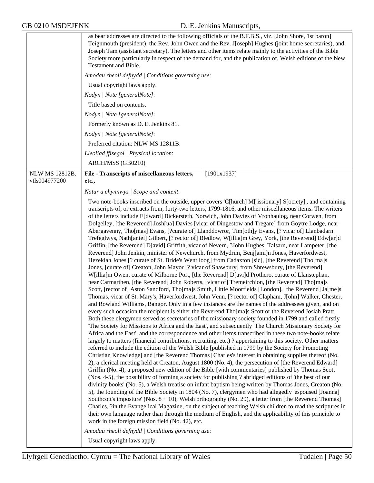| Usual copyright laws apply.<br>Nodyn   Note [generalNote]:<br>Title based on contents.<br>Nodyn   Note [generalNote]:<br>Nodyn   Note [generalNote]:<br>ARCH/MSS (GB0210)<br><b>NLW MS 12812B.</b><br>vtls004977200<br>etc., | Amodau rheoli defnydd   Conditions governing use:<br>Formerly known as D. E. Jenkins 81.<br>Preferred citation: NLW MS 12811B.<br>Lleoliad ffisegol   Physical location:<br>[1901x1937]<br>File - Transcripts of miscellaneous letters,<br>Natur a chynnwys / Scope and content:<br>Two note-books inscribed on the outside, upper covers 'C[hurch] M[ issionary] S[ociety]', and containing<br>transcripts of, or extracts from, forty-two letters, 1799-1816, and other miscellaneous items. The writers<br>of the letters include E[dward] Bickersteth, Norwich, John Davies of Vronhaulog, near Corwen, from<br>Dolgelley, [the Reverend] Josh[ua] Davies [vicar of Dingestow and Tregare] from Goytre Lodge, near<br>Abergavenny, Tho[mas] Evans, [?curate of] Llanddowror, Tim[oth]y Evans, [? vicar of] Llanbadarn                                                                                                                                                                                                                                                                                                                                                                                                                                                                                                                                                                                                                                                                                                                                                                                                                                                                                                                                                                                                                                                                                                                                                                                                                                                                                                                                                                                                                                                                                                                                                                                                                                                                                                                                                                                                                                                                                                                                                                                         |
|------------------------------------------------------------------------------------------------------------------------------------------------------------------------------------------------------------------------------|-------------------------------------------------------------------------------------------------------------------------------------------------------------------------------------------------------------------------------------------------------------------------------------------------------------------------------------------------------------------------------------------------------------------------------------------------------------------------------------------------------------------------------------------------------------------------------------------------------------------------------------------------------------------------------------------------------------------------------------------------------------------------------------------------------------------------------------------------------------------------------------------------------------------------------------------------------------------------------------------------------------------------------------------------------------------------------------------------------------------------------------------------------------------------------------------------------------------------------------------------------------------------------------------------------------------------------------------------------------------------------------------------------------------------------------------------------------------------------------------------------------------------------------------------------------------------------------------------------------------------------------------------------------------------------------------------------------------------------------------------------------------------------------------------------------------------------------------------------------------------------------------------------------------------------------------------------------------------------------------------------------------------------------------------------------------------------------------------------------------------------------------------------------------------------------------------------------------------------------------------------------------------------------------------------------------------------------------------------------------------------------------------------------------------------------------------------------------------------------------------------------------------------------------------------------------------------------------------------------------------------------------------------------------------------------------------------------------------------------------------------------------------------------------------------------------|
|                                                                                                                                                                                                                              |                                                                                                                                                                                                                                                                                                                                                                                                                                                                                                                                                                                                                                                                                                                                                                                                                                                                                                                                                                                                                                                                                                                                                                                                                                                                                                                                                                                                                                                                                                                                                                                                                                                                                                                                                                                                                                                                                                                                                                                                                                                                                                                                                                                                                                                                                                                                                                                                                                                                                                                                                                                                                                                                                                                                                                                                                   |
|                                                                                                                                                                                                                              |                                                                                                                                                                                                                                                                                                                                                                                                                                                                                                                                                                                                                                                                                                                                                                                                                                                                                                                                                                                                                                                                                                                                                                                                                                                                                                                                                                                                                                                                                                                                                                                                                                                                                                                                                                                                                                                                                                                                                                                                                                                                                                                                                                                                                                                                                                                                                                                                                                                                                                                                                                                                                                                                                                                                                                                                                   |
|                                                                                                                                                                                                                              |                                                                                                                                                                                                                                                                                                                                                                                                                                                                                                                                                                                                                                                                                                                                                                                                                                                                                                                                                                                                                                                                                                                                                                                                                                                                                                                                                                                                                                                                                                                                                                                                                                                                                                                                                                                                                                                                                                                                                                                                                                                                                                                                                                                                                                                                                                                                                                                                                                                                                                                                                                                                                                                                                                                                                                                                                   |
|                                                                                                                                                                                                                              |                                                                                                                                                                                                                                                                                                                                                                                                                                                                                                                                                                                                                                                                                                                                                                                                                                                                                                                                                                                                                                                                                                                                                                                                                                                                                                                                                                                                                                                                                                                                                                                                                                                                                                                                                                                                                                                                                                                                                                                                                                                                                                                                                                                                                                                                                                                                                                                                                                                                                                                                                                                                                                                                                                                                                                                                                   |
|                                                                                                                                                                                                                              |                                                                                                                                                                                                                                                                                                                                                                                                                                                                                                                                                                                                                                                                                                                                                                                                                                                                                                                                                                                                                                                                                                                                                                                                                                                                                                                                                                                                                                                                                                                                                                                                                                                                                                                                                                                                                                                                                                                                                                                                                                                                                                                                                                                                                                                                                                                                                                                                                                                                                                                                                                                                                                                                                                                                                                                                                   |
|                                                                                                                                                                                                                              |                                                                                                                                                                                                                                                                                                                                                                                                                                                                                                                                                                                                                                                                                                                                                                                                                                                                                                                                                                                                                                                                                                                                                                                                                                                                                                                                                                                                                                                                                                                                                                                                                                                                                                                                                                                                                                                                                                                                                                                                                                                                                                                                                                                                                                                                                                                                                                                                                                                                                                                                                                                                                                                                                                                                                                                                                   |
|                                                                                                                                                                                                                              |                                                                                                                                                                                                                                                                                                                                                                                                                                                                                                                                                                                                                                                                                                                                                                                                                                                                                                                                                                                                                                                                                                                                                                                                                                                                                                                                                                                                                                                                                                                                                                                                                                                                                                                                                                                                                                                                                                                                                                                                                                                                                                                                                                                                                                                                                                                                                                                                                                                                                                                                                                                                                                                                                                                                                                                                                   |
|                                                                                                                                                                                                                              |                                                                                                                                                                                                                                                                                                                                                                                                                                                                                                                                                                                                                                                                                                                                                                                                                                                                                                                                                                                                                                                                                                                                                                                                                                                                                                                                                                                                                                                                                                                                                                                                                                                                                                                                                                                                                                                                                                                                                                                                                                                                                                                                                                                                                                                                                                                                                                                                                                                                                                                                                                                                                                                                                                                                                                                                                   |
|                                                                                                                                                                                                                              |                                                                                                                                                                                                                                                                                                                                                                                                                                                                                                                                                                                                                                                                                                                                                                                                                                                                                                                                                                                                                                                                                                                                                                                                                                                                                                                                                                                                                                                                                                                                                                                                                                                                                                                                                                                                                                                                                                                                                                                                                                                                                                                                                                                                                                                                                                                                                                                                                                                                                                                                                                                                                                                                                                                                                                                                                   |
|                                                                                                                                                                                                                              |                                                                                                                                                                                                                                                                                                                                                                                                                                                                                                                                                                                                                                                                                                                                                                                                                                                                                                                                                                                                                                                                                                                                                                                                                                                                                                                                                                                                                                                                                                                                                                                                                                                                                                                                                                                                                                                                                                                                                                                                                                                                                                                                                                                                                                                                                                                                                                                                                                                                                                                                                                                                                                                                                                                                                                                                                   |
|                                                                                                                                                                                                                              |                                                                                                                                                                                                                                                                                                                                                                                                                                                                                                                                                                                                                                                                                                                                                                                                                                                                                                                                                                                                                                                                                                                                                                                                                                                                                                                                                                                                                                                                                                                                                                                                                                                                                                                                                                                                                                                                                                                                                                                                                                                                                                                                                                                                                                                                                                                                                                                                                                                                                                                                                                                                                                                                                                                                                                                                                   |
|                                                                                                                                                                                                                              |                                                                                                                                                                                                                                                                                                                                                                                                                                                                                                                                                                                                                                                                                                                                                                                                                                                                                                                                                                                                                                                                                                                                                                                                                                                                                                                                                                                                                                                                                                                                                                                                                                                                                                                                                                                                                                                                                                                                                                                                                                                                                                                                                                                                                                                                                                                                                                                                                                                                                                                                                                                                                                                                                                                                                                                                                   |
|                                                                                                                                                                                                                              |                                                                                                                                                                                                                                                                                                                                                                                                                                                                                                                                                                                                                                                                                                                                                                                                                                                                                                                                                                                                                                                                                                                                                                                                                                                                                                                                                                                                                                                                                                                                                                                                                                                                                                                                                                                                                                                                                                                                                                                                                                                                                                                                                                                                                                                                                                                                                                                                                                                                                                                                                                                                                                                                                                                                                                                                                   |
|                                                                                                                                                                                                                              | Trefeglwys, Nath[aniel] Gilbert, [? rector of] Bledlow, W[illia]m Grey, York, [the Reverend] Edw[ar]d<br>Griffin, [the Reverend] D[avid] Griffith, vicar of Nevern, ?John Hughes, Talsarn, near Lampeter, [the<br>Reverend] John Jenkin, minister of Newchurch, from Mydrim, Benj[ami]n Jones, Haverfordwest,<br>Hezekiah Jones [? curate of St. Bride's Wentlloog] from Cadaxton [sic], [the Reverend] Tho[ma]s<br>Jones, [curate of] Creaton, John Mayor [? vicar of Shawbury] from Shrewsbury, [the Reverend]<br>W[illia]m Owen, curate of Milborne Port, [the Reverend] D[avi]d Prothero, curate of Llanstephan,<br>near Carmarthen, [the Reverend] John Roberts, [vicar of] Tremeirchion, [the Reverend] Tho[ma]s<br>Scott, [rector of] Aston Sandford, Tho[ma]s Smith, Little Moorfields [London], [the Reverend] Ja[me]s<br>Thomas, vicar of St. Mary's, Haverfordwest, John Venn, [? rector of] Clapham, J[ohn] Walker, Chester,<br>and Rowland Williams, Bangor. Only in a few instances are the names of the addressees given, and on<br>every such occasion the recipient is either the Reverend Tho[ma]s Scott or the Reverend Josiah Pratt.<br>Both these clergymen served as secretaries of the missionary society founded in 1799 and called firstly<br>The Society for Missions to Africa and the East', and subsequently 'The Church Missionary Society for<br>Africa and the East', and the correspondence and other items transcribed in these two note-books relate<br>largely to matters (financial contributions, recruiting, etc.)? appertaining to this society. Other matters<br>referred to include the edition of the Welsh Bible [published in 1799 by the Society for Promoting<br>Christian Knowledge] and [the Reverend Thomas] Charles's interest in obtaining supplies thereof (No.<br>2), a clerical meeting held at Creaton, August 1800 (No. 4), the persecution of [the Reverend Edward]<br>Griffin (No. 4), a proposed new edition of the Bible [with commentaries] published by Thomas Scott<br>(Nos. 4-5), the possibility of forming a society for publishing ? abridged editions of 'the best of our<br>divinity books' (No. 5), a Welsh treatise on infant baptism being written by Thomas Jones, Creaton (No.<br>5), the founding of the Bible Society in 1804 (No. 7), clergymen who had allegedly 'espoused [Joanna]<br>Southcott's imposture' (Nos. $8 + 10$ ), Welsh orthography (No. 29), a letter from [the Reverend Thomas]<br>Charles, ?in the Evangelical Magazine, on the subject of teaching Welsh children to read the scriptures in<br>their own language rather than through the medium of English, and the applicability of this principle to<br>work in the foreign mission field (No. 42), etc.<br>Amodau rheoli defnydd   Conditions governing use: |
|                                                                                                                                                                                                                              |                                                                                                                                                                                                                                                                                                                                                                                                                                                                                                                                                                                                                                                                                                                                                                                                                                                                                                                                                                                                                                                                                                                                                                                                                                                                                                                                                                                                                                                                                                                                                                                                                                                                                                                                                                                                                                                                                                                                                                                                                                                                                                                                                                                                                                                                                                                                                                                                                                                                                                                                                                                                                                                                                                                                                                                                                   |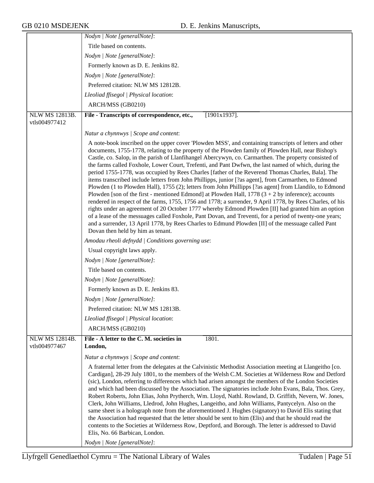|                       | Nodyn   Note [generalNote]:                                                                                                                                                                                                                                                                                                                                                                                                                                                                                                                                                                                                                                                                                                                                                                                                                                                                                                                                                                                                                                                                                                                                                                                                                                                                                                               |
|-----------------------|-------------------------------------------------------------------------------------------------------------------------------------------------------------------------------------------------------------------------------------------------------------------------------------------------------------------------------------------------------------------------------------------------------------------------------------------------------------------------------------------------------------------------------------------------------------------------------------------------------------------------------------------------------------------------------------------------------------------------------------------------------------------------------------------------------------------------------------------------------------------------------------------------------------------------------------------------------------------------------------------------------------------------------------------------------------------------------------------------------------------------------------------------------------------------------------------------------------------------------------------------------------------------------------------------------------------------------------------|
|                       | Title based on contents.                                                                                                                                                                                                                                                                                                                                                                                                                                                                                                                                                                                                                                                                                                                                                                                                                                                                                                                                                                                                                                                                                                                                                                                                                                                                                                                  |
|                       | Nodyn   Note [generalNote]:                                                                                                                                                                                                                                                                                                                                                                                                                                                                                                                                                                                                                                                                                                                                                                                                                                                                                                                                                                                                                                                                                                                                                                                                                                                                                                               |
|                       | Formerly known as D. E. Jenkins 82.                                                                                                                                                                                                                                                                                                                                                                                                                                                                                                                                                                                                                                                                                                                                                                                                                                                                                                                                                                                                                                                                                                                                                                                                                                                                                                       |
|                       | Nodyn   Note [generalNote]:                                                                                                                                                                                                                                                                                                                                                                                                                                                                                                                                                                                                                                                                                                                                                                                                                                                                                                                                                                                                                                                                                                                                                                                                                                                                                                               |
|                       | Preferred citation: NLW MS 12812B.                                                                                                                                                                                                                                                                                                                                                                                                                                                                                                                                                                                                                                                                                                                                                                                                                                                                                                                                                                                                                                                                                                                                                                                                                                                                                                        |
|                       | Lleoliad ffisegol   Physical location:                                                                                                                                                                                                                                                                                                                                                                                                                                                                                                                                                                                                                                                                                                                                                                                                                                                                                                                                                                                                                                                                                                                                                                                                                                                                                                    |
|                       | ARCH/MSS (GB0210)                                                                                                                                                                                                                                                                                                                                                                                                                                                                                                                                                                                                                                                                                                                                                                                                                                                                                                                                                                                                                                                                                                                                                                                                                                                                                                                         |
| <b>NLW MS 12813B.</b> | File - Transcripts of correspondence, etc.,<br>$[1901x1937]$ .                                                                                                                                                                                                                                                                                                                                                                                                                                                                                                                                                                                                                                                                                                                                                                                                                                                                                                                                                                                                                                                                                                                                                                                                                                                                            |
| vtls004977412         |                                                                                                                                                                                                                                                                                                                                                                                                                                                                                                                                                                                                                                                                                                                                                                                                                                                                                                                                                                                                                                                                                                                                                                                                                                                                                                                                           |
|                       | Natur a chynnwys / Scope and content:                                                                                                                                                                                                                                                                                                                                                                                                                                                                                                                                                                                                                                                                                                                                                                                                                                                                                                                                                                                                                                                                                                                                                                                                                                                                                                     |
|                       | A note-book inscribed on the upper cover 'Plowden MSS', and containing transcripts of letters and other<br>documents, 1755-1778, relating to the property of the Plowden family of Plowden Hall, near Bishop's<br>Castle, co. Salop, in the parish of Llanfihangel Abercywyn, co. Carmarthen. The property consisted of<br>the farms called Foxhole, Lower Court, Trefenti, and Pant Dwfwn, the last named of which, during the<br>period 1755-1778, was occupied by Rees Charles [father of the Reverend Thomas Charles, Bala]. The<br>items transcribed include letters from John Phillipps, junior [?as agent], from Carmarthen, to Edmond<br>Plowden (1 to Plowden Hall), 1755 (2); letters from John Phillipps [?as agent] from Llandilo, to Edmond<br>Plowden [son of the first - mentioned Edmond] at Plowden Hall, $1778(3 + 2)$ by inference); accounts<br>rendered in respect of the farms, 1755, 1756 and 1778; a surrender, 9 April 1778, by Rees Charles, of his<br>rights under an agreement of 20 October 1777 whereby Edmond Plowden [II] had granted him an option<br>of a lease of the messuages called Foxhole, Pant Dovan, and Treventi, for a period of twenty-one years;<br>and a surrender, 13 April 1778, by Rees Charles to Edmund Plowden [II] of the messuage called Pant<br>Dovan then held by him as tenant. |
|                       | Amodau rheoli defnydd   Conditions governing use:                                                                                                                                                                                                                                                                                                                                                                                                                                                                                                                                                                                                                                                                                                                                                                                                                                                                                                                                                                                                                                                                                                                                                                                                                                                                                         |
|                       | Usual copyright laws apply.                                                                                                                                                                                                                                                                                                                                                                                                                                                                                                                                                                                                                                                                                                                                                                                                                                                                                                                                                                                                                                                                                                                                                                                                                                                                                                               |
|                       | Nodyn   Note [generalNote]:                                                                                                                                                                                                                                                                                                                                                                                                                                                                                                                                                                                                                                                                                                                                                                                                                                                                                                                                                                                                                                                                                                                                                                                                                                                                                                               |
|                       | Title based on contents.                                                                                                                                                                                                                                                                                                                                                                                                                                                                                                                                                                                                                                                                                                                                                                                                                                                                                                                                                                                                                                                                                                                                                                                                                                                                                                                  |
|                       | Nodyn   Note [generalNote]:                                                                                                                                                                                                                                                                                                                                                                                                                                                                                                                                                                                                                                                                                                                                                                                                                                                                                                                                                                                                                                                                                                                                                                                                                                                                                                               |
|                       | Formerly known as D. E. Jenkins 83.                                                                                                                                                                                                                                                                                                                                                                                                                                                                                                                                                                                                                                                                                                                                                                                                                                                                                                                                                                                                                                                                                                                                                                                                                                                                                                       |
|                       | Nodyn   Note [generalNote]:                                                                                                                                                                                                                                                                                                                                                                                                                                                                                                                                                                                                                                                                                                                                                                                                                                                                                                                                                                                                                                                                                                                                                                                                                                                                                                               |
|                       | Preferred citation: NLW MS 12813B.                                                                                                                                                                                                                                                                                                                                                                                                                                                                                                                                                                                                                                                                                                                                                                                                                                                                                                                                                                                                                                                                                                                                                                                                                                                                                                        |
|                       | Lleoliad ffisegol   Physical location:                                                                                                                                                                                                                                                                                                                                                                                                                                                                                                                                                                                                                                                                                                                                                                                                                                                                                                                                                                                                                                                                                                                                                                                                                                                                                                    |
|                       | ARCH/MSS (GB0210)                                                                                                                                                                                                                                                                                                                                                                                                                                                                                                                                                                                                                                                                                                                                                                                                                                                                                                                                                                                                                                                                                                                                                                                                                                                                                                                         |
| <b>NLW MS 12814B.</b> | File - A letter to the C. M. societies in<br>1801.                                                                                                                                                                                                                                                                                                                                                                                                                                                                                                                                                                                                                                                                                                                                                                                                                                                                                                                                                                                                                                                                                                                                                                                                                                                                                        |
| vtls004977467         | London,                                                                                                                                                                                                                                                                                                                                                                                                                                                                                                                                                                                                                                                                                                                                                                                                                                                                                                                                                                                                                                                                                                                                                                                                                                                                                                                                   |
|                       | Natur a chynnwys / Scope and content:                                                                                                                                                                                                                                                                                                                                                                                                                                                                                                                                                                                                                                                                                                                                                                                                                                                                                                                                                                                                                                                                                                                                                                                                                                                                                                     |
|                       | A fraternal letter from the delegates at the Calvinistic Methodist Association meeting at Llangeitho [co.<br>Cardigan], 28-29 July 1801, to the members of the Welsh C.M. Societies at Wilderness Row and Detford<br>(sic), London, referring to differences which had arisen amongst the members of the London Societies<br>and which had been discussed by the Association. The signatories include John Evans, Bala, Thos. Grey,<br>Robert Roberts, John Elias, John Prytherch, Wm. Lloyd, Nathl. Rowland, D. Griffith, Nevern, W. Jones,<br>Clerk, John Williams, Lledrod, John Hughes, Langeitho, and John Williams, Pantycelyn. Also on the<br>same sheet is a holograph note from the aforementioned J. Hughes (signatory) to David Elis stating that<br>the Association had requested that the letter should be sent to him (Elis) and that he should read the<br>contents to the Societies at Wilderness Row, Deptford, and Borough. The letter is addressed to David<br>Elis, No. 66 Barbican, London.                                                                                                                                                                                                                                                                                                                          |
|                       | Nodyn   Note [generalNote]:                                                                                                                                                                                                                                                                                                                                                                                                                                                                                                                                                                                                                                                                                                                                                                                                                                                                                                                                                                                                                                                                                                                                                                                                                                                                                                               |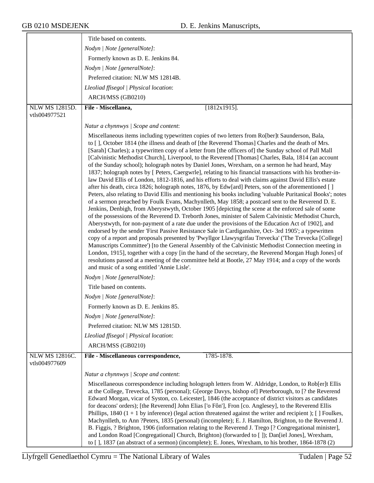|                       | Title based on contents.                                                                                                                                                                                         |
|-----------------------|------------------------------------------------------------------------------------------------------------------------------------------------------------------------------------------------------------------|
|                       | Nodyn   Note [generalNote]:                                                                                                                                                                                      |
|                       | Formerly known as D. E. Jenkins 84.                                                                                                                                                                              |
|                       | Nodyn   Note [generalNote]:                                                                                                                                                                                      |
|                       | Preferred citation: NLW MS 12814B.                                                                                                                                                                               |
|                       | Lleoliad ffisegol   Physical location:                                                                                                                                                                           |
|                       | ARCH/MSS (GB0210)                                                                                                                                                                                                |
| <b>NLW MS 12815D.</b> | File - Miscellanea,<br>$[1812x1915]$ .                                                                                                                                                                           |
| vtls004977521         |                                                                                                                                                                                                                  |
|                       | Natur a chynnwys / Scope and content:                                                                                                                                                                            |
|                       | Miscellaneous items including typewritten copies of two letters from Ro[ber]t Saunderson, Bala,                                                                                                                  |
|                       | to [], October 1814 (the illness and death of [the Reverend Thomas] Charles and the death of Mrs.                                                                                                                |
|                       | [Sarah] Charles); a typewritten copy of a letter from [the officers of] the Sunday school of Pall Mall<br>[Calvinistic Methodist Church], Liverpool, to the Reverend [Thomas] Charles, Bala, 1814 (an account    |
|                       | of the Sunday school); holograph notes by Daniel Jones, Wrexham, on a sermon he had heard, May                                                                                                                   |
|                       | 1837; holograph notes by [ Peters, Caergwrle], relating to his financial transactions with his brother-in-                                                                                                       |
|                       | law David Ellis of London, 1812-1816, and his efforts to deal with claims against David Ellis's estate<br>after his death, circa 1826; holograph notes, 1876, by Edw[ard] Peters, son of the aforementioned []   |
|                       | Peters, also relating to David Ellis and mentioning his books including 'valuable Puritanical Books'; notes                                                                                                      |
|                       | of a sermon preached by Foulk Evans, Machynlleth, May 1858; a postcard sent to the Reverend D. E.                                                                                                                |
|                       | Jenkins, Denbigh, from Aberystwyth, October 1905 [depicting the scene at the enforced sale of some<br>of the possessions of the Reverend D. Treborth Jones, minister of Salem Calvinistic Methodist Church,      |
|                       | Aberystwyth, for non-payment of a rate due under the provisions of the Education Act of 1902], and                                                                                                               |
|                       | endorsed by the sender 'First Passive Resistance Sale in Cardiganshire, Oct- 3rd 1905'; a typewritten                                                                                                            |
|                       | copy of a report and proposals presented by 'Pwyllgor Llawysgrifau Trevecka' ('The Trevecka [College]<br>Manuscripts Committee') [to the General Assembly of the Calvinistic Methodist Connection meeting in     |
|                       | London, 1915], together with a copy [in the hand of the secretary, the Reverend Morgan Hugh Jones] of                                                                                                            |
|                       | resolutions passed at a meeting of the committee held at Bootle, 27 May 1914; and a copy of the words                                                                                                            |
|                       | and music of a song entitled 'Annie Lisle'.                                                                                                                                                                      |
|                       | Nodyn   Note [generalNote]:                                                                                                                                                                                      |
|                       | Title based on contents.                                                                                                                                                                                         |
|                       | Nodyn   Note [generalNote]:                                                                                                                                                                                      |
|                       | Formerly known as D. E. Jenkins 85.                                                                                                                                                                              |
|                       | Nodyn   Note [generalNote]:                                                                                                                                                                                      |
|                       | Preferred citation: NLW MS 12815D.                                                                                                                                                                               |
|                       | Lleoliad ffisegol   Physical location:                                                                                                                                                                           |
|                       | ARCH/MSS (GB0210)                                                                                                                                                                                                |
| NLW MS 12816C.        | 1785-1878.<br>File - Miscellaneous correspondence,                                                                                                                                                               |
| vtls004977609         |                                                                                                                                                                                                                  |
|                       | Natur a chynnwys / Scope and content:                                                                                                                                                                            |
|                       | Miscellaneous correspondence including holograph letters from W. Aldridge, London, to Rob[er]t Ellis                                                                                                             |
|                       | at the College, Trevecka, 1785 (personal); G[eorge Davys, bishop of] Peterborough, to [? the Reverend<br>Edward Morgan, vicar of Syston, co. Leicester], 1846 (the acceptance of district visitors as candidates |
|                       | for deacons' orders); [the Reverend] John Elias ['o Fôn'], Fron [co. Anglesey], to the Reverend Ellis                                                                                                            |
|                       | Phillips, 1840 $(1 + 1)$ by inference) (legal action threatened against the writer and recipient); [] Foulkes,                                                                                                   |
|                       | Machynlleth, to Ann ?Peters, 1835 (personal) (incomplete); E. J. Hamilton, Brighton, to the Reverend J.                                                                                                          |
|                       | B. Figgis, ? Brighton, 1906 (information relating to the Reverend J. Trego [? Congregational minister],<br>and London Road [Congregational] Church, Brighton) (forwarded to []); Dan[iel Jones], Wrexham,        |
|                       | to [], 1837 (an abstract of a sermon) (incomplete); E. Jones, Wrexham, to his brother, 1864-1878 (2)                                                                                                             |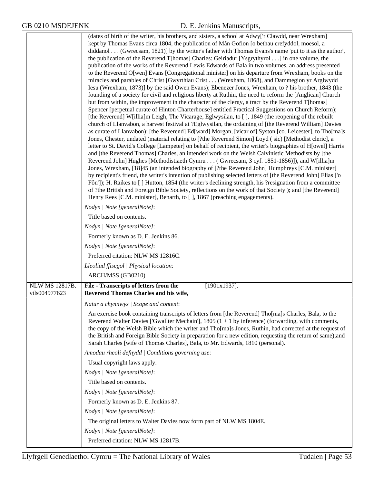|                | (dates of birth of the writer, his brothers, and sisters, a school at Adwy['r Clawdd, near Wrexham]                                                                                                                       |
|----------------|---------------------------------------------------------------------------------------------------------------------------------------------------------------------------------------------------------------------------|
|                | kept by Thomas Evans circa 1804, the publication of Mân Gofion [o bethau crefyddol, moesol, a                                                                                                                             |
|                | diddanol (Gwrecsam, 1821)] by the writer's father with Thomas Evans's name 'put to it as the author',<br>the publication of the Reverend T[homas] Charles: Geiriadur [Ysgrythyrol] in one volume, the                     |
|                | publication of the works of the Reverend Lewis Edwards of Bala in two volumes, an address presented                                                                                                                       |
|                | to the Reverend O[wen] Evans [Congregational minister] on his departure from Wrexham, books on the                                                                                                                        |
|                | miracles and parables of Christ [Gwyrthiau Crist (Wrexham, 1868), and Dammegion yr Arglwydd                                                                                                                               |
|                | Iesu (Wrexham, 1873)] by the said Owen Evans); Ebenezer Jones, Wrexham, to ? his brother, 1843 (the                                                                                                                       |
|                | founding of a society for civil and religious liberty at Ruthin, the need to reform the [Anglican] Church<br>but from within, the improvement in the character of the clergy, a tract by the Reverend T[homas]            |
|                | Spencer [perpetual curate of Hinton Charterhouse] entitled Practical Suggestions on Church Reform);                                                                                                                       |
|                | [the Reverend] W[illia]m Leigh, The Vicarage, Eglwysilan, to [], 1849 (the reopening of the rebuilt                                                                                                                       |
|                | church of Llanvabon, a harvest festival at ?Eglwysilan, the ordaining of [the Reverend William] Davies                                                                                                                    |
|                | as curate of Llanvabon); [the Reverend] Ed[ward] Morgan, [vicar of] Syston [co. Leicester], to Tho[ma]s                                                                                                                   |
|                | Jones, Chester, undated (material relating to [?the Reverend Simon] Loyd (sic) [Methodist cleric], a<br>letter to St. David's College [Lampeter] on behalf of recipient, the writer's biographies of H[owel] Harris       |
|                | and [the Reverend Thomas] Charles, an intended work on the Welsh Calvinistic Methodists by [the                                                                                                                           |
|                | Reverend John] Hughes [Methodistiaeth Cymru ( Gwrecsam, 3 cyf. 1851-1856)]), and W[illia]m                                                                                                                                |
|                | Jones, Wrexham, [18]45 (an intended biography of [?the Reverend John] Humphreys [C.M. minister]                                                                                                                           |
|                | by recipient's friend, the writer's intention of publishing selected letters of [the Reverend John] Elias ['o<br>Fôn']); H. Raikes to [] Hutton, 1854 (the writer's declining strength, his ?resignation from a committee |
|                | of ?the British and Foreign Bible Society, reflections on the work of that Society ); and [the Reverend]                                                                                                                  |
|                | Henry Rees [C.M. minister], Benarth, to [], 1867 (preaching engagements).                                                                                                                                                 |
|                | Nodyn   Note [generalNote]:                                                                                                                                                                                               |
|                | Title based on contents.                                                                                                                                                                                                  |
|                | Nodyn   Note [generalNote]:                                                                                                                                                                                               |
|                | Formerly known as D. E. Jenkins 86.                                                                                                                                                                                       |
|                | Nodyn   Note [generalNote]:                                                                                                                                                                                               |
|                | Preferred citation: NLW MS 12816C.                                                                                                                                                                                        |
|                | Lleoliad ffisegol   Physical location:                                                                                                                                                                                    |
|                | ARCH/MSS (GB0210)                                                                                                                                                                                                         |
| NLW MS 12817B. | File - Transcripts of letters from the<br>$[1901x1937]$ .                                                                                                                                                                 |
| vtls004977623  | Reverend Thomas Charles and his wife,                                                                                                                                                                                     |
|                | Natur a chynnwys / Scope and content:                                                                                                                                                                                     |
|                | An exercise book containing transcripts of letters from [the Reverend] Tho[ma]s Charles, Bala, to the                                                                                                                     |
|                | Reverend Walter Davies ['Gwallter Mechain'], 1805 $(1 + 1)$ by inference) (forwarding, with comments,<br>the copy of the Welsh Bible which the writer and Tho[ma]s Jones, Ruthin, had corrected at the request of         |
|                | the British and Foreign Bible Society in preparation for a new edition, requesting the return of same); and                                                                                                               |
|                | Sarah Charles [wife of Thomas Charles], Bala, to Mr. Edwards, 1810 (personal).                                                                                                                                            |
|                | Amodau rheoli defnydd   Conditions governing use:                                                                                                                                                                         |
|                | Usual copyright laws apply.                                                                                                                                                                                               |
|                | Nodyn   Note [generalNote]:                                                                                                                                                                                               |
|                | Title based on contents.                                                                                                                                                                                                  |
|                | Nodyn   Note [generalNote]:                                                                                                                                                                                               |
|                | Formerly known as D. E. Jenkins 87.                                                                                                                                                                                       |
|                | Nodyn   Note [generalNote]:                                                                                                                                                                                               |
|                | The original letters to Walter Davies now form part of NLW MS 1804E.                                                                                                                                                      |
|                | Nodyn   Note [generalNote]:                                                                                                                                                                                               |
|                | Preferred citation: NLW MS 12817B.                                                                                                                                                                                        |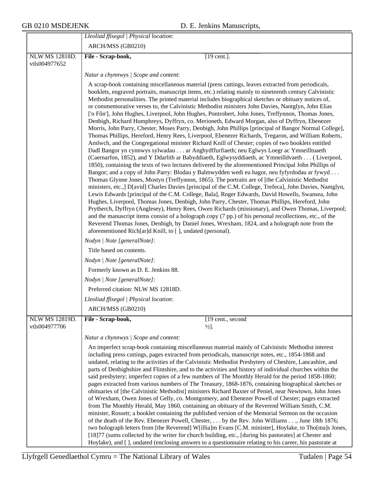|                       | Lleoliad ffisegol   Physical location:                                                                                                                                                                           |
|-----------------------|------------------------------------------------------------------------------------------------------------------------------------------------------------------------------------------------------------------|
|                       | ARCH/MSS (GB0210)                                                                                                                                                                                                |
| <b>NLW MS 12818D.</b> | $[19$ cent.].<br>File - Scrap-book,                                                                                                                                                                              |
| vtls004977652         |                                                                                                                                                                                                                  |
|                       | Natur a chynnwys / Scope and content:                                                                                                                                                                            |
|                       | A scrap-book containing miscellaneous material (press cuttings, leaves extracted from periodicals,                                                                                                               |
|                       | booklets, engraved portraits, manuscript items, etc.) relating mainly to nineteenth century Calvinistic<br>Methodist personalities. The printed material includes biographical sketches or obituary notices of,  |
|                       | or commemorative verses to, the Calvinistic Methodist ministers John Davies, Nantglyn, John Elias                                                                                                                |
|                       | ['o Fôn'], John Hughes, Liverpool, John Hughes, Pontrobert, John Jones, Treffynnon, Thomas Jones,<br>Denbigh, Richard Humphreys, Dyffryn, co. Merioneth, Edward Morgan, also of Dyffryn, Ebenezer                |
|                       | Morris, John Parry, Chester, Moses Parry, Denbigh, John Phillips [principal of Bangor Normal College],                                                                                                           |
|                       | Thomas Phillips, Hereford, Henry Rees, Liverpool, Ebenezer Richards, Tregaron, and William Roberts,                                                                                                              |
|                       | Amlwch, and the Congregational minister Richard Knill of Chester; copies of two booklets entitled<br>Dadl Bangor yn cynnwys sylwadau ar Anghydffurfiaeth; neu Eglwys Loegr ac Ymneilltuaeth                      |
|                       | (Caernarfon, 1852), and Y Ddarlith ar Babyddiaeth, Eglwysyddiaeth, ac Ymneilldvaeth (Liverpool,                                                                                                                  |
|                       | 1850), containing the texts of two lectures delivered by the aforementioned Principal John Phillips of<br>Bangor; and a copy of John Parry: Blodau y Balmwydden wedi eu hagor, neu fyfyrdodau ar fywyd           |
|                       | Thomas Glynne Jones, Mostyn (Treffynnon, 1865). The portraits are of [the Calvinistic Methodist                                                                                                                  |
|                       | ministers, etc., ] D[avid] Charles Davies [principal of the C.M. College, Trefeca], John Davies, Nantglyn,                                                                                                       |
|                       | Lewis Edwards [principal of the C.M. College, Bala], Roger Edwards, David Howells, Swansea, John<br>Hughes, Liverpool, Thomas Jones, Denbigh, John Parry, Chester, Thomas Phillips, Hereford, John               |
|                       | Prytherch, Dyffryn (Anglesey), Henry Rees, Owen Richards (missionary), and Owen Thomas, Liverpool;                                                                                                               |
|                       | and the manuscript items consist of a holograph copy (7 pp.) of his personal recollections, etc., of the<br>Reverend Thomas Jones, Denbigh, by Daniel Jones, Wrexham, 1824, and a holograph note from the        |
|                       | aforementioned Rich[ar]d Knill, to [], undated (personal).                                                                                                                                                       |
|                       | Nodyn   Note [generalNote]:                                                                                                                                                                                      |
|                       | Title based on contents.                                                                                                                                                                                         |
|                       | Nodyn   Note [generalNote]:                                                                                                                                                                                      |
|                       | Formerly known as D. E. Jenkins 88.                                                                                                                                                                              |
|                       | Nodyn   Note [generalNote]:                                                                                                                                                                                      |
|                       | Preferred citation: NLW MS 12818D.                                                                                                                                                                               |
|                       | Lleoliad ffisegol   Physical location:                                                                                                                                                                           |
|                       | ARCH/MSS (GB0210)                                                                                                                                                                                                |
| NLW MS 12819D.        | File - Scrap-book,<br>[19 cent., second]                                                                                                                                                                         |
| vtls004977706         | $\frac{1}{2}$ .                                                                                                                                                                                                  |
|                       | Natur a chynnwys / Scope and content:                                                                                                                                                                            |
|                       | An imperfect scrap-book containing miscellaneous material mainly of Calvinistic Methodist interest<br>including press cuttings, pages extracted from periodicals, manuscript notes, etc., 1854-1868 and          |
|                       | undated, relating to the activities of the Calvinistic Methodist Presbytery of Cheshire, Lancashire, and                                                                                                         |
|                       | parts of Denbighshire and Flintshire, and to the activities and history of individual churches within the                                                                                                        |
|                       | said presbytery; imperfect copies of a few numbers of The Monthly Herald for the period 1858-1860;<br>pages extracted from various numbers of The Treasury, 1868-1876, containing biographical sketches or       |
|                       | obituaries of [the Calvinistic Methodist] ministers Richard Baxter of Peniel, near Newtown, John Jones                                                                                                           |
|                       | of Wrexham, Owen Jones of Gelly, co. Montgomery, and Ebenezer Powell of Chester; pages extracted<br>from The Monthly Herald, May 1860, containing an obituary of the Reverend William Smith, C.M.                |
|                       | minister, Rossett; a booklet containing the published version of the Memorial Sermon on the occasion                                                                                                             |
|                       | of the death of the Rev. Ebenezer Powell, Chester,  by the Rev. John Williams , June 18th 1876;                                                                                                                  |
|                       | two holograph letters from [the Reverend] W[illia]m Evans [C.M. minister], Hoylake, to Tho[ma]s Jones,<br>[18]77 (sums collected by the writer for church building, etc., [during his pastorates] at Chester and |
|                       | Hoylake), and [], undated (enclosing answers to a questionnaire relating to his career, his pastorate at                                                                                                         |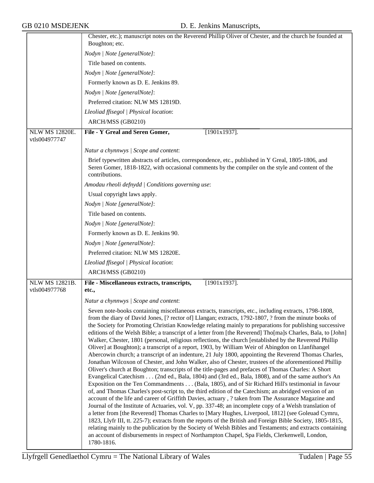|                                        | Chester, etc.); manuscript notes on the Reverend Phillip Oliver of Chester, and the church he founded at                                                                                                                                                                                                                                                                                                                                                                                                                                                                                                                                                                                                                                                                                                                                                                                                                                                                                                                                                                                                                                                                                                                                                                                                                                                                                                                                                                                                                                                                                                                                                                                                                                                                                                                                                                                                                                                                  |
|----------------------------------------|---------------------------------------------------------------------------------------------------------------------------------------------------------------------------------------------------------------------------------------------------------------------------------------------------------------------------------------------------------------------------------------------------------------------------------------------------------------------------------------------------------------------------------------------------------------------------------------------------------------------------------------------------------------------------------------------------------------------------------------------------------------------------------------------------------------------------------------------------------------------------------------------------------------------------------------------------------------------------------------------------------------------------------------------------------------------------------------------------------------------------------------------------------------------------------------------------------------------------------------------------------------------------------------------------------------------------------------------------------------------------------------------------------------------------------------------------------------------------------------------------------------------------------------------------------------------------------------------------------------------------------------------------------------------------------------------------------------------------------------------------------------------------------------------------------------------------------------------------------------------------------------------------------------------------------------------------------------------------|
|                                        | Boughton; etc.                                                                                                                                                                                                                                                                                                                                                                                                                                                                                                                                                                                                                                                                                                                                                                                                                                                                                                                                                                                                                                                                                                                                                                                                                                                                                                                                                                                                                                                                                                                                                                                                                                                                                                                                                                                                                                                                                                                                                            |
|                                        | Nodyn   Note [generalNote]:<br>Title based on contents.                                                                                                                                                                                                                                                                                                                                                                                                                                                                                                                                                                                                                                                                                                                                                                                                                                                                                                                                                                                                                                                                                                                                                                                                                                                                                                                                                                                                                                                                                                                                                                                                                                                                                                                                                                                                                                                                                                                   |
|                                        |                                                                                                                                                                                                                                                                                                                                                                                                                                                                                                                                                                                                                                                                                                                                                                                                                                                                                                                                                                                                                                                                                                                                                                                                                                                                                                                                                                                                                                                                                                                                                                                                                                                                                                                                                                                                                                                                                                                                                                           |
|                                        | Nodyn   Note [generalNote]:                                                                                                                                                                                                                                                                                                                                                                                                                                                                                                                                                                                                                                                                                                                                                                                                                                                                                                                                                                                                                                                                                                                                                                                                                                                                                                                                                                                                                                                                                                                                                                                                                                                                                                                                                                                                                                                                                                                                               |
|                                        | Formerly known as D. E. Jenkins 89.                                                                                                                                                                                                                                                                                                                                                                                                                                                                                                                                                                                                                                                                                                                                                                                                                                                                                                                                                                                                                                                                                                                                                                                                                                                                                                                                                                                                                                                                                                                                                                                                                                                                                                                                                                                                                                                                                                                                       |
|                                        | Nodyn   Note [generalNote]:                                                                                                                                                                                                                                                                                                                                                                                                                                                                                                                                                                                                                                                                                                                                                                                                                                                                                                                                                                                                                                                                                                                                                                                                                                                                                                                                                                                                                                                                                                                                                                                                                                                                                                                                                                                                                                                                                                                                               |
|                                        | Preferred citation: NLW MS 12819D.                                                                                                                                                                                                                                                                                                                                                                                                                                                                                                                                                                                                                                                                                                                                                                                                                                                                                                                                                                                                                                                                                                                                                                                                                                                                                                                                                                                                                                                                                                                                                                                                                                                                                                                                                                                                                                                                                                                                        |
|                                        | Lleoliad ffisegol   Physical location:                                                                                                                                                                                                                                                                                                                                                                                                                                                                                                                                                                                                                                                                                                                                                                                                                                                                                                                                                                                                                                                                                                                                                                                                                                                                                                                                                                                                                                                                                                                                                                                                                                                                                                                                                                                                                                                                                                                                    |
|                                        | ARCH/MSS (GB0210)                                                                                                                                                                                                                                                                                                                                                                                                                                                                                                                                                                                                                                                                                                                                                                                                                                                                                                                                                                                                                                                                                                                                                                                                                                                                                                                                                                                                                                                                                                                                                                                                                                                                                                                                                                                                                                                                                                                                                         |
| <b>NLW MS 12820E.</b><br>vtls004977747 | File - Y Greal and Seren Gomer,<br>$[1901x1937]$ .                                                                                                                                                                                                                                                                                                                                                                                                                                                                                                                                                                                                                                                                                                                                                                                                                                                                                                                                                                                                                                                                                                                                                                                                                                                                                                                                                                                                                                                                                                                                                                                                                                                                                                                                                                                                                                                                                                                        |
|                                        | Natur a chynnwys / Scope and content:                                                                                                                                                                                                                                                                                                                                                                                                                                                                                                                                                                                                                                                                                                                                                                                                                                                                                                                                                                                                                                                                                                                                                                                                                                                                                                                                                                                                                                                                                                                                                                                                                                                                                                                                                                                                                                                                                                                                     |
|                                        | Brief typewritten abstracts of articles, correspondence, etc., published in Y Greal, 1805-1806, and<br>Seren Gomer, 1818-1822, with occasional comments by the compiler on the style and content of the<br>contributions.                                                                                                                                                                                                                                                                                                                                                                                                                                                                                                                                                                                                                                                                                                                                                                                                                                                                                                                                                                                                                                                                                                                                                                                                                                                                                                                                                                                                                                                                                                                                                                                                                                                                                                                                                 |
|                                        | Amodau rheoli defnydd   Conditions governing use:                                                                                                                                                                                                                                                                                                                                                                                                                                                                                                                                                                                                                                                                                                                                                                                                                                                                                                                                                                                                                                                                                                                                                                                                                                                                                                                                                                                                                                                                                                                                                                                                                                                                                                                                                                                                                                                                                                                         |
|                                        | Usual copyright laws apply.                                                                                                                                                                                                                                                                                                                                                                                                                                                                                                                                                                                                                                                                                                                                                                                                                                                                                                                                                                                                                                                                                                                                                                                                                                                                                                                                                                                                                                                                                                                                                                                                                                                                                                                                                                                                                                                                                                                                               |
|                                        | Nodyn   Note [generalNote]:                                                                                                                                                                                                                                                                                                                                                                                                                                                                                                                                                                                                                                                                                                                                                                                                                                                                                                                                                                                                                                                                                                                                                                                                                                                                                                                                                                                                                                                                                                                                                                                                                                                                                                                                                                                                                                                                                                                                               |
|                                        | Title based on contents.                                                                                                                                                                                                                                                                                                                                                                                                                                                                                                                                                                                                                                                                                                                                                                                                                                                                                                                                                                                                                                                                                                                                                                                                                                                                                                                                                                                                                                                                                                                                                                                                                                                                                                                                                                                                                                                                                                                                                  |
|                                        | Nodyn   Note [generalNote]:                                                                                                                                                                                                                                                                                                                                                                                                                                                                                                                                                                                                                                                                                                                                                                                                                                                                                                                                                                                                                                                                                                                                                                                                                                                                                                                                                                                                                                                                                                                                                                                                                                                                                                                                                                                                                                                                                                                                               |
|                                        | Formerly known as D. E. Jenkins 90.                                                                                                                                                                                                                                                                                                                                                                                                                                                                                                                                                                                                                                                                                                                                                                                                                                                                                                                                                                                                                                                                                                                                                                                                                                                                                                                                                                                                                                                                                                                                                                                                                                                                                                                                                                                                                                                                                                                                       |
|                                        | Nodyn   Note [generalNote]:                                                                                                                                                                                                                                                                                                                                                                                                                                                                                                                                                                                                                                                                                                                                                                                                                                                                                                                                                                                                                                                                                                                                                                                                                                                                                                                                                                                                                                                                                                                                                                                                                                                                                                                                                                                                                                                                                                                                               |
|                                        | Preferred citation: NLW MS 12820E.                                                                                                                                                                                                                                                                                                                                                                                                                                                                                                                                                                                                                                                                                                                                                                                                                                                                                                                                                                                                                                                                                                                                                                                                                                                                                                                                                                                                                                                                                                                                                                                                                                                                                                                                                                                                                                                                                                                                        |
|                                        | Lleoliad ffisegol   Physical location:                                                                                                                                                                                                                                                                                                                                                                                                                                                                                                                                                                                                                                                                                                                                                                                                                                                                                                                                                                                                                                                                                                                                                                                                                                                                                                                                                                                                                                                                                                                                                                                                                                                                                                                                                                                                                                                                                                                                    |
|                                        | ARCH/MSS (GB0210)                                                                                                                                                                                                                                                                                                                                                                                                                                                                                                                                                                                                                                                                                                                                                                                                                                                                                                                                                                                                                                                                                                                                                                                                                                                                                                                                                                                                                                                                                                                                                                                                                                                                                                                                                                                                                                                                                                                                                         |
| <b>NLW MS 12821B.</b>                  | File - Miscellaneous extracts, transcripts,<br>$[1901x1937]$ .                                                                                                                                                                                                                                                                                                                                                                                                                                                                                                                                                                                                                                                                                                                                                                                                                                                                                                                                                                                                                                                                                                                                                                                                                                                                                                                                                                                                                                                                                                                                                                                                                                                                                                                                                                                                                                                                                                            |
| vtls004977768                          | etc.,                                                                                                                                                                                                                                                                                                                                                                                                                                                                                                                                                                                                                                                                                                                                                                                                                                                                                                                                                                                                                                                                                                                                                                                                                                                                                                                                                                                                                                                                                                                                                                                                                                                                                                                                                                                                                                                                                                                                                                     |
|                                        | Natur a chynnwys / Scope and content:                                                                                                                                                                                                                                                                                                                                                                                                                                                                                                                                                                                                                                                                                                                                                                                                                                                                                                                                                                                                                                                                                                                                                                                                                                                                                                                                                                                                                                                                                                                                                                                                                                                                                                                                                                                                                                                                                                                                     |
|                                        | Seven note-books containing miscellaneous extracts, transcripts, etc., including extracts, 1798-1808,<br>from the diary of David Jones, [? rector of] Llangan; extracts, 1792-1807, ? from the minute books of<br>the Society for Promoting Christian Knowledge relating mainly to preparations for publishing successive<br>editions of the Welsh Bible; a transcript of a letter from [the Reverend] Tho[ma]s Charles, Bala, to [John]<br>Walker, Chester, 1801 (personal, religious reflections, the church [established by the Reverend Phillip<br>Oliver] at Boughton); a transcript of a report, 1903, by William Weir of Abingdon on Llanfihangel<br>Abercowin church; a transcript of an indenture, 21 July 1800, appointing the Reverend Thomas Charles,<br>Jonathan Wilcoxon of Chester, and John Walker, also of Chester, trustees of the aforementioned Phillip<br>Oliver's church at Boughton; transcripts of the title-pages and prefaces of Thomas Charles: A Short<br>Evangelical Catechism (2nd ed., Bala, 1804) and (3rd ed., Bala, 1808), and of the same author's An<br>Exposition on the Ten Commandments (Bala, 1805), and of Sir Richard Hill's testimonial in favour<br>of, and Thomas Charles's post-script to, the third edition of the Catechism; an abridged version of an<br>account of the life and career of Griffith Davies, actuary, ? taken from The Assurance Magazine and<br>Journal of the Institute of Actuaries, vol. V, pp. 337-48; an incomplete copy of a Welsh translation of<br>a letter from [the Reverend] Thomas Charles to [Mary Hughes, Liverpool, 1812] (see Goleuad Cymru,<br>1823, Llyfr III, tt. 225-7); extracts from the reports of the British and Foreign Bible Society, 1805-1815,<br>relating mainly to the publication by the Society of Welsh Bibles and Testaments; and extracts containing<br>an account of disbursements in respect of Northampton Chapel, Spa Fields, Clerkenwell, London,<br>1780-1816. |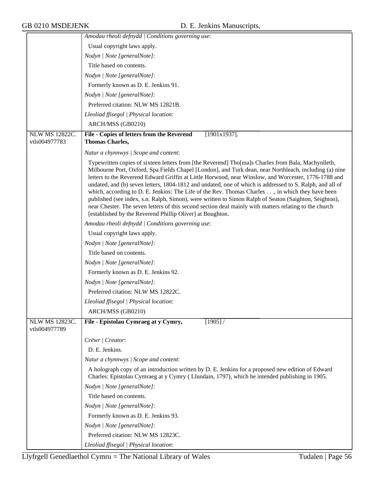|                                        | Amodau rheoli defnydd   Conditions governing use:                                                                                                                                                                                                                                                                                                                                                                                                                                                                                                                                                                                                                                                                                                                                                                   |
|----------------------------------------|---------------------------------------------------------------------------------------------------------------------------------------------------------------------------------------------------------------------------------------------------------------------------------------------------------------------------------------------------------------------------------------------------------------------------------------------------------------------------------------------------------------------------------------------------------------------------------------------------------------------------------------------------------------------------------------------------------------------------------------------------------------------------------------------------------------------|
|                                        | Usual copyright laws apply.                                                                                                                                                                                                                                                                                                                                                                                                                                                                                                                                                                                                                                                                                                                                                                                         |
|                                        | Nodyn   Note [generalNote]:                                                                                                                                                                                                                                                                                                                                                                                                                                                                                                                                                                                                                                                                                                                                                                                         |
|                                        | Title based on contents.                                                                                                                                                                                                                                                                                                                                                                                                                                                                                                                                                                                                                                                                                                                                                                                            |
|                                        | Nodyn   Note [generalNote]:                                                                                                                                                                                                                                                                                                                                                                                                                                                                                                                                                                                                                                                                                                                                                                                         |
|                                        | Formerly known as D. E. Jenkins 91.                                                                                                                                                                                                                                                                                                                                                                                                                                                                                                                                                                                                                                                                                                                                                                                 |
|                                        | Nodyn   Note [generalNote]:                                                                                                                                                                                                                                                                                                                                                                                                                                                                                                                                                                                                                                                                                                                                                                                         |
|                                        | Preferred citation: NLW MS 12821B.                                                                                                                                                                                                                                                                                                                                                                                                                                                                                                                                                                                                                                                                                                                                                                                  |
|                                        | Lleoliad ffisegol   Physical location:                                                                                                                                                                                                                                                                                                                                                                                                                                                                                                                                                                                                                                                                                                                                                                              |
|                                        | ARCH/MSS (GB0210)                                                                                                                                                                                                                                                                                                                                                                                                                                                                                                                                                                                                                                                                                                                                                                                                   |
| <b>NLW MS 12822C.</b>                  | File - Copies of letters from the Reverend<br>$[1901x1937]$ .                                                                                                                                                                                                                                                                                                                                                                                                                                                                                                                                                                                                                                                                                                                                                       |
| vtls004977783                          | <b>Thomas Charles,</b>                                                                                                                                                                                                                                                                                                                                                                                                                                                                                                                                                                                                                                                                                                                                                                                              |
|                                        | Natur a chynnwys / Scope and content:                                                                                                                                                                                                                                                                                                                                                                                                                                                                                                                                                                                                                                                                                                                                                                               |
|                                        | Typewritten copies of sixteen letters from [the Reverend] Tho[ma]s Charles from Bala, Machynlleth,<br>Milbourne Port, Oxford, Spa Fields Chapel [London], and Turk dean, near Northleach, including (a) nine<br>letters to the Reverend Edward Griffin at Little Horwood, near Winslow, and Worcester, 1776-1788 and<br>undated, and (b) seven letters, 1804-1812 and undated, one of which is addressed to S. Ralph, and all of<br>which, according to D. E. Jenkins: The Life of the Rev. Thomas Charles, in which they have been<br>published (see index, s.n. Ralph, Simon), were written to Simon Ralph of Seaton (Saighton, Seighton),<br>near Chester. The seven letters of this second section deal mainly with matters relating to the church<br>[established by the Reverend Phillip Oliver] at Boughton. |
|                                        | Amodau rheoli defnydd / Conditions governing use:                                                                                                                                                                                                                                                                                                                                                                                                                                                                                                                                                                                                                                                                                                                                                                   |
|                                        | Usual copyright laws apply.                                                                                                                                                                                                                                                                                                                                                                                                                                                                                                                                                                                                                                                                                                                                                                                         |
|                                        | Nodyn   Note [generalNote]:                                                                                                                                                                                                                                                                                                                                                                                                                                                                                                                                                                                                                                                                                                                                                                                         |
|                                        | Title based on contents.                                                                                                                                                                                                                                                                                                                                                                                                                                                                                                                                                                                                                                                                                                                                                                                            |
|                                        | Nodyn   Note [generalNote]:                                                                                                                                                                                                                                                                                                                                                                                                                                                                                                                                                                                                                                                                                                                                                                                         |
|                                        | Formerly known as D. E. Jenkins 92.                                                                                                                                                                                                                                                                                                                                                                                                                                                                                                                                                                                                                                                                                                                                                                                 |
|                                        | Nodyn   Note [generalNote]:                                                                                                                                                                                                                                                                                                                                                                                                                                                                                                                                                                                                                                                                                                                                                                                         |
|                                        | Preferred citation: NLW MS 12822C.                                                                                                                                                                                                                                                                                                                                                                                                                                                                                                                                                                                                                                                                                                                                                                                  |
|                                        | Lleoliad ffisegol   Physical location:                                                                                                                                                                                                                                                                                                                                                                                                                                                                                                                                                                                                                                                                                                                                                                              |
|                                        | ARCH/MSS (GB0210)                                                                                                                                                                                                                                                                                                                                                                                                                                                                                                                                                                                                                                                                                                                                                                                                   |
| <b>NLW MS 12823C.</b><br>vtls004977789 | [1905]<br>File - Epistolau Cymraeg at y Cymry,                                                                                                                                                                                                                                                                                                                                                                                                                                                                                                                                                                                                                                                                                                                                                                      |
|                                        | Crëwr   Creator:                                                                                                                                                                                                                                                                                                                                                                                                                                                                                                                                                                                                                                                                                                                                                                                                    |
|                                        | D. E. Jenkins.                                                                                                                                                                                                                                                                                                                                                                                                                                                                                                                                                                                                                                                                                                                                                                                                      |
|                                        | Natur a chynnwys / Scope and content:                                                                                                                                                                                                                                                                                                                                                                                                                                                                                                                                                                                                                                                                                                                                                                               |
|                                        | A holograph copy of an introduction written by D. E. Jenkins for a proposed new edition of Edward<br>Charles: Epistolau Cymraeg at y Cymry (Llundain, 1797), which he intended publishing in 1905.                                                                                                                                                                                                                                                                                                                                                                                                                                                                                                                                                                                                                  |
|                                        | Nodyn   Note [generalNote]:                                                                                                                                                                                                                                                                                                                                                                                                                                                                                                                                                                                                                                                                                                                                                                                         |
|                                        | Title based on contents.                                                                                                                                                                                                                                                                                                                                                                                                                                                                                                                                                                                                                                                                                                                                                                                            |
|                                        | Nodyn   Note [generalNote]:                                                                                                                                                                                                                                                                                                                                                                                                                                                                                                                                                                                                                                                                                                                                                                                         |
|                                        | Formerly known as D. E. Jenkins 93.                                                                                                                                                                                                                                                                                                                                                                                                                                                                                                                                                                                                                                                                                                                                                                                 |
|                                        | Nodyn   Note [generalNote]:                                                                                                                                                                                                                                                                                                                                                                                                                                                                                                                                                                                                                                                                                                                                                                                         |
|                                        | Preferred citation: NLW MS 12823C.                                                                                                                                                                                                                                                                                                                                                                                                                                                                                                                                                                                                                                                                                                                                                                                  |
|                                        | Lleoliad ffisegol   Physical location:                                                                                                                                                                                                                                                                                                                                                                                                                                                                                                                                                                                                                                                                                                                                                                              |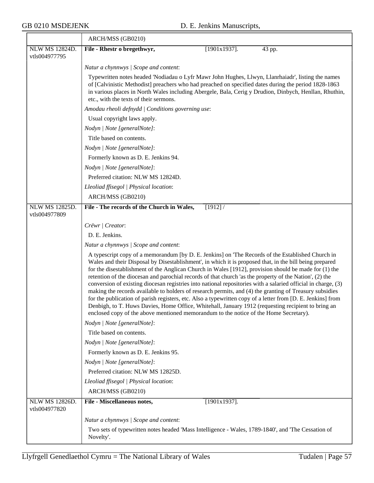|                                        | ARCH/MSS (GB0210)                                                                                                                                                                                                                                                                                                                                                                                                                                                                                                                                                                                                                                                                                                                                                                                                                                                                                                                                                          |
|----------------------------------------|----------------------------------------------------------------------------------------------------------------------------------------------------------------------------------------------------------------------------------------------------------------------------------------------------------------------------------------------------------------------------------------------------------------------------------------------------------------------------------------------------------------------------------------------------------------------------------------------------------------------------------------------------------------------------------------------------------------------------------------------------------------------------------------------------------------------------------------------------------------------------------------------------------------------------------------------------------------------------|
| NLW MS 12824D.                         | File - Rhestr o bregethwyr,<br>$[1901x1937]$ .<br>43 pp.                                                                                                                                                                                                                                                                                                                                                                                                                                                                                                                                                                                                                                                                                                                                                                                                                                                                                                                   |
| vtls004977795                          |                                                                                                                                                                                                                                                                                                                                                                                                                                                                                                                                                                                                                                                                                                                                                                                                                                                                                                                                                                            |
|                                        | Natur a chynnwys / Scope and content:                                                                                                                                                                                                                                                                                                                                                                                                                                                                                                                                                                                                                                                                                                                                                                                                                                                                                                                                      |
|                                        | Typewritten notes headed 'Nodiadau o Lyfr Mawr John Hughes, Llwyn, Llanrhaiadr', listing the names<br>of [Calvinistic Methodist] preachers who had preached on specified dates during the period 1828-1863<br>in various places in North Wales including Abergele, Bala, Cerig y Drudion, Dinbych, Henllan, Rhuthin,<br>etc., with the texts of their sermons.                                                                                                                                                                                                                                                                                                                                                                                                                                                                                                                                                                                                             |
|                                        | Amodau rheoli defnydd   Conditions governing use:                                                                                                                                                                                                                                                                                                                                                                                                                                                                                                                                                                                                                                                                                                                                                                                                                                                                                                                          |
|                                        | Usual copyright laws apply.                                                                                                                                                                                                                                                                                                                                                                                                                                                                                                                                                                                                                                                                                                                                                                                                                                                                                                                                                |
|                                        | Nodyn   Note [generalNote]:                                                                                                                                                                                                                                                                                                                                                                                                                                                                                                                                                                                                                                                                                                                                                                                                                                                                                                                                                |
|                                        | Title based on contents.                                                                                                                                                                                                                                                                                                                                                                                                                                                                                                                                                                                                                                                                                                                                                                                                                                                                                                                                                   |
|                                        | Nodyn   Note [generalNote]:                                                                                                                                                                                                                                                                                                                                                                                                                                                                                                                                                                                                                                                                                                                                                                                                                                                                                                                                                |
|                                        | Formerly known as D. E. Jenkins 94.                                                                                                                                                                                                                                                                                                                                                                                                                                                                                                                                                                                                                                                                                                                                                                                                                                                                                                                                        |
|                                        | Nodyn   Note [generalNote]:                                                                                                                                                                                                                                                                                                                                                                                                                                                                                                                                                                                                                                                                                                                                                                                                                                                                                                                                                |
|                                        | Preferred citation: NLW MS 12824D.                                                                                                                                                                                                                                                                                                                                                                                                                                                                                                                                                                                                                                                                                                                                                                                                                                                                                                                                         |
|                                        | Lleoliad ffisegol   Physical location:                                                                                                                                                                                                                                                                                                                                                                                                                                                                                                                                                                                                                                                                                                                                                                                                                                                                                                                                     |
|                                        | ARCH/MSS (GB0210)                                                                                                                                                                                                                                                                                                                                                                                                                                                                                                                                                                                                                                                                                                                                                                                                                                                                                                                                                          |
| <b>NLW MS 12825D.</b><br>vtls004977809 | File - The records of the Church in Wales,<br>[1912]                                                                                                                                                                                                                                                                                                                                                                                                                                                                                                                                                                                                                                                                                                                                                                                                                                                                                                                       |
|                                        | Crëwr   Creator:                                                                                                                                                                                                                                                                                                                                                                                                                                                                                                                                                                                                                                                                                                                                                                                                                                                                                                                                                           |
|                                        | D. E. Jenkins.                                                                                                                                                                                                                                                                                                                                                                                                                                                                                                                                                                                                                                                                                                                                                                                                                                                                                                                                                             |
|                                        | Natur a chynnwys / Scope and content:                                                                                                                                                                                                                                                                                                                                                                                                                                                                                                                                                                                                                                                                                                                                                                                                                                                                                                                                      |
|                                        | A typescript copy of a memorandum [by D. E. Jenkins] on 'The Records of the Established Church in<br>Wales and their Disposal by Disestablishment', in which it is proposed that, in the bill being prepared<br>for the disestablishment of the Anglican Church in Wales [1912], provision should be made for (1) the<br>retention of the diocesan and parochial records of that church 'as the property of the Nation', (2) the<br>conversion of existing diocesan registries into national repositories with a salaried official in charge, (3)<br>making the records available to holders of research permits, and (4) the granting of Treasury subsidies<br>for the publication of parish registers, etc. Also a typewritten copy of a letter from [D. E. Jenkins] from<br>Denbigh, to T. Huws Davies, Home Office, Whitehall, January 1912 (requesting recipient to bring an<br>enclosed copy of the above mentioned memorandum to the notice of the Home Secretary). |
|                                        | Nodyn   Note [generalNote]:                                                                                                                                                                                                                                                                                                                                                                                                                                                                                                                                                                                                                                                                                                                                                                                                                                                                                                                                                |
|                                        | Title based on contents.                                                                                                                                                                                                                                                                                                                                                                                                                                                                                                                                                                                                                                                                                                                                                                                                                                                                                                                                                   |
|                                        | Nodyn   Note [generalNote]:                                                                                                                                                                                                                                                                                                                                                                                                                                                                                                                                                                                                                                                                                                                                                                                                                                                                                                                                                |
|                                        | Formerly known as D. E. Jenkins 95.                                                                                                                                                                                                                                                                                                                                                                                                                                                                                                                                                                                                                                                                                                                                                                                                                                                                                                                                        |
|                                        | Nodyn   Note [generalNote]:                                                                                                                                                                                                                                                                                                                                                                                                                                                                                                                                                                                                                                                                                                                                                                                                                                                                                                                                                |
|                                        | Preferred citation: NLW MS 12825D.                                                                                                                                                                                                                                                                                                                                                                                                                                                                                                                                                                                                                                                                                                                                                                                                                                                                                                                                         |
|                                        | Lleoliad ffisegol   Physical location:                                                                                                                                                                                                                                                                                                                                                                                                                                                                                                                                                                                                                                                                                                                                                                                                                                                                                                                                     |
|                                        | ARCH/MSS (GB0210)                                                                                                                                                                                                                                                                                                                                                                                                                                                                                                                                                                                                                                                                                                                                                                                                                                                                                                                                                          |
| <b>NLW MS 12826D.</b><br>vtls004977820 | File - Miscellaneous notes,<br>$[1901x1937]$ .                                                                                                                                                                                                                                                                                                                                                                                                                                                                                                                                                                                                                                                                                                                                                                                                                                                                                                                             |
|                                        | Natur a chynnwys / Scope and content:                                                                                                                                                                                                                                                                                                                                                                                                                                                                                                                                                                                                                                                                                                                                                                                                                                                                                                                                      |
|                                        | Two sets of typewritten notes headed 'Mass Intelligence - Wales, 1789-1840', and 'The Cessation of<br>Novelty'.                                                                                                                                                                                                                                                                                                                                                                                                                                                                                                                                                                                                                                                                                                                                                                                                                                                            |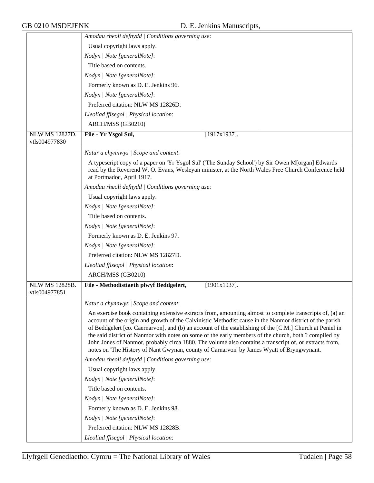|                                        | Amodau rheoli defnydd   Conditions governing use:                                                                                                                                                                                                                                                                                                                                                                                                                                                                                                                                                                                                |
|----------------------------------------|--------------------------------------------------------------------------------------------------------------------------------------------------------------------------------------------------------------------------------------------------------------------------------------------------------------------------------------------------------------------------------------------------------------------------------------------------------------------------------------------------------------------------------------------------------------------------------------------------------------------------------------------------|
|                                        | Usual copyright laws apply.                                                                                                                                                                                                                                                                                                                                                                                                                                                                                                                                                                                                                      |
|                                        | Nodyn   Note [generalNote]:                                                                                                                                                                                                                                                                                                                                                                                                                                                                                                                                                                                                                      |
|                                        | Title based on contents.                                                                                                                                                                                                                                                                                                                                                                                                                                                                                                                                                                                                                         |
|                                        | Nodyn   Note [generalNote]:                                                                                                                                                                                                                                                                                                                                                                                                                                                                                                                                                                                                                      |
|                                        | Formerly known as D. E. Jenkins 96.                                                                                                                                                                                                                                                                                                                                                                                                                                                                                                                                                                                                              |
|                                        | Nodyn   Note [generalNote]:                                                                                                                                                                                                                                                                                                                                                                                                                                                                                                                                                                                                                      |
|                                        | Preferred citation: NLW MS 12826D.                                                                                                                                                                                                                                                                                                                                                                                                                                                                                                                                                                                                               |
|                                        | Lleoliad ffisegol   Physical location:                                                                                                                                                                                                                                                                                                                                                                                                                                                                                                                                                                                                           |
|                                        | ARCH/MSS (GB0210)                                                                                                                                                                                                                                                                                                                                                                                                                                                                                                                                                                                                                                |
| <b>NLW MS 12827D.</b><br>vtls004977830 | File - Yr Ysgol Sul,<br>$[1917x1937]$ .                                                                                                                                                                                                                                                                                                                                                                                                                                                                                                                                                                                                          |
|                                        | Natur a chynnwys / Scope and content:                                                                                                                                                                                                                                                                                                                                                                                                                                                                                                                                                                                                            |
|                                        | A typescript copy of a paper on 'Yr Ysgol Sul' ('The Sunday School') by Sir Owen M[organ] Edwards<br>read by the Reverend W. O. Evans, Wesleyan minister, at the North Wales Free Church Conference held<br>at Portmadoc, April 1917.                                                                                                                                                                                                                                                                                                                                                                                                            |
|                                        | Amodau rheoli defnydd   Conditions governing use:                                                                                                                                                                                                                                                                                                                                                                                                                                                                                                                                                                                                |
|                                        | Usual copyright laws apply.                                                                                                                                                                                                                                                                                                                                                                                                                                                                                                                                                                                                                      |
|                                        | Nodyn   Note [generalNote]:                                                                                                                                                                                                                                                                                                                                                                                                                                                                                                                                                                                                                      |
|                                        | Title based on contents.                                                                                                                                                                                                                                                                                                                                                                                                                                                                                                                                                                                                                         |
|                                        | Nodyn   Note [generalNote]:                                                                                                                                                                                                                                                                                                                                                                                                                                                                                                                                                                                                                      |
|                                        | Formerly known as D. E. Jenkins 97.                                                                                                                                                                                                                                                                                                                                                                                                                                                                                                                                                                                                              |
|                                        | Nodyn   Note [generalNote]:                                                                                                                                                                                                                                                                                                                                                                                                                                                                                                                                                                                                                      |
|                                        | Preferred citation: NLW MS 12827D.                                                                                                                                                                                                                                                                                                                                                                                                                                                                                                                                                                                                               |
|                                        | Lleoliad ffisegol   Physical location:                                                                                                                                                                                                                                                                                                                                                                                                                                                                                                                                                                                                           |
|                                        | ARCH/MSS (GB0210)                                                                                                                                                                                                                                                                                                                                                                                                                                                                                                                                                                                                                                |
| <b>NLW MS 12828B.</b><br>vtls004977851 | File - Methodistiaeth plwyf Beddgelert,<br>$[1901x1937]$ .                                                                                                                                                                                                                                                                                                                                                                                                                                                                                                                                                                                       |
|                                        | Natur a chynnwys / Scope and content:                                                                                                                                                                                                                                                                                                                                                                                                                                                                                                                                                                                                            |
|                                        | An exercise book containing extensive extracts from, amounting almost to complete transcripts of, (a) an<br>account of the origin and growth of the Calvinistic Methodist cause in the Nanmor district of the parish<br>of Beddgelert [co. Caernarvon], and (b) an account of the establishing of the [C.M.] Church at Peniel in<br>the said district of Nanmor with notes on some of the early members of the church, both ? compiled by<br>John Jones of Nanmor, probably circa 1880. The volume also contains a transcript of, or extracts from,<br>notes on 'The History of Nant Gwynan, county of Carnarvon' by James Wyatt of Bryngwynant. |
|                                        | Amodau rheoli defnydd   Conditions governing use:                                                                                                                                                                                                                                                                                                                                                                                                                                                                                                                                                                                                |
|                                        | Usual copyright laws apply.                                                                                                                                                                                                                                                                                                                                                                                                                                                                                                                                                                                                                      |
|                                        | Nodyn   Note [generalNote]:                                                                                                                                                                                                                                                                                                                                                                                                                                                                                                                                                                                                                      |
|                                        | Title based on contents.                                                                                                                                                                                                                                                                                                                                                                                                                                                                                                                                                                                                                         |
|                                        | Nodyn   Note [generalNote]:                                                                                                                                                                                                                                                                                                                                                                                                                                                                                                                                                                                                                      |
|                                        | Formerly known as D. E. Jenkins 98.                                                                                                                                                                                                                                                                                                                                                                                                                                                                                                                                                                                                              |
|                                        | Nodyn   Note [generalNote]:                                                                                                                                                                                                                                                                                                                                                                                                                                                                                                                                                                                                                      |
|                                        | Preferred citation: NLW MS 12828B.                                                                                                                                                                                                                                                                                                                                                                                                                                                                                                                                                                                                               |
|                                        | Lleoliad ffisegol   Physical location:                                                                                                                                                                                                                                                                                                                                                                                                                                                                                                                                                                                                           |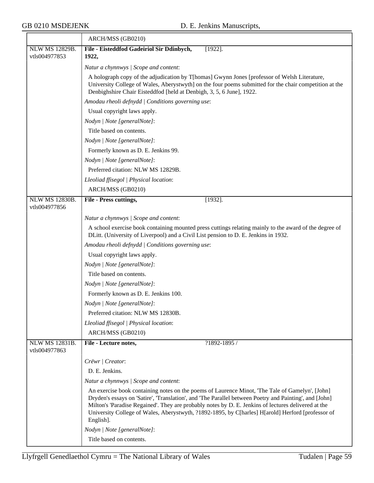$\overline{\phantom{a}}$  , and the set of  $\overline{\phantom{a}}$  , and the set of  $\overline{\phantom{a}}$  , and the set of  $\overline{\phantom{a}}$ 

|                                        | ARCH/MSS (GB0210)                                                                                                                                                                                                                                                                                                                                                                                                                  |
|----------------------------------------|------------------------------------------------------------------------------------------------------------------------------------------------------------------------------------------------------------------------------------------------------------------------------------------------------------------------------------------------------------------------------------------------------------------------------------|
| NLW MS 12829B.<br>vtls004977853        | File - Eisteddfod Gadeiriol Sir Ddinbych,<br>$[1922]$ .<br>1922,                                                                                                                                                                                                                                                                                                                                                                   |
|                                        | Natur a chynnwys / Scope and content:                                                                                                                                                                                                                                                                                                                                                                                              |
|                                        | A holograph copy of the adjudication by T[homas] Gwynn Jones [professor of Welsh Literature,<br>University College of Wales, Aberystwyth] on the four poems submitted for the chair competition at the<br>Denbighshire Chair Eisteddfod [held at Denbigh, 3, 5, 6 June], 1922.                                                                                                                                                     |
|                                        | Amodau rheoli defnydd   Conditions governing use:                                                                                                                                                                                                                                                                                                                                                                                  |
|                                        | Usual copyright laws apply.                                                                                                                                                                                                                                                                                                                                                                                                        |
|                                        | Nodyn   Note [generalNote]:                                                                                                                                                                                                                                                                                                                                                                                                        |
|                                        | Title based on contents.                                                                                                                                                                                                                                                                                                                                                                                                           |
|                                        | Nodyn   Note [generalNote]:                                                                                                                                                                                                                                                                                                                                                                                                        |
|                                        | Formerly known as D. E. Jenkins 99.                                                                                                                                                                                                                                                                                                                                                                                                |
|                                        | Nodyn   Note [generalNote]:                                                                                                                                                                                                                                                                                                                                                                                                        |
|                                        | Preferred citation: NLW MS 12829B.                                                                                                                                                                                                                                                                                                                                                                                                 |
|                                        | Lleoliad ffisegol   Physical location:                                                                                                                                                                                                                                                                                                                                                                                             |
|                                        | ARCH/MSS (GB0210)                                                                                                                                                                                                                                                                                                                                                                                                                  |
| <b>NLW MS 12830B.</b><br>vtls004977856 | File - Press cuttings,<br>$[1932]$ .                                                                                                                                                                                                                                                                                                                                                                                               |
|                                        | Natur a chynnwys / Scope and content:                                                                                                                                                                                                                                                                                                                                                                                              |
|                                        | A school exercise book containing mounted press cuttings relating mainly to the award of the degree of<br>DLitt. (University of Liverpool) and a Civil List pension to D. E. Jenkins in 1932.                                                                                                                                                                                                                                      |
|                                        | Amodau rheoli defnydd   Conditions governing use:                                                                                                                                                                                                                                                                                                                                                                                  |
|                                        | Usual copyright laws apply.                                                                                                                                                                                                                                                                                                                                                                                                        |
|                                        | Nodyn   Note [generalNote]:                                                                                                                                                                                                                                                                                                                                                                                                        |
|                                        | Title based on contents.                                                                                                                                                                                                                                                                                                                                                                                                           |
|                                        | Nodyn   Note [generalNote]:                                                                                                                                                                                                                                                                                                                                                                                                        |
|                                        | Formerly known as D. E. Jenkins 100.                                                                                                                                                                                                                                                                                                                                                                                               |
|                                        | Nodyn   Note [generalNote]:                                                                                                                                                                                                                                                                                                                                                                                                        |
|                                        | Preferred citation: NLW MS 12830B.                                                                                                                                                                                                                                                                                                                                                                                                 |
|                                        | Lleoliad ffisegol   Physical location:                                                                                                                                                                                                                                                                                                                                                                                             |
|                                        | ARCH/MSS (GB0210)                                                                                                                                                                                                                                                                                                                                                                                                                  |
| NLW MS 12831B.<br>vtls004977863        | File - Lecture notes,<br>?1892-1895 /                                                                                                                                                                                                                                                                                                                                                                                              |
|                                        | Crëwr   Creator:                                                                                                                                                                                                                                                                                                                                                                                                                   |
|                                        | D. E. Jenkins.                                                                                                                                                                                                                                                                                                                                                                                                                     |
|                                        | Natur a chynnwys / Scope and content:                                                                                                                                                                                                                                                                                                                                                                                              |
|                                        | An exercise book containing notes on the poems of Laurence Minot, 'The Tale of Gamelyn', [John]<br>Dryden's essays on 'Satire', 'Translation', and 'The Parallel between Poetry and Painting', and [John]<br>Milton's 'Paradise Regained'. They are probably notes by D. E. Jenkins of lectures delivered at the<br>University College of Wales, Aberystwyth, ?1892-1895, by C[harles] H[arold] Herford [professor of<br>English]. |
|                                        | Nodyn   Note [generalNote]:                                                                                                                                                                                                                                                                                                                                                                                                        |
|                                        | Title based on contents.                                                                                                                                                                                                                                                                                                                                                                                                           |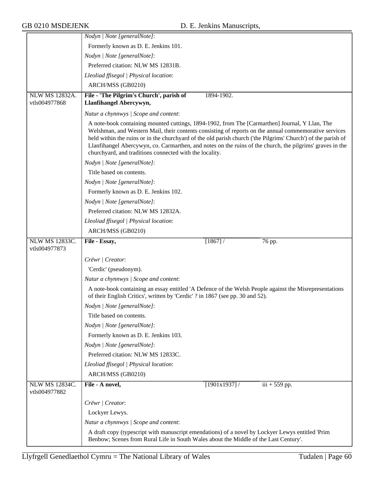|                                 | Nodyn   Note [generalNote]:                                                                                                                                                                                                                                                                                                                                                                                                                                                                      |
|---------------------------------|--------------------------------------------------------------------------------------------------------------------------------------------------------------------------------------------------------------------------------------------------------------------------------------------------------------------------------------------------------------------------------------------------------------------------------------------------------------------------------------------------|
|                                 | Formerly known as D. E. Jenkins 101.                                                                                                                                                                                                                                                                                                                                                                                                                                                             |
|                                 | Nodyn   Note [generalNote]:                                                                                                                                                                                                                                                                                                                                                                                                                                                                      |
|                                 | Preferred citation: NLW MS 12831B.                                                                                                                                                                                                                                                                                                                                                                                                                                                               |
|                                 | Lleoliad ffisegol   Physical location:                                                                                                                                                                                                                                                                                                                                                                                                                                                           |
|                                 | ARCH/MSS (GB0210)                                                                                                                                                                                                                                                                                                                                                                                                                                                                                |
| <b>NLW MS 12832A.</b>           | File - 'The Pilgrim's Church', parish of<br>1894-1902.                                                                                                                                                                                                                                                                                                                                                                                                                                           |
| vtls004977868                   | Llanfihangel Abercywyn,                                                                                                                                                                                                                                                                                                                                                                                                                                                                          |
|                                 | Natur a chynnwys / Scope and content:                                                                                                                                                                                                                                                                                                                                                                                                                                                            |
|                                 | A note-book containing mounted cuttings, 1894-1902, from The [Carmarthen] Journal, Y Llan, The<br>Welshman, and Western Mail, their contents consisting of reports on the annual commemorative services<br>held within the ruins or in the churchyard of the old parish church ('the Pilgrims' Church') of the parish of<br>Llanfihangel Abercywyn, co. Carmarthen, and notes on the ruins of the church, the pilgrims' graves in the<br>churchyard, and traditions connected with the locality. |
|                                 | Nodyn   Note [generalNote]:                                                                                                                                                                                                                                                                                                                                                                                                                                                                      |
|                                 | Title based on contents.                                                                                                                                                                                                                                                                                                                                                                                                                                                                         |
|                                 | Nodyn   Note [generalNote]:                                                                                                                                                                                                                                                                                                                                                                                                                                                                      |
|                                 | Formerly known as D. E. Jenkins 102.                                                                                                                                                                                                                                                                                                                                                                                                                                                             |
|                                 | Nodyn   Note [generalNote]:                                                                                                                                                                                                                                                                                                                                                                                                                                                                      |
|                                 | Preferred citation: NLW MS 12832A.                                                                                                                                                                                                                                                                                                                                                                                                                                                               |
|                                 | Lleoliad ffisegol   Physical location:                                                                                                                                                                                                                                                                                                                                                                                                                                                           |
|                                 | ARCH/MSS (GB0210)                                                                                                                                                                                                                                                                                                                                                                                                                                                                                |
| NLW MS 12833C.<br>vtls004977873 | File - Essay,<br>[1867] /<br>76 pp.                                                                                                                                                                                                                                                                                                                                                                                                                                                              |
|                                 | Crëwr   Creator:                                                                                                                                                                                                                                                                                                                                                                                                                                                                                 |
|                                 | 'Cerdic' (pseudonym).                                                                                                                                                                                                                                                                                                                                                                                                                                                                            |
|                                 | Natur a chynnwys / Scope and content:                                                                                                                                                                                                                                                                                                                                                                                                                                                            |
|                                 | A note-book containing an essay entitled 'A Defence of the Welsh People against the Misrepresentations<br>of their English Critics', written by 'Cerdic' ? in 1867 (see pp. 30 and 52).                                                                                                                                                                                                                                                                                                          |
|                                 | Nodyn   Note [generalNote]:                                                                                                                                                                                                                                                                                                                                                                                                                                                                      |
|                                 | Title based on contents.                                                                                                                                                                                                                                                                                                                                                                                                                                                                         |
|                                 | Nodyn   Note [generalNote]:                                                                                                                                                                                                                                                                                                                                                                                                                                                                      |
|                                 | Formerly known as D. E. Jenkins 103.                                                                                                                                                                                                                                                                                                                                                                                                                                                             |
|                                 | Nodyn   Note [generalNote]:                                                                                                                                                                                                                                                                                                                                                                                                                                                                      |
|                                 | Preferred citation: NLW MS 12833C.                                                                                                                                                                                                                                                                                                                                                                                                                                                               |
|                                 | Lleoliad ffisegol   Physical location:                                                                                                                                                                                                                                                                                                                                                                                                                                                           |
|                                 | ARCH/MSS (GB0210)                                                                                                                                                                                                                                                                                                                                                                                                                                                                                |
| NLW MS 12834C.<br>vtls004977882 | File - A novel,<br>$[1901x1937]$ /<br>$iii + 559$ pp.                                                                                                                                                                                                                                                                                                                                                                                                                                            |
|                                 | Crëwr   Creator:                                                                                                                                                                                                                                                                                                                                                                                                                                                                                 |
|                                 |                                                                                                                                                                                                                                                                                                                                                                                                                                                                                                  |
|                                 |                                                                                                                                                                                                                                                                                                                                                                                                                                                                                                  |
|                                 | Lockyer Lewys.                                                                                                                                                                                                                                                                                                                                                                                                                                                                                   |
|                                 | Natur a chynnwys / Scope and content:<br>A draft copy (typescript with manuscript emendations) of a novel by Lockyer Lewys entitled 'Prim                                                                                                                                                                                                                                                                                                                                                        |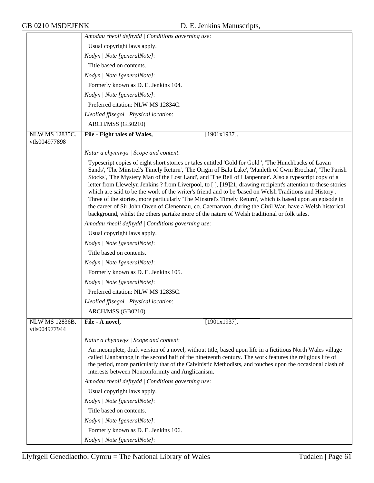|                                        | Amodau rheoli defnydd   Conditions governing use:                                                                                                                                                                                                                                                                                                                                                                                                                                                                                                                                                                                                                                                                                                                                                                                                                              |
|----------------------------------------|--------------------------------------------------------------------------------------------------------------------------------------------------------------------------------------------------------------------------------------------------------------------------------------------------------------------------------------------------------------------------------------------------------------------------------------------------------------------------------------------------------------------------------------------------------------------------------------------------------------------------------------------------------------------------------------------------------------------------------------------------------------------------------------------------------------------------------------------------------------------------------|
|                                        | Usual copyright laws apply.                                                                                                                                                                                                                                                                                                                                                                                                                                                                                                                                                                                                                                                                                                                                                                                                                                                    |
|                                        | Nodyn   Note [generalNote]:                                                                                                                                                                                                                                                                                                                                                                                                                                                                                                                                                                                                                                                                                                                                                                                                                                                    |
|                                        | Title based on contents.                                                                                                                                                                                                                                                                                                                                                                                                                                                                                                                                                                                                                                                                                                                                                                                                                                                       |
|                                        | Nodyn   Note [generalNote]:                                                                                                                                                                                                                                                                                                                                                                                                                                                                                                                                                                                                                                                                                                                                                                                                                                                    |
|                                        | Formerly known as D. E. Jenkins 104.                                                                                                                                                                                                                                                                                                                                                                                                                                                                                                                                                                                                                                                                                                                                                                                                                                           |
|                                        | Nodyn   Note [generalNote]:                                                                                                                                                                                                                                                                                                                                                                                                                                                                                                                                                                                                                                                                                                                                                                                                                                                    |
|                                        | Preferred citation: NLW MS 12834C.                                                                                                                                                                                                                                                                                                                                                                                                                                                                                                                                                                                                                                                                                                                                                                                                                                             |
|                                        | Lleoliad ffisegol   Physical location:                                                                                                                                                                                                                                                                                                                                                                                                                                                                                                                                                                                                                                                                                                                                                                                                                                         |
|                                        | ARCH/MSS (GB0210)                                                                                                                                                                                                                                                                                                                                                                                                                                                                                                                                                                                                                                                                                                                                                                                                                                                              |
| <b>NLW MS 12835C.</b><br>vtls004977898 | File - Eight tales of Wales,<br>$[1901x1937]$ .                                                                                                                                                                                                                                                                                                                                                                                                                                                                                                                                                                                                                                                                                                                                                                                                                                |
|                                        | Natur a chynnwys / Scope and content:                                                                                                                                                                                                                                                                                                                                                                                                                                                                                                                                                                                                                                                                                                                                                                                                                                          |
|                                        | Typescript copies of eight short stories or tales entitled 'Gold for Gold ', 'The Hunchbacks of Lavan<br>Sands', 'The Minstrel's Timely Return', 'The Origin of Bala Lake', 'Manleth of Cwm Brochan', 'The Parish<br>Stocks', 'The Mystery Man of the Lost Land', and 'The Bell of Llanpennar'. Also a typescript copy of a<br>letter from Llewelyn Jenkins ? from Liverpool, to [], [19]21, drawing recipient's attention to these stories<br>which are said to be the work of the writer's friend and to be 'based on Welsh Traditions and History'.<br>Three of the stories, more particularly 'The Minstrel's Timely Return', which is based upon an episode in<br>the career of Sir John Owen of Clenennau, co. Caernarvon, during the Civil War, have a Welsh historical<br>background, whilst the others partake more of the nature of Welsh traditional or folk tales. |
|                                        | Amodau rheoli defnydd   Conditions governing use:                                                                                                                                                                                                                                                                                                                                                                                                                                                                                                                                                                                                                                                                                                                                                                                                                              |
|                                        | Usual copyright laws apply.                                                                                                                                                                                                                                                                                                                                                                                                                                                                                                                                                                                                                                                                                                                                                                                                                                                    |
|                                        | Nodyn   Note [generalNote]:                                                                                                                                                                                                                                                                                                                                                                                                                                                                                                                                                                                                                                                                                                                                                                                                                                                    |
|                                        | Title based on contents.                                                                                                                                                                                                                                                                                                                                                                                                                                                                                                                                                                                                                                                                                                                                                                                                                                                       |
|                                        | Nodyn   Note [generalNote]:                                                                                                                                                                                                                                                                                                                                                                                                                                                                                                                                                                                                                                                                                                                                                                                                                                                    |
|                                        | Formerly known as D. E. Jenkins 105.                                                                                                                                                                                                                                                                                                                                                                                                                                                                                                                                                                                                                                                                                                                                                                                                                                           |
|                                        | Nodyn   Note [generalNote]:                                                                                                                                                                                                                                                                                                                                                                                                                                                                                                                                                                                                                                                                                                                                                                                                                                                    |
|                                        | Preferred citation: NLW MS 12835C.                                                                                                                                                                                                                                                                                                                                                                                                                                                                                                                                                                                                                                                                                                                                                                                                                                             |
|                                        | Lleoliad ffisegol   Physical location:                                                                                                                                                                                                                                                                                                                                                                                                                                                                                                                                                                                                                                                                                                                                                                                                                                         |
|                                        | ARCH/MSS (GB0210)                                                                                                                                                                                                                                                                                                                                                                                                                                                                                                                                                                                                                                                                                                                                                                                                                                                              |
| <b>NLW MS 12836B.</b><br>vtls004977944 | $[1901x1937]$ .<br>File - A novel,                                                                                                                                                                                                                                                                                                                                                                                                                                                                                                                                                                                                                                                                                                                                                                                                                                             |
|                                        | Natur a chynnwys / Scope and content:                                                                                                                                                                                                                                                                                                                                                                                                                                                                                                                                                                                                                                                                                                                                                                                                                                          |
|                                        | An incomplete, draft version of a novel, without title, based upon life in a fictitious North Wales village<br>called Llanbannog in the second half of the nineteenth century. The work features the religious life of<br>the period, more particularly that of the Calvinistic Methodists, and touches upon the occasional clash of<br>interests between Nonconformity and Anglicanism.                                                                                                                                                                                                                                                                                                                                                                                                                                                                                       |
|                                        | Amodau rheoli defnydd   Conditions governing use:                                                                                                                                                                                                                                                                                                                                                                                                                                                                                                                                                                                                                                                                                                                                                                                                                              |
|                                        | Usual copyright laws apply.                                                                                                                                                                                                                                                                                                                                                                                                                                                                                                                                                                                                                                                                                                                                                                                                                                                    |
|                                        | Nodyn   Note [generalNote]:                                                                                                                                                                                                                                                                                                                                                                                                                                                                                                                                                                                                                                                                                                                                                                                                                                                    |
|                                        | Title based on contents.                                                                                                                                                                                                                                                                                                                                                                                                                                                                                                                                                                                                                                                                                                                                                                                                                                                       |
|                                        | Nodyn   Note [generalNote]:                                                                                                                                                                                                                                                                                                                                                                                                                                                                                                                                                                                                                                                                                                                                                                                                                                                    |
|                                        | Formerly known as D. E. Jenkins 106.                                                                                                                                                                                                                                                                                                                                                                                                                                                                                                                                                                                                                                                                                                                                                                                                                                           |
|                                        | Nodyn   Note [generalNote]:                                                                                                                                                                                                                                                                                                                                                                                                                                                                                                                                                                                                                                                                                                                                                                                                                                                    |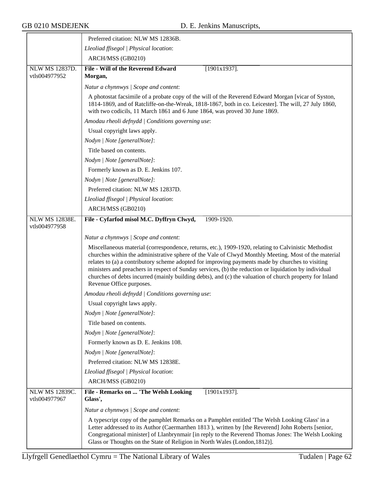$\overline{\phantom{a}}$ 

|                                        | Preferred citation: NLW MS 12836B.                                                                                                                                                                                                                                                                                                                                                                                                                                                                                                                               |
|----------------------------------------|------------------------------------------------------------------------------------------------------------------------------------------------------------------------------------------------------------------------------------------------------------------------------------------------------------------------------------------------------------------------------------------------------------------------------------------------------------------------------------------------------------------------------------------------------------------|
|                                        | Lleoliad ffisegol   Physical location:                                                                                                                                                                                                                                                                                                                                                                                                                                                                                                                           |
|                                        | ARCH/MSS (GB0210)                                                                                                                                                                                                                                                                                                                                                                                                                                                                                                                                                |
| <b>NLW MS 12837D.</b><br>vtls004977952 | File - Will of the Reverend Edward<br>$[1901x1937]$ .<br>Morgan,                                                                                                                                                                                                                                                                                                                                                                                                                                                                                                 |
|                                        | Natur a chynnwys / Scope and content:                                                                                                                                                                                                                                                                                                                                                                                                                                                                                                                            |
|                                        | A photostat facsimile of a probate copy of the will of the Reverend Edward Morgan [vicar of Syston,<br>1814-1869, and of Ratcliffe-on-the-Wreak, 1818-1867, both in co. Leicester]. The will, 27 July 1860,<br>with two codicils, 11 March 1861 and 6 June 1864, was proved 30 June 1869.                                                                                                                                                                                                                                                                        |
|                                        | Amodau rheoli defnydd   Conditions governing use:                                                                                                                                                                                                                                                                                                                                                                                                                                                                                                                |
|                                        | Usual copyright laws apply.                                                                                                                                                                                                                                                                                                                                                                                                                                                                                                                                      |
|                                        | Nodyn   Note [generalNote]:                                                                                                                                                                                                                                                                                                                                                                                                                                                                                                                                      |
|                                        | Title based on contents.                                                                                                                                                                                                                                                                                                                                                                                                                                                                                                                                         |
|                                        | Nodyn   Note [generalNote]:                                                                                                                                                                                                                                                                                                                                                                                                                                                                                                                                      |
|                                        | Formerly known as D. E. Jenkins 107.                                                                                                                                                                                                                                                                                                                                                                                                                                                                                                                             |
|                                        | Nodyn   Note [generalNote]:                                                                                                                                                                                                                                                                                                                                                                                                                                                                                                                                      |
|                                        | Preferred citation: NLW MS 12837D.                                                                                                                                                                                                                                                                                                                                                                                                                                                                                                                               |
|                                        | Lleoliad ffisegol   Physical location:                                                                                                                                                                                                                                                                                                                                                                                                                                                                                                                           |
|                                        | ARCH/MSS (GB0210)                                                                                                                                                                                                                                                                                                                                                                                                                                                                                                                                                |
| <b>NLW MS 12838E.</b><br>vtls004977958 | File - Cyfarfod misol M.C. Dyffryn Clwyd,<br>1909-1920.                                                                                                                                                                                                                                                                                                                                                                                                                                                                                                          |
|                                        | Natur a chynnwys / Scope and content:                                                                                                                                                                                                                                                                                                                                                                                                                                                                                                                            |
|                                        | Miscellaneous material (correspondence, returns, etc.), 1909-1920, relating to Calvinistic Methodist<br>churches within the administrative sphere of the Vale of Clwyd Monthly Meeting. Most of the material<br>relates to (a) a contributory scheme adopted for improving payments made by churches to visiting<br>ministers and preachers in respect of Sunday services, (b) the reduction or liquidation by individual<br>churches of debts incurred (mainly building debts), and (c) the valuation of church property for Inland<br>Revenue Office purposes. |
|                                        | Amodau rheoli defnydd   Conditions governing use:                                                                                                                                                                                                                                                                                                                                                                                                                                                                                                                |
|                                        | Usual copyright laws apply.                                                                                                                                                                                                                                                                                                                                                                                                                                                                                                                                      |
|                                        | Nodyn   Note [generalNote]:                                                                                                                                                                                                                                                                                                                                                                                                                                                                                                                                      |
|                                        | Title based on contents.                                                                                                                                                                                                                                                                                                                                                                                                                                                                                                                                         |
|                                        | Nodyn   Note [generalNote]:                                                                                                                                                                                                                                                                                                                                                                                                                                                                                                                                      |
|                                        | Formerly known as D. E. Jenkins 108.                                                                                                                                                                                                                                                                                                                                                                                                                                                                                                                             |
|                                        | Nodyn   Note [generalNote]:                                                                                                                                                                                                                                                                                                                                                                                                                                                                                                                                      |
|                                        | Preferred citation: NLW MS 12838E.                                                                                                                                                                                                                                                                                                                                                                                                                                                                                                                               |
|                                        | Lleoliad ffisegol   Physical location:                                                                                                                                                                                                                                                                                                                                                                                                                                                                                                                           |
|                                        | ARCH/MSS (GB0210)                                                                                                                                                                                                                                                                                                                                                                                                                                                                                                                                                |
| <b>NLW MS 12839C.</b><br>vtls004977967 | File - Remarks on  'The Welsh Looking<br>$[1901x1937]$ .<br>Glass',                                                                                                                                                                                                                                                                                                                                                                                                                                                                                              |
|                                        | Natur a chynnwys / Scope and content:                                                                                                                                                                                                                                                                                                                                                                                                                                                                                                                            |
|                                        | A typescript copy of the pamphlet Remarks on a Pamphlet entitled 'The Welsh Looking Glass' in a<br>Letter addressed to its Author (Caermarthen 1813), written by [the Reverend] John Roberts [senior,<br>Congregational minister] of Llanbrynmair [in reply to the Reverend Thomas Jones: The Welsh Looking<br>Glass or Thoughts on the State of Religion in North Wales (London, 1812)].                                                                                                                                                                        |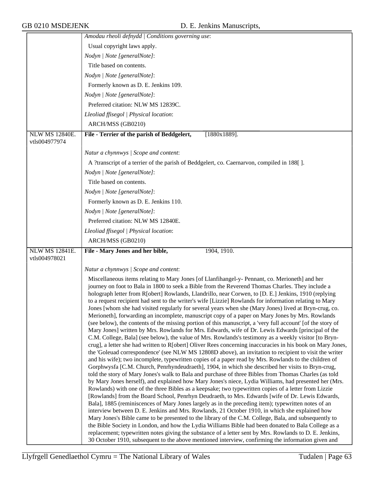|                                        | Amodau rheoli defnydd   Conditions governing use:                                                                                                                                                                                                                                                                                                                                                                                                                                                                                                                                                                                                                                                                                                                                                                                                                                                                                                                                                                                                                                                                                                                                                                                                                                                                                                                                                                                                                                                                                                                                                                                                                                                                                                                                                                                                                                                                                                                                                                                                                                                                                                                                                                                                            |
|----------------------------------------|--------------------------------------------------------------------------------------------------------------------------------------------------------------------------------------------------------------------------------------------------------------------------------------------------------------------------------------------------------------------------------------------------------------------------------------------------------------------------------------------------------------------------------------------------------------------------------------------------------------------------------------------------------------------------------------------------------------------------------------------------------------------------------------------------------------------------------------------------------------------------------------------------------------------------------------------------------------------------------------------------------------------------------------------------------------------------------------------------------------------------------------------------------------------------------------------------------------------------------------------------------------------------------------------------------------------------------------------------------------------------------------------------------------------------------------------------------------------------------------------------------------------------------------------------------------------------------------------------------------------------------------------------------------------------------------------------------------------------------------------------------------------------------------------------------------------------------------------------------------------------------------------------------------------------------------------------------------------------------------------------------------------------------------------------------------------------------------------------------------------------------------------------------------------------------------------------------------------------------------------------------------|
|                                        | Usual copyright laws apply.                                                                                                                                                                                                                                                                                                                                                                                                                                                                                                                                                                                                                                                                                                                                                                                                                                                                                                                                                                                                                                                                                                                                                                                                                                                                                                                                                                                                                                                                                                                                                                                                                                                                                                                                                                                                                                                                                                                                                                                                                                                                                                                                                                                                                                  |
|                                        | Nodyn   Note [generalNote]:                                                                                                                                                                                                                                                                                                                                                                                                                                                                                                                                                                                                                                                                                                                                                                                                                                                                                                                                                                                                                                                                                                                                                                                                                                                                                                                                                                                                                                                                                                                                                                                                                                                                                                                                                                                                                                                                                                                                                                                                                                                                                                                                                                                                                                  |
|                                        | Title based on contents.                                                                                                                                                                                                                                                                                                                                                                                                                                                                                                                                                                                                                                                                                                                                                                                                                                                                                                                                                                                                                                                                                                                                                                                                                                                                                                                                                                                                                                                                                                                                                                                                                                                                                                                                                                                                                                                                                                                                                                                                                                                                                                                                                                                                                                     |
|                                        | Nodyn   Note [generalNote]:                                                                                                                                                                                                                                                                                                                                                                                                                                                                                                                                                                                                                                                                                                                                                                                                                                                                                                                                                                                                                                                                                                                                                                                                                                                                                                                                                                                                                                                                                                                                                                                                                                                                                                                                                                                                                                                                                                                                                                                                                                                                                                                                                                                                                                  |
|                                        | Formerly known as D. E. Jenkins 109.                                                                                                                                                                                                                                                                                                                                                                                                                                                                                                                                                                                                                                                                                                                                                                                                                                                                                                                                                                                                                                                                                                                                                                                                                                                                                                                                                                                                                                                                                                                                                                                                                                                                                                                                                                                                                                                                                                                                                                                                                                                                                                                                                                                                                         |
|                                        | Nodyn   Note [generalNote]:                                                                                                                                                                                                                                                                                                                                                                                                                                                                                                                                                                                                                                                                                                                                                                                                                                                                                                                                                                                                                                                                                                                                                                                                                                                                                                                                                                                                                                                                                                                                                                                                                                                                                                                                                                                                                                                                                                                                                                                                                                                                                                                                                                                                                                  |
|                                        | Preferred citation: NLW MS 12839C.                                                                                                                                                                                                                                                                                                                                                                                                                                                                                                                                                                                                                                                                                                                                                                                                                                                                                                                                                                                                                                                                                                                                                                                                                                                                                                                                                                                                                                                                                                                                                                                                                                                                                                                                                                                                                                                                                                                                                                                                                                                                                                                                                                                                                           |
|                                        | Lleoliad ffisegol   Physical location:                                                                                                                                                                                                                                                                                                                                                                                                                                                                                                                                                                                                                                                                                                                                                                                                                                                                                                                                                                                                                                                                                                                                                                                                                                                                                                                                                                                                                                                                                                                                                                                                                                                                                                                                                                                                                                                                                                                                                                                                                                                                                                                                                                                                                       |
|                                        | ARCH/MSS (GB0210)                                                                                                                                                                                                                                                                                                                                                                                                                                                                                                                                                                                                                                                                                                                                                                                                                                                                                                                                                                                                                                                                                                                                                                                                                                                                                                                                                                                                                                                                                                                                                                                                                                                                                                                                                                                                                                                                                                                                                                                                                                                                                                                                                                                                                                            |
| <b>NLW MS 12840E.</b><br>vtls004977974 | File - Terrier of the parish of Beddgelert,<br>$[1880x1889]$ .                                                                                                                                                                                                                                                                                                                                                                                                                                                                                                                                                                                                                                                                                                                                                                                                                                                                                                                                                                                                                                                                                                                                                                                                                                                                                                                                                                                                                                                                                                                                                                                                                                                                                                                                                                                                                                                                                                                                                                                                                                                                                                                                                                                               |
|                                        | Natur a chynnwys / Scope and content:                                                                                                                                                                                                                                                                                                                                                                                                                                                                                                                                                                                                                                                                                                                                                                                                                                                                                                                                                                                                                                                                                                                                                                                                                                                                                                                                                                                                                                                                                                                                                                                                                                                                                                                                                                                                                                                                                                                                                                                                                                                                                                                                                                                                                        |
|                                        | A ?transcript of a terrier of the parish of Beddgelert, co. Caernarvon, compiled in 188[].                                                                                                                                                                                                                                                                                                                                                                                                                                                                                                                                                                                                                                                                                                                                                                                                                                                                                                                                                                                                                                                                                                                                                                                                                                                                                                                                                                                                                                                                                                                                                                                                                                                                                                                                                                                                                                                                                                                                                                                                                                                                                                                                                                   |
|                                        | Nodyn   Note [generalNote]:                                                                                                                                                                                                                                                                                                                                                                                                                                                                                                                                                                                                                                                                                                                                                                                                                                                                                                                                                                                                                                                                                                                                                                                                                                                                                                                                                                                                                                                                                                                                                                                                                                                                                                                                                                                                                                                                                                                                                                                                                                                                                                                                                                                                                                  |
|                                        | Title based on contents.                                                                                                                                                                                                                                                                                                                                                                                                                                                                                                                                                                                                                                                                                                                                                                                                                                                                                                                                                                                                                                                                                                                                                                                                                                                                                                                                                                                                                                                                                                                                                                                                                                                                                                                                                                                                                                                                                                                                                                                                                                                                                                                                                                                                                                     |
|                                        | Nodyn   Note [generalNote]:                                                                                                                                                                                                                                                                                                                                                                                                                                                                                                                                                                                                                                                                                                                                                                                                                                                                                                                                                                                                                                                                                                                                                                                                                                                                                                                                                                                                                                                                                                                                                                                                                                                                                                                                                                                                                                                                                                                                                                                                                                                                                                                                                                                                                                  |
|                                        | Formerly known as D. E. Jenkins 110.                                                                                                                                                                                                                                                                                                                                                                                                                                                                                                                                                                                                                                                                                                                                                                                                                                                                                                                                                                                                                                                                                                                                                                                                                                                                                                                                                                                                                                                                                                                                                                                                                                                                                                                                                                                                                                                                                                                                                                                                                                                                                                                                                                                                                         |
|                                        | Nodyn   Note [generalNote]:                                                                                                                                                                                                                                                                                                                                                                                                                                                                                                                                                                                                                                                                                                                                                                                                                                                                                                                                                                                                                                                                                                                                                                                                                                                                                                                                                                                                                                                                                                                                                                                                                                                                                                                                                                                                                                                                                                                                                                                                                                                                                                                                                                                                                                  |
|                                        | Preferred citation: NLW MS 12840E.                                                                                                                                                                                                                                                                                                                                                                                                                                                                                                                                                                                                                                                                                                                                                                                                                                                                                                                                                                                                                                                                                                                                                                                                                                                                                                                                                                                                                                                                                                                                                                                                                                                                                                                                                                                                                                                                                                                                                                                                                                                                                                                                                                                                                           |
|                                        | Lleoliad ffisegol   Physical location:                                                                                                                                                                                                                                                                                                                                                                                                                                                                                                                                                                                                                                                                                                                                                                                                                                                                                                                                                                                                                                                                                                                                                                                                                                                                                                                                                                                                                                                                                                                                                                                                                                                                                                                                                                                                                                                                                                                                                                                                                                                                                                                                                                                                                       |
|                                        | ARCH/MSS (GB0210)                                                                                                                                                                                                                                                                                                                                                                                                                                                                                                                                                                                                                                                                                                                                                                                                                                                                                                                                                                                                                                                                                                                                                                                                                                                                                                                                                                                                                                                                                                                                                                                                                                                                                                                                                                                                                                                                                                                                                                                                                                                                                                                                                                                                                                            |
| NLW MS 12841E.                         | File - Mary Jones and her bible,<br>1904, 1910.                                                                                                                                                                                                                                                                                                                                                                                                                                                                                                                                                                                                                                                                                                                                                                                                                                                                                                                                                                                                                                                                                                                                                                                                                                                                                                                                                                                                                                                                                                                                                                                                                                                                                                                                                                                                                                                                                                                                                                                                                                                                                                                                                                                                              |
| vtls004978021                          |                                                                                                                                                                                                                                                                                                                                                                                                                                                                                                                                                                                                                                                                                                                                                                                                                                                                                                                                                                                                                                                                                                                                                                                                                                                                                                                                                                                                                                                                                                                                                                                                                                                                                                                                                                                                                                                                                                                                                                                                                                                                                                                                                                                                                                                              |
|                                        | Natur a chynnwys / Scope and content:                                                                                                                                                                                                                                                                                                                                                                                                                                                                                                                                                                                                                                                                                                                                                                                                                                                                                                                                                                                                                                                                                                                                                                                                                                                                                                                                                                                                                                                                                                                                                                                                                                                                                                                                                                                                                                                                                                                                                                                                                                                                                                                                                                                                                        |
|                                        | Miscellaneous items relating to Mary Jones [of Llanfihangel-y- Pennant, co. Merioneth] and her<br>journey on foot to Bala in 1800 to seek a Bible from the Reverend Thomas Charles. They include a<br>holograph letter from R[obert] Rowlands, Llandrillo, near Corwen, to [D. E.] Jenkins, 1910 (replying<br>to a request recipient had sent to the writer's wife [Lizzie] Rowlands for information relating to Mary<br>Jones [whom she had visited regularly for several years when she (Mary Jones) lived at Bryn-crug, co.<br>Merioneth], forwarding an incomplete, manuscript copy of a paper on Mary Jones by Mrs. Rowlands<br>(see below), the contents of the missing portion of this manuscript, a 'very full account' [of the story of<br>Mary Jones] written by Mrs. Rowlands for Mrs. Edwards, wife of Dr. Lewis Edwards [principal of the<br>C.M. College, Bala] (see below), the value of Mrs. Rowlands's testimony as a weekly visitor [to Bryn-<br>crug], a letter she had written to R[obert] Oliver Rees concerning inaccuracies in his book on Mary Jones,<br>the 'Goleuad correspondence' (see NLW MS 12808D above), an invitation to recipient to visit the writer<br>and his wife); two incomplete, typewritten copies of a paper read by Mrs. Rowlands to the children of<br>Gorphwysfa [C.M. Church, Penrhyndeudraeth], 1904, in which she described her visits to Bryn-crug,<br>told the story of Mary Jones's walk to Bala and purchase of three Bibles from Thomas Charles (as told<br>by Mary Jones herself), and explained how Mary Jones's niece, Lydia Williams, had presented her (Mrs.<br>Rowlands) with one of the three Bibles as a keepsake; two typewritten copies of a letter from Lizzie<br>[Rowlands] from the Board School, Penrhyn Deudraeth, to Mrs. Edwards [wife of Dr. Lewis Edwards,<br>Bala], 1885 (reminiscences of Mary Jones largely as in the preceding item); typewritten notes of an<br>interview between D. E. Jenkins and Mrs. Rowlands, 21 October 1910, in which she explained how<br>Mary Jones's Bible came to be presented to the library of the C.M. College, Bala, and subsequently to<br>the Bible Society in London, and how the Lydia Williams Bible had been donated to Bala College as a |
|                                        | replacement; typewritten notes giving the substance of a letter sent by Mrs. Rowlands to D. E. Jenkins,<br>30 October 1910, subsequent to the above mentioned interview, confirming the information given and                                                                                                                                                                                                                                                                                                                                                                                                                                                                                                                                                                                                                                                                                                                                                                                                                                                                                                                                                                                                                                                                                                                                                                                                                                                                                                                                                                                                                                                                                                                                                                                                                                                                                                                                                                                                                                                                                                                                                                                                                                                |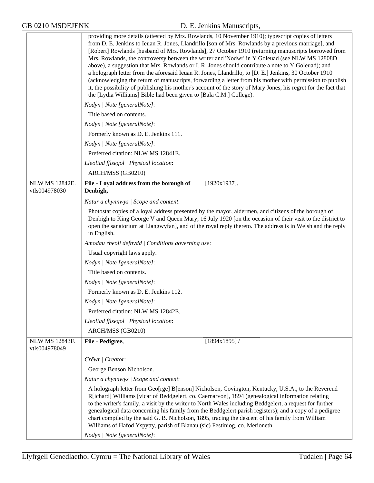|                                        | providing more details (attested by Mrs. Rowlands, 10 November 1910); typescript copies of letters<br>from D. E. Jenkins to Ieuan R. Jones, Llandrillo [son of Mrs. Rowlands by a previous marriage], and<br>[Robert] Rowlands [husband of Mrs. Rowlands], 27 October 1910 (returning manuscripts borrowed from<br>Mrs. Rowlands, the controversy between the writer and 'Nodwr' in Y Goleuad (see NLW MS 12808D)<br>above), a suggestion that Mrs. Rowlands or I. R. Jones should contribute a note to Y Goleuad); and<br>a holograph letter from the aforesaid Ieuan R. Jones, Llandrillo, to [D. E.] Jenkins, 30 October 1910<br>(acknowledging the return of manuscripts, forwarding a letter from his mother with permission to publish<br>it, the possibility of publishing his mother's account of the story of Mary Jones, his regret for the fact that<br>the [Lydia Williams] Bible had been given to [Bala C.M.] College). |
|----------------------------------------|---------------------------------------------------------------------------------------------------------------------------------------------------------------------------------------------------------------------------------------------------------------------------------------------------------------------------------------------------------------------------------------------------------------------------------------------------------------------------------------------------------------------------------------------------------------------------------------------------------------------------------------------------------------------------------------------------------------------------------------------------------------------------------------------------------------------------------------------------------------------------------------------------------------------------------------|
|                                        | Nodyn   Note [generalNote]:                                                                                                                                                                                                                                                                                                                                                                                                                                                                                                                                                                                                                                                                                                                                                                                                                                                                                                           |
|                                        | Title based on contents.                                                                                                                                                                                                                                                                                                                                                                                                                                                                                                                                                                                                                                                                                                                                                                                                                                                                                                              |
|                                        | Nodyn   Note [generalNote]:                                                                                                                                                                                                                                                                                                                                                                                                                                                                                                                                                                                                                                                                                                                                                                                                                                                                                                           |
|                                        | Formerly known as D. E. Jenkins 111.                                                                                                                                                                                                                                                                                                                                                                                                                                                                                                                                                                                                                                                                                                                                                                                                                                                                                                  |
|                                        | Nodyn   Note [generalNote]:                                                                                                                                                                                                                                                                                                                                                                                                                                                                                                                                                                                                                                                                                                                                                                                                                                                                                                           |
|                                        | Preferred citation: NLW MS 12841E.                                                                                                                                                                                                                                                                                                                                                                                                                                                                                                                                                                                                                                                                                                                                                                                                                                                                                                    |
|                                        | Lleoliad ffisegol   Physical location:                                                                                                                                                                                                                                                                                                                                                                                                                                                                                                                                                                                                                                                                                                                                                                                                                                                                                                |
|                                        | ARCH/MSS (GB0210)                                                                                                                                                                                                                                                                                                                                                                                                                                                                                                                                                                                                                                                                                                                                                                                                                                                                                                                     |
| <b>NLW MS 12842E.</b><br>vtls004978030 | File - Loyal address from the borough of<br>$[1920x1937]$ .<br>Denbigh,                                                                                                                                                                                                                                                                                                                                                                                                                                                                                                                                                                                                                                                                                                                                                                                                                                                               |
|                                        | Natur a chynnwys / Scope and content:                                                                                                                                                                                                                                                                                                                                                                                                                                                                                                                                                                                                                                                                                                                                                                                                                                                                                                 |
|                                        | Photostat copies of a loyal address presented by the mayor, aldermen, and citizens of the borough of<br>Denbigh to King George V and Queen Mary, 16 July 1920 [on the occasion of their visit to the district to<br>open the sanatorium at Llangwyfan], and of the royal reply thereto. The address is in Welsh and the reply<br>in English.                                                                                                                                                                                                                                                                                                                                                                                                                                                                                                                                                                                          |
|                                        | Amodau rheoli defnydd   Conditions governing use:                                                                                                                                                                                                                                                                                                                                                                                                                                                                                                                                                                                                                                                                                                                                                                                                                                                                                     |
|                                        | Usual copyright laws apply.                                                                                                                                                                                                                                                                                                                                                                                                                                                                                                                                                                                                                                                                                                                                                                                                                                                                                                           |
|                                        | Nodyn   Note [generalNote]:                                                                                                                                                                                                                                                                                                                                                                                                                                                                                                                                                                                                                                                                                                                                                                                                                                                                                                           |
|                                        | Title based on contents.                                                                                                                                                                                                                                                                                                                                                                                                                                                                                                                                                                                                                                                                                                                                                                                                                                                                                                              |
|                                        | Nodyn   Note [generalNote]:                                                                                                                                                                                                                                                                                                                                                                                                                                                                                                                                                                                                                                                                                                                                                                                                                                                                                                           |
|                                        | Formerly known as D. E. Jenkins 112.                                                                                                                                                                                                                                                                                                                                                                                                                                                                                                                                                                                                                                                                                                                                                                                                                                                                                                  |
|                                        | Nodyn   Note [generalNote]:                                                                                                                                                                                                                                                                                                                                                                                                                                                                                                                                                                                                                                                                                                                                                                                                                                                                                                           |
|                                        | Preferred citation: NLW MS 12842E.                                                                                                                                                                                                                                                                                                                                                                                                                                                                                                                                                                                                                                                                                                                                                                                                                                                                                                    |
|                                        | Lleoliad ffisegol   Physical location:                                                                                                                                                                                                                                                                                                                                                                                                                                                                                                                                                                                                                                                                                                                                                                                                                                                                                                |
|                                        | ARCH/MSS (GB0210)                                                                                                                                                                                                                                                                                                                                                                                                                                                                                                                                                                                                                                                                                                                                                                                                                                                                                                                     |
| NLW MS 12843F.<br>vtls004978049        | File - Pedigree,<br>$[1894x1895]$ /                                                                                                                                                                                                                                                                                                                                                                                                                                                                                                                                                                                                                                                                                                                                                                                                                                                                                                   |
|                                        | Crëwr   Creator:                                                                                                                                                                                                                                                                                                                                                                                                                                                                                                                                                                                                                                                                                                                                                                                                                                                                                                                      |
|                                        | George Benson Nicholson.                                                                                                                                                                                                                                                                                                                                                                                                                                                                                                                                                                                                                                                                                                                                                                                                                                                                                                              |
|                                        | Natur a chynnwys / Scope and content:                                                                                                                                                                                                                                                                                                                                                                                                                                                                                                                                                                                                                                                                                                                                                                                                                                                                                                 |
|                                        | A holograph letter from Geo[rge] B[enson] Nicholson, Covington, Kentucky, U.S.A., to the Reverend<br>R[ichard] Williams [vicar of Beddgelert, co. Caernarvon], 1894 (genealogical information relating<br>to the writer's family, a visit by the writer to North Wales including Beddgelert, a request for further<br>genealogical data concerning his family from the Beddgelert parish registers); and a copy of a pedigree<br>chart compiled by the said G. B. Nicholson, 1895, tracing the descent of his family from William<br>Williams of Hafod Yspytty, parish of Blanau (sic) Festiniog, co. Merioneth.                                                                                                                                                                                                                                                                                                                      |
|                                        | Nodyn   Note [generalNote]:                                                                                                                                                                                                                                                                                                                                                                                                                                                                                                                                                                                                                                                                                                                                                                                                                                                                                                           |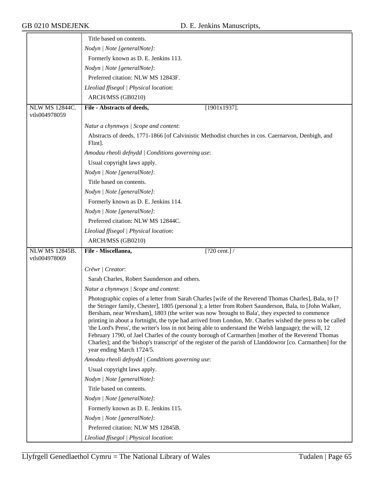|                       | Title based on contents.                                                                                                                                                                                                                                                                                                                                                                                                                                                                                                                                                                                                                                                                                                                                                                      |
|-----------------------|-----------------------------------------------------------------------------------------------------------------------------------------------------------------------------------------------------------------------------------------------------------------------------------------------------------------------------------------------------------------------------------------------------------------------------------------------------------------------------------------------------------------------------------------------------------------------------------------------------------------------------------------------------------------------------------------------------------------------------------------------------------------------------------------------|
|                       | Nodyn   Note [generalNote]:                                                                                                                                                                                                                                                                                                                                                                                                                                                                                                                                                                                                                                                                                                                                                                   |
|                       | Formerly known as D. E. Jenkins 113.                                                                                                                                                                                                                                                                                                                                                                                                                                                                                                                                                                                                                                                                                                                                                          |
|                       | Nodyn   Note [generalNote]:                                                                                                                                                                                                                                                                                                                                                                                                                                                                                                                                                                                                                                                                                                                                                                   |
|                       | Preferred citation: NLW MS 12843F.                                                                                                                                                                                                                                                                                                                                                                                                                                                                                                                                                                                                                                                                                                                                                            |
|                       | Lleoliad ffisegol   Physical location:                                                                                                                                                                                                                                                                                                                                                                                                                                                                                                                                                                                                                                                                                                                                                        |
|                       | ARCH/MSS (GB0210)                                                                                                                                                                                                                                                                                                                                                                                                                                                                                                                                                                                                                                                                                                                                                                             |
| <b>NLW MS 12844C.</b> | $[1901x1937]$ .<br>File - Abstracts of deeds,                                                                                                                                                                                                                                                                                                                                                                                                                                                                                                                                                                                                                                                                                                                                                 |
| vtls004978059         |                                                                                                                                                                                                                                                                                                                                                                                                                                                                                                                                                                                                                                                                                                                                                                                               |
|                       | Natur a chynnwys / Scope and content:                                                                                                                                                                                                                                                                                                                                                                                                                                                                                                                                                                                                                                                                                                                                                         |
|                       | Abstracts of deeds, 1771-1866 [of Calvinistic Methodist churches in cos. Caernarvon, Denbigh, and<br>Flint].                                                                                                                                                                                                                                                                                                                                                                                                                                                                                                                                                                                                                                                                                  |
|                       | Amodau rheoli defnydd   Conditions governing use:                                                                                                                                                                                                                                                                                                                                                                                                                                                                                                                                                                                                                                                                                                                                             |
|                       | Usual copyright laws apply.                                                                                                                                                                                                                                                                                                                                                                                                                                                                                                                                                                                                                                                                                                                                                                   |
|                       | Nodyn   Note [generalNote]:                                                                                                                                                                                                                                                                                                                                                                                                                                                                                                                                                                                                                                                                                                                                                                   |
|                       | Title based on contents.                                                                                                                                                                                                                                                                                                                                                                                                                                                                                                                                                                                                                                                                                                                                                                      |
|                       | Nodyn   Note [generalNote]:                                                                                                                                                                                                                                                                                                                                                                                                                                                                                                                                                                                                                                                                                                                                                                   |
|                       | Formerly known as D. E. Jenkins 114.                                                                                                                                                                                                                                                                                                                                                                                                                                                                                                                                                                                                                                                                                                                                                          |
|                       | Nodyn   Note [generalNote]:                                                                                                                                                                                                                                                                                                                                                                                                                                                                                                                                                                                                                                                                                                                                                                   |
|                       | Preferred citation: NLW MS 12844C.                                                                                                                                                                                                                                                                                                                                                                                                                                                                                                                                                                                                                                                                                                                                                            |
|                       | Lleoliad ffisegol   Physical location:                                                                                                                                                                                                                                                                                                                                                                                                                                                                                                                                                                                                                                                                                                                                                        |
|                       | ARCH/MSS (GB0210)                                                                                                                                                                                                                                                                                                                                                                                                                                                                                                                                                                                                                                                                                                                                                                             |
| <b>NLW MS 12845B.</b> | File - Miscellanea,<br>$[?20 \text{ cent.}]$ /                                                                                                                                                                                                                                                                                                                                                                                                                                                                                                                                                                                                                                                                                                                                                |
| vtls004978069         |                                                                                                                                                                                                                                                                                                                                                                                                                                                                                                                                                                                                                                                                                                                                                                                               |
|                       | Crëwr   Creator:                                                                                                                                                                                                                                                                                                                                                                                                                                                                                                                                                                                                                                                                                                                                                                              |
|                       | Sarah Charles, Robert Saunderson and others.                                                                                                                                                                                                                                                                                                                                                                                                                                                                                                                                                                                                                                                                                                                                                  |
|                       | Natur a chynnwys / Scope and content:                                                                                                                                                                                                                                                                                                                                                                                                                                                                                                                                                                                                                                                                                                                                                         |
|                       | Photographic copies of a letter from Sarah Charles [wife of the Reverend Thomas Charles], Bala, to [?<br>the Stringer family, Chester], 1805 (personal); a letter from Robert Saunderson, Bala, to [John Walker,<br>Bersham, near Wrexham], 1803 (the writer was now 'brought to Bala', they expected to commence<br>printing in about a fortnight, the type had arrived from London, Mr. Charles wished the press to be called<br>'the Lord's Press', the writer's loss in not being able to understand the Welsh language); the will, 12<br>February 1790, of Jael Charles of the county borough of Carmarthen [mother of the Reverend Thomas<br>Charles]; and the 'bishop's transcript' of the register of the parish of Llanddowror [co. Carmarthen] for the<br>year ending March 1724/5. |
|                       | Amodau rheoli defnydd   Conditions governing use:                                                                                                                                                                                                                                                                                                                                                                                                                                                                                                                                                                                                                                                                                                                                             |
|                       | Usual copyright laws apply.                                                                                                                                                                                                                                                                                                                                                                                                                                                                                                                                                                                                                                                                                                                                                                   |
|                       | Nodyn   Note [generalNote]:                                                                                                                                                                                                                                                                                                                                                                                                                                                                                                                                                                                                                                                                                                                                                                   |
|                       | Title based on contents.                                                                                                                                                                                                                                                                                                                                                                                                                                                                                                                                                                                                                                                                                                                                                                      |
|                       | Nodyn   Note [generalNote]:                                                                                                                                                                                                                                                                                                                                                                                                                                                                                                                                                                                                                                                                                                                                                                   |
|                       | Formerly known as D. E. Jenkins 115.                                                                                                                                                                                                                                                                                                                                                                                                                                                                                                                                                                                                                                                                                                                                                          |
|                       | Nodyn   Note [generalNote]:                                                                                                                                                                                                                                                                                                                                                                                                                                                                                                                                                                                                                                                                                                                                                                   |
|                       | Preferred citation: NLW MS 12845B.                                                                                                                                                                                                                                                                                                                                                                                                                                                                                                                                                                                                                                                                                                                                                            |
|                       | Lleoliad ffisegol   Physical location:                                                                                                                                                                                                                                                                                                                                                                                                                                                                                                                                                                                                                                                                                                                                                        |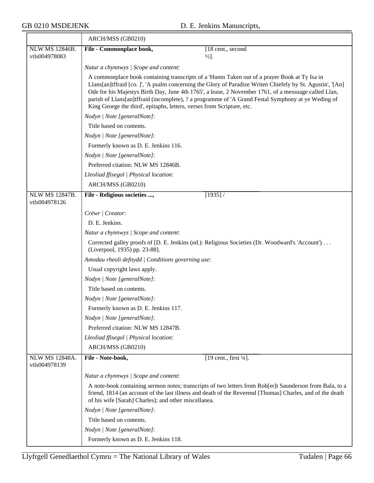|                                        | ARCH/MSS (GB0210)                                                                                                                                                                                                                                                                                                                                                                                                                                                                                  |
|----------------------------------------|----------------------------------------------------------------------------------------------------------------------------------------------------------------------------------------------------------------------------------------------------------------------------------------------------------------------------------------------------------------------------------------------------------------------------------------------------------------------------------------------------|
| NLW MS 12846B.                         | File - Commonplace book,<br>[18 cent., second]                                                                                                                                                                                                                                                                                                                                                                                                                                                     |
| vtls004978083                          | $\frac{1}{2}$ .                                                                                                                                                                                                                                                                                                                                                                                                                                                                                    |
|                                        | Natur a chynnwys / Scope and content:                                                                                                                                                                                                                                                                                                                                                                                                                                                              |
|                                        | A commonplace book containing transcripts of a 'Humn Taken out of a prayer Book at Ty Isa in<br>Llans[an]tffraid [co. ]', 'A psalm concerning the Glory of Paradize Writen Chiefely by St. Agustin', '[An]<br>Ode for his Majestys Birth Day, June 4th 1765', a lease, 2 November 1761, of a messuage called Llan,<br>parish of Llans[an]tffraid (incomplete), ? a programme of 'A Grand Festal Symphony at ye Weding of<br>King George the third', epitaphs, letters, verses from Scripture, etc. |
|                                        | Nodyn   Note [generalNote]:                                                                                                                                                                                                                                                                                                                                                                                                                                                                        |
|                                        | Title based on contents.                                                                                                                                                                                                                                                                                                                                                                                                                                                                           |
|                                        | Nodyn   Note [generalNote]:                                                                                                                                                                                                                                                                                                                                                                                                                                                                        |
|                                        | Formerly known as D. E. Jenkins 116.                                                                                                                                                                                                                                                                                                                                                                                                                                                               |
|                                        | Nodyn   Note [generalNote]:                                                                                                                                                                                                                                                                                                                                                                                                                                                                        |
|                                        | Preferred citation: NLW MS 12846B.                                                                                                                                                                                                                                                                                                                                                                                                                                                                 |
|                                        | Lleoliad ffisegol   Physical location:                                                                                                                                                                                                                                                                                                                                                                                                                                                             |
|                                        | ARCH/MSS (GB0210)                                                                                                                                                                                                                                                                                                                                                                                                                                                                                  |
| <b>NLW MS 12847B.</b>                  | $[1935]$ /<br>File - Religious societies ,                                                                                                                                                                                                                                                                                                                                                                                                                                                         |
| vtls004978126                          |                                                                                                                                                                                                                                                                                                                                                                                                                                                                                                    |
|                                        | Crëwr   Creator:                                                                                                                                                                                                                                                                                                                                                                                                                                                                                   |
|                                        | D. E. Jenkins.                                                                                                                                                                                                                                                                                                                                                                                                                                                                                     |
|                                        | Natur a chynnwys / Scope and content:                                                                                                                                                                                                                                                                                                                                                                                                                                                              |
|                                        | Corrected galley proofs of [D. E. Jenkins (ed.): Religious Societies (Dr. Woodward's 'Account')<br>(Liverpool, 1935) pp. 23-88].                                                                                                                                                                                                                                                                                                                                                                   |
|                                        | Amodau rheoli defnydd   Conditions governing use:                                                                                                                                                                                                                                                                                                                                                                                                                                                  |
|                                        | Usual copyright laws apply.                                                                                                                                                                                                                                                                                                                                                                                                                                                                        |
|                                        | Nodyn   Note [generalNote]:                                                                                                                                                                                                                                                                                                                                                                                                                                                                        |
|                                        | Title based on contents.                                                                                                                                                                                                                                                                                                                                                                                                                                                                           |
|                                        | Nodyn   Note [generalNote]:                                                                                                                                                                                                                                                                                                                                                                                                                                                                        |
|                                        | Formerly known as D. E. Jenkins 117.                                                                                                                                                                                                                                                                                                                                                                                                                                                               |
|                                        | Nodyn   Note [generalNote]:                                                                                                                                                                                                                                                                                                                                                                                                                                                                        |
|                                        | Preferred citation: NLW MS 12847B.                                                                                                                                                                                                                                                                                                                                                                                                                                                                 |
|                                        | Lleoliad ffisegol   Physical location:                                                                                                                                                                                                                                                                                                                                                                                                                                                             |
|                                        | ARCH/MSS (GB0210)                                                                                                                                                                                                                                                                                                                                                                                                                                                                                  |
| <b>NLW MS 12848A.</b><br>vtls004978139 | $\sqrt{19}$ cent., first $\frac{1}{4}$ .<br>File - Note-book,                                                                                                                                                                                                                                                                                                                                                                                                                                      |
|                                        | Natur a chynnwys / Scope and content:                                                                                                                                                                                                                                                                                                                                                                                                                                                              |
|                                        | A note-book containing sermon notes; transcripts of two letters from Rob[er]t Saunderson from Bala, to a<br>friend, 1814 (an account of the last illness and death of the Reverend [Thomas] Charles, and of the death<br>of his wife [Sarah] Charles); and other miscellanea.                                                                                                                                                                                                                      |
|                                        | Nodyn   Note [generalNote]:                                                                                                                                                                                                                                                                                                                                                                                                                                                                        |
|                                        | Title based on contents.                                                                                                                                                                                                                                                                                                                                                                                                                                                                           |
|                                        | Nodyn   Note [generalNote]:                                                                                                                                                                                                                                                                                                                                                                                                                                                                        |
|                                        | Formerly known as D. E. Jenkins 118.                                                                                                                                                                                                                                                                                                                                                                                                                                                               |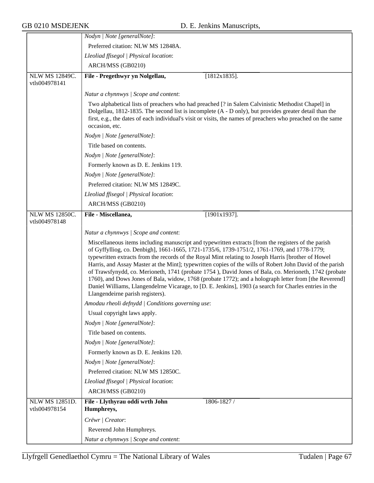|                                        | Nodyn   Note [generalNote]:                                                                                                                                                                                                                                                                                                                                                                                                                                                                                                                                                                                                                                                                                                                                                            |
|----------------------------------------|----------------------------------------------------------------------------------------------------------------------------------------------------------------------------------------------------------------------------------------------------------------------------------------------------------------------------------------------------------------------------------------------------------------------------------------------------------------------------------------------------------------------------------------------------------------------------------------------------------------------------------------------------------------------------------------------------------------------------------------------------------------------------------------|
|                                        | Preferred citation: NLW MS 12848A.                                                                                                                                                                                                                                                                                                                                                                                                                                                                                                                                                                                                                                                                                                                                                     |
|                                        | Lleoliad ffisegol   Physical location:                                                                                                                                                                                                                                                                                                                                                                                                                                                                                                                                                                                                                                                                                                                                                 |
|                                        | ARCH/MSS (GB0210)                                                                                                                                                                                                                                                                                                                                                                                                                                                                                                                                                                                                                                                                                                                                                                      |
| <b>NLW MS 12849C.</b><br>vtls004978141 | File - Pregethwyr yn Nolgellau,<br>$[1812x1835]$ .                                                                                                                                                                                                                                                                                                                                                                                                                                                                                                                                                                                                                                                                                                                                     |
|                                        | Natur a chynnwys / Scope and content:                                                                                                                                                                                                                                                                                                                                                                                                                                                                                                                                                                                                                                                                                                                                                  |
|                                        | Two alphabetical lists of preachers who had preached [? in Salem Calvinistic Methodist Chapel] in<br>Dolgellau, 1812-1835. The second list is incomplete (A - D only), but provides greater detail than the<br>first, e.g., the dates of each individual's visit or visits, the names of preachers who preached on the same<br>occasion, etc.                                                                                                                                                                                                                                                                                                                                                                                                                                          |
|                                        | Nodyn   Note [generalNote]:                                                                                                                                                                                                                                                                                                                                                                                                                                                                                                                                                                                                                                                                                                                                                            |
|                                        | Title based on contents.                                                                                                                                                                                                                                                                                                                                                                                                                                                                                                                                                                                                                                                                                                                                                               |
|                                        | Nodyn   Note [generalNote]:                                                                                                                                                                                                                                                                                                                                                                                                                                                                                                                                                                                                                                                                                                                                                            |
|                                        | Formerly known as D. E. Jenkins 119.                                                                                                                                                                                                                                                                                                                                                                                                                                                                                                                                                                                                                                                                                                                                                   |
|                                        | Nodyn   Note [generalNote]:                                                                                                                                                                                                                                                                                                                                                                                                                                                                                                                                                                                                                                                                                                                                                            |
|                                        | Preferred citation: NLW MS 12849C.                                                                                                                                                                                                                                                                                                                                                                                                                                                                                                                                                                                                                                                                                                                                                     |
|                                        | Lleoliad ffisegol   Physical location:                                                                                                                                                                                                                                                                                                                                                                                                                                                                                                                                                                                                                                                                                                                                                 |
|                                        | ARCH/MSS (GB0210)                                                                                                                                                                                                                                                                                                                                                                                                                                                                                                                                                                                                                                                                                                                                                                      |
| <b>NLW MS 12850C.</b><br>vtls004978148 | File - Miscellanea,<br>$[1901x1937]$ .                                                                                                                                                                                                                                                                                                                                                                                                                                                                                                                                                                                                                                                                                                                                                 |
|                                        | Natur a chynnwys / Scope and content:                                                                                                                                                                                                                                                                                                                                                                                                                                                                                                                                                                                                                                                                                                                                                  |
|                                        | Miscellaneous items including manuscript and typewritten extracts [from the registers of the parish<br>of Gyffylliog, co. Denbigh], 1661-1665, 1721-1735/6, 1739-1751/2, 1761-1769, and 1778-1779;<br>typewritten extracts from the records of the Royal Mint relating to Joseph Harris [brother of Howel<br>Harris, and Assay Master at the Mint]; typewritten copies of the wills of Robert John David of the parish<br>of Trawsfynydd, co. Merioneth, 1741 (probate 1754), David Jones of Bala, co. Merioneth, 1742 (probate<br>1760), and Dows Jones of Bala, widow, 1768 (probate 1772); and a holograph letter from [the Reverend]<br>Daniel Williams, Llangendelrne Vicarage, to [D. E. Jenkins], 1903 (a search for Charles entries in the<br>Llangendeirne parish registers). |
|                                        | Amodau rheoli defnydd   Conditions governing use:                                                                                                                                                                                                                                                                                                                                                                                                                                                                                                                                                                                                                                                                                                                                      |
|                                        | Usual copyright laws apply.                                                                                                                                                                                                                                                                                                                                                                                                                                                                                                                                                                                                                                                                                                                                                            |
|                                        | Nodyn   Note [generalNote]:                                                                                                                                                                                                                                                                                                                                                                                                                                                                                                                                                                                                                                                                                                                                                            |
|                                        | Title based on contents.                                                                                                                                                                                                                                                                                                                                                                                                                                                                                                                                                                                                                                                                                                                                                               |
|                                        | Nodyn   Note [generalNote]:                                                                                                                                                                                                                                                                                                                                                                                                                                                                                                                                                                                                                                                                                                                                                            |
|                                        | Formerly known as D. E. Jenkins 120.                                                                                                                                                                                                                                                                                                                                                                                                                                                                                                                                                                                                                                                                                                                                                   |
|                                        | Nodyn   Note [generalNote]:                                                                                                                                                                                                                                                                                                                                                                                                                                                                                                                                                                                                                                                                                                                                                            |
|                                        | Preferred citation: NLW MS 12850C.                                                                                                                                                                                                                                                                                                                                                                                                                                                                                                                                                                                                                                                                                                                                                     |
|                                        | Lleoliad ffisegol   Physical location:                                                                                                                                                                                                                                                                                                                                                                                                                                                                                                                                                                                                                                                                                                                                                 |
|                                        | ARCH/MSS (GB0210)                                                                                                                                                                                                                                                                                                                                                                                                                                                                                                                                                                                                                                                                                                                                                                      |
| <b>NLW MS 12851D.</b><br>vtls004978154 | File - Llythyrau oddi wrth John<br>1806-1827 /<br>Humphreys,                                                                                                                                                                                                                                                                                                                                                                                                                                                                                                                                                                                                                                                                                                                           |
|                                        | Crëwr / Creator:                                                                                                                                                                                                                                                                                                                                                                                                                                                                                                                                                                                                                                                                                                                                                                       |
|                                        | Reverend John Humphreys.                                                                                                                                                                                                                                                                                                                                                                                                                                                                                                                                                                                                                                                                                                                                                               |
|                                        | Natur a chynnwys / Scope and content:                                                                                                                                                                                                                                                                                                                                                                                                                                                                                                                                                                                                                                                                                                                                                  |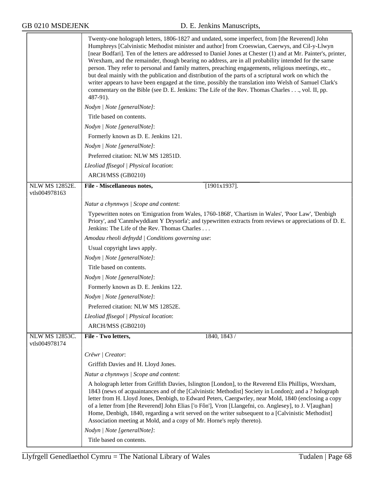|                                        | Twenty-one holograph letters, 1806-1827 and undated, some imperfect, from [the Reverend] John<br>Humphreys [Calvinistic Methodist minister and author] from Croeswian, Caerwys, and Cil-y-Llwyn<br>[near Bodfari]. Ten of the letters are addressed to Daniel Jones at Chester (1) and at Mr. Painter's, printer,<br>Wrexham, and the remainder, though bearing no address, are in all probability intended for the same<br>person. They refer to personal and family matters, preaching engagements, religious meetings, etc.,<br>but deal mainly with the publication and distribution of the parts of a scriptural work on which the<br>writer appears to have been engaged at the time, possibly the translation into Welsh of Samuel Clark's<br>commentary on the Bible (see D. E. Jenkins: The Life of the Rev. Thomas Charles, vol. II, pp.<br>487-91). |
|----------------------------------------|----------------------------------------------------------------------------------------------------------------------------------------------------------------------------------------------------------------------------------------------------------------------------------------------------------------------------------------------------------------------------------------------------------------------------------------------------------------------------------------------------------------------------------------------------------------------------------------------------------------------------------------------------------------------------------------------------------------------------------------------------------------------------------------------------------------------------------------------------------------|
|                                        | Nodyn   Note [generalNote]:                                                                                                                                                                                                                                                                                                                                                                                                                                                                                                                                                                                                                                                                                                                                                                                                                                    |
|                                        | Title based on contents.                                                                                                                                                                                                                                                                                                                                                                                                                                                                                                                                                                                                                                                                                                                                                                                                                                       |
|                                        | Nodyn   Note [generalNote]:                                                                                                                                                                                                                                                                                                                                                                                                                                                                                                                                                                                                                                                                                                                                                                                                                                    |
|                                        | Formerly known as D. E. Jenkins 121.                                                                                                                                                                                                                                                                                                                                                                                                                                                                                                                                                                                                                                                                                                                                                                                                                           |
|                                        | Nodyn   Note [generalNote]:                                                                                                                                                                                                                                                                                                                                                                                                                                                                                                                                                                                                                                                                                                                                                                                                                                    |
|                                        | Preferred citation: NLW MS 12851D.                                                                                                                                                                                                                                                                                                                                                                                                                                                                                                                                                                                                                                                                                                                                                                                                                             |
|                                        | Lleoliad ffisegol   Physical location:                                                                                                                                                                                                                                                                                                                                                                                                                                                                                                                                                                                                                                                                                                                                                                                                                         |
|                                        | ARCH/MSS (GB0210)                                                                                                                                                                                                                                                                                                                                                                                                                                                                                                                                                                                                                                                                                                                                                                                                                                              |
| <b>NLW MS 12852E.</b><br>vtls004978163 | File - Miscellaneous notes,<br>$[1901x1937]$ .                                                                                                                                                                                                                                                                                                                                                                                                                                                                                                                                                                                                                                                                                                                                                                                                                 |
|                                        |                                                                                                                                                                                                                                                                                                                                                                                                                                                                                                                                                                                                                                                                                                                                                                                                                                                                |
|                                        | Natur a chynnwys / Scope and content:                                                                                                                                                                                                                                                                                                                                                                                                                                                                                                                                                                                                                                                                                                                                                                                                                          |
|                                        | Typewritten notes on 'Emigration from Wales, 1760-1868', 'Chartism in Wales', 'Poor Law', 'Denbigh<br>Priory', and 'Canmlwyddiant Y Drysorfa'; and typewritten extracts from reviews or appreciations of D. E.<br>Jenkins: The Life of the Rev. Thomas Charles                                                                                                                                                                                                                                                                                                                                                                                                                                                                                                                                                                                                 |
|                                        | Amodau rheoli defnydd   Conditions governing use:                                                                                                                                                                                                                                                                                                                                                                                                                                                                                                                                                                                                                                                                                                                                                                                                              |
|                                        | Usual copyright laws apply.                                                                                                                                                                                                                                                                                                                                                                                                                                                                                                                                                                                                                                                                                                                                                                                                                                    |
|                                        | Nodyn   Note [generalNote]:                                                                                                                                                                                                                                                                                                                                                                                                                                                                                                                                                                                                                                                                                                                                                                                                                                    |
|                                        | Title based on contents.                                                                                                                                                                                                                                                                                                                                                                                                                                                                                                                                                                                                                                                                                                                                                                                                                                       |
|                                        | Nodyn   Note [generalNote]:                                                                                                                                                                                                                                                                                                                                                                                                                                                                                                                                                                                                                                                                                                                                                                                                                                    |
|                                        | Formerly known as D. E. Jenkins 122.                                                                                                                                                                                                                                                                                                                                                                                                                                                                                                                                                                                                                                                                                                                                                                                                                           |
|                                        | Nodyn   Note [generalNote]:                                                                                                                                                                                                                                                                                                                                                                                                                                                                                                                                                                                                                                                                                                                                                                                                                                    |
|                                        | Preferred citation: NLW MS 12852E                                                                                                                                                                                                                                                                                                                                                                                                                                                                                                                                                                                                                                                                                                                                                                                                                              |
|                                        | Lleoliad ffisegol   Physical location:                                                                                                                                                                                                                                                                                                                                                                                                                                                                                                                                                                                                                                                                                                                                                                                                                         |
|                                        | ARCH/MSS (GB0210)                                                                                                                                                                                                                                                                                                                                                                                                                                                                                                                                                                                                                                                                                                                                                                                                                                              |
| NLW MS 12853C.<br>vtls004978174        | File - Two letters,<br>1840, 1843 /                                                                                                                                                                                                                                                                                                                                                                                                                                                                                                                                                                                                                                                                                                                                                                                                                            |
|                                        | Crëwr   Creator:                                                                                                                                                                                                                                                                                                                                                                                                                                                                                                                                                                                                                                                                                                                                                                                                                                               |
|                                        | Griffith Davies and H. Lloyd Jones.                                                                                                                                                                                                                                                                                                                                                                                                                                                                                                                                                                                                                                                                                                                                                                                                                            |
|                                        | Natur a chynnwys / Scope and content:                                                                                                                                                                                                                                                                                                                                                                                                                                                                                                                                                                                                                                                                                                                                                                                                                          |
|                                        | A holograph letter from Griffith Davies, Islington [London], to the Reverend Elis Phillips, Wrexham,<br>1843 (news of acquaintances and of the [Calvinistic Methodist] Society in London); and a ? holograph<br>letter from H. Lloyd Jones, Denbigh, to Edward Peters, Caergwrley, near Mold, 1840 (enclosing a copy<br>of a letter from [the Reverend] John Elias ['o Fôn'], Vron [Llangefni, co. Anglesey], to J. V[aughan]<br>Home, Denbigh, 1840, regarding a writ served on the writer subsequent to a [Calvinistic Methodist]<br>Association meeting at Mold, and a copy of Mr. Horne's reply thereto).                                                                                                                                                                                                                                                  |
|                                        | Nodyn   Note [generalNote]:                                                                                                                                                                                                                                                                                                                                                                                                                                                                                                                                                                                                                                                                                                                                                                                                                                    |
|                                        | Title based on contents.                                                                                                                                                                                                                                                                                                                                                                                                                                                                                                                                                                                                                                                                                                                                                                                                                                       |